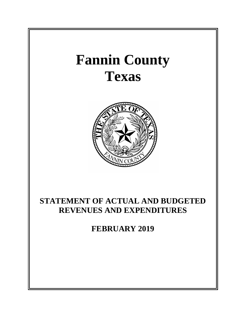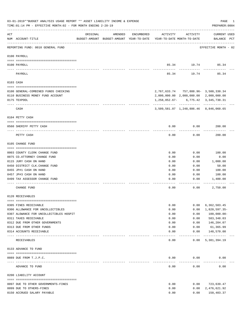|     | 03-01-2019**BUDGET ANALYSIS USAGE REPORT ** ASSET LIABILITY INCOME & EXPENSE<br>TIME: 01:14 PM - EFFECTIVE MONTH: 02 - FOR MONTH ENDING 2-28-19 |                                                                                 |         |            |              |                   | PAGE<br>PREPARER: 0004                         | 1 |
|-----|-------------------------------------------------------------------------------------------------------------------------------------------------|---------------------------------------------------------------------------------|---------|------------|--------------|-------------------|------------------------------------------------|---|
| ACT | NUM ACCOUNT-TITLE                                                                                                                               | ORIGINAL<br>BUDGET-AMOUNT BUDGET-AMOUNT YEAR-TO-DATE YEAR-TO-DATE MONTH-TO-DATE | AMENDED | ENCUMBERED | ACTIVITY     | ACTIVITY          | CURRENT USED<br>BALANCE PCT                    |   |
|     | REPORTING FUND: 0010 GENERAL FUND                                                                                                               |                                                                                 |         |            |              |                   | EFFECTIVE MONTH - 02                           |   |
|     | 0100 PAYROLL                                                                                                                                    |                                                                                 |         |            |              |                   |                                                |   |
|     | 0100 PAYROLL                                                                                                                                    |                                                                                 |         |            |              | 85.34 19.74       | 85.34                                          |   |
|     | PAYROLL                                                                                                                                         |                                                                                 |         |            | 85.34        | 19.74             | 85.34                                          |   |
|     | 0103 CASH                                                                                                                                       |                                                                                 |         |            |              |                   |                                                |   |
|     |                                                                                                                                                 |                                                                                 |         |            |              |                   | 2, 767, 633. 74 757, 888. 96 - 3, 500, 330. 34 |   |
|     | 0100 GENERAL-COMBINED FUNDS CHECKING<br>0110 BUSINESS MONEY FUND ACCOUNT                                                                        |                                                                                 |         |            |              |                   | 2,000,000.00 2,000,000.00 2,000,000.00         |   |
|     | 0175 TEXPOOL                                                                                                                                    |                                                                                 |         |            |              |                   | $1, 258, 052.67 - 6, 775.42$ 3, 345, 730.31    |   |
|     | CASH                                                                                                                                            |                                                                                 |         |            |              |                   | 3,509,581.07 1,248,886.46 8,846,060.65         |   |
|     | 0104 PETTY CASH                                                                                                                                 |                                                                                 |         |            |              |                   |                                                |   |
|     | 0560 SHERIFF PETTY CASH                                                                                                                         |                                                                                 |         |            | 0.00         | 0.00              | 200.00                                         |   |
|     | PETTY CASH                                                                                                                                      |                                                                                 |         |            | 0.00         | 0.00              | 200.00                                         |   |
|     | 0105 CHANGE FUND                                                                                                                                |                                                                                 |         |            |              |                   |                                                |   |
|     |                                                                                                                                                 |                                                                                 |         |            |              |                   |                                                |   |
|     | 0003 COUNTY CLERK CHANGE FUND                                                                                                                   |                                                                                 |         |            | 0.00         | 0.00              | 100.00                                         |   |
|     | 0075 CO. ATTORNEY CHANGE FUND<br>0115 JURY CASH ON HAND                                                                                         |                                                                                 |         |            | 0.00<br>0.00 | 0.00<br>0.00      | 0.00<br>1,000.00                               |   |
|     | 0450 DISTRICT CLK. CHANGE FUND                                                                                                                  |                                                                                 |         |            | 0.00         | 0.00              | 50.00                                          |   |
|     | 0455 JP#1 CASH ON HAND                                                                                                                          |                                                                                 |         |            | 0.00         | 0.00              | 100.00                                         |   |
|     | 0457 JP#3 CASH ON HAND                                                                                                                          |                                                                                 |         |            | 0.00         | 0.00              | 100.00                                         |   |
|     | 0499 TAX ASSESSOR CHANGE FUND                                                                                                                   |                                                                                 |         |            | 0.00         | 0.00              | 1,400.00                                       |   |
|     | CHANGE FUND                                                                                                                                     |                                                                                 |         |            | 0.00         | 0.00              | 2,750.00                                       |   |
|     | 0120 RECEIVABLES                                                                                                                                |                                                                                 |         |            |              |                   |                                                |   |
|     |                                                                                                                                                 |                                                                                 |         |            |              |                   |                                                |   |
|     | 0305 FINES RECEIVABLE                                                                                                                           |                                                                                 |         |            | 0.00         | 0.00              | 6,362,503.45                                   |   |
|     | 0306 ALLOWANCE FOR UNCOLLECTIBLES                                                                                                               |                                                                                 |         |            | 0.00         | 0.00              | 1,820,597.35-                                  |   |
|     | 0307 ALOWANCE FOR UNCOLLECTIBLES HOSPIT<br>0311 TAXES RECEIVABLE                                                                                |                                                                                 |         |            | 0.00<br>0.00 | 0.00<br>0.00      | $100,000.00 -$<br>583, 348.03                  |   |
|     | 0312 DUE FROM OTHER GOVERNMENTS                                                                                                                 |                                                                                 |         |            | 0.00         | 0.00              | 146,204.07                                     |   |
|     | 0313 DUE FROM OTHER FUNDS                                                                                                                       |                                                                                 |         |            | 0.00         | 0.00              | 61,365.99                                      |   |
|     | 0314 ACCOUNTS RECEIVABLE                                                                                                                        |                                                                                 |         |            | 0.00         | 0.00              | 148,570.00<br>-------------                    |   |
|     | <b>RECEIVABLES</b>                                                                                                                              | ------------- ------------                                                      |         |            | 0.00         | ---------<br>0.00 | 5,381,394.19                                   |   |
|     | 0133 ADVANCE TO FUND                                                                                                                            |                                                                                 |         |            |              |                   |                                                |   |
|     |                                                                                                                                                 |                                                                                 |         |            |              |                   |                                                |   |
|     | 0089 DUE FROM T.J.P.C.                                                                                                                          |                                                                                 |         |            | 0.00         | 0.00              | 0.00                                           |   |
|     | ADVANCE TO FUND                                                                                                                                 |                                                                                 |         |            | 0.00         | 0.00              | 0.00                                           |   |
|     | 0200 LIABILITY ACCOUNT                                                                                                                          |                                                                                 |         |            |              |                   |                                                |   |
|     | 0097 DUE TO OTHER GOVERNMENTS-FINES                                                                                                             |                                                                                 |         |            | 0.00         | 0.00              | 723,639.47                                     |   |
|     | 0099 DUE TO OTHERS-FINES                                                                                                                        |                                                                                 |         |            | 0.00         | 0.00              | 2,476,621.92                                   |   |
|     | 0150 ACCRUED SALARY PAYABLE                                                                                                                     |                                                                                 |         |            | 0.00         | 0.00              | 150,403.37                                     |   |
|     |                                                                                                                                                 |                                                                                 |         |            |              |                   |                                                |   |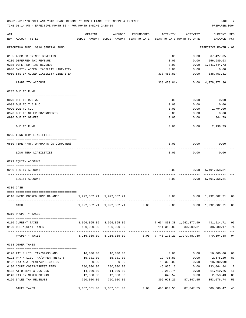|     | 03-01-2019**BUDGET ANALYSIS USAGE REPORT ** ASSET LIABILITY INCOME & EXPENSE<br>TIME: 01:14 PM - EFFECTIVE MONTH: 02 - FOR MONTH ENDING 2-28-19 |                           |                                                     |            |                                        |                   | PAGE<br>PREPARER: 0004               |                |
|-----|-------------------------------------------------------------------------------------------------------------------------------------------------|---------------------------|-----------------------------------------------------|------------|----------------------------------------|-------------------|--------------------------------------|----------------|
| ACT | NUM ACCOUNT-TITLE                                                                                                                               | ORIGINAL                  | AMENDED<br>BUDGET-AMOUNT BUDGET-AMOUNT YEAR-TO-DATE | ENCUMBERED | ACTIVITY<br>YEAR-TO-DATE MONTH-TO-DATE | ACTIVITY          | <b>CURRENT USED</b><br>BALANCE PCT   |                |
|     | REPORTING FUND: 0010 GENERAL FUND                                                                                                               |                           |                                                     |            |                                        |                   | EFFECTIVE MONTH - 02                 |                |
|     | 0155 ACCRUED FRINGE BENEFITS                                                                                                                    |                           |                                                     |            | 0.00                                   | 0.00              | 67,427.05                            |                |
|     | 0200 DEFERRED TAX REVENUE                                                                                                                       |                           |                                                     |            | 0.00                                   | 0.00              | 556,989.63                           |                |
|     | 0205 DEFERRED FINE REVENUE                                                                                                                      |                           |                                                     |            | 0.00                                   | 0.00              | 1,341,644.73                         |                |
|     | 0900 SYSTEM ADDED LIABILITY LINE-ITEM                                                                                                           |                           |                                                     |            | 0.00                                   | 0.00              | 0.00                                 |                |
|     | 0910 SYSTEM ADDED LIABILITY LINE-ITEM                                                                                                           |                           |                                                     |            | $338, 453.81 -$                        | 0.00              | 338,453.81-                          |                |
|     | LIABILITY ACCOUNT                                                                                                                               |                           |                                                     |            | 338,453.81-                            |                   | $0.00 \quad 4,978,272.36$            |                |
|     | 0207 DUE TO FUND                                                                                                                                |                           |                                                     |            |                                        |                   |                                      |                |
|     | 0070 DUE TO R.O.W.                                                                                                                              |                           |                                                     |            | 0.00                                   | 0.00              | 0.00                                 |                |
|     | 0089 DUE TO T.J.P.C.                                                                                                                            |                           |                                                     |            | 0.00                                   | 0.00              | 0.00                                 |                |
|     | 0090 DUE TO CJD                                                                                                                                 |                           |                                                     |            | 0.00                                   | 0.00              | 1,794.00                             |                |
|     | 0970 DUE TO OTHER GOVERNMENTS                                                                                                                   |                           |                                                     |            | 0.00                                   | 0.00              | 0.00                                 |                |
|     | 0990 DUE TO OTHERS                                                                                                                              |                           |                                                     |            | 0.00                                   | 0.00              | 344.79                               |                |
|     | DUE TO FUND                                                                                                                                     |                           |                                                     |            | 0.00                                   | 0.00              | 2,138.79                             |                |
|     | 0225 LONG TERM LIABILITIES                                                                                                                      |                           |                                                     |            |                                        |                   |                                      |                |
|     | 0510 TIME PYMT. WARRANTS ON COMPUTERS                                                                                                           |                           |                                                     |            | 0.00                                   | 0.00              | 0.00                                 |                |
|     | LONG TERM LIABILITIES                                                                                                                           |                           |                                                     |            | 0.00                                   | 0.00              | 0.00                                 |                |
|     | 0271 EQUITY ACCOUNT                                                                                                                             |                           |                                                     |            |                                        |                   |                                      |                |
|     | 0200 EQUITY ACCOUNT                                                                                                                             |                           |                                                     |            | 0.00                                   |                   | 0.00 5,401,958.81                    |                |
|     | EQUITY ACCOUNT                                                                                                                                  |                           |                                                     |            | 0.00                                   |                   | 0.00 5,401,958.81                    |                |
|     | 0300 CASH                                                                                                                                       |                           |                                                     |            |                                        |                   |                                      |                |
|     | 0110 UNENCUMBERED FUND BALANCE                                                                                                                  | 1,992,882.71 1,992,882.71 |                                                     |            | 0.00                                   |                   | $0.00 \quad 1,992,882.71 \quad 00$   |                |
|     | CASH                                                                                                                                            |                           | 1,992,882.71 1,992,882.71 0.00                      |            | 0.00                                   |                   | $0.00 \quad 1,992,882.71 \quad 00$   |                |
|     | 0310 PROPERTY TAXES                                                                                                                             |                           |                                                     |            |                                        |                   |                                      |                |
|     |                                                                                                                                                 |                           |                                                     |            |                                        |                   |                                      |                |
|     | 0110 CURRENT TAXES                                                                                                                              |                           | 8,066,365.09 8,066,365.09                           |            |                                        |                   | 7,634,850.38 1,942,877.99 431,514.71 | 95             |
|     | 0120 DELINQUENT TAXES                                                                                                                           | 150,000.00                | 150,000.00                                          |            | 111,319.83                             | 30,609.81         | 38,680.17                            | 74             |
|     | PROPERTY TAXES                                                                                                                                  |                           | <u>uuuuuuuuuuu</u><br>8, 216, 365.09 8, 216, 365.09 |            | $0.00$ 7,746,170.21 1,973,487.80       |                   | 470,194.88                           | 94             |
|     | 0318 OTHER TAXES                                                                                                                                |                           |                                                     |            |                                        |                   |                                      |                |
|     |                                                                                                                                                 |                           |                                                     |            |                                        |                   |                                      |                |
|     | 0120 PAY N LIEU TAX/GRASSLAND                                                                                                                   | 16,000.00                 | 16,000.00                                           |            | 0.00                                   | 0.00              | 16,000.00                            | 0 <sub>0</sub> |
|     | 0121 PAY N LIEU TAX/UPPER TRINITY                                                                                                               | 15,381.00                 | 15,381.00                                           |            | 12,705.80                              | 0.00              | 2,675.20                             | 83             |
|     | 0122 TAX ABATEMENT/APPLICATION                                                                                                                  | 0.00                      | 0.00                                                |            | 18,300.00                              | 0.00              | 18,300.00+                           |                |
|     | 0130 COURT COSTS/ARREST FEES                                                                                                                    | 280,000.00                | 280,000.00                                          |            | 46,935.16                              | 0.00              | 233,064.84                           | 17             |
|     | 0132 ATTORNEYS & DOCTORS                                                                                                                        | 14,000.00                 | 14,000.00                                           |            | 2,289.74                               | 0.00              | 11,710.26                            | 16             |
|     | 0140 TAX ON MIXED DRINKS<br>0160 SALES TAX REVENUES                                                                                             | 12,000.00<br>750,000.00   | 12,000.00<br>750,000.00                             |            | 9,646.57<br>396,923.26                 | 0.00<br>87,847.55 | 2,353.43<br>353,076.74               | 80<br>53       |
|     |                                                                                                                                                 |                           | 1,087,381.00                                        | 0.00       | ----------<br>486,800.53               | 87,847.55         | 600,580.47                           | 45             |
|     | OTHER TAXES                                                                                                                                     | 1,087,381.00              |                                                     |            |                                        |                   |                                      |                |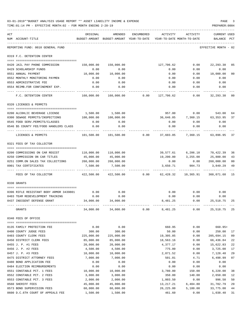|     | 03-01-2019**BUDGET ANALYSIS USAGE REPORT ** ASSET LIABILITY INCOME & EXPENSE<br>TIME: 01:14 PM - EFFECTIVE MONTH: 02 - FOR MONTH ENDING 2-28-19 |            |                                                                                |            |                   |                                        | PAGE<br>PREPARER: 0004      |                |
|-----|-------------------------------------------------------------------------------------------------------------------------------------------------|------------|--------------------------------------------------------------------------------|------------|-------------------|----------------------------------------|-----------------------------|----------------|
| ACT | NUM ACCOUNT-TITLE                                                                                                                               | ORIGINAL   | AMENDED<br>BUDGET-AMOUNT BUDGET-AMOUNT YEAR-TO-DATE YEAR-TO-DATE MONTH-TO-DATE | ENCUMBERED | ACTIVITY          | ACTIVITY                               | CURRENT USED<br>BALANCE PCT |                |
|     | REPORTING FUND: 0010 GENERAL FUND                                                                                                               |            |                                                                                |            |                   |                                        | EFFECTIVE MONTH - 02        |                |
|     | 0319 F.C. DETENTION CENTER                                                                                                                      |            |                                                                                |            |                   |                                        |                             |                |
|     | 0420 JAIL PAY PHONE COMMISSION                                                                                                                  | 150,000.00 | 150,000.00                                                                     |            | 127,706.62        |                                        | $0.00$ 22,293.38            | 85             |
|     | 0429 SCHOLARSHIP FUNDS                                                                                                                          | 0.00       | 0.00                                                                           |            | 0.00              | 0.00                                   | 0.00                        |                |
|     | 0551 ANNUAL PAYMENT                                                                                                                             | 10,000.00  | 10,000.00                                                                      |            | 0.00              | 0.00                                   | 10,000.00                   | 00             |
|     | 0552 MONTHLY MONITORING PAYMEN                                                                                                                  | 0.00       | 0.00                                                                           |            | 0.00              | 0.00                                   | 0.00                        |                |
|     | 0553 ADMINISTRATIVE FEE                                                                                                                         | 0.00       | 0.00                                                                           |            | 0.00              | 0.00                                   | 0.00                        |                |
|     | 0554 REIMB.FOR CONFINEMENT EXP.                                                                                                                 | 0.00       | 0.00                                                                           |            |                   | $0.00$ $0.00$                          | 0.00                        |                |
|     | F.C. DETENTION CENTER                                                                                                                           |            |                                                                                |            | $0.00$ 127,706.62 |                                        | $0.00$ $32,293.38$          | 80             |
|     | 0320 LICENSES & PERMITS                                                                                                                         |            |                                                                                |            |                   |                                        |                             |                |
|     | --------------------------------------                                                                                                          |            |                                                                                |            |                   |                                        |                             |                |
|     | 0200 ALCOHLIC BEVERAGE LICENSE                                                                                                                  |            | 1,500.00 1,500.00                                                              |            |                   | 957.00 0.00 543.00                     |                             | 64             |
|     | 0300 SEWAGE PERMITS/INSPECTIONS                                                                                                                 | 100,000.00 | 100,000.00                                                                     |            |                   | 36,646.05 7,360.15 63,353.95           |                             | 37             |
|     | 0545 FOOD SERV. PERMITS/CLASSES                                                                                                                 | 0.00       | 0.00<br>0.00                                                                   |            | 0.00              | 0.00                                   | 0.00                        |                |
|     | 0546 \$5 COUNTY FEE/FOOD HANDLERS CLASS                                                                                                         | 0.00       |                                                                                |            | 0.00              | 0.00                                   | 0.00                        |                |
|     | LICENSES & PERMITS                                                                                                                              |            | $101,500.00$ $101,500.00$ 0.00 $37,603.05$ 7,360.15 63,896.95                  |            |                   |                                        |                             | 37             |
|     | 0321 FEES OF TAX COLLECTOR                                                                                                                      |            |                                                                                |            |                   |                                        |                             |                |
|     | 0200 COMMISSIONS ON CAR REGIST                                                                                                                  |            | 110,000.00 110,000.00                                                          |            |                   | 39,577.61 6,206.18 70,422.39           |                             | 36             |
|     | 0250 COMMISSION ON CAR TITLES                                                                                                                   | 45,000.00  | 45,000.00                                                                      |            |                   | 19,200.00 3,255.00 25,800.00           |                             | 43             |
|     | 0251 COMM.ON SALES TAX COLLECTIONS 260,000.00 260,000.00                                                                                        |            |                                                                                |            |                   | $0.00$ $0.00$ $260,000.00$             |                             | 0 <sub>0</sub> |
|     | 0901 TAX CERTIFICATES                                                                                                                           | 7,500.00   | 7,500.00                                                                       |            |                   | 3,650.71 904.73<br>----------          | 3,849.29                    | 49             |
|     | FEES OF TAX COLLECTOR                                                                                                                           |            | 422,500.00  422,500.00                                                         |            |                   | 0.00 62,428.32 10,365.91 360,071.68 15 |                             |                |
|     | 0330 GRANTS                                                                                                                                     |            |                                                                                |            |                   |                                        |                             |                |
|     | 0396 RIFLE RESISTANT BODY ARMOR 3439801                                                                                                         | 0.00       | 0.00                                                                           |            | 0.00              | 0.00                                   | 0.00                        |                |
|     | 0403 TEAM REDEVELOPMENT TRAINING                                                                                                                | 0.00       | 0.00                                                                           |            | 0.00              | 0.00                                   | 0.00                        |                |
|     | 0437 INDIGENT DEFENSE GRANT                                                                                                                     | 34,000.00  | 34,000.00                                                                      |            | 8,481.25          | 0.00                                   | 25,518.75                   | 25             |
|     | GRANTS                                                                                                                                          | 34,000.00  | 34,000.00                                                                      | 0.00       | 8,481.25          | 0.00                                   | 25,518.75                   | 25             |
|     | 0340 FEES OF OFFICE                                                                                                                             |            |                                                                                |            |                   |                                        |                             |                |
|     | 0135 FAMILY PROTECTION FEE                                                                                                                      | 0.00       | 0.00                                                                           |            | 660.95            | 0.00                                   | 660.95+                     |                |
|     | 0400 COUNTY JUDGE FEES                                                                                                                          | 300.00     | 300.00                                                                         |            | 50.00             | 0.00                                   | 250.00                      | 17             |
|     | 0403 COUNTY CLERK FEES                                                                                                                          | 225,000.00 | 225,000.00                                                                     |            | 19,305.85         | 0.00                                   | 205,694.15                  | 09             |
|     | 0450 DISTRICT CLERK FEES                                                                                                                        | 85,000.00  | 85,000.00                                                                      |            | 18,563.16         | 0.00                                   | 66,436.84                   | 22             |
|     | 0455 J. P. #1 FEES                                                                                                                              | 20,000.00  | 20,000.00                                                                      |            | 4,377.17          | 0.00                                   | 15,622.83                   | 22             |
|     | 0456 J. P. #2 FEES                                                                                                                              | 4,500.00   | 4,500.00                                                                       |            | 775.00            | 0.00                                   | 3,725.00                    | 17             |
|     | 0457 J. P. #3 FEES                                                                                                                              | 10,000.00  | 10,000.00                                                                      |            | 2,871.52          | 0.00                                   | 7,128.48                    | 29             |
|     | 0475 DISTRICT ATTORNEY FEES                                                                                                                     | 7,000.00   | 7,000.00                                                                       |            | 501.01            | 4.71                                   | 6,498.99                    | 07             |
|     | 0480 BOND APPLICATION FEE                                                                                                                       | 0.00       | 0.00                                                                           |            | 0.00              | 0.00                                   | 0.00                        |                |
|     | 0484 ELECTION REIMBURSEMENTS                                                                                                                    | 0.00       | 0.00                                                                           |            | 0.00              | 0.00                                   | 0.00                        |                |
|     | 0551 CONSTABLE PCT. 1 FEES                                                                                                                      | 10,000.00  | 10,000.00                                                                      |            | 3,780.00          | 150.00                                 | 6,220.00                    | 38             |
|     | 0552 CONSTABLE PCT. 2 FEES                                                                                                                      | 3,000.00   | 3,000.00                                                                       |            | 350.00            | 140.00                                 | 2,650.00                    | 12             |
|     | 0553 CONSTABLE PCT. 3 FEES                                                                                                                      | 2,000.00   | 2,000.00                                                                       |            | 1,003.50          | 0.00                                   | 996.50                      | 50             |
|     | 0560 SHERIFF FEES                                                                                                                               | 45,000.00  | 45,000.00                                                                      |            | 13,217.21         | 6,404.80                               | 31,782.79                   | 29             |
|     | 0573 BOND SUPERVISION FEES<br>0600 D.C.6TH COURT OF APPEALS FEE                                                                                 | 60,000.00  | 60,000.00                                                                      |            | 26, 225.00        | 5,180.00                               | 33,775.00                   | 44<br>31       |
|     |                                                                                                                                                 | 1,500.00   | 1,500.00                                                                       |            | 461.60            | 0.00                                   | 1,038.40                    |                |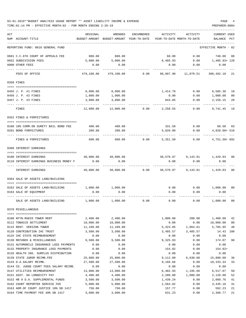### 03-01-2019\*\*BUDGET ANALYSIS USAGE REPORT \*\* ASSET LIABILITY INCOME & EXPENSE PAGE 4 TIME:01:14 PM - EFFECTIVE MONTH:02 - FOR MONTH ENDING 2-28-19 PREPARER:0004

| ACT | NUM ACCOUNT-TITLE                                     | ORIGINAL              | AMENDED<br>BUDGET-AMOUNT BUDGET-AMOUNT YEAR-TO-DATE | ENCUMBERED | ACTIVITY<br>YEAR-TO-DATE MONTH-TO-DATE | ACTIVITY                    | <b>CURRENT USED</b><br>BALANCE PCT |                      |
|-----|-------------------------------------------------------|-----------------------|-----------------------------------------------------|------------|----------------------------------------|-----------------------------|------------------------------------|----------------------|
|     | REPORTING FUND: 0010 GENERAL FUND                     |                       |                                                     |            |                                        |                             | EFFECTIVE MONTH - 02               |                      |
|     |                                                       |                       |                                                     |            |                                        |                             |                                    |                      |
|     | 0601 C.C.6TH COURT OF APPEALS FEE                     | 800.00                | 800.00<br>5,000.00                                  |            | 60.00                                  | 0.00                        | 740.00<br>$0.00$ 1,405.93+128      | 08                   |
|     | 0652 SUBDIVISION FEES<br>0900 OTHER FEES              | 5,000.00<br>0.00      | 0.00                                                |            | 6,405.93<br>0.00                       | 0.00                        | 0.00                               |                      |
|     |                                                       |                       |                                                     |            |                                        |                             |                                    |                      |
|     | FEES OF OFFICE                                        | 479,100.00            | 479,100.00                                          | 0.00       | 98,607.90                              | 11,879.51                   | 380,492.10                         | 21                   |
|     | 0350 FINES                                            |                       |                                                     |            |                                        |                             |                                    |                      |
|     | 0455 J. P. #1 FINES                                   | 8,000.00              | 8,000.00                                            |            | 1,414.70                               | 0.00                        | 6,585.30                           | 18                   |
|     | 0456 J. P. #2 FINES                                   | 1,000.00              | 1,000.00                                            |            | 0.00                                   | 0.00                        | 1,000.00                           | 0 <sub>0</sub>       |
|     | 0457 J. P. #3 FINES                                   | 3,000.00              | 3,000.00                                            |            | 843.85                                 | 0.00                        | 2,156.15                           | 28                   |
|     | FINES                                                 | 12,000.00             | 12,000.00                                           | 0.00       | 2,258.55                               | 0.00                        | 9,741.45                           | 19                   |
|     | 0352 FINES & FORFEITURES                              |                       |                                                     |            |                                        |                             |                                    |                      |
|     | 0100 10% COMM.ON SURETY BAIL BOND FEE                 | 400.00                | 400.00                                              |            | 331.50                                 | 0.00                        | 68.50 83                           |                      |
|     | 0201 BOND FORFEITURES                                 | 200.00                | 200.00                                              |            | 5,020.00                               | 0.00                        | 4,820.00+ 510                      |                      |
|     |                                                       |                       |                                                     |            |                                        |                             |                                    |                      |
|     | FINES & FORFEITURES                                   | 600.00                | 600.00                                              | 0.00       | 5,351.50                               | 0.00                        | 4,751.50+892                       |                      |
|     | 0360 INTEREST EARNINGS                                |                       |                                                     |            |                                        |                             |                                    |                      |
|     | 0100 INTEREST EARNINGS                                |                       | 40,000.00 40,000.00                                 |            |                                        | 38,570.97 9,143.81 1,429.03 |                                    | 96                   |
|     | 0110 INTEREST EARNINGS BUSINESS MONEY F               | 0.00                  | 0.00                                                |            | 0.00                                   | 0.00                        | 0.00                               |                      |
|     | INTEREST EARNINGS                                     | 40,000.00             | 40,000.00                                           | 0.00       | 38,570.97                              | 9,143.81                    | 1,429.03                           | 96                   |
|     | 0364 SALE OF ASSETS LAND/BUILDING                     |                       |                                                     |            |                                        |                             |                                    |                      |
|     |                                                       |                       |                                                     |            |                                        |                             |                                    |                      |
|     | 0162 SALE OF ASSETS LAND/BUILDING                     | $1,000.00$ $1,000.00$ |                                                     |            |                                        | $0.00$ $0.00$ $1,000.00$    |                                    | 0 <sub>0</sub>       |
|     | 0163 SALE OF EQUIPMENT                                | 0.00                  | 0.00                                                |            | 0.00                                   | 0.00                        | 0.00                               |                      |
|     | SALE OF ASSETS LAND/BUILDING                          | 1,000.00              | 1,000.00                                            | 0.00       | 0.00                                   | 0.00                        | 1,000.00                           | 0 <sub>0</sub>       |
|     | 0370 MISCELLANEOUS                                    |                       |                                                     |            |                                        |                             |                                    |                      |
|     |                                                       |                       |                                                     |            |                                        |                             |                                    |                      |
|     | 0100 KFYN-RADIO TOWER RENT<br>0112 TOBACCO SETTLEMENT | 2,400.00<br>18,000.00 | 2,400.00<br>18,000.00                               |            | 1,000.00<br>0.00                       | 200.00<br>0.00              | 1,400.00<br>18,000.00              | 42<br>0 <sub>0</sub> |
|     | 0115 RENT- VERIZON TOWER                              | 11,109.00             | 11,109.00                                           |            | 5,323.05                               | 1,064.61                    | 5,785.95                           | 48                   |
|     | 0120 CONTRIBUTION IHC TRUST                           | 3,500.00              | 3,500.00                                            |            | 3,485.57                               | 3,485.57                    | 14.43                              | 100                  |
|     | 0125 IHC STATE REIMBURSEMENT                          | 0.00                  | 0.00                                                |            | 0.00                                   | 0.00                        | 0.00                               |                      |
|     | 0130 REFUNDS & MISCELLANEOUS                          | 9,500.00              | 9,500.00                                            |            | 9,325.93                               | 0.00                        | 174.07                             | 98                   |
|     | 0131 AUTOMOBILE INSURANCE LOSS PAYMENTS               | 0.00                  | 0.00                                                |            | 0.00                                   | 0.00                        | 0.00                               |                      |
|     | 0132 PROPERTY INSURANCE LOSS PAYMENTS                 | 0.00                  | 0.00                                                |            | 154.82                                 | 0.00                        | $154.82+$                          |                      |
|     | 0135 HEALTH INS. SURPLUS DISTRIBUTION                 | 0.00                  | 0.00                                                |            | 0.00                                   | 0.00                        | 0.00                               |                      |
|     | 0139 STATE JUROR REIMB.FEE                            | 25,000.00             | 25,000.00                                           |            | 9,112.00                               | 6,630.00                    | 15,888.00                          | 36                   |
|     | 0143 D.A.SALARY REIMB.                                | 27,500.00             | 27,500.00                                           |            | 9,166.66                               | 0.00                        | 18,333.34                          | 33                   |
|     | 0144 CO. JUDGE COURT FEES SALARY REIMB.               | 0.00                  | 0.00                                                |            | 0.00                                   | 0.00                        | 0.00                               |                      |
|     | 0147 UTILITIES REIMBURSEMENT                          | 13,000.00             | 13,000.00                                           |            | 6,482.93                               | 1,195.66                    | 6,517.07                           | 50                   |
|     | 0151 ASST. DA LONGEVITY PAY                           | 4,400.00              | 4,400.00                                            |            | 2,280.00                               | 1,080.00                    | 2,120.00                           | 52                   |
|     | 0152 HB 9 D.A. SUPPLEMENTAL FUNDS                     | 3,500.00              | 3,500.00                                            |            | 1,439.24                               | 0.00                        | 2,060.76                           | 41                   |
|     | 0162 COURT REPORTER SERVICE FEE                       | 5,000.00              | 5,000.00                                            |            | 1,564.82                               | 0.00                        | 3,435.18                           | 31                   |
|     | 0163 ADM.OF COURT JUSTICE 10% SB 1417                 | 750.00                | 750.00                                              |            | 157.77                                 | 0.00                        | 592.23                             | 21                   |

0164 TIME PAYMENT FEE 40% SB 1417 3,000.00 3,000.00 631.23 0.00 2,368.77 21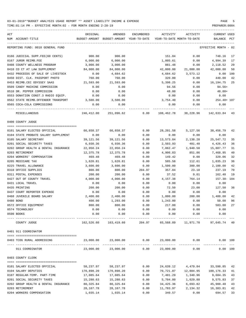| ACT | NUM ACCOUNT-TITLE                    | ORIGINAL    | AMENDED<br>BUDGET-AMOUNT BUDGET-AMOUNT YEAR-TO-DATE | ENCUMBERED   | ACTIVITY<br>YEAR-TO-DATE MONTH-TO-DATE | ACTIVITY                                          | CURRENT USED<br>BALANCE | PCT      |
|-----|--------------------------------------|-------------|-----------------------------------------------------|--------------|----------------------------------------|---------------------------------------------------|-------------------------|----------|
|     |                                      |             |                                                     |              |                                        |                                                   |                         |          |
|     | REPORTING FUND: 0010 GENERAL FUND    |             |                                                     |              |                                        |                                                   | EFFECTIVE MONTH - 02    |          |
|     | 0166 JUDICIAL SUPP.FEE(60 CENTS)     | 900.00      | 900.00                                              |              | 151.84                                 | 0.00                                              | 748.16 17               |          |
|     | 0167 JUROR REIMB.FEE                 | 6,000.00    | 6,000.00                                            |              | 1,005.61                               | 0.00                                              | 4,994.39 17             |          |
|     | 0408 COUNTY WELLNESS PROGRAM         | 3,000.00    | 3,000.00                                            |              | 881.48                                 | 0.00                                              | 2,118.52                | 29       |
|     | 0410 CO CT AT LAW SUPPLEMENT         | 84,000.00   | 84,000.00                                           |              | 42,000.00                              | 21,000.00                                         | 42,000.00               | 50       |
|     | 0432 PROCEEDS OF SALE OF LIVESTOCK   | 0.00        | 4,684.62                                            |              | 4,684.62                               | 3,573.12                                          | 0.00 100                |          |
|     | 0450 DIST. CLK. PASSPORT PHOTO       | 760.00      | 760.00                                              |              | 320.00                                 | 0.00                                              | 440.00                  | 42       |
|     | 0453 REIMB.CEC ODYSSEY SAAS          | 21,593.00   | 21,593.00                                           |              | 5,398.25                               | 0.00                                              | 16,194.75               | 25       |
|     | 0509 CANDY MACHINE COMMISSION        | 0.00        | 0.00                                                |              | 94.56                                  | 0.00                                              | 94.56+                  |          |
|     | 0510 DR. PEPPER COMMISSION           | 0.00        | 0.00                                                |              | 48.00                                  | 0.00                                              | $48.00+$                |          |
|     | 0553 DONATION CONST.3 RADIO EQUIP.   | 0.00        | 0.00                                                |              | 0.00                                   | 0.00                                              | 0.00                    |          |
|     | 0562 STATE REIMB.OFFENDER TRANSPORT  | 3,500.00    | 3,500.00                                            |              | 3,754.40                               | 0.00                                              | $254.40 + 107$          |          |
|     | 0565 COCA-COLA COMMISSIONS           | 0.00        | 0.00                                                |              | 0.00                                   | 0.00                                              | 0.00                    |          |
|     | MISCELLANEOUS                        | 246,412.00  | 251,096.62                                          |              |                                        | $0.00$ $108,462.78$ $38,228.96$ $142,633.84$ $43$ |                         |          |
|     | 0400 COUNTY JUDGE                    |             |                                                     |              |                                        |                                                   |                         |          |
|     |                                      |             |                                                     |              |                                        |                                                   |                         |          |
|     | 0101 SALARY ELECTED OFFICIAL         | 66,658.37   | 66,658.37                                           | 0.00         | 28,201.58                              | 5,127.56                                          | 38,456.79               | 42       |
|     | 0104 STATE PROBATE SALARY SUPPLEMENT | 0.00        | 0.00                                                | 0.00         | 0.00                                   | 0.00                                              | 0.00                    |          |
|     | 0105 SALARY SECRETARY                | 39,121.56   | 39,121.56                                           | 0.00         | 13,573.84                              | 2,138.28                                          | 25,547.72               | 35       |
|     | 0201 SOCIAL SECURITY TAXES           | 6,930.36    | 6,930.36                                            | 0.00         | 2,503.93                               | 481.48                                            | 4,426.43                | 36       |
|     | 0202 GROUP HEALTH & DENTAL INSURANCE | 22,950.24   | 22,950.24                                           | 0.00         | 7,062.47                               | 1,940.58                                          | 15,887.77               | 31       |
|     | 0203 RETIREMENT                      | 12,375.78   | 12,375.78                                           | 0.00         | 4,906.83                               | 851.86                                            | 7,468.95                | 40       |
|     | 0204 WORKERS' COMPENSATION           | 469.48      | 469.48                                              | 0.00         | 149.42                                 | 0.00                                              | 320.06                  | 32       |
|     | 0205 MEDICARE TAX                    | 1,620.81    | 1,620.81                                            | 0.00         | 585.58                                 | 112.61                                            | 1,035.23                | 36       |
|     | 0225 TRAVEL ALLOWANCE                | 3,600.00    | 3,600.00                                            | 0.00         | 1,500.00                               | 300.00                                            | 2,100.00                | 42       |
|     | 0310 OFFICE SUPPLIES                 | 800.00      | 800.00                                              | 204.97       | 357.84                                 | 23.18                                             | 237.19                  | 70       |
|     | 0311 POSTAL EXPENSES                 | 200.00      | 200.00                                              | 0.00         | 37.52                                  | 9.01                                              | 162.48                  | 19       |
|     | 0427 OUT OF COUNTY TRAVEL            | 4,000.00    | 4,000.00                                            | 0.00         | 4,157.38                               | 764.14                                            | 157.38- 104             |          |
|     | 0431 LOCAL TRAVEL                    | 0.00        | 0.00                                                | 0.00         | 0.00                                   | 0.00                                              | 0.00                    |          |
|     | 0435 PRINTING                        | 200.00      | 200.00                                              | 0.00         | 72.50                                  | 23.00                                             | 127.50                  | 36       |
|     | 0437 COURT REPORTER EXPENSE          | 0.00        | 0.00                                                | 0.00         | 0.00                                   | 0.00                                              | 0.00                    |          |
|     | 0468 JUVENILE BOARD SALARY           | 2,400.00    | 2,400.00                                            | 0.00         | 1,000.00                               |                                                   | 200.00 1,400.00         | 42       |
|     | 0480 BOND                            | 400.00      | 1,293.00                                            | 0.00         | 1,243.00                               | 0.00                                              | 50.00                   | 96       |
|     | 0572 OFFICE EQUIPMENT                | 800.00      | 800.00                                              | 0.00         | 217.00                                 | 0.00                                              | 583.00                  | 27       |
|     | 0574 TECHNOLOGY                      | 0.00        | 0.00                                                | 0.00         | 0.00                                   | 0.00                                              | 0.00                    |          |
|     | 0590 BOOKS                           | 0.00        | 0.00                                                | 0.00         | 0.00                                   | 0.00                                              | 0.00                    |          |
|     | COUNTY JUDGE                         |             | 162,526.60 163,419.60                               | ____________ | 204.97 65,568.89                       |                                                   | 11,971.70 97,645.74 40  |          |
|     | 0401 911 COORDINATOR                 |             |                                                     |              |                                        |                                                   |                         |          |
|     |                                      |             |                                                     |              |                                        |                                                   |                         |          |
|     | 0403 TCOG RURAL ADDRESSING           | 23,000.00   | 23,000.00                                           | 0.00         | 23,000.00                              | 0.00                                              | -----------             | 0.00 100 |
|     | 911 COORDINATOR                      | 23,000.00   | 23,000.00                                           | 0.00         | 23,000.00                              | 0.00                                              |                         | 0.00 100 |
|     | 0403 COUNTY CLERK                    |             |                                                     |              |                                        |                                                   |                         |          |
|     | 0101 SALARY ELECTED OFFICIAL         | 58,237.97   | 58,237.97                                           | 0.00         | 24,639.12                              | 4,479.84                                          | 33,598.85               | 42       |
|     | 0104 SALARY DEPUTIES                 | 170,898.20  | 170,898.20                                          | 0.00         | 70,721.87                              | 12,884.95                                         | 100,176.33              | 41       |
|     | 0107 REGULAR-TEMP. PART-TIME         | 17,085.64   | 17,085.64                                           | 0.00         | 7,401.29                               | 1,340.96                                          | 9,684.35                | 43       |
|     | 0201 SOCIAL SECURITY TAXES           | 15,280.63   | 15,280.63                                           | 0.00         | 5,704.80                               | 1,029.88                                          | 9,575.83                | 37       |
|     | 0202 GROUP HEALTH & DENTAL INSURANCE | 80, 325.84  | 80, 325.84                                          | 0.00         | 34,425.36                              | 6,693.82                                          | 45,900.48               | 43       |
|     |                                      |             |                                                     | 0.00         |                                        |                                                   |                         |          |
|     | 0203 RETIREMENT                      | 28, 167. 78 | 28, 167. 78<br>1,035.14                             | 0.00         | 11,783.97                              | 2,134.32<br>0.00                                  | 16,383.81<br>694.57     | 42       |
|     | 0204 WORKERS COMPENSATION            | 1,035.14    |                                                     |              | 340.57                                 |                                                   |                         | 33       |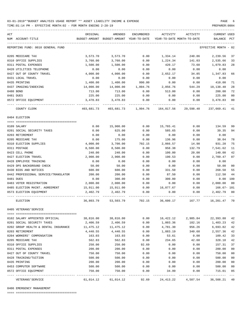TIME:01:14 PM - EFFECTIVE MONTH:02 - FOR MONTH ENDING 2-28-19 PREPARER:0004

| ACT<br>NUM ACCOUNT-TITLE                        | ORIGINAL   | AMENDED<br>BUDGET-AMOUNT BUDGET-AMOUNT YEAR-TO-DATE | ENCUMBERED | ACTIVITY   | ACTIVITY<br>YEAR-TO-DATE MONTH-TO-DATE | <b>CURRENT USED</b><br>BALANCE | $_{\rm PCT}$   |
|-------------------------------------------------|------------|-----------------------------------------------------|------------|------------|----------------------------------------|--------------------------------|----------------|
|                                                 |            |                                                     |            |            |                                        |                                |                |
| REPORTING FUND: 0010 GENERAL FUND               |            |                                                     |            |            |                                        | EFFECTIVE MONTH                | - 02           |
| 0205 MEDICARE TAX                               | 3,573.70   | 3,573.70                                            | 0.00       | 1,334.14   | 240.86                                 | 2,239.56                       | 37             |
| 0310 OFFICE SUPPLIES                            | 3,760.00   | 3,760.00                                            | 0.00       | 1,224.34   | 141.03                                 | 2,535.66                       | 33             |
| 0311 POSTAL EXPENSES                            | 1,500.00   | 1,500.00                                            | 0.00       | 420.17     | 73.60                                  | 1,079.83                       | 28             |
| 0420 UTILITIES TELEPHONE                        | 0.00       | 0.00                                                | 0.00       | 0.00       | 0.00                                   | 0.00                           |                |
| 0427 OUT OF COUNTY TRAVEL                       | 4,000.00   | 4,000.00                                            | 0.00       | 2,652.17   | 34.85                                  | 1,347.83                       | 66             |
| 0431 LOCAL TRAVEL                               | 0.00       | 0.00                                                | 0.00       | 0.00       | 0.00                                   | 0.00                           |                |
| 0435 PRINTING                                   | 1,400.00   | 1,400.00                                            | 990.00     | 0.00       | 0.00                                   | 410.00                         | 71             |
| 0437 IMAGING/INDEXING                           | 14,000.00  | 14,000.00                                           | 1,004.76   | 2,856.76   | 544.29                                 | 10,138.48                      | 28             |
| 0480 BOND                                       | 713.00     | 713.00                                              | 0.00       | 513.00     | 0.00                                   | 200.00                         | 72             |
| 0481 DUES                                       | 225.00     | 225.00                                              | 0.00       | 0.00       | 0.00                                   | 225.00                         | 00             |
| 0572 OFFICE EQUIPMENT                           | 3,478.83   | 3,478.83                                            | 0.00       | 0.00       | 0.00                                   | 3,478.83                       | 00             |
| COUNTY CLERK                                    | 403,681.73 | 403,681.73                                          | 1,994.76   | 164,017.56 | 29,598.40                              | 237,669.41                     | 41             |
| 0404 ELECTION                                   |            |                                                     |            |            |                                        |                                |                |
| 0109 SALARY                                     | 0.00       | 15,900.00                                           | 0.00       | 15,765.41  | 0.00                                   | 134.59                         | 99             |
| 0201 SOCIAL SECURITY TAXES                      | 0.00       | 625.00                                              | 0.00       | 585.65     | 0.00                                   | 39.35                          | 94             |
| 0203 RETIREMENT                                 | 0.00       | 0.00                                                | 0.00       | 0.00       | 0.00                                   | 0.00                           |                |
| 0205 MEDICARE TAX                               | 0.00       | 175.00                                              | 0.00       | 136.96     | 0.00                                   | 38.04                          | 78             |
| 0310 ELECTION SUPPLIES                          | 4,000.00   | 3,700.00                                            | 702.15     | 2,066.57   | 14.98                                  | 931.28                         | 75             |
| 0311 POSTAGE                                    | 8,500.00   | 8,500.00                                            | 0.00       | 958.38     | 132.79                                 | 7,541.62                       | 11             |
| 0423 CELL PHONE                                 | 240.00     | 240.00                                              | 0.00       | 100.00     | 20.00                                  | 140.00                         | 42             |
| 0427 ELECTION TRAVEL                            | 2,900.00   | 2,900.00                                            | 0.00       | 190.53     | 0.00                                   | 2,709.47                       | 07             |
| 0428 EMPLOYEE TRAINING                          | 0.00       | 0.00                                                | 0.00       | 0.00       | 0.00                                   | 0.00                           |                |
| 0429 DPS BACKGROUND CHECK                       | 50.00      | 50.00                                               | 0.00       | 0.00       | 0.00                                   | 50.00                          | 00             |
| 0430 BIDS AND NOTICES                           | 600.00     | 600.00                                              | 0.00       | 331.50     | 0.00                                   | 268.50                         | 55             |
| 0442 PROFESSIONAL SERVICE/TRANSLATOR            | 200.00     | 200.00                                              | 0.00       | 87.50      | 0.00                                   | 112.50                         | 44             |
| 0481 DUES                                       | 0.00       | 300.00                                              | 0.00       | 300.00     | 0.00                                   | 0.00                           | 100            |
| 0483 VOTER REGISTRATION                         | 2,000.00   | 2,000.00                                            | 0.00       | 0.00       | 0.00                                   | 2,000.00                       | 00             |
| 0485 ELECTION MAINT. AGREEMENT                  | 15,911.00  | 15,911.00                                           | 0.00       | 16,077.67  | 0.00                                   | 166.67- 101                    |                |
| 0573 ELECTION EQUIPMENT                         | 2,402.79   | 2,402.79                                            | 0.00       | 0.00       | 0.00                                   | 2,402.79                       | 00             |
| ELECTION                                        | 36,803.79  | 53,503.79                                           | 702.15     | 36,600.17  | 167.77                                 | 16,201.47 70                   |                |
| 0405 VETERANS'SERVICE                           |            |                                                     |            |            |                                        |                                |                |
|                                                 |            |                                                     |            |            |                                        |                                |                |
| 0102 SALARY APPOINTED OFFICIAL                  | 38,816.00  | 38,816.00                                           | 0.00       | 16,422.12  | 2,985.84                               | 22,393.88                      | 42             |
| 0201 SOCIAL SECURITY TAXES                      | 2,406.59   | 2,406.59                                            | 0.00       | 1,003.36   | 182.16                                 | 1,403.23                       | 42             |
| 0202 GROUP HEALTH & DENTAL INSURANCE            | 11,475.12  | 11,475.12                                           | 0.00       | 4,781.30   | 956.26                                 | 6,693.82                       | 42             |
| 0203 RETIREMENT                                 | 4,440.55   | 4,440.55                                            | 0.00       | 1,883.19   | 340.68                                 | 2,557.36                       | 42             |
| 0204 WORKERS' COMPENSATION                      | 163.03     | 163.03                                              | 0.00       | 53.61      | 0.00                                   | 109.42                         | 33             |
| 0205 MEDICARE TAX                               | 562.83     | 562.83                                              | 0.00       | 234.65     | 42.60                                  | 328.18                         | 42             |
| 0310 OFFICE SUPPLIES                            | 250.00     | 250.00                                              | 92.69      | 0.00       | 0.00                                   | 157.31                         | 37             |
| 0311 POSTAL EXPENSES                            | 200.00     | 200.00                                              | 0.00       | 0.00       | 0.00                                   | 200.00                         | 00             |
| 0427 OUT OF COUNTY TRAVEL                       | 750.00     | 750.00                                              | 0.00       | 0.00       | 0.00                                   | 750.00                         | 00             |
| 0428 TRAINING/TUITION                           | 500.00     | 500.00                                              | 0.00       | 0.00       | 0.00                                   | 500.00                         | 0 <sub>0</sub> |
| 0435 PRINTING                                   | 200.00     | 200.00                                              | 0.00       | 0.00       | 0.00                                   | 200.00                         | 00             |
| 0453 COMPUTER SOFTWARE<br>0572 OFFICE EQUIPMENT | 500.00     | 500.00                                              | 0.00       | 0.00       | 0.00                                   | 500.00                         | 00             |
|                                                 | 750.00     | 750.00                                              | 0.00       | 34.99      | 0.00                                   | 715.01                         | 05             |

0406 EMERGENCY MANAGEMENT

==== ===================================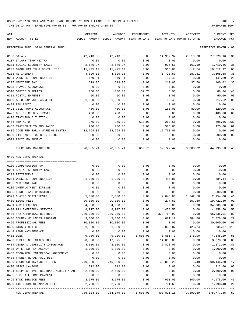| ACT<br>NUM ACCOUNT-TITLE                         | ORIGINAL                                                                    | AMENDED<br>BUDGET-AMOUNT BUDGET-AMOUNT YEAR-TO-DATE | ENCUMBERED | ACTIVITY   | ACTIVITY<br>YEAR-TO-DATE MONTH-TO-DATE | CURRENT USED<br>BALANCE | PCT             |
|--------------------------------------------------|-----------------------------------------------------------------------------|-----------------------------------------------------|------------|------------|----------------------------------------|-------------------------|-----------------|
| REPORTING FUND: 0010 GENERAL FUND                |                                                                             |                                                     |            |            |                                        | EFFECTIVE MONTH - 02    |                 |
| 0103 SALARY                                      | 42,213.08                                                                   | 42,213.08                                           | 0.00       | 14,992.92  | 2,519.78                               | 27,220.16               | 36              |
| 0107 SALARY TEMP./EXTRA                          | 0.00                                                                        | 0.00                                                | 0.00       | 0.00       | 0.00                                   | 0.00                    |                 |
| 0201 SOCIAL SECURITY TAXES                       | 2,646.97                                                                    | 2,646.97                                            | 0.00       | 936.51     | 161.19                                 | 1,710.46                | 35              |
| 0202 GROUP HEALTH & DENTAL INS                   | 11,475.12                                                                   | 11,475.12                                           | 0.00       | 963.00     | 2.54                                   | 10,512.12               | 08              |
| 0203 RETIREMENT                                  | 4,829.18                                                                    | 4,829.18                                            | 0.00       | 1,720.50   | 287.51                                 | 3,108.68                | 36              |
| 0204 WORKERS' COMPENSATION                       | 179.31                                                                      | 179.31                                              | 0.00       | 37.42      | 0.00                                   | 141.89                  | 21              |
| 0205 MEDICARE TAX                                | 619.05                                                                      | 619.05                                              | 0.00       | 219.03     | 37.70                                  | 400.02                  | 35              |
| 0225 TRAVEL ALLOWANCE                            | 0.00                                                                        | 0.00                                                | 0.00       | 0.00       | 0.00                                   | 0.00                    |                 |
| 0310 OFFICE SUPPLIES                             | 150.00                                                                      | 150.00                                              | 52.76      | 8.90       | 0.00                                   | 88.34                   | 41              |
| 0311 POSTAL EXPENSE                              | 50.00                                                                       | 50.00                                               | 0.00       | 0.00       | 0.00                                   | 50.00                   | 00              |
| 0330 AUTO EXPENSE-GAS & OIL                      | 1,000.00                                                                    | 1,000.00                                            | 0.00       | 82.48      | 0.00                                   | 917.52                  | 08              |
| 0422 R&M RADIO                                   | 0.00                                                                        | 0.00                                                | 0.00       | 0.00       | 0.00                                   | 0.00                    |                 |
| 0423 CELL PHONE ALLOWANCE                        | 480.00                                                                      | 480.00                                              | 0.00       | 160.00     | 80.00                                  | 320.00                  | 33              |
| 0427 OUT OF COUNTY TRAVEL                        | 400.00                                                                      | 400.00                                              | 0.00       | 0.00       | 0.00                                   | 400.00                  | 00              |
| 0428 TRAINING & TUITION                          | 0.00                                                                        | 0.00                                                | 0.00       | 0.00       | 0.00                                   | 0.00                    |                 |
| 0454 R&M AUTO                                    | 375.00                                                                      | 375.00                                              | 610.00     | 263.66     | 0.00                                   | 498.66-233              |                 |
| 0487 TRAILER/AUTO INSURANCE                      | 700.00                                                                      | 700.00                                              | 0.00       | 575.00     | 0.00                                   | 125.00                  | 82              |
| 0489 CODE RED EARLY WARNING SYSTEM               | 12,768.00                                                                   | 12,768.00                                           | 0.00       | 12,768.00  | 0.00                                   | $0.00$ 100              |                 |
| 0490 911 RADIO TOWER BUILDING                    | 500.00                                                                      | 500.00                                              | 0.00       | 0.00       | 0.00                                   | 500.00                  | 00              |
| 0573 RADIO EQUIPMENT                             | 0.00                                                                        | 0.00                                                | 0.00       | 0.00       | 0.00                                   | 0.00                    |                 |
| EMERGENCY MANAGEMENT                             | 78,385.71                                                                   | 78,385.71                                           | 662.76     |            | 32,727.42 3,088.72                     | 44,995.53 43            |                 |
| 0409 NON-DEPARTMENTAL                            |                                                                             |                                                     |            |            |                                        |                         |                 |
|                                                  |                                                                             |                                                     |            |            |                                        |                         |                 |
| 0100 COMPENSATION PAY                            | 0.00                                                                        | 0.00                                                | 0.00       | 0.00       | 0.00                                   | 0.00                    |                 |
| 0201 SOCIAL SECURITY TAXES                       | 0.00                                                                        | 0.00                                                | 0.00       | 0.00       | 0.00                                   | 0.00                    |                 |
| 0203 RETIREMENT                                  | 0.00                                                                        | 0.00                                                | 0.00       | 0.00       | 0.00                                   | 0.00                    |                 |
| 0204 WORKERS' COMPENSATION                       | 1,000.00                                                                    | 1,000.00                                            | 0.00       | 415.86     | 0.00                                   | 584.14                  | 42              |
| 0205 MEDICARE TAX                                | 0.00                                                                        | 0.00                                                | 0.00       | 0.00       | 0.00                                   | 0.00                    |                 |
| 0206 UNEMPLOYMENT EXPENSE                        | 0.00                                                                        | 0.00                                                | 0.00       | 0.00       | 0.00                                   | 0.00                    |                 |
| 0395 ERRORS AND OMISSIONS                        | 500.00                                                                      | 500.00                                              | 0.00       | 0.00       | 0.00                                   | 500.00                  | 00              |
| 0399 CLAIMS SETTLEMENTS                          | 5,000.00                                                                    | 5,000.00                                            | 0.00       | 2,046.00   | 1,342.50                               | 2,954.00                | 41              |
| 0400 LEGAL FEES                                  | 20,000.00                                                                   | 20,000.00                                           | 0.00       | 277.50     | 157.50                                 | 19,722.50               | 01              |
| 0401 AUDIT EXPENSE                               | 34,000.00                                                                   | 34,000.00                                           | 0.00       | 0.00       | 0.00                                   | 34,000.00               | 00              |
| 0404 911 EMERGENCY SERVICE                       | 8,917.00                                                                    | 8,917.00                                            | 0.00       | 4,458.50   | 0.00                                   | 4,458.50 50             |                 |
| 0406 TAX APPRAISAL DISTRICT                      | 389,000.00                                                                  | 389,000.00                                          | 0.00       | 323,764.99 | 0.00                                   | 65,235.01 83            |                 |
| 0408 COUNTY WELLNESS PROGRAM                     | 3,000.00                                                                    | 3,000.00                                            | 0.00       | 671.12     | 284.86                                 | 2,328.88                | 22              |
| 0426 PROFESSIONAL FEES                           | 30,000.00                                                                   | 30,000.00                                           | 0.00       | 0.00       | 0.00                                   | 30,000.00               | 00              |
| 0430 BIDS & NOTICES                              | 1,800.00                                                                    | 1,800.00                                            | 0.00       | 2,035.87   | 425.24                                 | 235.87- 113             |                 |
| 0444 LAWN MAINTENANCE                            | 0.00                                                                        | 0.00                                                | 0.00       | 0.00       | 0.00                                   | 0.00                    |                 |
| 0481 DUES                                        | 9,700.00                                                                    | 9,700.00                                            | 1,500.00   | 3,851.71   | 175.00                                 | 4,348.29                | 55              |
| 0483 PUBLIC OFFICIALS INS.                       | 20,000.00                                                                   | 17,975.00                                           | 0.00       | 14,896.80  | 0.00                                   | 3,078.20                | 83              |
| 0484 GENERAL LIABILITY INSURANCE                 | 8,000.00                                                                    | 8,000.00                                            | 0.00       | 6,828.00   | 0.00                                   | 1,172.00                | 85              |
| 0485 WATER SUPPLY AGENCY                         | 1,000.00                                                                    | 1,000.00                                            | 0.00       | 0.00       | 0.00                                   | 1,000.00                | $00\,$          |
| 0487 TCOG-REG. INTERLOCAL AGREEMENT              | 0.00                                                                        | 0.00                                                | 0.00       | 0.00       | 0.00                                   | 0.00                    |                 |
| 0488 FANNIN RURAL RAIL DIST                      | 0.00                                                                        | 0.00                                                | 0.00       | 0.00       | 0.00                                   | 0.00                    |                 |
| 0489 COURT COSTS/ARREST FEES                     | 240,000.00                                                                  | 240,000.00                                          | 0.00       | 39,853.20  | 5.49                                   | 200,146.80              | 17              |
| 0490 MISCELLANEOUS                               | 312.00                                                                      | 312.00                                              | 0.00       | 0.00       | 0.00                                   | 312.00                  | 00              |
| 0491 SULPHUR RIVER REGIONAL MOBILITY AU 2,500.00 |                                                                             | 2,500.00                                            | 0.00       | 0.00       | 0.00                                   | 2,500.00                | $00\,$          |
| 0495 '98 JAIL BOND PAYMENT                       | 0.00                                                                        | 0.00                                                | 0.00       | 0.00       | 0.00                                   | 0.00                    |                 |
| 0499 BANK SERVICE FEES                           | 8,675.00                                                                    | 8,675.00                                            | 0.00       | 4,000.00   | 800.00                                 | 4,675.00                | 46              |
| 0500 6TH COURT OF APPEALS FEE                    | 2,700.00                                                                    | 2,700.00                                            | 0.00       | 701.60     | 0.00                                   | 1,998.40                | 26<br>$- - - -$ |
| NON-DEPARTMENTAL                                 | 786,104.00   784,079.00   1,500.00   403,801.15   3,190.59   378,777.85  52 |                                                     |            |            |                                        |                         |                 |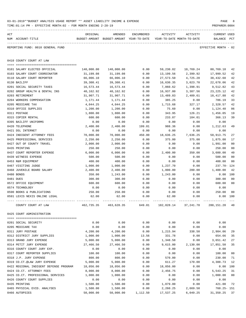|     | TIME:01:14 PM<br>- EFFECTIVE MONTH: 02 - FOR MONTH ENDING 2-28-19 |            |                                                                                |            |            |            | PREPARER: 0004                     |                |
|-----|-------------------------------------------------------------------|------------|--------------------------------------------------------------------------------|------------|------------|------------|------------------------------------|----------------|
| ACT | NUM ACCOUNT-TITLE                                                 | ORIGINAL   | AMENDED<br>BUDGET-AMOUNT BUDGET-AMOUNT YEAR-TO-DATE YEAR-TO-DATE MONTH-TO-DATE | ENCUMBERED | ACTIVITY   | ACTIVITY   | <b>CURRENT USED</b><br>BALANCE PCT |                |
|     | REPORTING FUND: 0010 GENERAL FUND                                 |            |                                                                                |            |            |            | EFFECTIVE MONTH - 02               |                |
|     | 0410 COUNTY COURT AT LAW                                          |            |                                                                                |            |            |            |                                    |                |
|     | 0101 SALARY ELECTED OFFICIAL                                      | 140,000.00 | 140,000.00                                                                     | 0.00       | 59,230.82  | 10,769.24  | 80,769.18                          | 42             |
|     | 0103 SALARY COURT COORDINATOR                                     | 31,199.08  | 31,199.08                                                                      | 0.00       | 13,199.56  | 2,399.92   | 17,999.52                          | 42             |
|     | 0110 SALARY COURT REPORTER                                        | 66,006.10  | 66,006.10                                                                      | 0.00       | 27,573.50  | 4,725.20   | 38,432.60                          | 42             |
|     | 0130 BAILIFF                                                      | 39,308.41  | 39,308.41                                                                      | 0.00       | 16,630.35  | 3,023.70   | 22,678.06                          | 42             |
|     | 0201 SOCIAL SECURITY TAXES                                        | 16,573.44  | 16,573.44                                                                      | 0.00       | 7,060.62   | 1,398.91   | 9,512.82                           | 43             |
|     | 0202 GROUP HEALTH & DENTAL INS                                    | 40,162.92  | 40,162.92                                                                      | 0.00       | 16,937.80  | 3,387.56   | 23, 225. 12                        | 42             |
|     | 0203 RETIREMENT                                                   | 31,907.71  | 31,907.71                                                                      | 0.00       | 13,489.83  | 2,409.61   | 18, 417.88                         | 42             |
|     | 0204 WORKERS COMPENSATION                                         | 1,171.44   | 1,171.44                                                                       | 0.00       | 385.25     | 0.00       | 786.19                             | 33             |
|     | 0205 MEDICARE TAX                                                 | 4,044.25   | 4,044.25                                                                       | 0.00       | 1,715.68   | 327.17     | 2,328.57                           | 42             |
|     | 0310 OFFICE SUPPLIES                                              | 1,200.00   | 1,200.00                                                                       | 0.00       | 75.60      | 0.00       | 1,124.40                           | 06             |
|     | 0311 POSTAGE                                                      | 1,800.00   | 1,800.00                                                                       | 0.00       | 343.95     | 126.21     | 1,456.05                           | 19             |
|     | 0315 COPIER RENTAL                                                | 600.00     | 600.00                                                                         | 0.00       | 233.87     | 104.01     | 366.13                             | 39             |
|     | 0395 BAILIFF UNIFORMS                                             | 0.00       | 0.00                                                                           | 0.00       | 0.00       | 0.00       | 0.00                               |                |
|     | 0420 TELEPHONE                                                    | 2,400.00   | 2,400.00                                                                       | 199.01     | 988.36     | 0.00       | 1,212.63                           | 49             |
|     | 0421 DSL INTERNET                                                 | 0.00       | 0.00                                                                           | 0.00       | 0.00       | 0.00       | 0.00                               |                |
|     | 0424 INDIGENT ATTORNEY FEES                                       | 70,000.00  | 70,000.00                                                                      | 450.00     | 18,636.25  | 7,636.25   | 50,913.75                          | 27             |
|     | 0425 PROFESSIONAL SERVICES                                        | 2,250.00   | 2,250.00                                                                       | 0.00       | 375.00     | 375.00     | 1,875.00                           | 17             |
|     | 0427 OUT OF COUNTY TRAVEL                                         | 2,000.00   | 2,000.00                                                                       | 0.00       | 9.00       | 9.00       | 1,991.00                           | 0 <sub>0</sub> |
|     | 0435 PRINTING                                                     | 250.00     | 250.00                                                                         | 0.00       | 0.00       | 0.00       | 250.00                             | 0 <sub>0</sub> |
|     | 0437 COURT REPORTER EXPENSE                                       | 6,000.00   | 6,000.00                                                                       | 0.00       | 2,400.00   | 350.00     | 3,600.00                           | 40             |
|     | 0439 WITNESS EXPENSE                                              | 500.00     | 500.00                                                                         | 0.00       | 0.00       | 0.00       | 500.00                             | 0 <sub>0</sub> |
|     | 0453 R&M EQUIPMENT                                                | 400.00     | 400.00                                                                         | 0.00       | 0.00       | 0.00       | 400.00                             | 0 <sub>0</sub> |
|     | 0467 VISITING JUDGE                                               | 1,000.00   | 1,000.00                                                                       | 0.00       | 1,237.70   | 0.00       | 237.70- 124                        |                |
|     | 0468 JUVENILE BOARD SALARY                                        | 2,400.00   | 2,400.00                                                                       | 0.00       | 1,000.00   | 200.00     | 1,400.00                           | 42             |
|     | 0480 BONDS                                                        | 350.00     | 1,243.00                                                                       | 0.00       | 1,243.00   | 0.00       | $0.00$ 100                         |                |
|     | 0481 DUES                                                         | 300.00     | 300.00                                                                         | 0.00       | 0.00       | 0.00       | 300.00                             | 0 <sub>0</sub> |
|     | 0572 OFFICE EQUIPMENT                                             | 600.00     | 600.00                                                                         | 0.00       | 0.00       | 0.00       | 600.00                             | 0 <sub>0</sub> |
|     | 0574 TECHNOLOGY                                                   | 0.00       | 0.00                                                                           | 0.00       | 0.00       | 0.00       | 0.00                               |                |
|     | 0590 BOOKS & PUBLICATIONS                                         | 250.00     | 250.00                                                                         | 0.00       | 0.00       | 0.00       | 250.00                             | 0 <sub>0</sub> |
|     | 0591 LEXIS NEXIS ONLINE LEGAL                                     | 62.00      | 62.00                                                                          | 0.00       | 62.00      | 0.00       | 0.00 100                           |                |
|     | COUNTY COURT AT LAW                                               |            | 462, 735.35 463, 628.35                                                        | 649.01     | 182,828.14 | 37, 241.78 | 280,151.20                         | 40             |
|     | 0425 COURT ADMINISTRATION                                         |            |                                                                                |            |            |            |                                    |                |
|     | 0201 SOCIAL SECURITY                                              | 0.00       | 0.00                                                                           | 0.00       | 0.00       | 0.00       | 0.00                               |                |
|     | 0205 MEDICARE TAX                                                 | 0.00       | 0.00                                                                           | 0.00       | 0.00       | 0.00       | 0.00                               |                |
|     | 0311 JURY POSTAGE                                                 | 4,200.00   | 4,200.00                                                                       | 0.00       | 1,215.94   | 338.50     | 2,984.06                           | 29             |
|     | 0312 DISTRICT JURY SUPPLIES                                       | 1,000.00   | 1,000.00                                                                       | 13.56      | 331.78     | 0.00       | 654.66                             | 35             |
|     | 0313 GRAND JURY EXPENSE                                           | 5,000.00   | 5,000.00                                                                       | 0.00       | 1,348.58   | 0.00       | 3,651.42                           | 27             |
|     | 0314 PETIT JURY EXPENSE                                           | 27,466.50  | 27,466.50                                                                      | 0.00       | 9,615.00   | 2,130.00   | 17,851.50                          | 35             |
|     | 0316 COUNTY COURT JURY EXP.                                       | 0.00       | 0.00                                                                           | 0.00       | 0.00       | 0.00       | 0.00                               |                |
|     | 0317 COURT REPORTER SUPPLIES                                      | 100.00     | 100.00                                                                         | 0.00       | 0.00       | 0.00       | 100.00                             | 0 <sub>0</sub> |
|     | 0318 J.P. JURY EXPENSE                                            | 800.00     | 800.00                                                                         | 0.00       | 570.00     | 0.00       | 230.00                             | 71             |
|     | 0319 CO.CT.@LAW JURY EXPENSE                                      | 5,000.00   | 5,000.00                                                                       | 0.00       | 611.27     | 170.00     | 4,388.73                           | 12             |
|     | 0422 REGIONAL INDIGENT DEFENSE PROGRAM                            | 18,056.00  | 18,056.00                                                                      | 0.00       | 18,056.00  | 0.00       | 0.00                               | 100            |
|     | 0424 CO.CT. ATTORNEY FEES                                         | 8,000.00   | 8,000.00                                                                       | 0.00       | 2,456.75   | 0.00       | 5,543.25                           | 31             |
|     | 0425 CO.CT. PROFESSIONAL SERVICES                                 | 1,000.00   | 1,000.00                                                                       | 0.00       | 0.00       | 0.00       | 1,000.00                           | 0 <sub>0</sub> |
|     | 0426 COUNTY COURT SUPPLIES                                        | 0.00       | 0.00                                                                           | 0.00       | 0.00       | 0.00       | 0.00                               |                |
|     | 0435 PRINTING                                                     | 1,500.00   | 1,500.00                                                                       | 0.00       | 1,079.00   | 0.00       | 421.00                             | 72             |
|     | 0465 PHYSICAL EVID. ANALYSES                                      | 1,500.00   | 1,500.00                                                                       | 0.00       | 2,260.25   | 2,669.50   | $760.25 - 151$                     |                |
|     | 0466 AUTOPSIES                                                    | 50,000.00  | 50,000.00                                                                      | 1,112.50   | 17,537.25  | 6,049.25   | 31,350.25                          | 37             |

03-01-2019\*\*BUDGET ANALYSIS USAGE REPORT \*\* ASSET LIABILITY INCOME & EXPENSE<br>
TIME:01:14 PM - EFFECTIVE MONTH:02 - FOR MONTH ENDING 2-28-19  $TTM$ E:01:14 PM - EFFECTIVE MONTH:02 - FOR MONTH ENDING 2-28-19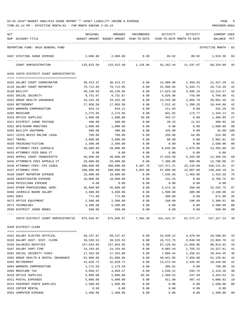| ACT |                                                                                                      | ORIGINAL           | AMENDED                                                             | ENCUMBERED   | ACTIVITY           | ACTIVITY       | CURRENT USED         |          |
|-----|------------------------------------------------------------------------------------------------------|--------------------|---------------------------------------------------------------------|--------------|--------------------|----------------|----------------------|----------|
|     | NUM ACCOUNT-TITLE                                                                                    |                    | BUDGET-AMOUNT BUDGET-AMOUNT YEAR-TO-DATE YEAR-TO-DATE MONTH-TO-DATE |              |                    |                | BALANCE PCT          |          |
|     | REPORTING FUND: 0010 GENERAL FUND                                                                    |                    |                                                                     |              |                    |                | EFFECTIVE MONTH - 02 |          |
|     | 0467 VISITING JUDGE EXPENSE                                                                          | 2,000.00           | 2,000.00                                                            | 0.00         | 80.62              | 80.62          | 1,919.38             | -04      |
|     | COURT ADMINISTRATION                                                                                 | 125,622.50         | 125,622.50 1,126.06                                                 |              | 55,162.44          |                | 11,437.87 69,334.00  | - 45     |
|     | 0435 336TH DISTRICT COURT ADMINISTRATIO                                                              |                    |                                                                     |              |                    |                |                      |          |
|     |                                                                                                      |                    |                                                                     |              |                    |                |                      |          |
|     | 0103 SALARY COURT COORDINATOR                                                                        | 36,413.37          | 36,413.37                                                           | 0.00         | 14,986.08          | 2,459.93       | 21,427.29            | 41       |
|     | 0110 SALARY COURT REPORTER                                                                           | 76,712.05          | 76,712.05                                                           | 0.00         | 31,998.85          | 5,444.71       | 44,713.20            | 42       |
|     | 0130 BAILIFF                                                                                         | 40,236.95          | 40,236.95                                                           | 0.00         | 17,023.38          | 3,095.16       | 23, 213.57           | 42       |
|     | 0201 SOCIAL SECURITY                                                                                 | 9,731.67           | 9,731.67                                                            | 0.00         | 4,026.98           | 743.00         | 5,704.69             | 41       |
|     | 0202 GROUP HEALTH INSURANCE                                                                          | 34,425.36          | 34,425.36                                                           | 0.00         | 14,343.90          | 2,868.78       | 20,081.46            | 42       |
|     | 0203 RETIREMENT<br>0204 WORKERS COMPENSATION                                                         | 17,956.50          | 17,956.50<br>644.12                                                 | 0.00         | 7,512.42<br>211.83 | 1,289.33       | 10,444.08            | 42<br>33 |
|     | 0205 MEDICARE                                                                                        | 644.12<br>2,275.95 | 2,275.95                                                            | 0.00<br>0.00 | 941.82             | 0.00<br>173.77 | 432.29<br>1,334.13   | 41       |
|     | 0310 OFFICE SUPPLIES                                                                                 | 1,800.00           | 1,800.00                                                            | 50.68        | 443.27             | 0.00           | 1,306.05             | 27       |
|     | 0311 DISTRICT JUDGE POSTAGE                                                                          | 400.00             | 400.00                                                              | 0.00         | 39.15              | 11.61          | 360.85               | 10       |
|     | 0352 GPS/SCRAM MONITORS                                                                              | 1,000.00           | 1,000.00                                                            | 0.00         | 0.00               | 0.00           | 1,000.00             | 00       |
|     | 0395 BAILIFF UNIFORMS                                                                                | 400.00             | 400.00                                                              | 0.00         | 435.00             | 0.00           | 35.00- 109           |          |
|     | 0421 LEXIS NEXIS ONLINE LEGAL                                                                        | 780.00             | 780.00                                                              | 0.00         | 256.00             | 64.00          | 524.00               | 33       |
|     | 0427 TRAVEL                                                                                          | 3,000.00           | 3,000.00                                                            | 0.00         | 98.99              | 0.00           | 2,901.01             | 03       |
|     | 0428 TRAINING/TUITION                                                                                | 2,500.00           | 2,500.00                                                            | 0.00         | 0.00               | 0.00           | 2,500.00             | 00       |
|     | 0432 ATTORNEY FEES JUVENILE                                                                          | 20,000.00          | 20,000.00                                                           | 0.00         | 6,645.00           | 1,875.00       | 13,355.00            | 33       |
|     | 0433 ATTORNEY FEES DRUG CT                                                                           | 0.00               | 0.00                                                                | 0.00         | 0.00               | 0.00           | 0.00                 |          |
|     | 0434 APPEAL COURT TRANSCRIPTS                                                                        | 40,000.00          | 40,000.00                                                           | 0.00         | 27,633.50          | 5,283.00       | 12,366.50            | 69       |
|     | 0435 ATTORNEYS FEES APPEALS CT                                                                       | 20,000.00          | 20,000.00                                                           | 0.00         | 7,300.00           | 800.00         | 12,700.00            | 37       |
|     | 0436 ATTORNEY FEES- CPS CASES                                                                        | 300,000.00         | 300,000.00                                                          | 3,497.78     | 137,371.21         | 23,143.99      | 159,131.01           | 47       |
|     | 0437 ATTORNEY FEES                                                                                   | 200,000.00         | 200,000.00                                                          | 3,655.90     | 57,996.00          | 12,007.00      | 138,348.10           | 31       |
|     | 0438 COURT REPORTER EXPENSE                                                                          | 10,000.00          | 10,000.00                                                           | 0.00         | 7,546.50           | 1,463.00       | 2,453.50             | 75       |
|     | 0439 INVESTIGATOR EXPENSE                                                                            | 10,000.00          | 10,000.00                                                           | 0.00         | 231.25             | 0.00           | 9,768.75             | 02       |
|     | 0440 PHYSICIANS EXPENSE                                                                              | 0.00               | 0.00                                                                | 0.00         | 0.00               | 0.00           | 0.00                 |          |
|     | 0442 OTHER PROFESSIONAL SERV.                                                                        | 35,000.00          | 35,000.00                                                           | 0.00         | 2,474.25           | 350.00         | 32,525.75            | 07       |
|     | 0468 JUVENILE BOARD SALARY                                                                           | 3,600.00           | 3,600.00                                                            | 0.00         | 1,500.00           | 300.00         | 2,100.00             | 42       |
|     | 0481 DUES                                                                                            | 771.00             | 771.00                                                              | 0.00         | 200.00             | 0.00           | 571.00               | 26       |
|     | 0572 OFFICE EQUIPMENT                                                                                | 2,500.00           | 2,500.00                                                            | 0.00         | 199.99             | 199.99         | 2,300.01             | 08       |
|     | 0574 TECHNOLOGY                                                                                      | 5,300.00           | 5,300.00                                                            | 0.00         | 0.00               | 0.00           | 5,300.00             | 00       |
|     | 0590 DISTRICT JUDGE BOOKS                                                                            | 500.00             | 500.00                                                              | 0.00         | 0.00               | 0.00           | 500.00 00            |          |
|     | 336TH DISTRICT COURT ADMINISTRATIO 875,946.97 875,946.97 7,204.36 341,415.37 61,572.27 527,327.24 40 |                    |                                                                     |              |                    |                |                      |          |
|     | 0450 DISTRICT CLERK                                                                                  |                    |                                                                     |              |                    |                |                      |          |
|     |                                                                                                      |                    |                                                                     |              |                    |                |                      |          |
|     | 0101 SALARY ELECTED OFFICIAL                                                                         | 58,237.97          | 58,237.97                                                           | 0.00         | 24,639.12          | 4,479.84       | 33,598.85            | 42       |
|     | 0103 SALARY ASST. DIST. CLERK                                                                        | 39,526.53          | 39,526.53                                                           | 0.00         | 16,722.75          | 3,040.50       | 22,803.78            | 42       |
|     | 0104 SALARIES DEPUTIES                                                                               | 157,943.85         | 157,943.85                                                          | 0.00         | 67,129.84          | 11,958.96      | 90,814.01            | 43       |
|     | 0107 SALARY PART-TIME                                                                                | 24,193.05          | 24,193.05                                                           | 0.00         | 9,865.44           | 1,783.32       | 14,327.61            | 41       |
|     | 0201 SOCIAL SECURITY TAXES                                                                           | 17,353.89          | 17,353.89                                                           | 0.00         | 7,009.44           | 1,256.01       | 10,344.45            | 40       |
|     | 0202 GROUP HEALTH & DENTAL INSURANCE                                                                 | 91,800.86          | 91,800.86                                                           | 0.00         | 40,641.05          | 7,650.08       | 51,159.81            | 44       |
|     | 0203 RETIREMENT                                                                                      | 32,020.72          | 32,020.72                                                           | 0.00         | 13,572.64          | 2,426.05       | 18,448.08            | 42       |
|     | 0204 WORKERS COMPENSATION                                                                            | 1,175.59           | 1,175.59                                                            | 0.00         | 386.61             | 0.00           | 788.98               | 33       |
|     | 0205 MEDICARE TAX                                                                                    | 4,058.57           | 4,058.57                                                            | 0.00         | 1,639.31           | 293.75         | 2,419.26             | 40       |
|     | 0310 OFFICE SUPPLIES                                                                                 | 5,000.00           | 5,000.00                                                            | 85.85        | 1,460.52           | 247.58         | 3,453.63             | 31       |
|     | 0311 POSTAL EXPENSES                                                                                 | 5,000.00           | 5,000.00                                                            | 0.00         | 911.98             | 407.43         | 4,088.02             | 18       |
|     | 0313 PASSPORT PHOTO SUPPLIES<br>0315 COPIER RENTAL                                                   | 1,500.00<br>0.00   | 1,500.00<br>0.00                                                    | 0.00         | 0.00               | 0.00<br>0.00   | 1,500.00<br>0.00     | 00       |
|     | 0353 COMPUTER EXPENSE                                                                                | 1,400.00           | 1,400.00                                                            | 0.00<br>0.00 | 0.00<br>0.00       | 0.00           | 1,400.00             | 00       |
|     |                                                                                                      |                    |                                                                     |              |                    |                |                      |          |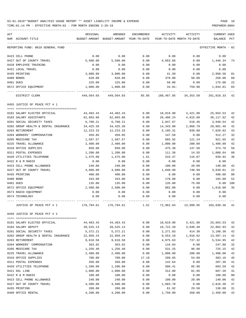TIME:01:14 PM - EFFECTIVE MONTH:02 - FOR MONTH ENDING 2-28-19 PREPARER:0004

| ACT                                          | ORIGINAL       | AMENDED                                                             | ENCUMBERED   | ACTIVITY       | ACTIVITY             | <b>CURRENT USED</b>  |                |
|----------------------------------------------|----------------|---------------------------------------------------------------------|--------------|----------------|----------------------|----------------------|----------------|
| NUM ACCOUNT-TITLE                            |                | BUDGET-AMOUNT BUDGET-AMOUNT YEAR-TO-DATE YEAR-TO-DATE MONTH-TO-DATE |              |                |                      | BALANCE PCT          |                |
| REPORTING FUND: 0010 GENERAL FUND            |                |                                                                     |              |                |                      | EFFECTIVE MONTH - 02 |                |
| 0423 CELL PHONE                              | 0.00           | 0.00                                                                | 0.00         | 0.00           | 0.00                 | 0.00                 |                |
| 0427 OUT OF COUNTY TRAVEL                    | 5,500.00       | 5,500.00                                                            | 0.00         | 4,053.66       | 0.00                 | 1,446.34             | 74             |
| 0428 EMPLOYEE TRAINING                       | 0.00           | 0.00                                                                | 0.00         | 0.00           | 0.00                 | 0.00                 |                |
| 0431 LOCAL TRAVEL                            | 0.00           | 0.00                                                                | 0.00         | 0.00           | 0.00                 | 0.00                 |                |
| 0435 PRINTING                                | 3,000.00       | 3,000.00                                                            | 0.00         | 41.50          | 0.00                 | 2,958.50             | 01             |
| 0480 BONDS                                   | 628.00         | 628.00                                                              | 0.00         | 378.00         | 50.00                | 250.00               | 60             |
| 0481 DUES                                    | 225.00         | 225.00                                                              | 0.00         | 50.00          | 0.00                 | 175.00               | 22             |
| 0572 OFFICE EQUIPMENT                        | 1,000.00       | 1,000.00                                                            | 0.00         | 34.01-         | 759.98               | 1,034.01             | 03             |
| DISTRICT CLERK                               |                | 449,564.03 449,564.03 85.85                                         |              |                | 188,467.85 34,353.50 | 261,010.33           | 42             |
| 0455 JUSTICE OF PEACE PCT # 1                |                |                                                                     |              |                |                      |                      |                |
| 0101 SALARY ELECTED OFFICIAL                 | 44,483.43      | 44,483.43                                                           | 0.00         | 18,819.90      | 3,421.80             | 25,663.53            | 42             |
| 0103 SALARY ASSISTANTS                       | 62,603.86      | 62,603.86                                                           | 0.00         | 26,486.24      | 4,815.68             | 36,117.62            | 42             |
| 0201 SOCIAL SECURITY TAXES                   | 6,788.21       | 6,788.21                                                            | 0.00         | 2,847.67       | 518.46               | 3,940.54             | 42             |
| 0202 GROUP HEALTH & DENTAL INSURANCE         | 34,425.36      | 34,425.36                                                           | 0.00         | 14,343.90      | 2,868.78             | 20,081.46            | 42             |
| 0203 RETIREMENT                              | 12,223.33      | 12,223.33                                                           | 0.00         | 5,195.31       | 939.88               | 7,028.02             | 43             |
| 0204 WORKERS' COMPENSATION                   | 459.85         | 459.85                                                              | 0.00         | 147.58         | 0.00                 | 312.27               | 32             |
| 0205 MEDICARE TAX                            | 1,587.57       | 1,587.57                                                            | 0.00         | 665.92         | 121.24               | 921.65               | 42             |
| 0225 TRAVEL ALLOWANCE                        | 2,400.00       | 2,400.00                                                            | 0.00         | 1,000.00       | 200.00               | 1,400.00             | 42             |
| 0310 OFFICE SUPPLIES                         | 850.00         | 850.00                                                              | 0.00         | 475.30         | 147.50               | 374.70               | 56             |
| 0311 POSTAL EXPENSES                         | 1,200.00       | 1,200.00                                                            | 0.00         | 111.36         | 14.55                | 1,088.64             | 09             |
| 0420 UTILITIES TELEPHONE<br>0422 R & M RADIO | 1,475.00       | 1,475.00<br>0.00                                                    | 1.61<br>0.00 | 533.47<br>0.00 | 116.07<br>0.00       | 939.92               | 36             |
| 0423 CELL PHONE ALLOWANCE                    | 0.00<br>240.00 | 240.00                                                              | 0.00         | 100.00         | 20.00                | 0.00<br>140.00       | 42             |
| 0427 OUT OF COUNTY TRAVEL                    | 4,680.00       | 4,680.00                                                            | 0.00         | 1,040.99       | 740.99               | 3,639.01             | 22             |
| 0435 PRINTING                                | 400.00         | 400.00                                                              | 0.00         | 0.00           | 0.00                 | 400.00               | 0 <sub>0</sub> |
| 0480 BOND                                    | 343.00         | 343.00                                                              | 0.00         | 178.00         | 0.00                 | 165.00               | 52             |
| 0481 DUES                                    | 135.00         | 135.00                                                              | 0.00         | 135.00         | 75.00                | 0.00 100             |                |
| 0572 OFFICE EQUIPMENT                        | 2,500.00       | 2,500.00                                                            | 0.00         | 882.00         | 0.00                 | 1,618.00             | 35             |
| 0573 RADIO EQUIPMENT                         | 0.00           | 0.00                                                                | 0.00         | 0.00           | 0.00                 | 0.00                 |                |
| 0574 TECHNOLOGY                              | 0.00           | 0.00                                                                | 0.00         | 0.00           | 0.00                 | 0.00                 |                |
| JUSTICE OF PEACE PCT # 1                     | 176,794.61     | 176,794.61                                                          | 1.61         |                | 72,962.64 13,999.95  | 103,830.36           | 41             |
| 0456 JUSTICE OF PEACE PCT # 2                |                |                                                                     |              |                |                      |                      |                |
| 0101 SALARY ELECTED OFFICIAL                 | 44,483.43      | 44, 483. 43                                                         | 0.00         | 18,819.90      | 3,421.80             | 25,663.53            | 42             |
| 0104 SALARY DEPUTY                           | 39,525.13      | 39,525.13                                                           | 0.00         | 16,722.20      | 3,040.40             | 22,802.93            | 42             |
| 0201 SOCIAL SECURITY TAXES                   | 5,372.21       | 5,372.21                                                            | 0.00         | 2,271.83       | 414.30               | 3,100.38             | 42             |
| 0202 GROUP HEALTH & DENTAL INSURANCE         | 22,950.24      | 22,950.24                                                           | 0.00         | 9,553.10       | 1,910.62             | 13,397.14            | 42             |
| 0203 RETIREMENT                              | 9,610.58       | 9,610.58                                                            | 0.00         | 4,075.63       | 737.32               | 5,534.95             | 42             |
| 0204 WORKERS' COMPENSATION                   | 363.92         | 363.92                                                              | 0.00         | 116.04         | 0.00                 | 247.88               | 32             |
| 0205 MEDICARE TAX                            | 1,256.40       | 1,256.40                                                            | 0.00         | 531.25         | 96.88                | 725.15               | 42             |
| 0225 TRAVEL ALLOWANCE                        | 2,400.00       | 2,400.00                                                            | 0.00         | 1,000.00       | 200.00               | 1,400.00             | 42             |
| 0310 OFFICE SUPPLIES                         | 700.00         | 700.00                                                              | 17.19        | 299.65         | 54.09                | 383.16               | 45             |
| 0311 POSTAL EXPENSES                         | 350.00         | 350.00                                                              | 0.00         | 142.64         | 0.00                 | 207.36               | 41             |
| 0420 UTILITIES TELEPHONE                     | 1,200.00       | 1,200.00                                                            | 0.00         | 506.41         | 85.90                | 693.59               | 42             |
| 0421 DSL LINE                                | 1,000.00       | 1,000.00                                                            | 0.00         | 312.80         | 81.95                | 687.20               | 31             |
| 0422 R & M RADIO                             | 100.00         | 100.00                                                              | 0.00         | 0.00           | 0.00                 | 100.00               | 0 <sub>0</sub> |
| 0423 CELL PHONE ALLOWANCE                    | 240.00         | 240.00                                                              | 0.00         | 100.00         | 20.00                | 140.00               | 42             |
| 0427 OUT OF COUNTY TRAVEL                    | 4,500.00       | 4,500.00                                                            | 0.00         | 1,683.70       | 0.00                 | 2,816.30             | 37<br>31       |
| 0435 PRINTING                                | 200.00         | 200.00                                                              | 0.00         | 61.92          | 29.50                | 138.08               |                |

0460 OFFICE RENTAL 4,200.00 4,200.00 0.00 1,750.00 350.00 2,450.00 42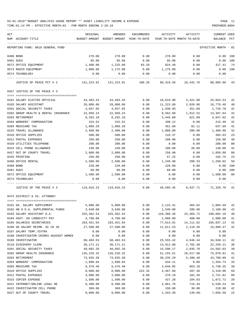| ACT                                    | ORIGINAL                                                                    | AMENDED                    | <b>ENCUMBERED</b> | ACTIVITY                   | ACTIVITY                                         | <b>CURRENT USED</b>  |     |
|----------------------------------------|-----------------------------------------------------------------------------|----------------------------|-------------------|----------------------------|--------------------------------------------------|----------------------|-----|
| NUM ACCOUNT-TITLE                      | BUDGET-AMOUNT                                                               | BUDGET-AMOUNT YEAR-TO-DATE |                   | YEAR-TO-DATE MONTH-TO-DATE |                                                  | BALANCE              | PCT |
| REPORTING FUND: 0010 GENERAL FUND      |                                                                             |                            |                   |                            |                                                  | EFFECTIVE MONTH - 02 |     |
| 0480 BOND                              | 278.00                                                                      | 278.00                     | 0.00              | 278.00                     | 0.00                                             | 0.00                 | 100 |
| 0481 DUES                              | 95.00                                                                       | 95.00                      | 0.00              | 95.00                      | 0.00                                             | $0.00$ 100           |     |
| 0572 OFFICE EQUIPMENT                  | 1,400.00                                                                    | 1,225.00                   | 83.10             | 824.49                     | 0.00                                             | 317.41               | 74  |
| 0573 RADIO EQUIPMENT                   | 1,000.00                                                                    | 1,175.00                   | 0.00              | 1,175.00                   | 0.00                                             | 0.00                 | 100 |
| 0574 TECHNOLOGY                        | 0.00                                                                        | 0.00                       | 0.00              | 0.00                       | 0.00                                             | 0.00                 |     |
| JUSTICE OF PEACE PCT # 2               | 141,224.91 141,224.91 100.29 60,319.56 10,442.76 80,805.06 43               |                            |                   |                            |                                                  |                      |     |
| 0457 JUSTICE OF THE PEACE # 3          |                                                                             |                            |                   |                            |                                                  |                      |     |
|                                        |                                                                             |                            |                   |                            |                                                  |                      |     |
| 0101 SALARY ELECTED OFFICIAL           | 44,483.43                                                                   | 44,483.43                  | 0.00              | 18,819.90                  | 3,421.80                                         | 25,663.53            | 42  |
| 0103 SALARY ASSISTANT                  | 28,000.00                                                                   | 28,000.00                  | 0.00              | 11,223.60                  | 2,020.86                                         | 16,776.40            | 40  |
| 0201 SOCIAL SECURITY TAXES             | 4,657.65                                                                    | 4,657.65                   | 0.00              | 1,930.95                   | 351.09                                           | 2,726.70             | 41  |
| 0202 GROUP HEALTH & DENTAL INSURANCE   | 22,950.24                                                                   | 22,950.24                  | 0.00              | 9,562.60                   | 1,912.52                                         | 13,387.64            | 42  |
| 0203 RETIREMENT                        | 8,292.10                                                                    | 8,292.10                   | 0.00              | 3,445.08                   | 621.00                                           | 4,847.02             | 42  |
| 0204 WORKERS' COMPENSATION             | 315.52                                                                      | 315.52                     | 0.00              | 100.12                     | 0.00                                             | 215.40               | 32  |
| 0205 MEDICARE TAX                      | 1,089.29                                                                    | 1,089.29                   | 0.00              | 451.60                     | 82.11                                            | 637.69               | 41  |
| 0225 TRAVEL ALLOWANCE                  | 2,400.00                                                                    | 2,400.00                   | 0.00              | 1,000.00                   | 200.00                                           | 1,400.00             | 42  |
| 0310 OFFICE SUPPLIES                   | 500.00                                                                      | 500.00                     | 0.00              | 116.37                     | 0.00                                             | 383.63               | 23  |
| 0311 POSTAL EXPENSES                   | 250.00                                                                      | 250.00                     | 0.00              | 100.00                     | 0.00                                             | 150.00               | 40  |
| 0420 UTILITIES TELEPHONE               | 200.00                                                                      | 200.00                     | 0.00              | 0.00                       | 0.00                                             | 200.00               | 00  |
| 0423 CELL PHONE ALLOWANCE              | 240.00                                                                      | 240.00                     | 0.00              | 100.00                     | 20.00                                            | 140.00               | 42  |
| 0427 OUT OF COUNTY TRAVEL              | 2,000.00                                                                    | 2,000.00                   | 0.00              | 150.00                     | 0.00                                             | 1,850.00             | 08  |
| 0435 PRINTING                          | 250.00                                                                      | 250.00                     | 0.00              | 57.25                      | 0.00                                             | 192.75               | 23  |
| 0460 OFFICE RENTAL                     | 2,500.00                                                                    | 2,500.00                   | 0.00              | 1,249.98                   | 208.33                                           | 1,250.02             | 50  |
| 0480 BOND                              | 228.00                                                                      | 228.00                     | 0.00              | 228.00                     | 0.00                                             | 0.00                 | 100 |
| 0481 DUES                              | 60.00                                                                       | 60.00                      | 0.00              | 60.00                      | 0.00                                             | 0.00                 | 100 |
| 0572 OFFICE EQUIPMENT                  | 1,500.00                                                                    | 1,500.00                   | 0.00              | 0.00                       | 0.00                                             | 1,500.00             | 00  |
| 0574 TECHNOLOGY                        | 0.00                                                                        | 0.00                       | 0.00              | 0.00                       | 0.00                                             | 0.00                 |     |
| JUSTICE OF THE PEACE # 3               | 119,916.23   119,916.23      0.00    48,595.45    8,837.71    71,320.78  41 |                            |                   |                            |                                                  |                      |     |
| 0475 DISTRICT & CO. ATTORNEY           |                                                                             |                            |                   |                            |                                                  |                      |     |
| 0101 DA. SALARY SUPPLEMENT             | 5,000.00                                                                    |                            |                   |                            | $5,000.00$ $0.00$ $2,115.41$ $384.62$ $2,884.59$ |                      | 42  |
| 0102 HB 9 D.A. SUPPLEMENTAL FUNDS      | 3,640.00                                                                    | 3,640.00                   | 0.00              | 1,540.00                   | 280.00                                           | 2,100.00             | 42  |
| 0103 SALARY ASSISTANT D.A.             | 325, 362.54                                                                 | 325, 362.54                | 0.00              | 129,360.36                 | 23,465.72                                        | 196,002.18           | 40  |
| 0104 ASST. DA LONGEVITY PAY            | 4,760.00                                                                    | 4,760.00                   | 0.00              | 1,960.00                   | 400.00                                           | 2,800.00             | 41  |
| 0105 SALARIES SECRETARIES              | 183,451.04                                                                  | 183,451.04                 | 0.00              | 77,613.91                  | 14,111.62                                        | 105,837.13           | 42  |
| 0106 DA SALARY REIMB. GC CH 46         | 27,500.00                                                                   | 27,500.00                  | 0.00              | 11,611.53                  | 2,118.46                                         | 15,888.47            | 42  |
| 0107 SALARY TEMP./EXTRA                | 0.00                                                                        | 0.00                       | 0.00              | 0.00                       | 0.00                                             | 0.00                 |     |
| 0108 INVESTIGATOR CRIMES AGAINST WOMEN | 0.00                                                                        | 0.00                       | 0.00              | 0.00                       | 0.00                                             | 0.00                 |     |
| 0109 INVESTIGATOR                      | 60,403.53                                                                   | 60,403.53                  | 0.00              | 25,555.42                  | 4,646.44                                         | 34,848.11            | 42  |
| 0110 DISCOVERY CLERK                   | 36, 171. 21                                                                 | 36,171.21                  | 0.00              | 13,912.00                  | 2,782.40                                         | 22, 259.21           | 38  |
| 0201 SOCIAL SECURITY TAXES             | 40,092.20                                                                   | 40,092.20                  | 0.00              | 15,590.17                  | 2,835.70                                         | 24,502.03            | 39  |
| 0202 GROUP HEALTH INSURANCE            | 126,226.32                                                                  | 126, 226.32                | 0.00              | 51,155.51                  | 10,517.98                                        | 75,070.81            | 41  |
| 0203 RETIREMENT                        | 73,935.38                                                                   | 73,935.38                  | 0.00              | 30,235.29                  | 5,498.40                                         | 43,700.09            | 41  |
| 0204 WORKERS' COMPENSATION             | 1,898.84                                                                    | 1,898.84                   | 0.00              | 634.11                     | 0.00                                             | 1,264.73             | 33  |
| 0205 MEDICARE TAX                      | 9,376.40                                                                    | 9,376.40                   | 0.00              | 3,646.05                   | 663.18                                           | 5,730.35             | 39  |
| 0310 OFFICE SUPPLIES                   | 8,000.00                                                                    | 8,000.00                   | 222.32            | 4,467.68                   | 497.36                                           | 3,310.00             | 59  |
| 0311 POSTAL EXPENSES                   | 3,000.00                                                                    | 3,000.00                   | 0.00              | 278.19                     | 101.46                                           | 2,721.81             | 09  |
| 0315 COPIER EXPENSE                    | 1,500.00                                                                    | 1,500.00                   | 0.00              | 427.28                     | 104.03                                           | 1,072.72             | 28  |
| 0421 INTERNET/ONLINE LEGAL RE          | 8,400.00                                                                    | 8,400.00                   | 0.00              | 2,861.76                   | 715.44                                           | 5,538.24             | 34  |
| 0422 INVESTIGATOR CELL PHONE           | 360.00                                                                      | 360.00                     | 0.00              | 150.00                     | 30.00                                            | 210.00               | 42  |
| 0427 OUT OF COUNTY TRAVEL              | 9,000.00                                                                    | 9,000.00                   | 0.00              | 1,343.50                   | 139.68-                                          | 7,656.50             | 15  |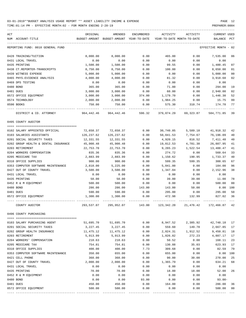TIME:01:14 PM - EFFECTIVE MONTH:02 - FOR MONTH ENDING 2-28-19 PREPARER:0004

| ACT<br>NUM ACCOUNT-TITLE             | ORIGINAL<br>BUDGET-AMOUNT | AMENDED<br>BUDGET-AMOUNT YEAR-TO-DATE | ENCUMBERED   | ACTIVITY         | ACTIVITY<br>YEAR-TO-DATE MONTH-TO-DATE | CURRENT USED<br>BALANCE | PCT            |
|--------------------------------------|---------------------------|---------------------------------------|--------------|------------------|----------------------------------------|-------------------------|----------------|
| REPORTING FUND: 0010 GENERAL FUND    |                           |                                       |              |                  |                                        | EFFECTIVE MONTH - 02    |                |
| 0428 TRAINING/TUITION                | 8,000.00                  | 8,000.00                              | 0.00         | 465.00           | 0.00                                   | 7,535.00                | 06             |
| 0431 LOCAL TRAVEL                    | 0.00                      | 0.00                                  | 0.00         | 0.00             | 0.00                                   | 0.00                    |                |
| 0435 PRINTING                        | 1,500.00                  | 1,500.00                              | 0.00         | 99.55            | 0.00                                   | 1,400.45                | 07             |
| 0438 CT.REPORTER-TRANSCRIPTS         | 8,750.00                  | 8,750.00                              | 0.00         | 100.00           | 0.00                                   | 8,650.00                | 01             |
| 0439 WITNESS EXPENSE                 | 5,000.00                  | 5,000.00                              | 0.00         | 0.00             | 0.00                                   | 5,000.00                | 00             |
| 0465 PHYS. EVIDENCE ANALYSIS         | 4,000.00                  | 4,000.00                              | 0.00         | 81.32            | 0.00                                   | 3,918.68                | 02             |
| 0469 DPS TESTING                     | 0.00                      | 0.00                                  | 0.00         | 0.00             | 0.00                                   | 0.00                    |                |
| 0480 BOND                            | 365.00                    | 365.00                                | 0.00         | 71.00            | 0.00                                   | 294.00                  | 19             |
| 0481 DUES                            | 3,000.00                  | 3,000.00                              | 0.00         | 60.00            | 0.00                                   | 2,940.00                | 02             |
| 0572 OFFICE EQUIPMENT                | 3,000.00                  | 3,000.00                              | 374.00       | 1,179.70         | 0.00                                   | 1,446.30                | 52             |
| 0574 TECHNOLOGY                      | 2,000.00                  | 2,000.00                              | 0.00         | 1,984.25         | 0.00                                   | 15.75                   | 99             |
| 0590 BOOKS                           | 750.00                    | 750.00                                | 0.00         | 575.30           | 310.74                                 | 174.70                  | 77             |
| DISTRICT & CO. ATTORNEY              | 964,442.46                | 964,442.46                            | 596.32       | 379,074.29       | 69,323.87                              | 584,771.85              | 39             |
| 0495 COUNTY AUDITOR                  |                           |                                       |              |                  |                                        |                         |                |
| 0102 SALARY APPOINTED OFFICIAL       | 72,658.37                 | 72,658.37                             | 0.00         | 30,740.05        | 5,589.10                               | 41,918.32               | 42             |
| 0103 SALARIES ASSISTANTS             | 126,237.62                | 126,237.62                            | 0.00         | 50,041.53        | 7,754.67                               | 76,196.09               | 40             |
| 0201 SOCIAL SECURITY TAXES           | 12,331.55                 | 12,331.55                             | 0.00         | 4,920.15         | 816.52                                 | 7,411.40                | 40             |
| 0202 GROUP HEALTH & DENTAL INSURANCE | 45,900.48                 | 45,900.48                             | 0.00         | 19,012.53        | 4,781.30                               | 26,887.95               | 41             |
| 0203 RETIREMENT                      | 22,753.70                 | 22,753.70                             | 0.00         | 9,265.23         | 1,522.54                               | 13,488.47               | 41             |
| 0204 WORKERS COMPENSATION            | 835.36                    | 835.36                                | 0.00         | 274.72           | 0.00                                   | 560.64                  | 33             |
| 0205 MEDICARE TAX                    | 2,883.99                  | 2,883.99                              | 0.00         | 1,150.62         | 190.95                                 | 1,733.37                | 40             |
| 0310 OFFICE SUPPLIES                 | 900.00                    | 900.00                                | 0.00         | 599.35           | 599.35                                 | 300.65                  | 67             |
| 0353 COMPUTER SOFTWARE MAINTENANCE   | 2,810.00                  | 5,225.00                              | 0.00         | 5,041.00         | 0.00                                   | 184.00                  | 96             |
| 0427 OUT OF COUNTY TRAVEL            | 3,500.00                  | 3,500.00                              | 0.00         | 1,347.04         | 0.00                                   | 2,152.96                | 38             |
| 0431 LOCAL TRAVEL                    | 0.00                      | 0.00                                  | 0.00         | 0.00             | 0.00                                   | 0.00                    |                |
| 0435 PRINTING                        | 50.00                     | 50.00                                 | 0.00         | 39.00            | 39.00                                  | 11.00                   | 78             |
| 0452 R & M EQUIPMENT                 | 500.00                    | 500.00                                | 0.00         | 0.00             | 0.00                                   | 500.00                  | 0 <sub>0</sub> |
| 0480 BOND                            | 286.00                    | 286.00                                | 143.00       | 143.00           | 50.00                                  | 0.00                    | 100            |
| 0481 DUES                            |                           |                                       |              |                  |                                        | 295.00                  | 50             |
| 0572 OFFICE EQUIPMENT                | 590.00<br>1,300.00        | 590.00<br>1,300.00                    | 0.00<br>0.00 | 295.00<br>472.98 | 0.00<br>132.99                         | 827.02                  | 36             |
| COUNTY AUDITOR                       | 293,537.07                | 295,952.07                            | 143.00       | 123,342.20       |                                        | 21,476.42 172,466.87    | 42             |
| 0496 COUNTY PURCHASING               |                           |                                       |              |                  |                                        |                         |                |
|                                      |                           |                                       |              |                  |                                        |                         |                |
| 0103 SALARY PURCHASING AGENT         | 51,695.70                 | 51,695.70                             | 0.00         | 8,947.52         | 2,385.92                               | 42,748.18               | 17             |
| 0201 SOCIAL SECURITY TAXES           | 3,227.45                  | 3,227.45                              | 0.00         | 559.60           | 149.78                                 | 2,667.85                | 17             |
| 0202 GROUP HEALTH INSURANCE          | 11,475.12                 | 11,475.12                             | 0.00         | 2,024.31         | 1,912.52                               | 9,450.81                | 18             |
| 0203 RETIREMENT                      | 5,913.99                  | 5,913.99                              | 0.00         | 1,026.82         | 272.23                                 | 4,887.17                | 17             |
| 0204 WORKERS' COMPENSATION           | 218.63                    | 218.63                                | 0.00         | 50.52            | 0.00                                   | 168.11                  | 23             |
| 0205 MEDICARE TAX                    | 754.81                    | 754.81                                | 0.00         | 130.88           | 35.03                                  | 623.93                  | 17             |
| 0310 OFFICE SUPPLIES                 | 400.00                    | 400.00                                | 7.73         | 309.68           | 0.00                                   | 82.59                   | 79             |
| 0353 COMPUTER SOFTWARE MAINTENANCE   | 350.00                    | 655.00                                | 0.00         | 655.00           | 0.00                                   | 0.00                    | 100            |
| 0421 CELL PHONE                      | 360.00                    | 360.00                                | 0.00         | 90.00            | 30.00                                  | 270.00                  | 25             |
| 0427 OUT OF COUNTY TRAVEL            | 2,000.00                  | 2,000.00                              | 0.00         | 1,365.79         | 0.00                                   | 634.21                  | 68             |
| 0431 LOCAL TRAVEL                    | 0.00                      | 0.00                                  | 0.00         | 0.00             | 0.00                                   | 0.00                    |                |
| 0435 PRINTING                        | 70.00                     | 70.00                                 | 0.00         | 18.00            | 18.00                                  | 52.00                   | 26             |
| 0452 R & M EQUIPMENT                 | 0.00                      | 0.00                                  | 0.00         | 0.00             | 0.00                                   | 0.00                    |                |
| 0480 BOND                            | 0.00                      | 0.00                                  | 93.00        | 0.00             | 0.00                                   | $93.00 -$               |                |
| 0481 DUES                            | 450.00                    | 450.00                                | 0.00         | 164.00           | 0.00                                   | 286.00                  | 36             |
| 0572 OFFICE EQUIPMENT                | 500.00                    | 500.00                                | 0.00         | 0.00             | 0.00                                   | 500.00                  | 0 <sub>0</sub> |

---- ---------------------------------- ------------- ------------- ------------ ------------- ------------ ------------- ---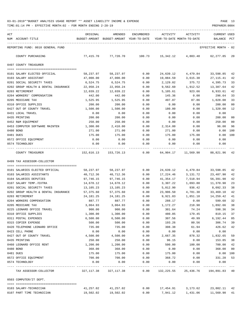| ACT | NUM ACCOUNT-TITLE                    | ORIGINAL<br>BUDGET-AMOUNT     | AMENDED<br>BUDGET-AMOUNT YEAR-TO-DATE | ENCUMBERED        | ACTIVITY   | ACTIVITY<br>YEAR-TO-DATE MONTH-TO-DATE | CURRENT USED<br>BALANCE | PCT |
|-----|--------------------------------------|-------------------------------|---------------------------------------|-------------------|------------|----------------------------------------|-------------------------|-----|
|     | REPORTING FUND: 0010 GENERAL FUND    |                               |                                       |                   |            |                                        | EFFECTIVE MONTH - 02    |     |
|     |                                      |                               |                                       |                   |            |                                        |                         |     |
|     | COUNTY PURCHASING                    | 77,415.70                     | 77,720.70                             | 100.73            | 15,342.12  | 4,803.48                               | 62,277.85               | 20  |
|     | 0497 COUNTY TREASURER                |                               |                                       |                   |            |                                        |                         |     |
|     | 0101 SALARY ELECTED OFFICIAL         | 58,237.97                     | 58,237.97                             | 0.00              | 24,639.12  | 4,479.84                               | 33,598.85               | 42  |
|     | 0103 SALARY ASSISTANT                | 47,000.00                     | 47,000.00                             | 0.00              | 19,884.59  | 3,615.38                               | 27,115.41               | 42  |
|     | 0201 SOCIAL SECURITY TAXES           | 6,524.75                      | 6,524.75                              | 0.00              | 2,129.02   | 375.72                                 | 4,395.73                | 33  |
|     | 0202 GROUP HEALTH & DENTAL INSURANCE | 22,950.24                     | 22,950.24                             | 0.00              | 9,562.60   | 1,912.52                               | 13,387.64               | 42  |
|     | 0203 RETIREMENT                      | 12,039.22                     | 12,039.22                             | 0.00              | 5,105.61   | 923.66                                 | 6,933.61                | 42  |
|     | 0204 WORKERS' COMPENSATION           | 442.00                        | 442.00                                | 0.00              | 145.36     | 0.00                                   | 296.64                  | 33  |
|     | 0205 MEDICARE TAX                    | 1,525.95                      | 1,525.95                              | 0.00              | 497.87     | 87.86                                  | 1,028.08                | 33  |
|     | 0310 OFFICE SUPPLIES                 | 200.00                        | 200.00                                | 0.00              | 0.00       | 0.00                                   | 200.00                  | 00  |
|     | 0427 OUT OF COUNTY TRAVEL            | 1,500.00                      | 1,500.00                              | 0.00              | 180.00     | 0.00                                   | 1,320.00                | 12  |
|     | 0431 LOCAL TRAVEL                    | 0.00                          | 0.00                                  | 0.00              | 0.00       | 0.00                                   | 0.00                    |     |
|     | 0435 PRINTING                        | 200.00                        | 200.00                                | 0.00              | 0.00       | 0.00                                   | 200.00                  | 00  |
|     | 0452 R&M EQUIPMENT                   | 250.00                        | 250.00                                | 0.00              | 0.00       | 0.00                                   | 250.00                  | 00  |
|     | 0453 COMPUTER SOFTWARE MAINTEN       | 1,300.00                      | 2,410.00                              | 0.00              | 2,314.00   | 0.00                                   | 96.00                   | 96  |
|     | 0480 BOND                            | 271.00                        | 271.00                                | 0.00              | 271.00     | 0.00                                   | 0.00                    | 100 |
|     | 0481 DUES                            | 175.00                        | 175.00                                | 0.00              | 175.00     | 175.00                                 | 0.00                    | 100 |
|     | 0572 OFFICE EQUIPMENT                | 0.00                          | 0.00                                  | 0.00              | 0.00       | 0.00                                   | 0.00                    |     |
|     | 0574 TECHNOLOGY                      | 0.00<br>. _ _ _ _ _ _ _ _ _ _ | 0.00                                  | 0.00<br>-----     | 0.00       | 0.00<br>---------                      | 0.00                    |     |
|     | COUNTY TREASURER                     | 152,616.13                    | 153,726.13                            | 0.00              | 64,904.17  | 11,569.98                              | 88,821.96               | 42  |
|     | 0499 TAX ASSESSOR-COLLECTOR          |                               |                                       |                   |            |                                        |                         |     |
|     |                                      |                               |                                       |                   |            |                                        |                         |     |
|     | 0101 SALARIES ELECTED OFFICIAL       | 58,237.97                     | 58,237.97                             | 0.00              | 24,639.12  | 4,479.84                               | 33,598.85               | 42  |
|     | 0103 SALARIES ASSISTANTS             | 40,712.36                     | 40,712.36                             | 0.00              | 17,224.46  | 3,131.72                               | 23,487.90               | 42  |
|     | 0104 SALARIES DEPUTIES               | 97,746.15                     | 97,746.15                             | 0.00              | 41,354.17  | 7,518.94                               | 56,391.98               | 42  |
|     | 0107 SALARY TEMP./EXTRA              | 14,678.12                     | 14,678.12                             | 0.00              | 3,307.22   | 1,093.88                               | 11,370.90               | 23  |
|     | 0201 SOCIAL SECURITY TAXES           | 13,105.23                     | 13,105.23                             | 0.00              | 5,012.90   | 936.42                                 | 8,092.33                | 38  |
|     | 0202 GROUP HEALTH & DENTAL INSURANCE | 57,375.60                     | 57,375.60                             | 0.00              | 23,906.50  | 4,781.30                               | 33,469.10               | 42  |
|     | 0203 RETIREMENT                      | 24, 181. 25                   | 24,181.25                             | 0.00              | 9,921.83   | 1,851.18                               | 14,259.42               | 41  |
|     | 0204 WORKERS COMPENSATION            | 887.77                        | 887.77                                | 0.00              | 288.17     | 0.00                                   | 599.60                  | 32  |
|     | 0205 MEDICARE TAX                    | 3,064.93                      | 3,064.93                              | 0.00              | 1,172.27   | 218.98                                 | 1,892.66                | 38  |
|     | 0225 LEONARD OFFICE TRAVEL           | 900.00                        | 900.00                                | 0.00              | 301.64     | 74.24                                  | 598.36 34               |     |
|     | 0310 OFFICE SUPPLIES                 | 1,300.00                      | 1,300.00                              | 0.00              | 480.85     | 179.45                                 | 819.15                  | 37  |
|     | 0311 POSTAL EXPENSES                 | 6,500.00                      | 6,500.00                              | 0.00              | 307.56     | 49.99                                  | 6,192.44                | 05  |
|     | 0315 COPIER EXPENSE                  | 500.00                        | 500.00                                | 0.00              | 193.26     | 80.56                                  | 306.74                  | 39  |
|     | 0420 TELEPHONE LEONARD OFFICE        | 735.00                        | 735.00                                | 0.00              | 308.38     | 61.94                                  | 426.62                  | 42  |
|     | 0423 CELL PHONE                      | 0.00                          | 0.00                                  | 0.00              | 0.00       | 0.00                                   | 0.00                    |     |
|     | 0427 OUT OF COUNTY TRAVEL            | 4,500.00                      | 4,500.00                              | 0.00              | 2,667.35   | 878.32                                 | 1,832.65                | 59  |
|     | 0435 PRINTING                        | 250.00                        | 250.00                                | 0.00              | 96.15      | 0.00                                   | 153.85                  | 38  |
|     | 0460 LEONARD OFFICE RENT             | 1,200.00                      | 1,200.00                              | 0.00              | 500.00     | 100.00                                 | 700.00                  | 42  |
|     | 0480 BOND                            | 368.00                        | 368.00                                | 0.00              | 0.00       | 0.00                                   | 368.00                  | 00  |
|     | 0481 DUES                            | 175.00                        | 175.00                                | 0.00              | 175.00     | 0.00                                   | 0.00                    | 100 |
|     | 0572 OFFICE EQUIPMENT                | 700.00                        | 700.00                                | 0.00              | 368.72     | 0.00                                   | 331.28                  | 53  |
|     | 0574 TECHNOLOGY                      | 0.00                          | 0.00<br>------------                  | 0.00<br>$--- - -$ | 0.00       | 0.00                                   | 0.00<br>-----------     |     |
|     | TAX ASSESSOR-COLLECTOR               | 327,117.38                    | 327,117.38                            | 0.00              | 132,225.55 | 25,436.76                              | 194,891.83 40           |     |
|     | 0503 COMPUTER/IT DEPT.               |                               |                                       |                   |            |                                        |                         |     |
|     | 0103 SALARY-TECHNICIAN               | 41,257.02                     | 41,257.02                             | 0.00              | 17,454.91  | 3,173.62                               | 23,802.11 42            |     |
|     | 0107 PART TIME TECHNICIAN            | 19,502.02                     | 19,502.02                             | 0.00              |            | 7,941.12 1,431.06                      | 11,560.90               | 41  |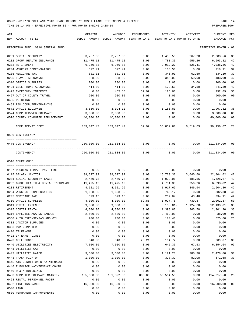TIME:01:14 PM - EFFECTIVE MONTH:02 - FOR MONTH ENDING 2-28-19 PREPARER:0004 ----------------------------------------------------------------------------------------------------------------------------------- ACT ORIGINAL AMENDED ENCUMBERED ACTIVITY ACTIVITY CURRENT USED NUM ACCOUNT-TITLE BUDGET-AMOUNT BUDGET-AMOUNT YEAR-TO-DATE YEAR-TO-DATE MONTH-TO-DATE BALANCE PCT ----------------------------------------------------------------------------------------------------------------------------------- REPORTING FUND: 0010 GENERAL FUND EFFECTIVE MONTH - 02 0201 SOCIAL SECURITY 3,767.06 3,767.06 0.00 1,483.50 267.28 2,283.56 39 0202 GROUP HEALTH INSURANCE 11,475.12 11,475.12 0.00 4,781.30 956.26 6,693.82 42 0203 RETIREMENT 6,950.83 6,950.83 0.00 2,912.27 525.41 4,038.56 42 0204 WORKERS COMPENSATION 322.41 322.41 0.00 103.50 0.00 218.91 32 0205 MEDICARE TAX 881.01 881.01 0.00 346.91 62.50 534.10 39 0225 TRAVEL ALLOWANCE 828.00 828.00 0.00 345.00 69.00 483.00 42 0310 OFFICE SUPPLIES 200.00 200.00 0.00 0.00 0.00 200.00 00 0421 CELL PHONE ALLOWANCE 414.00 414.00 0.00 172.50 34.50 241.50 42 0423 EMERGENCY INTERNET 0.00 455.88 37.99 125.00 0.00 292.89 36 0427 OUT OF COUNTY TRAVEL 900.00 900.00 0.00 0.00 0.00 900.00 00 0435 PRINTING 0.00 0.00 0.00 0.00 0.00 0.00 0453 R&M COMPUTER/TRAINING  $0.00$  0.00 0.00 0.00 0.00 0.00 0.00 0.00 0572 OFFICE EQUIPMENT **3,550.00** 3,094.12 0.00 1,186.80 0.00 1,907.32 38 0574 COMPUTER/WEB SOFTWARE 3,000.00 3,000.00 0.00 0.00 0.00 3,000.00 00 0576 COUNTY COMPUTER REPLACEMENT 40,000.00 40,000.00 0.00 0.00 0.00 40,000.00 00 ---- ---------------------------------- ------------- ------------- ------------ ------------- ------------ ------------- --- COMPUTER/IT DEPT. 133,047.47 133,047.47 37.99 36,852.81 6,519.63 96,156.67 28 0509 CONTINGENCY ==== =================================== 0475 CONTINGENCY 250,000.00 211,834.00 0.00 0.00 0.00 211,834.00 00 ---- ---------------------------------- ------------- ------------- ------------ ------------- ------------ ------------- --- CONTINGENCY 250,000.00 211,834.00 0.00 0.00 0.00 211,834.00 00 0510 COURTHOUSE ==== =================================== 0107 REGULAR TEMP.- PART TIME  $0.00$  0.00 0.00 0.00 0.00 0.00 0.00 0.00 0115 SALARY JANITOR 39,527.92 39,527.92 0.00 16,723.30 3,040.60 22,804.62 42 0201 SOCIAL SECURITY TAXES 2,450.73 2,450.73 0.00 1,022.06 185.56 1,428.67 42 0202 GROUP HEALTH & DENTAL INSURANCE  $11,475.12$   $11,475.12$   $0.00$   $4,781.30$   $956.26$   $6,693.82$   $42$ 0203 RETIREMENT 4,521.99 4,521.99 0.00 1,917.69 346.94 2,604.30 42 0204 WORKERS' COMPENSATION 1,628.55 1,628.55 0.00 746.17 0.00 882.38 46 0205 MEDICARE TAX 573.15 573.15 0.00 239.04 43.40 334.11 42 0310 OFFICE SUPPLIES  $\begin{array}{cccc} 4,000.00 & 4,000.00 & 69.85 & 1,927.78 & 739.87 & 2,002.37 & 50 \end{array}$ 0311 POSTAL EXPENSE 9,000.00 9,000.00 0.00 3,133.01- 1,124.68- 12,133.01 35 0315 COPIER RENTAL **4,300.00** 4,300.00 0.00 1,398.80 363.58 2,901.20 33 0316 EMPLOYEE AWARDS BANQUET  $2,500.00$   $2,500.00$   $0.00$   $2,462.00$  0.00  $38.00$  98 0330 AUTO EXPENSE-GAS AND OIL 700.00 700.00 0.00 174.40 0.00 525.60 25 0332 JANITOR SUPPLIES 0.00 0.00 0.00 0.00 0.00 0.00 0353 R&M COMPUTER  $0.00$  0.00 0.00 0.00 0.00 0.00 0.00 0.00 0420 TELEPHONE 0.00 0.00 0.00 0.00 0.00 0.00

| $0.120$ $1.0011$                 | .          |            |        |           |        |            |    |
|----------------------------------|------------|------------|--------|-----------|--------|------------|----|
| 0421 INTERNET LINES              | 0.00       | 0.00       | 0.00   | 0.00      | 0.00   | 0.00       |    |
| 0423 CELL PHONE                  | 340.00     | 340.00     | 26.21  | 104.72    | 0.00   | 209.07     | 39 |
| 0440 UTILITIES ELECTRICITY       | 7,000.00   | 7,000.00   | 0.00   | 645.36    | 67.53  | 6,354.64   | 09 |
| 0441 UTILITIES GAS               | 0.00       | 0.00       | 0.00   | 0.00      | 0.00   | 0.00       |    |
| 0442 UTILITIES WATER             | 3,600.00   | 3,600.00   | 0.00   | 1,121.20  | 280.30 | 2,478.80   | 31 |
| 0443 TRASH PICK-UP               | 1,000.00   | 1,000.00   | 0.00   | 328.32    | 82.08  | 671.68     | 33 |
| 0445 AIR CONDITIONER MAINTENANCE | 0.00       | 0.00       | 0.00   | 0.00      | 0.00   | 0.00       |    |
| 0446 ELEVATOR MAINTENANCE CONTR  | 0.00       | 0.00       | 0.00   | 0.00      | 0.00   | 0.00       |    |
| 0450 R & M BUILDINGS             | 0.00       | 0.00       | 0.00   | 0.00      | 0.00   | 0.00       |    |
| 0453 COMPUTER SOFTWARE MAINTEN   | 165,000.00 | 151,322.00 | 800.00 | 36,504.50 | 0.00   | 114,017.50 | 25 |
| 0463 RENTAL PERSONNEL PAGER      | 0.00       | 0.00       | 0.00   | 0.00      | 0.00   | 0.00       |    |
| 0482 FIRE INSURANCE              | 16,500.00  | 16,500.00  | 0.00   | 0.00      | 0.00   | 16,500.00  | 00 |
| 0500 LAND                        | 0.00       | 0.00       | 0.00   | 0.00      | 0.00   | 0.00       |    |
| 0530 PERMANENT IMPROVEMENTS      | 0.00       | 0.00       | 0.00   | 0.00      | 0.00   | 0.00       |    |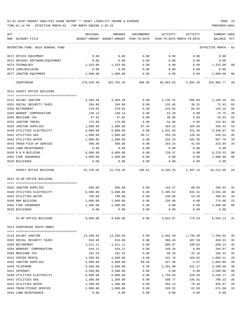TIME:01:14 PM - EFFECTIVE MONTH:02 - FOR MONTH ENDING 2-28-19 PREPARER:0004 ----------------------------------------------------------------------------------------------------------------------------------- ACT ORIGINAL AMENDED ENCUMBERED ACTIVITY ACTIVITY CURRENT USED NUM ACCOUNT-TITLE BUDGET-AMOUNT BUDGET-AMOUNT YEAR-TO-DATE YEAR-TO-DATE MONTH-TO-DATE BALANCE PCT ----------------------------------------------------------------------------------------------------------------------------------- REPORTING FUND: 0010 GENERAL FUND EFFECTIVE MONTH - 02

| 0572 OFFICE EQUIPMENT                        | 0.00             | 0.00             | 0.00   | 0.00         | 0.00         | 0.00             |                |
|----------------------------------------------|------------------|------------------|--------|--------------|--------------|------------------|----------------|
| 0573 ODYSSEY SOFTWARE/EQUIPMENT              | 0.00             | 0.00             | 0.00   | 0.00         | 0.00         | 0.00             |                |
| 0574 TECHNOLOGY                              | 1,323.00         | 1,323.00         | 0.00   | 0.00         | 0.00         | 1,323.00         | 00             |
| 0575 LAND/BUILDING<br>0577 JANITOR EQUIPMENT | 0.00<br>1,000.00 | 0.00<br>1,000.00 | 0.00   | 0.00<br>0.00 | 0.00<br>0.00 | 0.00<br>1,000.00 | 00             |
|                                              | .                |                  | 0.00   |              |              |                  |                |
| COURTHOUSE                                   | 276,440.46       | 262,762.46       | 896.06 | 66,963.63    | 4,981.44     | 194,902.77       | 26             |
| 0511 COUNTY OFFICE BUILDING                  |                  |                  |        |              |              |                  |                |
|                                              |                  |                  |        |              |              |                  |                |
| 0115 SALARY JANITOR                          | 3,304.49         | 3,304.49         | 0.00   | 2,136.31     |              | 585.69 1,168.18  | 65             |
| 0201 SOCIAL SECURITY TAXES                   | 204.88           | 204.88           | 0.00   | 132.45       | 36.31        | 72.43            | 65             |
| 0203 RETIREMENT                              | 378.03           | 378.03           | 0.00   | 244.84       | 66.82        | 133.19           | 65             |
| 0204 WORKER' COMPENSATION                    | 136.14           | 136.14           | 0.00   | 62.39        | 0.00         | 73.75            | 46             |
| 0205 MEDICARE TAX                            | 47.92            | 47.92            | 0.00   | 30.98        | 8.50         | 16.94            | 65             |
| 0225 JANITOR TRAVEL                          | 175.00           | 175.00           | 0.00   | 52.06        | 9.05         | 122.94           | 30             |
| 0332 JANITOR SUPPLIES                        | 1,000.00         | 1,000.00         | 87.44  | 454.13       | 104.86       | 458.43           | 54             |
| 0440 UTILITIES ELECTRICITY                   | 5,000.00         | 5,000.00         | 0.00   | 1,631.93     | 321.46       | 3,368.07         | 33             |
| 0441 UTILITIES GAS                           | 1,000.00         | 1,000.00         | 99.17  | 355.29       | 120.45       | 545.54           | 45             |
| 0442 UTILITIES WATER                         | 1,000.00         | 1,000.00         | 0.00   | 332.24       | 102.95       | 667.76           | 33             |
| 0443 TRASH PICK-UP SERVICE                   | 480.00           | 480.00           | 0.00   | 164.16       | 41.04        | 315.84           | 34             |
| 0444 LAWN MAINTENANCE                        | 0.00             | 0.00             | 0.00   | 0.00         | 0.00         | 0.00             |                |
| 0450 R & M BUILDING                          | 9,000.00         | 9,000.00         | 0.00   | 729.47       | 0.00         | 8,270.53         | 08             |
| 0482 FIRE INSURANCE                          | 1,000.00         | 1,000.00         | 0.00   | 0.00         | 0.00         | 1,000.00         | 0 <sub>0</sub> |
| 0535 BUILDINGS                               | 0.00             | 0.00             | 0.00   | 0.00         | 0.00         | 0.00             |                |
| COUNTY OFFICE BUILDING                       | 22,726.46        | 22,726.46        | 186.61 | 6,326.25     | 1,397.13     | 16,213.60        | 29             |
| 0512 CO-OP OFFICE BUILDING                   |                  |                  |        |              |              |                  |                |
| 0332 JANITOR SUPPLIES                        | 500.00           | 500.00           | 0.00   | 153.37       | 88.95        | 346.63           | 31             |
| 0440 UTILITIES ELECTRICITY                   | 6,000.00         | 6,000.00         | 0.00   | 2,405.52     | 631.31       | 3,594.48         | 40             |
| 0442 UTILITIES WATER                         | 700.00           | 700.00           | 0.00   | 230.98       | 54.28        | 469.02           | 33             |
| 0450 R&M BUILDING                            | 1,000.00         | 1,000.00         | 0.00   | 226.00       | 0.00         | 774.00           | 23             |
| 0482 FIRE INSURANCE                          | 1,400.00         | 1,400.00         | 0.00   | 0.00         | 0.00         | 1,400.00         | 0 <sub>0</sub> |
| 0535 BUILDINGS                               | 0.00             | 0.00             | 0.00   | 0.00         | 0.00         | 0.00             |                |
|                                              |                  |                  |        |              |              |                  |                |
| CO-OP OFFICE BUILDING                        | 9,600.00         | 9,600.00         | 0.00   | 3,015.87     | 774.54       | 6,584.13         | 31             |
| 0513 COURTHOUSE SOUTH ANNEX                  |                  |                  |        |              |              |                  |                |
| 0115 SALARY JANITOR                          | 13,209.04        | 13,209.04        | 0.00   | 5,942.39     | 1,735.38     | 7,266.65         | 45             |
| 0201 SOCIAL SECURITY TAXES                   | 818.96           | 818.96           | 0.00   | 368.43       | 107.59       | 450.53           | 45             |
| 0203 RETIREMENT                              | 1,511.11         | 1,511.11         | 0.00   | 680.97       | 198.02       | 830.14           | 45             |
| 0204 WORKERS' COMPENSATION                   | 544.21           | 544.21           | 0.00   | 249.34       | 0.00         | 294.87           | 46             |
| 0205 MEDICARE TAX                            | 191.53           | 191.53           | 0.00   | 86.10        | 25.16        | 105.43           | 45             |
| 0315 COPIER RENTAL                           | 1,500.00         | 1,500.00         | 0.00   | 431.79       | 104.01       | 1,068.21         | 29             |
| 0332 JANITOR SUPPLIES                        | 2,000.00         | 2,000.00         | 69.56  | 327.38       | 4.67         | 1,603.06         | 20             |
| 0420 TELEPHONE                               | 5,500.00         | 5,500.00         | 8.50   | 2,201.90     | 431.27       | 3,289.60         | 40             |
| 0421 INTERNET                                | 3,500.00         | 3,500.00         | 0.00   | 0.00         | 0.00         | 3,500.00         | 00             |
| 0440 UTILITIES ELECTRICITY                   | 6,000.00         | 6,000.00         | 0.00   | 1,759.83     | 329.48       | 4,240.17         | 29             |
| 0441 UTILITIES GAS                           | 1,300.00         | 1,300.00         | 0.00   | 599.77       | 145.81       | 700.23           | 46             |
| 0442 UTILITIES WATER                         | 1,300.00         | 1,300.00         | 0.00   | 364.13       | 76.49        | 935.87           | 28             |
| 0443 TRASH PICKUP SERVICE                    | 1,000.00         | 1,000.00         | 0.00   | 328.32       | 82.08        | 671.68           | 33             |
|                                              |                  |                  |        |              |              |                  |                |

0444 LAWN MAINTENANCE 0.00 0.00 0.00 0.00 0.00 0.00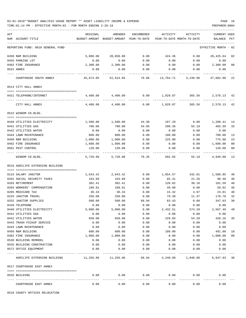TIME:01:14 PM - EFFECTIVE MONTH:02 - FOR MONTH ENDING 2-28-19 PREPARER:0004

| ACT<br>NUM ACCOUNT-TITLE   |                                                                                           | ORIGINAL  | AMENDED<br>BUDGET-AMOUNT BUDGET-AMOUNT YEAR-TO-DATE | ENCUMBERED           | ACTIVITY<br>YEAR-TO-DATE MONTH-TO-DATE | ACTIVITY     | <b>CURRENT USED</b><br>BALANCE PCT |                |
|----------------------------|-------------------------------------------------------------------------------------------|-----------|-----------------------------------------------------|----------------------|----------------------------------------|--------------|------------------------------------|----------------|
|                            | REPORTING FUND: 0010 GENERAL FUND                                                         |           |                                                     |                      |                                        |              | EFFECTIVE MONTH - 02               |                |
| 0450 R&M BUILDING          |                                                                                           | 5,000.00  | 20,850.00                                           | 0.00                 | 424.36                                 | 0.00         | 20,425.64                          | 02             |
| 0455 PARKING LOT           |                                                                                           | 0.00      | 0.00                                                | 0.00                 | 0.00                                   | 0.00         | 0.00                               |                |
| 0482 FIRE INSURANCE        |                                                                                           | 2,300.00  | 2,300.00                                            | 0.00                 | 0.00                                   | 0.00         | 2,300.00                           | 0 <sub>0</sub> |
| 0531 ANNEX                 |                                                                                           | 0.00      | 0.00                                                | 0.00                 | 0.00                                   | 0.00         | 0.00                               |                |
|                            | COURTHOUSE SOUTH ANNEX                                                                    | 45,674.85 | 61,524.85                                           | 78.06                | 13,764.71                              | 3,239.96     | 47,682.08                          | 22             |
| 0514 CITY HALL ANNEX       |                                                                                           |           |                                                     |                      |                                        |              |                                    |                |
| 0421 TELEPHONE/INTERNET    |                                                                                           | 4,400.00  | 4,400.00                                            | 0.00                 | 1,829.87                               | 365.56       | 2,570.13                           | 42             |
|                            |                                                                                           |           |                                                     |                      |                                        |              |                                    |                |
| CITY HALL ANNEX            |                                                                                           | 4,400.00  | 4,400.00                                            | 0.00                 | 1,829.87                               | 365.56       | 2,570.13                           | 42             |
| 0515 WINDOM CO.BLDG.       |                                                                                           |           |                                                     |                      |                                        |              |                                    |                |
| 0440 UTILITIES ELECTRICITY |                                                                                           | 1,500.00  | 1,500.00                                            | 44.30                | 167.29                                 | 0.00         | 1,288.41                           | 14             |
| 0441 UTILITIES GAS         |                                                                                           | 700.00    | 700.00                                              | 34.05                | 200.36                                 | 55.19        | 465.59                             | 33             |
| 0442 UTILITIES WATER       |                                                                                           | 0.00      | 0.00                                                | 0.00                 | 0.00                                   | 0.00         | 0.00                               |                |
| 0444 LAWN MAINTENANCE      |                                                                                           | 800.00    | 800.00                                              | 0.00                 | 100.00                                 | 0.00         | 700.00                             | 13             |
| 0450 R&M BUILDING          |                                                                                           | 1,000.00  | 1,000.00                                            | 0.00                 | 225.00                                 | 0.00         | 775.00                             | 23             |
| 0482 FIRE INSURANCE        |                                                                                           | 1,600.00  | 1,600.00                                            | 0.00                 | 0.00                                   | 0.00         | 1,600.00                           | 0 <sub>0</sub> |
| 0501 PEST CONTROL          |                                                                                           | 120.00    | 120.00                                              | 0.00                 | 0.00                                   | 0.00         | 120.00                             | 0 <sub>0</sub> |
|                            |                                                                                           |           |                                                     |                      |                                        |              |                                    |                |
| WINDOM CO.BLDG.            |                                                                                           | 5,720.00  | 5,720.00                                            | 78.35                | 692.65                                 | 55.19        | 4,949.00                           | 13             |
|                            | 0516 AGRILIFE EXTENSION BUILDING                                                          |           |                                                     |                      |                                        |              |                                    |                |
| 0115 SALARY JANITOR        |                                                                                           | 2,643.42  | 2,643.42                                            | 0.00                 | 1,054.57                               | 342.81       | 1,588.85                           | 40             |
| 0201 SOCIAL SECURITY TAXES |                                                                                           | 163.89    | 163.89                                              | 0.00                 | 65.41                                  | 21.26        | 98.48                              | 40             |
| 0203 RETIREMENT            |                                                                                           | 302.41    | 302.41                                              | 0.00                 | 120.82                                 | 39.10        | 181.59                             | 40             |
| 0204 WORKERS' COMPENSATION |                                                                                           | 108.91    | 108.91                                              | 0.00                 | 49.89                                  | 0.00         | 59.02                              | 46             |
| 0205 MEDICARE TAX          |                                                                                           | 38.33     | 38.33                                               | 0.00                 | 15.32                                  | 4.97         | 23.01                              | 40             |
| 0225 JANITOR TRAVEL        |                                                                                           | 250.00    | 250.00                                              | 0.00                 | 79.30                                  | 11.37        | 170.70                             | 32             |
| 0332 JANITOR SUPPLIES      |                                                                                           | 500.00    | 500.00                                              | 68.94                | 83.43                                  | 0.00         | 347.63                             | 30             |
| 0420 TELEPHONE             |                                                                                           | 0.00      | 0.00                                                | 0.00                 | 0.00                                   | 0.00         | 0.00                               |                |
| 0440 UTILITIES ELECTRICITY |                                                                                           | 5,000.00  | 5,000.00                                            | 0.00                 | 2,432.51                               | 574.29       | 2,567.49                           | 49             |
| 0441 UTILITIES GAS         |                                                                                           | 0.00      | 0.00                                                | 0.00                 | 0.00                                   | 0.00         | 0.00                               |                |
| 0442 UTILITIES WATER       |                                                                                           | 650.00    | 650.00                                              | 0.00                 | 229.84                                 | 54.28        | 420.16                             | 35             |
| 0443 TRASH PICKUP SERVICE  |                                                                                           | 0.00      | 0.00                                                | 0.00                 | 0.00                                   | 0.00         | 0.00                               |                |
| 0444 LAWN MAINTENANCE      |                                                                                           | 0.00      | 0.00                                                | 0.00                 | 0.00                                   | 0.00         | 0.00                               |                |
| 0450 R&M BUILDING          |                                                                                           | 600.00    | 600.00                                              | 0.00                 | 109.00                                 | 0.00         | 491.00                             | 18             |
| 0482 FIRE INSURANCE        |                                                                                           | 1,000.00  | 1,000.00                                            | 0.00                 | 0.00                                   | 0.00         | 1,000.00                           | 0 <sub>0</sub> |
| 0530 BUILDING REMODEL      |                                                                                           | 0.00      | 0.00                                                | 0.00                 | 0.00                                   | 0.00         | 0.00                               |                |
| 0535 BUILDING CONSTRUCTION |                                                                                           | 0.00      | 0.00                                                | 0.00                 | 0.00                                   | 0.00         | 0.00                               |                |
| 0572 OFFICE EQUIPMENT      |                                                                                           | 0.00      | 0.00                                                | 0.00                 | 0.00                                   | 0.00         | 0.00                               |                |
|                            | -------------------------------- -----<br>AGRILIFE EXTENSION BUILDING 11,256.96 11,256.96 |           |                                                     |                      | 68.94 4,240.09 1,048.08                |              | 6,947.93                           | 38             |
| 0517 COURTHOUSE EAST ANNEX |                                                                                           |           |                                                     |                      |                                        |              |                                    |                |
| 0535 BUILDING              |                                                                                           | 0.00      | 0.00                                                | 0.00                 |                                        | 0.00<br>0.00 | 0.00                               |                |
| COURTHOUSE EAST ANNEX      |                                                                                           | 0.00      | ----------<br>0.00                                  | . <u>.</u> .<br>0.00 | 0.00                                   | 0.00         | 0.00                               |                |

0518 COUNTY OFFICES RELOCATION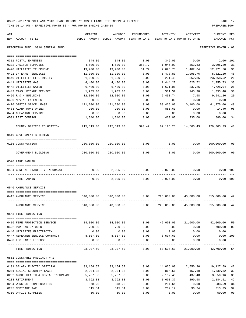| 03-01-2019**BUDGET ANALYSIS USAGE REPORT ** ASSET LIABILITY INCOME & EXPENSE |  |  | <b>PAGE</b> |  |
|------------------------------------------------------------------------------|--|--|-------------|--|
|                                                                              |  |  |             |  |

TIME:01:14 PM - EFFECTIVE MONTH:02 - FOR MONTH ENDING 2-28-19 PREPARER:0004

| ACT<br>NUM<br>ACCOUNT-TITLE                             | ORIGINAL<br>BUDGET-AMOUNT | AMENDED                                                   | ENCUMBERED   | ACTIVITY<br>BUDGET-AMOUNT YEAR-TO-DATE YEAR-TO-DATE MONTH-TO-DATE | ACTIVITY       | CURRENT USED<br>BALANCE | PCT          |
|---------------------------------------------------------|---------------------------|-----------------------------------------------------------|--------------|-------------------------------------------------------------------|----------------|-------------------------|--------------|
| REPORTING FUND: 0010 GENERAL FUND                       |                           |                                                           |              |                                                                   |                | EFFECTIVE MONTH - 02    |              |
|                                                         |                           |                                                           |              |                                                                   |                |                         |              |
| 0311 POSTAL EXPENSES                                    | 344.00                    | 344.00                                                    | 0.00         | 346.00                                                            | 0.00           |                         | $2.00 - 101$ |
| 0332 JANITOR SUPPLIES                                   | 4,500.00                  | 4,500.00                                                  | 358.77       | 1,046.03                                                          | 353.83         | 3,095.20                | 31           |
| 0420 UTILITIES TELEPHONE                                | 19,900.00                 | 19,900.00                                                 | 31.72        | 7,096.78                                                          | 1,402.64       | 12,771.50               | 36           |
| 0421 INTERNET SERVICES                                  | 11,300.00                 | 11,300.00                                                 | 0.00         | 5,478.80                                                          | 1,095.76       | 5,821.20                | 48           |
| 0440 UTILITIES ELECTRICITY                              | 31,600.00                 | 31,600.00                                                 | 0.00         | 8,231.48                                                          | 362.86         | 23,368.52               | 26           |
| 0441 UTILITIES GAS                                      | 4,400.00                  | 4,400.00                                                  | 0.00         | 1,444.27                                                          | 625.72         | 2,955.73                | 33           |
| 0442 UTILITIES WATER                                    | 6,400.00                  | 6,400.00                                                  | 0.00         | 1,671.06                                                          | 237.26         | 4,728.94                | 26           |
| 0443 TRASH PICKUP SERVICE                               | 1,935.00                  | 1,935.00                                                  | 0.00         | 581.52                                                            | 145.38         | 1,353.48                | 30           |
| 0450 R & M BUILDING                                     | 12,000.00                 | 12,000.00                                                 | 0.00         | 2,458.74                                                          | 7.98           | 9,541.26                | 20           |
| 0460 MOVING EXPENSES                                    | 0.00                      | 0.00                                                      | 0.00         | 0.00                                                              | 0.00           | 0.00                    |              |
| 0470 OFFICE SPACE LEASE                                 | 121,200.00                | 121,200.00                                                | 0.00         | 59,425.00                                                         | 10,100.00      | 61,775.00               | 49           |
| 0483 ALARM MONITORING                                   | 900.00                    | 900.00                                                    | 0.00         | 885.60                                                            | 0.00           | 14.40                   | 98           |
| 0484 CLEANING SERVICES                                  | 0.00                      | 0.00                                                      | 0.00         | 0.00                                                              | 0.00           | 0.00                    |              |
| 0501 PEST CONTROL                                       | 1,340.00                  | 1,340.00                                                  | 0.00         | 460.00                                                            | 235.00         | 880.00                  | 34           |
| COUNTY OFFICES RELOCATION                               | 215,819.00                | 215,819.00                                                | 390.49       | 89,125.28                                                         | 14,566.43      | 126,303.23              | 41           |
| 0519 GOVERNMENT BUILDING                                |                           |                                                           |              |                                                                   |                |                         |              |
|                                                         |                           |                                                           |              |                                                                   |                |                         |              |
| 0165 CONSTRUCTION                                       | 200,000.00                | 200,000.00                                                | 0.00         | 0.00                                                              | 0.00           | 200,000.00              | 00           |
| GOVERNMENT BUILDING                                     | 200,000.00                | 200,000.00                                                | 0.00         | 0.00                                                              | 0.00           | 200,000.00              | 00           |
| 0520 LAKE FANNIN                                        |                           |                                                           |              |                                                                   |                |                         |              |
| 0484 GENERAL LIABILITY INSURANCE                        | 0.00                      | 2,025.00                                                  | 0.00         | 2,025.00                                                          | 0.00           |                         | 0.00 100     |
| LAKE FANNIN                                             | 0.00                      | 2,025.00                                                  | 0.00         | 2,025.00                                                          | 0.00           |                         | 0.00 100     |
| 0540 AMBULANCE SERVICE                                  |                           |                                                           |              |                                                                   |                |                         |              |
|                                                         |                           |                                                           |              |                                                                   |                |                         |              |
| 0417 AMBULANCE SERVICE                                  | 540,000.00                | 540,000.00                                                | 0.00         | 225,000.00                                                        | 45,000.00      | 315,000.00              | 42           |
| AMBULANCE SERVICE                                       | 540,000.00                | 540,000.00                                                | 0.00         | 225,000.00                                                        | 45,000.00      | 315,000.00              | 42           |
| 0543 FIRE PROTECTION                                    |                           |                                                           |              |                                                                   |                |                         |              |
| 0416 FIRE PROTECTION SERVICE                            |                           | 84,000.00 84,000.00                                       |              | $0.00$ $42,000.00$ $21,000.00$                                    |                | 42,000.00 50            |              |
| 0422 R&M RADIO/TOWER                                    | 700.00                    | 700.00                                                    | 0.00         | 0.00                                                              | 0.00           | 700.00 00               |              |
| 0440 UTILITIES ELECTRICITY                              | 0.00                      | 0.00                                                      | 0.00         | 0.00                                                              | 0.00           | 0.00                    |              |
| 0447 REPEATER SERVICE CONTRACT                          |                           | 8,507.60 8,507.60                                         |              | $0.00$ 8,507.60                                                   | 0.00           | $0.00$ 100              |              |
| 0490 FCC RADIO LICENSE                                  | 0.00                      | 0.00                                                      | 0.00         | 0.00                                                              | 0.00           | 0.00                    |              |
| FIRE PROTECTION                                         |                           | 93,207.60 93,207.60 0.00 50,507.60 21,000.00 42,700.00 54 | ----------   | ----------                                                        |                |                         |              |
| 0551 CONSTABLE PRECINCT # 1                             |                           |                                                           |              |                                                                   |                |                         |              |
|                                                         |                           |                                                           |              |                                                                   |                |                         |              |
| 0101 SALARY ELECTED OFFICIAL                            | 33,154.57                 | 33,154.57                                                 | 0.00         | 14,026.98                                                         | 2,550.36       | 19,127.59 42            |              |
| 0201 SOCIAL SECURITY TAXES                              | 2,204.38                  | 2,204.38                                                  | 0.00         | 864.56                                                            | 157.10         | 1,339.82                | 39           |
| 0202 GROUP HEALTH & DENTAL INSURANCE<br>0203 RETIREMENT | 5,737.56                  | 5,737.56                                                  | 0.00         | 2,187.40                                                          | 437.48         | 3,550.16                | 38           |
| 0204 WORKERS' COMPENSATION                              | 3,792.88<br>878.20        | 3,792.88<br>878.20                                        | 0.00<br>0.00 | 1,608.37<br>294.61                                                | 290.98<br>0.00 | 2,184.51<br>583.59      | 42<br>34     |
|                                                         |                           | 515.54                                                    |              |                                                                   |                |                         | 39           |
| 0205 MEDICARE TAX                                       | 515.54                    |                                                           | 0.00         | 202.19                                                            | 36.74          | 313.35                  |              |

0310 OFFICE SUPPLIES 50.00 50.00 0.00 0.00 0.00 50.00 00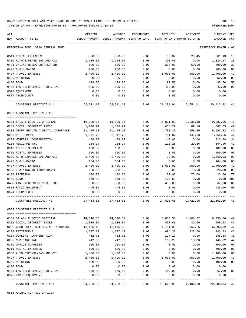TIME:01:14 PM - EFFECTIVE MONTH:02 - FOR MONTH ENDING 2-28-19 PREPARER:0004

| ACT                                  | ORIGINAL      | AMENDED                    | ENCUMBERED           | ACTIVITY                   | ACTIVITY                  | CURRENT USED                  |        |
|--------------------------------------|---------------|----------------------------|----------------------|----------------------------|---------------------------|-------------------------------|--------|
| NUM ACCOUNT-TITLE                    | BUDGET-AMOUNT | BUDGET-AMOUNT              | YEAR-TO-DATE         | YEAR-TO-DATE MONTH-TO-DATE |                           | BALANCE                       | PCT    |
| REPORTING FUND: 0010 GENERAL FUND    |               |                            |                      |                            |                           | EFFECTIVE MONTH               | - 02   |
| 0311 POSTAL EXPENSES                 | 300.00        | 300.00                     | 0.00                 | 38.87                      | 28.45                     | 261.13                        | 13     |
| 0330 AUTO EXPENSE-GAS AND OIL        | 1,625.00      | 1,625.00                   | 0.00                 | 300.43                     | 0.00                      | 1,324.57                      | 18     |
| 0421 ONLINE RESEARCH/ACCURINT        | 600.00        | 600.00                     | 0.00                 | 200.00                     | 50.00                     | 400.00                        | 33     |
| 0422 R & M RADIO                     | 200.00        | 200.00                     | 0.00                 | 0.00                       | 0.00                      | 200.00                        | 00     |
| 0427 TRAVEL EXPENSE                  | 2,400.00      | 2.400.00                   | 0.00                 | 1,000.00                   | 200.00                    | 1,400.00                      | 42     |
| 0435 PRINTING                        | 50.00         | 50.00                      | 0.00                 | 0.00                       | 0.00                      | 50.00                         | 00     |
| 0480 BOND                            | 178.00        | 178.00                     | 0.00                 | 92.50                      | 0.00                      | 85.50                         | 52     |
| 0488 LAW ENFORCEMENT PROF. INS       | 525.00        | 525.00                     | 0.00                 | 483.00                     | 0.00                      | 42.00                         | 92     |
| 0572 EQUIPMENT                       | 0.00          | 0.00                       | 0.00                 | 0.00                       | 0.00                      | 0.00                          |        |
| 0574 TECHNOLOGY                      | 0.00          | 0.00                       | 0.00                 | 0.00                       | 0.00                      | 0.00                          |        |
| CONSTABLE PRECINCT # 1               | 52, 211.13    | 52, 211.13                 | 0.00                 | 21,298.91                  | 3,751.11                  | 30,912.22                     | 41     |
| 0552 CONSTABLE PRECINCT #2           |               |                            |                      |                            |                           |                               |        |
| 0101 SALARY ELECTED OFFICIAL         | 16,099.05     | 16,099.05                  | 0.00                 | 6,811.09                   | 1,238.38                  | 9,287.96                      | 42     |
| 0201 SOCIAL SECURITY TAXES           | 1,146.94      | 1,146.94                   | 0.00                 | 484.29                     | 89.18                     | 662.65                        | 42     |
| 0202 GROUP HEALTH & DENTAL INSURANCE | 11,475.12     | 11,475.12                  | 0.00                 | 4,781.30                   | 956.26                    | 6,693.82                      | 42     |
| 0203 RETIREMENT                      | 1,841.73      | 1,841.73                   | 0.00                 | 781.07                     | 141.30                    | 1,060.66                      | 42     |
| 0204 WORKERS' COMPENSATION           | 456.93        | 456.93                     | 0.00                 | 143.05                     | 0.00                      | 313.88                        | 31     |
| 0205 MEDICARE TAX                    | 268.24        | 268.24                     | 0.00                 | 113.28                     | 20.86                     | 154.96                        | 42     |
| 0310 OFFICE SUPPLIES                 | 100.00        | 100.00                     | 0.00                 | 0.00                       | 0.00                      | 100.00                        | 00     |
| 0311 POSTAL EXPENSES                 | 600.00        | 600.00                     | 0.00                 | 0.00                       | 0.00                      | 600.00                        | 00     |
| 0330 AUTO EXPENSE-GAS AND OIL        | 1,400.00      | 1,400.00                   | 0.00                 | 39.07                      | 0.00                      | 1,360.93                      | 03     |
| 0422 R & M RADIO                     | 164.00        | 164.00                     | 0.00                 | 0.00                       | 0.00                      | 164.00                        | 00     |
| 0427 TRAVEL EXPENSE                  | 2,400.00      | 2,400.00                   | 0.00                 | 1,000.00                   | 200.00                    | 1,400.00                      | 42     |
| 0428 TRAINING/TUITION/TRAVEL         | 228.00        | 228.00                     | 0.00                 | 0.00                       | 0.00                      | 228.00                        | 00     |
| 0435 PRINTING                        | 100.00        | 100.00                     | 0.00                 | 77.00                      | 77.00                     | 23.00                         | 77     |
| 0480 BOND                            | 178.00        | 178.00                     | 0.00                 | 177.50                     | 0.00                      | 0.50                          | 100    |
| 0488 LAW ENFOREMENT PROF. INS.       | 550.00        | 550.00                     | 0.00                 | 483.00                     | 0.00                      | 67.00                         | 88     |
| 0573 RADIO EQUIPMENT                 | 445.00        | 445.00                     | 0.00                 | 0.00                       | 0.00                      | 445.00                        | 00     |
| 0574 TECHNOLOGY                      | 0.00          | 0.00                       | 0.00                 | 0.00                       | 0.00                      | 0.00                          |        |
|                                      |               |                            |                      |                            |                           |                               |        |
| CONSTABLE PRECINCT #2                | 37,453.01     | 37,453.01                  | 0.00                 | 14,890.65                  | 2,722.98                  | 22,562.36                     | 40     |
| 0553 CONSTABLE PRECINCT # 3          |               |                            |                      |                            |                           |                               |        |
| 0101 SALARY ELECTED OFFICIAL         |               | 14,310.57    14,310.57     | 0.00                 |                            | 6,054.51 1,100.82         | 8,256.06                      | 42     |
| 0201 SOCIAL SECURITY TAXES           | 1,036.06      | 1,036.06                   | 0.00                 | 437.43                     | 80.66                     | 598.63                        | 42     |
| 0202 GROUP HEALTH & DENTAL INSURANCE | 11,475.12     | 11,475.12                  | 0.00                 | 4,781.30                   | 956.26                    | 6,693.82                      | 42     |
| 0203 RETIREMENT                      | 1,637.13      | 1,637.13                   | 0.00                 | 694.30                     | 125.60                    | 942.83                        | 42     |
| 0204 WORKERS' COMPENSATION           | 412.75        | 412.75                     | 0.00                 | 127.17                     | 0.00                      | 285.58                        | 31     |
| 0205 MEDICARE TAX                    | 242.30        | 242.30                     | 0.00                 | 102.28                     | 18.86                     | 140.02                        | 42     |
| 0310 OFFICE SUPPLIES                 | 100.00        | 100.00                     | 0.00                 | 0.00                       | 0.00                      | 100.00                        | 00     |
| 0311 POSTAL EXPENSES                 | 600.00        | 600.00                     | 0.00                 | 0.00                       | 0.00                      | 600.00                        | 00     |
| 0330 AUTO EXPENSE-GAS AND OIL        | 1,400.00      | 1,400.00                   | 0.00                 | 0.00                       | 0.00                      | 1,400.00                      | 00     |
| 0427 TRAVEL EXPENSE                  | 2,400.00      | 2,400.00                   | 0.00                 | 1,000.00                   | 200.00                    | 1,400.00                      | 42     |
| 0435 PRINTING                        | 100.00        | 100.00                     | 0.00                 | 0.00                       | 0.00                      | 100.00                        | $00\,$ |
| 0480 BOND                            | 0.00          | 0.00                       | 0.00                 | 0.00                       | 0.00                      | 0.00                          |        |
| 0488 LAW ENFORCEMENT PROF. INS       | 550.00        | 550.00                     | 0.00                 | 483.00                     | 0.00                      | 67.00                         | 88     |
| 0573 RADIO EQUIPMENT                 | 0.00          | 0.00                       | 0.00                 | 0.00                       | 0.00                      | 0.00                          |        |
| CONSTABLE PRECINCT # 3               | 34,263.93     | -------------<br>34,263.93 | ------------<br>0.00 | . <u>.</u> .<br>13,679.99  | -------------<br>2,482.20 | -------------<br>20,583.94 40 |        |
|                                      |               |                            |                      |                            |                           |                               |        |

0555 ANIMAL CONTROL OFFICER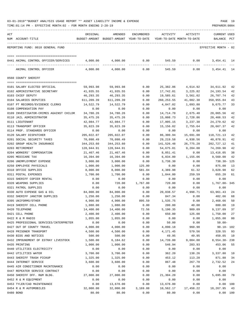| 03-01-2019**BUDGET ANALYSIS USAGE REPORT ** ASSET LIABILITY INCOME & EXPENSE |  |  |  |  | PAGE |  |
|------------------------------------------------------------------------------|--|--|--|--|------|--|
|                                                                              |  |  |  |  |      |  |

| ACT |                                         | ORIGINAL   | AMENDED                                  | <b>ENCUMBERED</b> | ACTIVITY    | ACTIVITY                   | <b>CURRENT USED</b>  |     |
|-----|-----------------------------------------|------------|------------------------------------------|-------------------|-------------|----------------------------|----------------------|-----|
|     | NUM ACCOUNT-TITLE                       |            | BUDGET-AMOUNT BUDGET-AMOUNT YEAR-TO-DATE |                   |             | YEAR-TO-DATE MONTH-TO-DATE | BALANCE              | PCT |
|     |                                         |            |                                          |                   |             |                            |                      |     |
|     | REPORTING FUND: 0010 GENERAL FUND       |            |                                          |                   |             |                            | EFFECTIVE MONTH - 02 |     |
|     |                                         |            |                                          |                   |             |                            |                      |     |
|     |                                         |            |                                          |                   |             |                            |                      |     |
|     | 0441 ANIMAL CONTROL OFFICER/SERVICES    | 4,000.00   | 4,000.00                                 | 0.00              | 545.59      | 0.00                       | 3, 454. 41 14        |     |
|     | ANIMAL CONTROL OFFICER                  | 4,000.00   | 4,000.00                                 | 0.00              | 545.59      | 0.00                       | 3,454.41             | 14  |
|     |                                         |            |                                          |                   |             |                            |                      |     |
|     | 0560 COUNTY SHERIFF                     |            |                                          |                   |             |                            |                      |     |
|     |                                         |            |                                          |                   |             |                            |                      |     |
|     | 0101 SALARY ELECTED OFFICIAL            | 59,993.98  | 59,993.98                                | 0.00              | 25,382.06   | 4,614.92                   | 34,611.92            | 42  |
|     | 0102 ADMINISTRATIVE SECRETARY           | 41,935.55  | 41,935.55                                | 0.00              | 17,742.01   | 3,225.82                   | 24,193.54            | 42  |
|     | 0103 CHIEF DEPUTY                       | 46,293.35  | 46,293.35                                | 0.00              | 19,585.61   | 3,561.02                   | 26,707.74            | 42  |
|     | 0104 SALARIES DEPUTIES                  | 611,209.39 | 611,209.39                               | 0.00              | 260, 253.55 | 41,082.30                  | 350,955.84           | 43  |
|     | 0107 PT RECORDS/EVIDENCE CLERKS         | 14,522.79  | 14,522.79                                | 0.00              | 4,847.02    | 1,093.88                   | 9,675.77             | 33  |
|     | 0108 COMPENSATION PAY                   | 0.00       | 0.00                                     | 0.00              | 0.00        | 0.00                       | 0.00                 |     |
|     | 0109 INVESTIGATOR-CRIMES AGAINST CHILDR | 34,780.26  | 34,780.26                                | 0.00              | 14,714.70   | 2,675.40                   | 20,065.56            | 42  |
|     | 0110 JAIL ADMINISTRATOR                 | 35,475.26  | 35, 475. 26                              | 0.00              | 15,008.73   | 2,728.86                   | 20,466.53            | 42  |
|     | 0111 LIEUTENANT                         | 42,084.77  | 42,084.77                                | 0.00              | 17,805.15   | 3,237.30                   | 24,279.62            | 42  |
|     | 0113 TRANSPORT OFFICER                  | 35,823.39  | 35,823.39                                | 0.00              | 15,156.02   | 2,755.64                   | 20,667.37            | 42  |
|     | 0114 PROF. STANDARDS OFFICER            | 0.00       | 0.00                                     | 0.00              | 0.00        | 0.00                       | 0.00                 |     |
|     | 0120 SALARY DISPATCHER                  | 205,022.07 | 205,022.07                               | 0.00              | 86,300.94   | 15,691.08                  | 118,721.13           | 42  |
|     | 0201 SOCIAL SECURITY TAXES              | 70,098.49  | 70,098.49                                | 0.00              | 29, 219.58  | 4,938.56                   | 40,878.91            | 42  |
|     |                                         |            |                                          |                   |             |                            |                      |     |
|     | 0202 GROUP HEALTH INSURANCE             | 344,253.60 | 344,253.60                               | 0.00              | 141,526.48  | 26,775.28                  | 202,727.12           | 41  |
|     | 0203 RETIREMENT                         | 128,944.91 | 128,944.91                               | 0.00              | 54,675.01   | 9,204.00                   | 74,269.90            | 42  |
|     | 0204 WORKERS' COMPENSATION              | 21,467.46  | 21,467.46                                | 0.00              | 8,051.41    | 0.00                       | 13,416.05            | 38  |
|     | 0205 MEDICARE TAX                       | 16,394.00  | 16,394.00                                | 0.00              | 6,834.00    | 1,155.06                   | 9,560.00             | 42  |
|     | 0206 UNEMPLOYMENT EXPENSE               | 3,000.00   | 3,000.00                                 | 0.00              | 3,738.30    | 0.00                       | 738.30- 125          |     |
|     | 0250 EMPLOYEE PHYSICALS                 | 1,000.00   | 1,000.00                                 | 125.00            | 0.00        | 0.00                       | 875.00               | 13  |
|     | 0310 OFFICE SUPPLIES                    | 8,000.00   | 8,000.00                                 | 581.04            | 4,389.98    | 61.32                      | 3,028.98             | 62  |
|     | 0311 POSTAL EXPENSES                    | 1,700.00   | 1,700.00                                 | 0.00              | 1,044.80    | 259.59                     | 655.20               | 61  |
|     | 0315 SHERIFF COPIER RENTAL              | 0.00       | 0.00                                     | 0.00              | 0.00        | 0.00                       | 0.00                 |     |
|     | 0320 WEAPONS SUPPLIES                   | 0.00       | 720.00                                   | 1,767.00          | 720.00      | 0.00                       | 1,767.00- 345        |     |
|     | 0321 PATROL SUPPLIES                    | 0.00       | 0.00                                     | 0.00              | 0.00        | 0.00                       | 0.00                 |     |
|     | 0330 AUTO EXPENSE GAS & OIL             | 84,000.00  | 84,000.00                                | 0.00              | 20,038.57   | 4,998.71                   | 63,961.43            | 24  |
|     | 0332 SHERIFF JANITOR SUPPLIES           | 1,250.00   | 1,250.00                                 | 0.00              | 847.34      | 0.00                       | 402.66               | 68  |
|     | 0395 UNIFORMS/OTHER                     | 4,900.00   | 4,900.00                                 | 895.59            | 1,535.75    | 0.00                       | 2,468.66             | 50  |
|     | 0419 SHERIFF CELL PHONE                 | 1,080.00   | 1,080.00                                 | 0.00              | 200.00      | 40.00                      | 880.00               | 19  |
|     | 0420 TELEPHONE                          | 14,400.00  | 14,400.00                                | 72.56             | 5,190.35    | 989.09                     | 9,137.09             | 37  |
|     | 0421 CELL PHONE                         | 2,400.00   | 2,400.00                                 | 0.00              | 650.00      | 125.00                     | 1,750.00             | 27  |
|     | 0422 R & M RADIO                        | 1,055.00   | 1,055.00                                 | 0.00              | 0.00        | 0.00                       | 1,055.00             | 00  |
|     | 0425 PROFESSIONAL SERVICES/INTERPRETER  | 0.00       | 0.00                                     | 0.00              | 50.00       | 0.00                       | $50.00 -$            |     |
|     | 0427 OUT OF COUNTY TRAVEL               | 4,000.00   | 4,000.00                                 | 0.00              | 4,090.18    | 960.90                     | $90.18 - 102$        |     |
|     | 0428 PRISONER TRANSPORT                 | 4,500.00   | 4,500.00                                 | 0.00              | 4,171.45    | 579.56                     | 328.55               | 93  |
|     | 0430 BIDS AND NOTICES                   | 500.00     | 500.00                                   | 0.00              | 49.95       | 49.95                      | 450.05               | 10  |
|     | 0432 IMPOUNDMENT OF ESTRAY LIVESTOCK    | 1,500.00   | 6,184.62                                 | 0.00              | 14,739.00   | 9,004.00                   | 8,554.38-238         |     |
|     | 0435 PRINTING                           | 1,000.00   | 1,000.00                                 | 0.00              | 546.94      | 283.93                     | 453.06               | 55  |
|     | 0440 UTILITIES ELECTRICITY              | 0.00       | 0.00                                     | 0.00              | 0.00        | 0.00                       | 0.00                 |     |
|     | 0442 UTILITIES WATER                    | 3,700.00   | 3,700.00                                 | 0.00              | 362.20      | 138.26                     | 3,337.80             | 10  |
|     | 0443 SHERIFF TRASH PICKUP               | 1,325.00   | 1,325.00                                 | 0.00              | 453.12      | 113.28                     | 871.88               | 34  |
|     | 0444 INTERNET SERVICE                   | 3,600.00   | 3,600.00                                 | 0.00              | 867.48      | 267.78                     | 2,732.52             | 24  |
|     | 0445 AIR CONDITIONER MAINTENANCE        | 0.00       | 0.00                                     | 0.00              | 0.00        | 0.00                       | 0.00                 |     |
|     | 0447 REPEATER SERVICE CONTRACT          | 0.00       | 0.00                                     | 0.00              | 0.00        | 0.00                       | 0.00                 |     |
|     | 0450 SHERIFF OFF. R&M BLDG.             | 27,000.00  | 27,000.00                                | 0.00              | 21,304.20   | 0.00                       | 5,695.80             | 79  |
|     | 0452 R & M EQUIPMENT                    | 0.00       | 0.00                                     | 0.00              | 0.00        | 0.00                       | 0.00                 |     |
|     | 0453 TYLER/CAD MAINTENANCE              | 0.00       | 13,678.00                                | 0.00              | 13,678.00   | 0.00                       | 0.00                 | 100 |
|     | 0454 R & M AUTOMOBILES                  | 32,000.00  | 32,000.00                                | 3,169.88          | 10,562.17   | 17,458.22                  | 18, 267.95           | 43  |
|     | 0480 BOND                               | 80.00      | 80.00                                    | 0.00              | 80.00       | 0.00                       | 0.00 100             |     |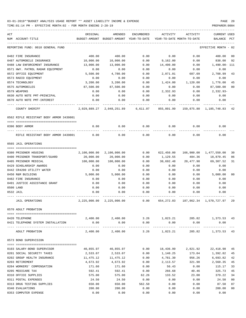TIME:01:14 PM - EFFECTIVE MONTH:02 - FOR MONTH ENDING 2-28-19 PREPARER:0004

| ACT |                                                        | ORIGINAL                | AMENDED                    | ENCUMBERED  | ACTIVITY                     | ACTIVITY                           | CURRENT USED            |                |
|-----|--------------------------------------------------------|-------------------------|----------------------------|-------------|------------------------------|------------------------------------|-------------------------|----------------|
|     | NUM ACCOUNT-TITLE                                      | BUDGET-AMOUNT           | BUDGET-AMOUNT YEAR-TO-DATE |             |                              | YEAR-TO-DATE MONTH-TO-DATE         | BALANCE                 | PCT            |
|     | REPORTING FUND: 0010 GENERAL FUND                      |                         |                            |             |                              |                                    | EFFECTIVE MONTH         | - 02           |
|     | 0482 FIRE INSURANCE                                    | 400.00                  | 400.00                     | 0.00        | 0.00                         | 0.00                               | 400.00                  | 00             |
|     | 0487 AUTOMOBILE INSURANCE                              | 10,000.00               | 10,000.00                  | 0.00        | 9,162.00                     | 0.00                               | 838.00                  | 92             |
|     | 0488 LAW ENFORCEMENT INSURANCE                         | 13,000.00               | 13,000.00                  | 0.00        | 14,490.00                    | 0.00                               | 1,490.00- 111           |                |
|     | 0571 HWY. PATROL RADAR EQUIPMENT                       | 0.00                    | 0.00                       | 0.00        | 0.00                         | 0.00                               | 0.00                    |                |
|     | 0572 OFFICE EQUIPMENT                                  | 5,500.00                | 4,780.00                   | 0.00        | 2,071.01                     | 687.09                             | 2,708.99                | 43             |
|     | 0573 RADIO EQUIPMENT                                   | 0.00                    | 0.00                       | 0.00        | 0.00                         | 0.00                               | 0.00                    |                |
|     | 0574 TECHNOLOGY                                        | 3,200.00                | 3,200.00                   | 0.00        | 1,424.00                     | 1,120.00                           | 1,776.00                | 45             |
|     | 0575 AUTOMOBILES                                       | 87,500.00               | 87,500.00                  | 0.00        | 0.00                         | 0.00                               | 87,500.00               | 0 <sub>0</sub> |
|     | 0579 WEAPONS                                           | 0.00                    | 0.00                       | 0.00        | 2,332.93                     | 0.00                               | $2,332.93-$             |                |
|     | 0630 AUTO NOTE PMT-PRINCIPAL                           | 0.00                    | 0.00                       | 0.00        | 0.00                         | 0.00                               | 0.00                    |                |
|     | 0670 AUTO NOTE PMT-INTEREST                            | 0.00                    | 0.00                       | 0.00        | 0.00                         | 0.00                               | 0.00                    |                |
|     | COUNTY SHERIFF                                         | 2,029,889.27            | 2,048,251.89               | 6,611.07    | 855,891.99                   | 159,875.80                         | 1,185,748.83            | 42             |
|     | 0562 RIFLE RESISTANT BODY ARMOR 3439801                |                         |                            |             |                              |                                    |                         |                |
|     |                                                        |                         |                            |             |                              |                                    |                         |                |
|     | 0396 BODY ARMOR                                        | 0.00                    | 0.00                       | 0.00        | 0.00                         | 0.00                               | 0.00                    |                |
|     | RIFLE RESISTANT BODY ARMOR 3439801                     | 0.00                    | 0.00                       | 0.00        | 0.00                         | 0.00                               | 0.00                    |                |
|     | 0565 JAIL OPERATIONS                                   |                         |                            |             |                              |                                    |                         |                |
|     | 0380 PRISONER HOUSING                                  | 2,100,000.00            | 2,100,000.00               | 0.00        | 622,450.00                   | 166,900.00                         | 1,477,550.00            | 30             |
|     |                                                        |                         | 20,000.00                  | 0.00        |                              | 484.36                             |                         | 06             |
|     | 0400 PRISONER TRANSPORT/GUARD<br>0405 PRISONER MEDICAL | 20,000.00<br>100,000.00 | 100,000.00                 | 0.00        | 1,129.55<br>30,692.48        | 20,477.98                          | 18,870.45               | 31             |
|     | 0429 SCHOLARSHIP AWARDS                                |                         |                            | 0.00        |                              | 0.00                               | 69,307.52               |                |
|     | 0442 CR4200 UTILITY WATER                              | 0.00                    | 0.00<br>0.00               | 0.00        | 0.00                         |                                    | 0.00<br>0.00            |                |
|     | 0450 R&M BUILDING                                      | 0.00<br>5,000.00        | 5,000.00                   | 0.00        | 0.00                         | 0.00                               | 5,000.00                | 00             |
|     | 0482 FIRE INSURANCE                                    | 0.00                    | 0.00                       | 0.00        | 0.00<br>0.00                 | 0.00<br>0.00                       | 0.00                    |                |
|     | 0491 JUSTICE ASSISTANCE GRANT                          |                         | 0.00                       | 0.00        |                              |                                    | 0.00                    |                |
|     |                                                        | 0.00                    |                            |             | 0.00                         | 0.00                               |                         |                |
|     | 0500 LAND                                              | 0.00                    | 0.00                       | 0.00        | 0.00                         | 0.00                               | 0.00                    |                |
|     | 0532 JAIL                                              | 0.00                    | 0.00                       | 0.00        | 0.00                         | 0.00                               | 0.00                    |                |
|     | JAIL OPERATIONS                                        | 2,225,000.00            | 2,225,000.00               | 0.00        | 654,272.03                   |                                    | 187,862.34 1,570,727.97 | 29             |
|     | 0570 ADULT PROBATION                                   |                         |                            |             |                              |                                    |                         |                |
|     | 0420 TELEPHONE                                         |                         | 2,400.00 2,400.00          |             |                              | $3.26$ 1,023.21 205.82 1,373.53 43 |                         |                |
|     | 0421 TELEPHONE SYSTEM INSTALLATION                     | 0.00                    | 0.00                       | 0.00        | 0.00                         | 0.00                               | 0.00                    |                |
|     | ADULT PROBATION                                        | 2,400.00                | 2,400.00                   | ----------- | -----------<br>3.26 1,023.21 | .<br>205.82                        | 1,373.53 43             |                |
|     | 0573 BOND SUPERVISION                                  |                         |                            |             |                              |                                    |                         |                |
|     |                                                        |                         |                            |             |                              |                                    |                         |                |
|     | 0103 SALARY-BOND SUPERVISOR                            |                         | 40,855.97 40,855.97        | 0.00        |                              | 18,436.99 2,821.92                 | 22,418.98               | 45             |
|     | 0201 SOCIAL SECURITY TAXES                             | 2,533.07                | 2,533.07                   | 0.00        | 1,140.25                     | 173.04                             | 1,392.82                | 45             |
|     | 0202 GROUP HEALTH INSURANCE                            | 11,475.12               | 11,475.12                  | 0.00        | 4,781.30                     | 956.26                             | 6,693.82                | 42             |
|     | 0203 RETIREMENT                                        | 4,673.92                | 4,673.92                   | 0.00        | 2,113.57                     | 321.98                             | 2,560.35                | 45             |
|     | 0204 WORKERS' COMPENSATION                             | 171.60                  | 171.60                     | 0.00        | 56.43                        | 0.00                               | 115.17                  | 33             |
|     | 0205 MEDICARE TAX                                      | 592.41                  | 592.41                     | 0.00        | 266.68                       | 40.46                              | 325.73                  | 45             |
|     | 0310 OFFICE SUPPLIES                                   | 575.00                  | 575.00                     | 62.26       | 133.52                       | 23.00                              | 379.22                  | 34             |
|     | 0311 POSTAL EXPENSES                                   | 24.50                   | 24.50                      | 0.00        | 0.00                         | 0.00                               | 24.50                   | 0 <sub>0</sub> |
|     | 0313 DRUG TESTING SUPPLIES                             | 650.00                  | 650.00                     | 562.50      | 0.00                         | 0.00                               | 87.50                   | 87             |
|     | 0340 EVALUATIONS                                       | 200.00                  | 200.00                     | 0.00        | 0.00                         | 0.00                               | 200.00                  | 0 <sub>0</sub> |

0353 COMPUTER EXPENSE 0.00 0.00 0.00 0.00 0.00 0.00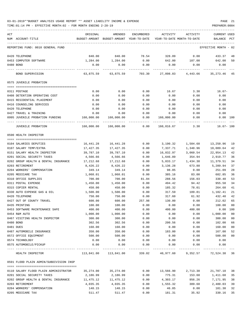| ACT<br>NUM ACCOUNT-TITLE                | ORIGINAL   | AMENDED<br>BUDGET-AMOUNT BUDGET-AMOUNT YEAR-TO-DATE YEAR-TO-DATE MONTH-TO-DATE | ENCUMBERED       | ACTIVITY   | ACTIVITY           | CURRENT USED<br>BALANCE | $_{\rm PCT}$ |
|-----------------------------------------|------------|--------------------------------------------------------------------------------|------------------|------------|--------------------|-------------------------|--------------|
| REPORTING FUND: 0010 GENERAL FUND       |            |                                                                                |                  |            |                    | EFFECTIVE MONTH - 02    |              |
| 0420 TELEPHONE                          | 840.00     | 840.00                                                                         | 78.54            | 328.09     | 0.00               | 433.37                  | 48           |
| 0453 COMPUTER SOFTWARE                  |            | 1,284.00 1,284.00                                                              | 0.00             |            | 642.00 107.00      | 642.00                  | 50           |
| 0480 BOND                               | 0.00       | 0.00                                                                           | 0.00             | 0.00       | 0.00               | 0.00                    |              |
| BOND SUPERVISION                        | 63,875.59  | 63,875.59                                                                      | 703.30           | 27,898.83  | 4,443.66           | 35,273.46 45            |              |
| 0575 JUVENILE PROBATION                 |            |                                                                                |                  |            |                    |                         |              |
| 0311 POSTAGE                            | 0.00       | 0.00                                                                           | 0.00             | 16.67      | 3.30               | $16.67-$                |              |
| 0408 DETENTION OPERATING COST           | 0.00       | 0.00                                                                           | 0.00             | 0.00       | 0.00               | 0.00                    |              |
| 0415 RESIDENTIAL PLACEMENT              | 0.00       | 0.00                                                                           | 0.00             | 0.00       | 0.00               | 0.00                    |              |
| 0416 COUNSELING SERVICES                | 0.00       | 0.00                                                                           | 0.00             | 0.00       | 0.00               | 0.00                    |              |
| 0420 TELEPHONE                          | 0.00       | 0.00                                                                           | 0.00             | 0.00       | 0.00               | 0.00                    |              |
| 0427 TRAVEL & TRAINING                  | 0.00       | 0.00                                                                           | 0.00             | 0.00       | 0.00               | 0.00                    |              |
| 0995 JUVENILE PROBATION FUNDING         | 160,000.00 | 160,000.00                                                                     | 0.00             | 160,000.00 | 0.00               | 0.00 100                |              |
| JUVENILE PROBATION                      | 160,000.00 | 160,000.00                                                                     | --------<br>0.00 | 160,016.67 | 3.30               | $16.67 - 100$           |              |
| 0590 HEALTH INSPECTOR                   |            |                                                                                |                  |            |                    |                         |              |
| 0104 SALARIES DEPUTIES                  | 16,441.28  | 16,441.28                                                                      | 0.00             | 3,190.32   | 1,504.68           | 13,250.96               | 19           |
| 0107 SALARY TEMP/EXTRA                  | 17,427.35  | 17,427.35                                                                      | 0.00             | 7,337.71   | 1,340.96           | 10,089.64               | 42           |
| 0151 SALARY HEALTH INSPECTOR            | 39,787.10  | 39,787.10                                                                      | 0.00             | 16,832.97  | 3,060.54           | 22,954.13               | 42           |
| 0201 SOCIAL SECURITY TAXES              | 4,566.66   | 4,566.66                                                                       | 0.00             | 1,646.89   | 354.94             | 2,919.77                | 36           |
| 0202 GROUP HEALTH & DENTAL INSURANCE    | 17,212.68  | 17,212.68                                                                      | 0.00             | 5,833.17   | 1,434.38 11,379.51 |                         | 34           |
| 0203 RETIREMENT                         | 8,426.22   | 8,426.22                                                                       | 0.00             | 3,136.28   | 673.88             | 5,289.94                | 37           |
| 0204 WORKERS' COMPENSATION              | 349.14     | 349.14                                                                         | 0.00             | 98.05      | 0.00               | 251.09                  | 28           |
| 0205 MEDICARE TAX                       | 1,068.01   | 1,068.01                                                                       | 0.00             | 385.16     | 83.00              | 682.85                  | 36           |
| 0310 OFFICE SUPPLIES                    | 700.00     | 700.00                                                                         | 81.04            | 288.56     | 156.03             | 330.40                  | 53           |
| 0311 POSTAL EXPENSE                     | 1,450.00   | 1,450.00                                                                       | 0.00             | 494.42     | 94.42              | 955.58                  | 34           |
| 0315 COPIER RENTAL                      | 450.00     | 450.00                                                                         | 0.00             | 185.32     | 78.01              | 264.68                  | 41           |
| 0330 AUTO EXPENSE GAS & OIL             | 1,500.00   | 1,500.00                                                                       | 0.00             | 317.59     | 109.81             | 1,182.41                | 21           |
| 0420 TELEPHONE                          | 750.00     | 750.00                                                                         | 0.00             | 317.60     | 61.92              | 432.40                  | 42           |
| 0427 OUT OF COUNTY TRAVEL               | 600.00     | 600.00                                                                         | 257.98           | 130.00     | 0.00               | 212.02                  | 65           |
| 0435 PRINTING                           | 100.00     | 100.00                                                                         | 0.00             | 0.00       | 0.00               | 100.00                  | 00           |
| 0453 SOFTWARE MAINTENANCE SAFE          | 400.00     | 400.00                                                                         | 0.00             | 400.00     | 400.00             | 0.00 100                |              |
| 0454 R&M AUTO                           | 1,000.00   | 1,000.00                                                                       | 0.00             | 0.00       | 0.00               | 1,000.00                | 00           |
| 0467 VISITING HEALTH INSPECTOR          | 300.00     | 300.00                                                                         | 0.00             | 0.00       | 0.00               | 300.00                  | 00           |
| 0480 BOND                               | 302.56     | 302.56                                                                         | 0.00             | 200.56     | 0.00               | 102.00                  | 66           |
| 0481 DUES                               | 160.00     | 160.00                                                                         | 0.00             | 0.00       | 0.00               | 160.00                  | 00           |
| 0487 AUTOMOBILE INSURANCE               | 350.00     | 350.00                                                                         | 0.00             | 183.00     | 0.00               | 167.00                  | 52           |
| 0572 OFFICE EQUIPMENT                   | 500.00     | 500.00                                                                         | 0.00             | 0.00       | 0.00               | 500.00                  | 00           |
| 0574 TECHNOLOGY                         | 0.00       | 0.00                                                                           | 0.00             | 0.00       | 0.00               | 0.00                    |              |
| 0575 AUTOMOBILE/PICKUP                  | 0.00       | 0.00                                                                           | 0.00             | 0.00       | 0.00               | 0.00                    |              |
| HEALTH INSPECTOR                        |            | $113,841.00$ $113,841.00$ $339.02$ $40,977.60$ $9,352.57$                      |                  |            |                    | 72,524.38 36            |              |
| 0591 FLOOD PLAIN ADMIN/SUBDIVISION INSP |            |                                                                                |                  |            |                    |                         |              |
| 0110 SALARY FLOOD PLAIN ADMINISTRATOR   | 35,274.00  | 35,274.00                                                                      | 0.00             | 13,566.90  | 2,713.38           | 21,707.10               | -38          |
| 0201 SOCIAL SECURITY TAXES              | 2,186.99   | 2,186.99                                                                       | 0.00             | 775.31     | 153.60             | 1,411.68                | 35           |
| 0202 GROUP HEALTH & DENTAL INSURANCE    | 11,475.12  | 11,475.12                                                                      | 0.00             | 4,303.17   | 956.26             | 7,171.95                | 38           |
| 0203 RETIREMENT                         | 4,035.35   | 4,035.35                                                                       | 0.00             | 1,555.32   | 309.60             | 2,480.03                | 39           |
| 0204 WORKERS' COMPENSATION              | 148.15     | 148.15                                                                         | 0.00             | 46.85      | 0.00               | 101.30                  | 32           |
| 0205 MEDICARE TAX                       | 511.47     | 511.47                                                                         | 0.00             | 181.31     | 35.92              | 330.16                  | 35           |
|                                         |            |                                                                                |                  |            |                    |                         |              |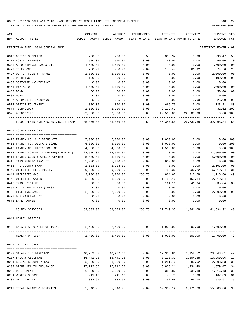| ACT                                    | ORIGINAL  | AMENDED                                  | ENCUMBERED    | ACTIVITY                                                                     | ACTIVITY                        | CURRENT USED          |      |
|----------------------------------------|-----------|------------------------------------------|---------------|------------------------------------------------------------------------------|---------------------------------|-----------------------|------|
| NUM ACCOUNT-TITLE                      |           | BUDGET-AMOUNT BUDGET-AMOUNT YEAR-TO-DATE |               | YEAR-TO-DATE MONTH-TO-DATE                                                   |                                 | BALANCE               | PCT  |
| REPORTING FUND: 0010 GENERAL FUND      |           |                                          |               |                                                                              |                                 | EFFECTIVE MONTH       | - 02 |
| 0310 OFFICE SUPPLIES                   | 700.00    | 700.00                                   | 9.59          | 393.94                                                                       | 0.00                            | 296.47                | 58   |
| 0311 POSTAL EXPENSE                    | 500.00    | 500.00                                   | 0.00          | 50.00                                                                        | 0.00                            | 450.00                | 10   |
| 0330 AUTO EXPENSE GAS & OIL            | 1,500.00  | 1,500.00                                 | 0.00          | 0.00                                                                         | 0.00                            | 1,500.00              | 00   |
| 0420 TELEPHONE                         | 750.00    | 750.00                                   | 0.00          | 175.44                                                                       | 61.92                           | 574.56                | 23   |
| 0427 OUT OF COUNTY TRAVEL              | 2,000.00  | 2,000.00                                 | 0.00          | 0.00                                                                         | 0.00                            | 2,000.00              | 00   |
| 0435 PRINTING                          | 100.00    | 100.00                                   | 0.00          | 0.00                                                                         | 0.00                            | 100.00                | 00   |
| 0453 SOFTWARE MAINTENANCE              | 0.00      | 0.00                                     | 0.00          | 0.00                                                                         | 0.00                            | 0.00                  |      |
| 0454 R&M AUTO                          | 1,000.00  | 1,000.00                                 | 0.00          | 0.00                                                                         | 0.00                            | 1,000.00              | 00   |
| 0480 BOND                              | 50.00     | 50.00                                    | 0.00          | 0.00                                                                         | 0.00                            | 50.00                 | 00   |
| 0481 DUES                              | 0.00      | 0.00                                     | 0.00          | 0.00                                                                         | 0.00                            | 0.00                  |      |
| 0487 AUTOMOBILE INSURANCE              | 225.00    | 225.00                                   | 0.00          | 0.00                                                                         | 0.00                            | 225.00                | 00   |
| 0572 OFFICE EQUIPMENT                  | 800.00    | 800.00                                   | 0.00          | 666.79                                                                       | 0.00                            | 133.21                | 83   |
| 0574 TECHNOLOGY                        | 2,100.00  | 2,100.00                                 | 0.00          | 2,132.62                                                                     | 0.00                            | 32.62- 102            |      |
| 0575 AUTOMOBILE                        | 22,500.00 | 22,500.00                                | 0.00          | 22,500.00                                                                    | 22,500.00                       | $0.00$ 100            |      |
| FLOOD PLAIN ADMIN/SUBDIVISION INSP     |           | 85,856.08 85,856.08                      | 9.59          | 46,347.65                                                                    | 26,730.68                       | 39,498.84 54          |      |
| 0640 COUNTY SERVICES                   |           |                                          |               |                                                                              |                                 |                       |      |
|                                        |           |                                          |               |                                                                              |                                 |                       |      |
| 0410 FANNIN CO. CHILDRENS CTR          | 7,000.00  | 7,000.00                                 | 0.00          | 7,000.00                                                                     | 0.00                            | 0.00 100              |      |
| 0411 FANNIN CO. WELFARE BOARD          | 6,000.00  | 6,000.00                                 | 0.00          | 6,000.00                                                                     | 0.00                            | 0.00 100              |      |
| 0412 FANNIN CO. HISTORICAL SOC         | 4,500.00  | 4,500.00                                 | 0.00          | 4,500.00                                                                     | 0.00                            | 0.00 100              |      |
| 0413 TEXOMA COMMUNITY CENTER(M.H.M.R.) | 22,500.00 | 22,500.00                                | 0.00          | 0.00                                                                         | 0.00                            | 22,500.00             | 00   |
| 0414 FANNIN COUNTY CRISIS CENTER       | 5,000.00  | 5,000.00                                 | 0.00          | 0.00                                                                         | 0.00                            | 5,000.00              | 00   |
| 0415 TAPS PUBLIC TRANSIT               | 5,000.00  | 5,000.00                                 | 0.00          | 5,000.00                                                                     | 0.00                            | 0.00                  | 100  |
| 0416 TRI-COUNTY SNAP                   | 2,103.00  | 2,103.00                                 | 0.00          | 0.00                                                                         | 0.00                            | 2,103.00              | 00   |
| 0440 UTILITIES ELECTRICITY             | 9,000.00  | 9,000.00                                 | 0.00          | 2,780.36                                                                     | 536.22                          | 6,219.64              | 31   |
| 0441 UTILITIES GAS                     | 2,200.00  | 2,200.00                                 | 258.73        | 824.67                                                                       | 310.68                          | 1,116.60              | 49   |
| 0442 UTILITIES WATER                   | 3,500.00  | 3,500.00                                 | 0.00          | 1,480.16                                                                     | 453.14                          | 2,019.84              | 42   |
| 0443 TRASH PICK-UP                     | 500.00    | 500.00                                   | 0.00          | 164.16                                                                       | 41.04                           | 335.84                | 33   |
| 0450 R & M BUILDINGS (TDHS)            | 0.00      | 0.00                                     | 0.00          | 0.00                                                                         | 0.00                            | 0.00                  |      |
| 0482 FIRE INSURANCE                    | 2,300.00  | 2,300.00                                 | 0.00          | 0.00                                                                         | 0.00                            | 2,300.00              | 00   |
| 0493 DHS PARKING LOT                   | 0.00      | 0.00                                     | 0.00          | 0.00                                                                         | 0.00                            | 0.00                  |      |
| 0575 LAKE FANNIN                       | 0.00      | 0.00                                     | 0.00          | 0.00                                                                         | 0.00                            | 0.00                  |      |
| COUNTY SERVICES                        | 69,603.00 | 69,603.00                                | 258.73        | 27,749.35                                                                    | 1,341.08                        |                       |      |
| 0641 HEALTH OFFICER                    |           |                                          |               |                                                                              |                                 |                       |      |
|                                        |           |                                          |               |                                                                              |                                 |                       |      |
| 0102 SALARY APPOINTED OFFICIAL         |           |                                          | ------------- | $2,400.00$ $2,400.00$ $0.00$ $1,000.00$ $200.00$ $1,400.00$<br>_____________ | ------------                    | ------------- ---     | 42   |
| HEALTH OFFICER                         |           |                                          |               | $2,400.00$ $2,400.00$ $0.00$ $1,000.00$                                      |                                 | 200.00 1,400.00 42    |      |
| 0645 INDIGENT CARE                     |           |                                          |               |                                                                              |                                 |                       |      |
|                                        |           |                                          |               |                                                                              |                                 |                       |      |
| 0102 SALARY IHC DIRECTOR               |           | 40,982.67 40,982.67                      | 0.00          |                                                                              | 17,338.86 3,152.52              | 23,643.81             | 42   |
| 0107 SALARY ASSISTANT                  | 16,441.28 | 16,441.28                                | 0.00          | 3,190.32                                                                     | 1,504.68                        | 13,250.96             | 19   |
| 0201 SOCIAL SECURITY TAX               | 3,560.29  | 3,560.29                                 | 0.00          | 1,251.46                                                                     | 282.62                          | 2,308.83              | 35   |
| 0202 GROUP HEALTH INSURANCE            | 17,212.68 | 17, 212.68                               | 0.00          |                                                                              | 5,833.21   1,434.40   11,379.47 |                       | 34   |
| 0203 RETIREMENT                        | 6,569.30  | 6,569.30                                 |               | $0.00$ 2,352.87                                                              | 531.38 4,216.43                 |                       | 36   |
| 0204 WORKER'S COMP                     | 241.18    | 241.18                                   | 0.00          | 73.79                                                                        | 0.00                            | 167.39                | 31   |
| 0205 MEDICARE TAX                      | 832.65    | 832.65                                   | 0.00          | 292.68                                                                       | 66.10                           | 539.97                | 35   |
| 0210 TOTAL SALARY & BENEFITS           | 85,840.05 | 85,840.05                                | 0.00          | 30,333.19                                                                    |                                 | 6,971.70 55,506.86 35 |      |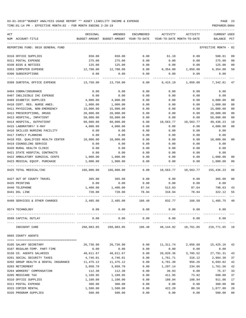TIME:01:14 PM - EFFECTIVE MONTH:02 - FOR MONTH ENDING 2-28-19 PREPARER:0004

| ACT                                  |            |                                                     |            |                                        |           |                                    |                |
|--------------------------------------|------------|-----------------------------------------------------|------------|----------------------------------------|-----------|------------------------------------|----------------|
| NUM ACCOUNT-TITLE                    | ORIGINAL   | AMENDED<br>BUDGET-AMOUNT BUDGET-AMOUNT YEAR-TO-DATE | ENCUMBERED | ACTIVITY<br>YEAR-TO-DATE MONTH-TO-DATE | ACTIVITY  | <b>CURRENT USED</b><br>BALANCE PCT |                |
|                                      |            |                                                     |            |                                        |           |                                    |                |
| REPORTING FUND: 0010 GENERAL FUND    |            |                                                     |            |                                        |           | EFFECTIVE MONTH - 02               |                |
| 0310 OFFICE SUPPLIES                 | 650.00     | 650.00                                              | 0.00       | 61.19                                  | 0.00      | 588.81                             | 09             |
| 0311 POSTAL EXPENSE                  | 275.00     | 275.00                                              | 0.00       | 0.00                                   | 0.00      | 275.00                             | 0 <sub>0</sub> |
| 0330 BIDS & NOTICES                  | 125.00     | 125.00                                              | 0.00       | 0.00                                   | 0.00      | 125.00                             | 00             |
| 0353 COMPUTER EXPENSE                | 12,708.00  | 12,708.00                                           | 0.00       | 6,354.00                               | 1,059.00  | 6,354.00                           | 50             |
| 0390 SUBSCRIPTIONS                   | 0.00       | 0.00                                                | 0.00       | 0.00                                   | 0.00      | 0.00                               |                |
| 0399 SUBTOTAL OFFICE EXPENSE         | 13,758.00  | 13,758.00                                           | 0.00       | 6,415.19                               | 1,059.00  | 7,342.81                           | 47             |
| 0404 COBRA/INSURANCE                 | 0.00       | 0.00                                                | 0.00       | 0.00                                   | 0.00      | 0.00                               |                |
| 0407 INELIGIBLE IHC EXPENSE          | 0.00       | 0.00                                                | 0.00       | 0.00                                   | 0.00      | 0.00                               |                |
| 0409 DIABETIC SUPPLIES               | 4,000.00   | 4,000.00                                            | 0.00       | 0.00                                   | 0.00      | 4,000.00                           | 00             |
| 0410 CERT. REG. NURSE ANES.          | 1,000.00   | 1,000.00                                            | 0.00       | 0.00                                   | 0.00      | 1,000.00                           | 0 <sub>0</sub> |
| 0411 PHYSICIAN, NON-EMERGENCY        | 15,000.00  | 15,000.00                                           | 0.00       | 0.00                                   | 0.00      | 15,000.00                          | 0 <sub>0</sub> |
| 0412 PRESCRIPTIONS, DRUGS            | 20,000.00  | 20,000.00                                           | 0.00       | 0.00                                   | 0.00      | 20,000.00                          | 0 <sub>0</sub> |
| 0413 HOSPITAL, INPATIENT             | 50,000.00  | 50,000.00                                           | 0.00       | 0.00                                   | 0.00      | 50,000.00                          | 00             |
| 0414 HOSPITAL, OUTPATIENT            | 60,000.00  | 60,000.00                                           | 0.00       | 10,563.77                              | 10,563.77 | 49,436.23                          | 18             |
| 0415 LABORATORY/ X-RAY               | 4,000.00   | 4,000.00                                            | 0.00       | 0.00                                   | 0.00      | 4,000.00                           | 0 <sub>0</sub> |
| 0416 SKILLED NURSING FACILITY        | 0.00       | 0.00                                                | 0.00       | 0.00                                   | 0.00      | 0.00                               |                |
| 0417 FAMILY PLANNING                 | 0.00       | 0.00                                                | 0.00       | 0.00                                   | 0.00      | 0.00                               |                |
| 0418 FED. QUALIFIED HEALTH CENTER    | 10,000.00  | 10,000.00                                           | 0.00       | 0.00                                   | 0.00      | 10,000.00                          | 0 <sub>0</sub> |
| 0419 COUNSELING SERVICE              | 0.00       | 0.00                                                | 0.00       | 0.00                                   | 0.00      | 0.00                               |                |
| 0420 RURAL HEALTH CLINIC             | 0.00       | 0.00                                                | 0.00       | 0.00                                   | 0.00      | 0.00                               |                |
| 0421 STATE HOSPITAL CONTRACTS        | 0.00       | 0.00                                                | 0.00       | 0.00                                   | 0.00      | 0.00                               |                |
| 0422 AMBULATORY SURGICAL CENTE       | 1,000.00   | 1,000.00                                            | 0.00       | 0.00                                   | 0.00      | 1,000.00                           | 00             |
| 0423 MEDICAL EQUIP. PURCHASE         | 1,000.00   | 1,000.00                                            | 0.00       | 0.00                                   | 0.00      | 1,000.00                           | 0 <sub>0</sub> |
| --- ----------------                 |            |                                                     |            |                                        |           |                                    |                |
| 0425 TOTAL MEDICAL/IHC               | 166,000.00 | 166,000.00                                          | 0.00       | 10,563.77                              | 10,563.77 | 155,436.23                         | 06             |
| 0427 OUT OF COUNTY TRAVEL            | 365.00     | 365.00                                              | 0.00       | 0.00                                   | 0.00      | 365.00                             | 0 <sub>0</sub> |
| 0435 PRINTING                        | 0.00       | 0.00                                                | 0.00       | 0.00                                   | 0.00      | 0.00                               |                |
| 0440 TELEPHONE                       | 1,400.00   | 1,400.00                                            | 87.54      | 513.83                                 | 87.64     | 798.63                             | 43             |
| 0441 DSL LINE                        | 720.00     | 720.00                                              | 78.94      | 318.94                                 | 78.94     | 322.12                             | 55             |
| 0499 SERVICES & OTHER CHARGES        | 2,485.00   | 2,485.00                                            | 166.48     | 832.77                                 | 166.58    | 1,485.75                           | 40             |
| 0574 TECHNOLOGY                      | 0.00       | 0.00                                                | 0.00       | 0.00                                   | 0.00      | 0.00                               |                |
| 0599 CAPITAL OUTLAY                  | 0.00       | 0.00                                                | 0.00       | 0.00                                   | 0.00<br>. | 0.00                               |                |
| INDIGENT CARE                        |            | -------------<br>268,083.05 268,083.05              | 166.48     | -----------<br>48,144.92               | 18,761.05 | 219,771.65 18                      |                |
| 0665 COUNTY AGENTS                   |            |                                                     |            |                                        |           |                                    |                |
| 0105 SALARY SECRETARY                | 26,736.90  | 26,736.90                                           | 0.00       | 11,311.74                              | 2,056.68  | 15,425.16                          | 42             |
| 0107 REGULAR-TEMP. PART-TIME         | 0.00       | 0.00                                                | 0.00       | 0.00                                   | 0.00      | 0.00                               |                |
| 0150 CO. AGENTS SALARIES             | 48,611.67  | 48,611.67                                           | 0.00       | 20,820.36                              | 3,785.52  | 27,791.31                          | 43             |
| 0201 SOCIAL SECURITY TAXES           | 4,746.01   | 4,746.01                                            | 0.00       | 1,761.71                               | 316.12    | 2,984.30                           | 37             |
| 0202 GROUP HEALTH & DENTAL INSURANCE | 11,475.12  | 11,475.12                                           | 0.00       | 4,781.30                               | 956.26    | 6,693.82                           | 42             |
| 0203 RETIREMENT                      | 3,058.70   | 3,058.70                                            | 0.00       | 1,297.14                               | 234.66    | 1,761.56                           | 42             |
| 0204 WORKERS' COMPENSATION           | 112.30     | 112.30                                              | 0.00       | 36.93                                  | 0.00      | 75.37                              | 33             |
| 0205 MEDICARE TAX                    | 1,109.95   | 1,109.95                                            | 0.00       | 411.95                                 | 73.92     | 698.00                             | 37             |
| 0310 OFFICE SUPPLIES                 | 1,100.00   | 1,100.00                                            | 0.00       | 188.94                                 | 188.94    | 911.06                             | 17             |
| 0311 POSTAL EXPENSE                  | 300.00     | 300.00                                              | 0.00       | 0.00                                   | 0.00      | 300.00                             | 0 <sub>0</sub> |
| 0315 COPIER RENTAL                   | 1,500.00   | 1,500.00                                            | 0.00       | 422.20                                 | 80.56     | 1,077.80                           | 28             |

0335 PROGRAM SUPPLIES 500.00 500.00 0.00 0.00 0.00 500.00 00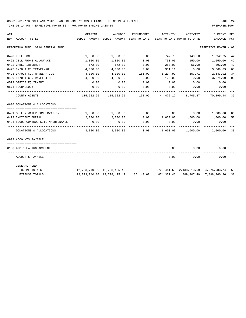| ACT |                                       | ORIGINAL                                                           | AMENDED                                                      | ENCUMBERED | ACTIVITY        | ACTIVITY                     | <b>CURRENT USED</b>                                  |              |
|-----|---------------------------------------|--------------------------------------------------------------------|--------------------------------------------------------------|------------|-----------------|------------------------------|------------------------------------------------------|--------------|
|     | NUM ACCOUNT-TITLE                     | BUDGET-AMOUNT                                                      | BUDGET-AMOUNT YEAR-TO-DATE                                   |            |                 | YEAR-TO-DATE MONTH-TO-DATE   | BALANCE                                              | $_{\rm PCT}$ |
|     | REPORTING FUND: 0010 GENERAL FUND     |                                                                    |                                                              |            |                 |                              | EFFECTIVE MONTH - 02                                 |              |
|     | 0420 TELEPHONE                        | 1,800.00                                                           | 1,800.00                                                     | 0.00       | 747.75          | 149.50                       | 1,052.25                                             | 42           |
|     | 0421 CELL PHONE ALLOWANCE             | 1,800.00                                                           | 1,800.00                                                     | 0.00       | 750.00          | 150.00                       | 1,050.00                                             | 42           |
|     | 0422 CABLE INTERNET                   | 672.00                                                             | 672.00                                                       | 0.00       | 280.00          | 56.00                        | 392.00                                               | 42           |
|     | 0427 IN/OUT CO.TRAVEL-AG.             | 4,000.00                                                           | 4,000.00                                                     | 0.00       | 331.11          | 0.00                         | 3,668.89                                             | 08           |
|     | 0428 IN/OUT CO.TRAVEL-F.C.S.          | 4,000.00                                                           | 4,000.00                                                     |            | 151.09 1,204.99 | 657.71                       | 2,643.92                                             | 34           |
|     | 0429 IN/OUT CO.TRAVEL-4-H             | 4,000.00                                                           | 4,000.00                                                     | 0.00       | 126.00          | 0.00                         | 3,874.00                                             | 03           |
|     | 0572 OFFICE EQUIPMENT                 | 0.00                                                               | 0.00                                                         | 0.00       | 0.00            | 0.00                         | 0.00                                                 |              |
|     | 0574 TECHNOLOGY                       | 0.00                                                               | 0.00                                                         | 0.00       | 0.00            | 0.00                         | 0.00                                                 |              |
|     | COUNTY AGENTS                         |                                                                    | 115,522.65 115,522.65 151.09 44,472.12 8,705.87 70,899.44 39 |            |                 |                              |                                                      |              |
|     | 0696 DONATIONS & ALLOCATIONS          |                                                                    |                                                              |            |                 |                              |                                                      |              |
|     | 0491 SOIL & WATER CONSERVATION        | 1,000.00                                                           | 1,000.00                                                     |            |                 |                              | $0.00$ $0.00$ $0.00$ $1,000.00$                      | 00           |
|     | 0492 INDIGENT BURIAL                  | 2,000.00                                                           | 2,000.00                                                     | 0.00       |                 |                              | 1,000.00 1,000.00 1,000.00                           | 50           |
|     | 0494 FLOOD CONTROL SITE MAINTENANCE   | 0.00                                                               | 0.00                                                         | 0.00       | 0.00            | 0.00                         | 0.00                                                 |              |
|     | DONATIONS & ALLOCATIONS               |                                                                    | 3,000.00 3,000.00                                            |            |                 | $0.00$ $1,000.00$ $1,000.00$ | 2,000.00 33                                          |              |
|     | 0999 ACCOUNTS PAYABLE                 |                                                                    |                                                              |            |                 |                              |                                                      |              |
|     | ===================================== |                                                                    |                                                              |            |                 |                              |                                                      |              |
|     | 0100 A/P CLEARING ACCOUNT             |                                                                    |                                                              |            | 0.00            | 0.00                         | 0.00                                                 |              |
|     | ACCOUNTS PAYABLE                      |                                                                    |                                                              |            | 0.00            | 0.00                         | 0.00                                                 |              |
|     | GENERAL FUND                          |                                                                    |                                                              |            |                 |                              |                                                      |              |
|     | INCOME TOTALS                         | 12,793,740.80 12,798,425.42 8,722,441.68 2,138,313.69 4,075,983.74 |                                                              |            |                 |                              |                                                      | 68           |
|     | <b>EXPENSE TOTALS</b>                 |                                                                    | 12,793,740.80    12,798,425.42                               |            |                 |                              | 25, 143.60 4, 874, 321.46 889, 407.49 7, 898, 960.36 | 38           |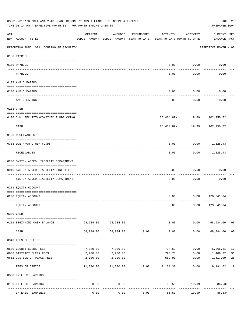|     | 03-01-2019**BUDGET ANALYSIS USAGE REPORT ** ASSET LIABILITY INCOME & EXPENSE<br>TIME: 01:14 PM - EFFECTIVE MONTH: 02 - FOR MONTH ENDING 2-28-19 |                                          |                                                     |                  |                                        |                                  | PAGE 25<br>PREPARER: 0004           |                |
|-----|-------------------------------------------------------------------------------------------------------------------------------------------------|------------------------------------------|-----------------------------------------------------|------------------|----------------------------------------|----------------------------------|-------------------------------------|----------------|
| ACT | NUM ACCOUNT-TITLE                                                                                                                               | ORIGINAL                                 | AMENDED<br>BUDGET-AMOUNT BUDGET-AMOUNT YEAR-TO-DATE | ENCUMBERED       | ACTIVITY<br>YEAR-TO-DATE MONTH-TO-DATE | ACTIVITY                         | CURRENT USED<br>BALANCE PCT         |                |
|     | _____________________________________<br>REPORTING FUND: 0011 COURTHOUSE SECURITY                                                               |                                          |                                                     |                  |                                        |                                  | EFFECTIVE MONTH - 02                |                |
|     | 0100 PAYROLL                                                                                                                                    |                                          |                                                     |                  |                                        |                                  |                                     |                |
|     | 0100 PAYROLL                                                                                                                                    |                                          |                                                     |                  | 0.00                                   | 0.00                             | 0.00                                |                |
|     | ---- ----<br>PAYROLL                                                                                                                            |                                          |                                                     |                  | 0.00                                   | -------<br>0.00                  | 0.00                                |                |
|     | 0102 A/P CLEARING                                                                                                                               |                                          |                                                     |                  |                                        |                                  |                                     |                |
|     |                                                                                                                                                 |                                          |                                                     |                  |                                        |                                  |                                     |                |
|     | 0100 A/P CLEARING                                                                                                                               |                                          |                                                     |                  | 0.00                                   | 0.00                             | 0.00                                |                |
|     | A/P CLEARING                                                                                                                                    |                                          |                                                     |                  | 0.00                                   | 0.00                             | 0.00                                |                |
|     | 0103 CASH                                                                                                                                       |                                          |                                                     |                  |                                        |                                  |                                     |                |
|     | 0100 C.H. SECURITY-COMBINED FUNDS CKING                                                                                                         |                                          |                                                     |                  |                                        |                                  | 25,464.89- 19.99 102,950.72         |                |
|     | CASH                                                                                                                                            |                                          |                                                     |                  |                                        | ------------<br>25,464.89- 19.99 | 102,950.72                          |                |
|     | 0120 RECEIVABLES                                                                                                                                |                                          |                                                     |                  |                                        |                                  |                                     |                |
|     | 0313 DUE FROM OTHER FUNDS                                                                                                                       |                                          |                                                     |                  | 0.00                                   |                                  | $0.00$ 1,125.43                     |                |
|     | RECEIVABLES                                                                                                                                     |                                          |                                                     |                  | 0.00                                   | ---------                        | -----------<br>$0.00$ 1,125.43      |                |
|     | 0200 SYSTEM ADDED LIABILITY DEPARTMENT                                                                                                          |                                          |                                                     |                  |                                        |                                  |                                     |                |
|     | 0910 SYSTEM ADDED LIABILITY LINE-ITEM                                                                                                           |                                          |                                                     |                  | 0.00                                   | 0.00                             | 0.00                                |                |
|     | SYSTEM ADDED LIABILITY DEPARTMENT                                                                                                               |                                          |                                                     |                  | 0.00                                   | 0.00                             | 0.00                                |                |
|     | 0271 EQUITY ACCOUNT                                                                                                                             |                                          |                                                     |                  |                                        |                                  |                                     |                |
|     | 0200 EQUITY ACCOUNT                                                                                                                             |                                          |                                                     |                  |                                        |                                  | $0.00$ $0.00$ $129,541.04$          |                |
|     | EQUITY ACCOUNT                                                                                                                                  |                                          |                                                     |                  | 0.00                                   |                                  | $0.00$ 129,541.04                   |                |
|     | 0300 CASH                                                                                                                                       |                                          |                                                     |                  |                                        |                                  |                                     |                |
|     |                                                                                                                                                 |                                          |                                                     |                  |                                        |                                  |                                     |                |
|     | 0111 BEGINNING CASH BALANCE                                                                                                                     |                                          | 68,984.00 68,984.00<br>-------------                |                  | 0.00<br>-------------                  | ----------                       | $0.00$ 68,984.00 00<br>------------ |                |
|     | CASH                                                                                                                                            | 68,984.00                                | 68,984.00                                           | 0.00             | 0.00                                   | 0.00                             | 68,984.00                           | 0 <sub>0</sub> |
|     | 0340 FEES OF OFFICE                                                                                                                             |                                          |                                                     |                  |                                        |                                  |                                     |                |
|     | 0600 COUNTY CLERK FEES                                                                                                                          | 7,000.00                                 | 7,000.00                                            |                  | 734.69                                 | 0.00                             | 6,265.31 10                         |                |
|     | 0650 DISTRICT CLERK FEES                                                                                                                        | 2,200.00                                 | 2,200.00                                            |                  | 790.78                                 | 0.00                             | 1,409.22                            | 36             |
|     | 0651 JUSTICE OF PEACE FEES                                                                                                                      | 2,100.00<br>------------- -------------- | 2,100.00                                            |                  | 582.91                                 | 0.00                             | 1,517.09                            | 28             |
|     | FEES OF OFFICE                                                                                                                                  | 11,300.00                                |                                                     | $11,300.00$ 0.00 | 2,108.38                               | 0.00                             | 9,191.62 19                         |                |
|     | 0360 INTEREST EARNINGS                                                                                                                          |                                          |                                                     |                  |                                        |                                  |                                     |                |
|     | 0100 INTEREST EARNINGS                                                                                                                          | 0.00                                     | 0.00<br>$- - - - -$                                 |                  |                                        |                                  | 86.53 19.99 86.53+                  |                |
|     | INTEREST EARNINGS                                                                                                                               | 0.00                                     | 0.00                                                | 0.00             | 86.53                                  | 19.99                            | $86.53+$                            |                |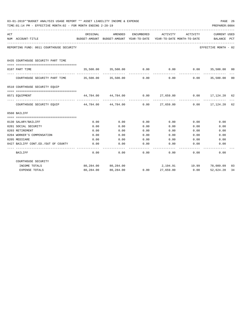|     | 03-01-2019**BUDGET ANALYSIS USAGE REPORT ** ASSET LIABILITY INCOME & EXPENSE<br>TIME: 01:14 PM - EFFECTIVE MONTH: 02 - FOR MONTH ENDING 2-28-19<br>PREPARER: 0004 |                                                                  |                     |             |                                                                                             |                                                                |                       |         |  |
|-----|-------------------------------------------------------------------------------------------------------------------------------------------------------------------|------------------------------------------------------------------|---------------------|-------------|---------------------------------------------------------------------------------------------|----------------------------------------------------------------|-----------------------|---------|--|
| ACT | NUM ACCOUNT-TITLE                                                                                                                                                 | ORIGINAL                                                         | AMENDED             | ENCUMBERED  | ACTIVITY<br>BUDGET-AMOUNT BUDGET-AMOUNT YEAR-TO-DATE YEAR-TO-DATE MONTH-TO-DATE BALANCE PCT | ACTIVITY                                                       | CURRENT USED          |         |  |
|     | REPORTING FUND: 0011 COURTHOUSE SECURITY                                                                                                                          |                                                                  |                     |             |                                                                                             |                                                                | EFFECTIVE MONTH - 02  |         |  |
|     |                                                                                                                                                                   |                                                                  |                     |             |                                                                                             |                                                                |                       |         |  |
|     | 0435 COURTHOUSE SECURITY PART TIME                                                                                                                                |                                                                  |                     |             |                                                                                             |                                                                |                       |         |  |
|     |                                                                                                                                                                   |                                                                  |                     |             |                                                                                             |                                                                |                       |         |  |
|     | 0107 PART TIME                                                                                                                                                    |                                                                  | 35,500.00 35,500.00 | 0.00        | -------------                                                                               | $0.00$ $0.00$ $35,500.00$ $00$<br>------------- -------------- |                       |         |  |
|     | COURTHOUSE SECURITY PART TIME 35,500.00 35,500.00                                                                                                                 |                                                                  |                     | 0.00        | 0.00                                                                                        |                                                                | $0.00$ 35,500.00      | $_{00}$ |  |
|     | 0510 COURTHOUSE SECURITY EOUIP                                                                                                                                    |                                                                  |                     |             |                                                                                             |                                                                |                       |         |  |
|     |                                                                                                                                                                   |                                                                  |                     |             |                                                                                             |                                                                |                       |         |  |
|     | 0571 EOUIPMENT                                                                                                                                                    | $44,784.00$ $44,784.00$ $0.00$ $27,659.80$ $0.00$ $17,124.20$ 62 |                     | ----------- |                                                                                             | -----------                                                    |                       |         |  |
|     | COURTHOUSE SECURITY EOUIP                                                                                                                                         |                                                                  | 44,784.00 44,784.00 |             | 0.00 27,659.80                                                                              |                                                                | $0.00$ $17,124,20$ 62 |         |  |
|     | 0560 BAILIFF                                                                                                                                                      |                                                                  |                     |             |                                                                                             |                                                                |                       |         |  |
|     |                                                                                                                                                                   |                                                                  |                     |             |                                                                                             |                                                                |                       |         |  |
|     | 0130 SALARY/BAILIFF                                                                                                                                               | 0.00                                                             | 0.00                | 0.00        | 0.00                                                                                        | 0.00                                                           | 0.00                  |         |  |
|     | 0201 SOCIAL SECURITY                                                                                                                                              | 0.00                                                             | 0.00                | 0.00        | 0.00                                                                                        | 0.00                                                           | 0.00                  |         |  |
|     | 0203 RETIREMENT                                                                                                                                                   | 0.00                                                             | 0.00                | 0.00        | 0.00                                                                                        | 0.00                                                           | 0.00                  |         |  |
|     | 0204 WORKER'S COMPENSATION                                                                                                                                        | 0.00                                                             | 0.00                | 0.00        | 0.00                                                                                        | 0.00                                                           | 0.00                  |         |  |
|     | 0205 MEDICARE                                                                                                                                                     | 0.00                                                             | 0.00                | 0.00        | 0.00                                                                                        | 0.00                                                           | 0.00                  |         |  |
|     | 0427 BAILIFF CONT.ED./OUT OF COUNTY                                                                                                                               | 0.00                                                             | 0.00                | 0.00        | 0.00<br>--------                                                                            | 0.00<br>------                                                 | 0.00                  |         |  |
|     | BAILIFF                                                                                                                                                           | 0.00                                                             | 0.00                | 0.00        | 0.00                                                                                        | 0.00                                                           | 0.00                  |         |  |
|     | COURTHOUSE SECURITY                                                                                                                                               |                                                                  |                     |             |                                                                                             |                                                                |                       |         |  |
|     | INCOME TOTALS                                                                                                                                                     |                                                                  | 80,284.00 80,284.00 |             |                                                                                             | 2,194.91    19.99    78,089.09    03                           |                       |         |  |
|     | <b>EXPENSE TOTALS</b>                                                                                                                                             |                                                                  | 80,284.00 80,284.00 |             | 0.00 27,659.80                                                                              | 0.00                                                           | 52,624.20             | 34      |  |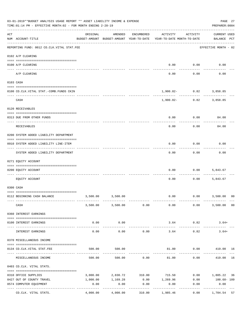|                | 03-01-2019**BUDGET ANALYSIS USAGE REPORT ** ASSET LIABILITY INCOME & EXPENSE<br>TIME: 01:14 PM - EFFECTIVE MONTH: 02 - FOR MONTH ENDING 2-28-19 |                                       |                                                     |            |                                        |                         | PAGE 27<br>PREPARER: 0004                  |
|----------------|-------------------------------------------------------------------------------------------------------------------------------------------------|---------------------------------------|-----------------------------------------------------|------------|----------------------------------------|-------------------------|--------------------------------------------|
| $\mathtt{ACT}$ | NUM ACCOUNT-TITLE                                                                                                                               | ORIGINAL                              | AMENDED<br>BUDGET-AMOUNT BUDGET-AMOUNT YEAR-TO-DATE | ENCUMBERED | ACTIVITY<br>YEAR-TO-DATE MONTH-TO-DATE | ACTIVITY                | <b>CURRENT USED</b><br>BALANCE PCT         |
|                | REPORTING FUND: 0012 CO.CLK.VITAL STAT.FEE                                                                                                      |                                       |                                                     |            |                                        |                         | EFFECTIVE MONTH - 02                       |
|                | 0102 A/P CLEARING                                                                                                                               |                                       |                                                     |            |                                        |                         |                                            |
|                | 0100 A/P CLEARING                                                                                                                               |                                       |                                                     |            | 0.00                                   | 0.00                    | 0.00                                       |
|                | ---- ----------<br>A/P CLEARING                                                                                                                 |                                       |                                                     |            | 0.00                                   | 0.00                    | 0.00                                       |
|                | 0103 CASH                                                                                                                                       |                                       |                                                     |            |                                        |                         |                                            |
|                | 0100 CO.CLK.VITAL STAT.-COMB.FUNDS CKIN                                                                                                         |                                       |                                                     |            |                                        | 1,900.82- 0.82 3,858.85 |                                            |
|                | CASH                                                                                                                                            |                                       |                                                     |            | 1,900.82-                              | -----------             | $0.82$ 3,858.85                            |
|                | 0120 RECEIVABLES                                                                                                                                |                                       |                                                     |            |                                        |                         |                                            |
|                | 0313 DUE FROM OTHER FUNDS                                                                                                                       |                                       |                                                     |            | 0.00                                   | 0.00                    | 84.00                                      |
|                | RECEIVABLES                                                                                                                                     |                                       |                                                     |            | 0.00                                   | 0.00                    | 84.00                                      |
|                | 0200 SYSTEM ADDED LIABILITY DEPARTMENT                                                                                                          |                                       |                                                     |            |                                        |                         |                                            |
|                | 0910 SYSTEM ADDED LIABILITY LINE-ITEM                                                                                                           |                                       |                                                     |            | 0.00                                   | 0.00                    | 0.00                                       |
|                | SYSTEM ADDED LIABILITY DEPARTMENT                                                                                                               |                                       |                                                     |            | 0.00                                   | 0.00                    | 0.00                                       |
|                | 0271 EQUITY ACCOUNT                                                                                                                             |                                       |                                                     |            |                                        |                         |                                            |
|                | 0200 EQUITY ACCOUNT                                                                                                                             |                                       |                                                     |            | 0.00                                   | 0.00                    | 5,843.67                                   |
|                | EQUITY ACCOUNT                                                                                                                                  |                                       |                                                     |            | 0.00                                   | 0.00                    | 5,843.67                                   |
|                | 0300 CASH                                                                                                                                       |                                       |                                                     |            |                                        |                         |                                            |
|                | 0112 BEGINNING CASH BALANCE                                                                                                                     |                                       | 3,500.00 3,500.00                                   |            |                                        |                         | $0.00$ $0.00$ $3,500.00$<br>0 <sup>0</sup> |
|                |                                                                                                                                                 |                                       |                                                     |            |                                        |                         |                                            |
|                | CASH                                                                                                                                            |                                       | 3,500.00 3,500.00 0.00                              |            | 0.00                                   | 0.00                    | 3,500.00 00                                |
|                | 0360 INTEREST EARNINGS                                                                                                                          |                                       |                                                     |            |                                        |                         |                                            |
|                | 0100 INTEREST EARNINGS                                                                                                                          | 0.00                                  | 0.00                                                |            | 3.64                                   | 0.82                    | $3.64+$                                    |
|                | INTEREST EARNINGS                                                                                                                               | -------------- --------------<br>0.00 | -----------<br>0.00                                 | 0.00       | -------------<br>3.64                  | -----------<br>0.82     | $3.64+$                                    |
|                | 0370 MISCELLANEOUS INCOME                                                                                                                       |                                       |                                                     |            |                                        |                         |                                            |
|                | 0134 CO. CLK. VITAL STAT. FEE                                                                                                                   | 500.00                                | 500.00                                              |            |                                        |                         | 81.00   0.00   419.00   16                 |
|                | MISCELLANEOUS INCOME                                                                                                                            |                                       | 500.00                                              |            | 500.00 0.00 81.00                      | 0.00                    | 419.00 16                                  |
|                | 0403 CO.CLK. VITAL STATS.                                                                                                                       |                                       |                                                     |            |                                        |                         |                                            |
|                | 0310 OFFICE SUPPLIES                                                                                                                            |                                       | 3,000.00 2,830.72 310.00 715.50                     |            |                                        |                         | $0.00$ 1,805.22 36                         |
|                | 0427 OUT OF COUNTY TRAVEL                                                                                                                       | 1,000.00                              | 1,169.28                                            |            | $0.00$ 1,269.96 0.00                   |                         | 100.68- 109                                |
|                | 0574 COMPUTER EQUIPMENT                                                                                                                         | 0.00                                  | 0.00                                                | 0.00       | 0.00                                   | 0.00                    | 0.00                                       |
|                | CO.CLK. VITAL STATS.                                                                                                                            | 4,000.00                              | ----------<br>4,000.00                              | 310.00     | .<br>1,985.46                          | 0.00                    | -----------<br>1,704.54 57                 |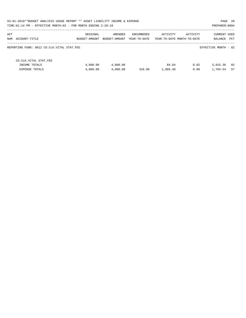| 03-01-2019**BUDGET ANALYSIS USAGE REPORT ** ASSET LIABILITY INCOME & EXPENSE<br>TIME: 01:14 PM - EFFECTIVE MONTH: 02 - FOR MONTH ENDING 2-28-19 |                           |                          |                            |          |                                        | PAGE 28<br>PREPARER: 0004             |  |
|-------------------------------------------------------------------------------------------------------------------------------------------------|---------------------------|--------------------------|----------------------------|----------|----------------------------------------|---------------------------------------|--|
| ACT<br>NUM ACCOUNT-TITLE                                                                                                                        | ORIGINAL<br>BUDGET-AMOUNT | AMENDED<br>BUDGET-AMOUNT | ENCUMBERED<br>YEAR-TO-DATE | ACTIVITY | ACTIVITY<br>YEAR-TO-DATE MONTH-TO-DATE | <b>CURRENT USED</b><br>PCT<br>BALANCE |  |
| REPORTING FUND: 0012 CO.CLK.VITAL STAT.FEE                                                                                                      |                           |                          |                            |          |                                        | EFFECTIVE MONTH - 02                  |  |
| CO. CLK. VITAL STAT. FEE                                                                                                                        |                           |                          |                            |          |                                        |                                       |  |
| INCOME TOTALS                                                                                                                                   | 4,000.00                  | 4,000.00                 |                            | 84.64    | 0.82                                   | 02<br>3,915.36                        |  |
| EXPENSE TOTALS                                                                                                                                  | 4,000.00                  | 4,000.00                 | 310.00                     | 1,985.46 | 0.00                                   | 57<br>1,704.54                        |  |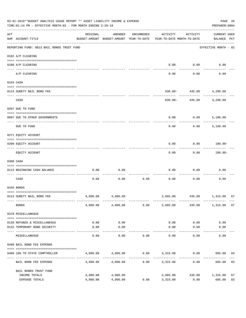|     | 03-01-2019**BUDGET ANALYSIS USAGE REPORT ** ASSET LIABILITY INCOME & EXPENSE<br>TIME: 01:14 PM - EFFECTIVE MONTH: 02 - FOR MONTH ENDING 2-28-19 |                                                      |                    |                     |                                                         |                          | PAGE 29<br>PREPARER: 0004          |    |
|-----|-------------------------------------------------------------------------------------------------------------------------------------------------|------------------------------------------------------|--------------------|---------------------|---------------------------------------------------------|--------------------------|------------------------------------|----|
| ACT | NUM ACCOUNT-TITLE                                                                                                                               | ORIGINAL<br>BUDGET-AMOUNT BUDGET-AMOUNT YEAR-TO-DATE | AMENDED            | ENCUMBERED          | ACTIVITY<br>YEAR-TO-DATE MONTH-TO-DATE                  | ACTIVITY                 | <b>CURRENT USED</b><br>BALANCE PCT |    |
|     | REPORTING FUND: 0013 BAIL BONDS TRUST FUND                                                                                                      |                                                      |                    |                     |                                                         |                          | EFFECTIVE MONTH - 02               |    |
|     | 0102 A/P CLEARING                                                                                                                               |                                                      |                    |                     |                                                         |                          |                                    |    |
|     | 0100 A/P CLEARING<br>---- ---------                                                                                                             |                                                      |                    |                     | 0.00                                                    | 0.00                     | 0.00                               |    |
|     | A/P CLEARING                                                                                                                                    |                                                      |                    |                     | 0.00                                                    | 0.00                     | 0.00                               |    |
|     | 0103 CASH                                                                                                                                       |                                                      |                    |                     |                                                         |                          |                                    |    |
|     | 0113 SURETY BAIL BOND FEE                                                                                                                       |                                                      |                    |                     |                                                         | $630.00 - 435.00$        | 4,290.00                           |    |
|     | CASH                                                                                                                                            |                                                      |                    |                     | 630.00-                                                 | . <u>.</u><br>435.00     | 4,290.00                           |    |
|     | 0207 DUE TO FUND                                                                                                                                |                                                      |                    |                     |                                                         |                          |                                    |    |
|     |                                                                                                                                                 |                                                      |                    |                     |                                                         |                          |                                    |    |
|     | 0097 DUE TO OTHER GOVERNMENTS                                                                                                                   |                                                      |                    |                     | 0.00                                                    | 0.00                     | 5.100.00                           |    |
|     | DUE TO FUND                                                                                                                                     |                                                      |                    |                     | 0.00                                                    | 0.00                     | 5,100.00                           |    |
|     | 0271 EQUITY ACCOUNT                                                                                                                             |                                                      |                    |                     |                                                         |                          |                                    |    |
|     | 0200 EQUITY ACCOUNT                                                                                                                             |                                                      |                    |                     | 0.00                                                    | 0.00                     | 180.00-                            |    |
|     | EQUITY ACCOUNT                                                                                                                                  |                                                      |                    |                     | 0.00                                                    | 0.00                     | 180.00-                            |    |
|     | 0300 CASH                                                                                                                                       |                                                      |                    |                     |                                                         |                          |                                    |    |
|     | 0113 BEGINNING CASH BALANCE                                                                                                                     | 0.00                                                 | 0.00               |                     | 0.00                                                    | 0.00                     | 0.00                               |    |
|     | ----------------------------<br>CASH                                                                                                            | 0.00                                                 | 0.00               | 0.00                | 0.00                                                    | 0.00                     | 0.00                               |    |
|     | 0345 BONDS                                                                                                                                      |                                                      |                    |                     |                                                         |                          |                                    |    |
|     | 0113 SURETY BAIL BOND FEE                                                                                                                       | 4,000.00                                             | 4,000.00           |                     |                                                         | 2,685.00 435.00 1,315.00 |                                    | 67 |
|     | <b>BONDS</b>                                                                                                                                    |                                                      | 4,000.00 4,000.00  | 0.00                | 2,685.00                                                | 435.00                   | 1,315.00                           | 67 |
|     | 0370 MISCELLANEOUS                                                                                                                              |                                                      |                    |                     |                                                         |                          |                                    |    |
|     | 0130 REFUNDS & MISCELLANEOUS                                                                                                                    | 0.00                                                 | 0.00               |                     | 0.00                                                    | 0.00                     | 0.00                               |    |
|     | 0132 TEMPORARY BOND SECURITY                                                                                                                    | 0.00                                                 | 0.00               |                     | 0.00                                                    | 0.00                     | 0.00                               |    |
|     | MISCELLANEOUS                                                                                                                                   | 0.00                                                 | ----------<br>0.00 | 0.00                | 0.00                                                    | 0.00                     | 0.00                               |    |
|     | 0498 BAIL BOND FEE EXPENSE                                                                                                                      |                                                      |                    |                     |                                                         |                          |                                    |    |
|     | 0489 10% TO STATE COMPTROLLER                                                                                                                   |                                                      |                    |                     | $4,000.00$ $4,000.00$ $0.00$ $3,315.00$ $0.00$ $685.00$ |                          |                                    | 83 |
|     | BAIL BOND FEE EXPENSE                                                                                                                           | 4,000.00                                             | 4,000.00           | -----------<br>0.00 | 3,315.00                                                | ----------<br>0.00       | 685.00                             | 83 |
|     | BAIL BONDS TRUST FUND                                                                                                                           |                                                      |                    |                     |                                                         |                          |                                    |    |
|     | INCOME TOTALS                                                                                                                                   | 4,000.00                                             | 4,000.00           |                     | 2,685.00                                                |                          | 435.00 1,315.00                    | 67 |
|     | EXPENSE TOTALS                                                                                                                                  | 4,000.00                                             | 4,000.00           | 0.00                | 3,315.00                                                | 0.00                     | 685.00                             | 83 |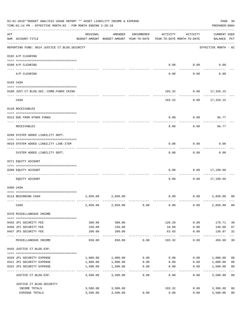|     | 03-01-2019**BUDGET ANALYSIS USAGE REPORT ** ASSET LIABILITY INCOME & EXPENSE<br>TIME:01:14 PM - EFFECTIVE MONTH:02 - FOR MONTH ENDING 2-28-19 |          |                                                     |                 |                                        |                     | PREPARER: 0004                     | PAGE 30                 |
|-----|-----------------------------------------------------------------------------------------------------------------------------------------------|----------|-----------------------------------------------------|-----------------|----------------------------------------|---------------------|------------------------------------|-------------------------|
| ACT | NUM ACCOUNT-TITLE                                                                                                                             | ORIGINAL | AMENDED<br>BUDGET-AMOUNT BUDGET-AMOUNT YEAR-TO-DATE | ENCUMBERED      | ACTIVITY<br>YEAR-TO-DATE MONTH-TO-DATE | ACTIVITY            | <b>CURRENT USED</b><br>BALANCE PCT |                         |
|     | REPORTING FUND: 0014 JUSTICE CT. BLDG. SECURITY                                                                                               |          |                                                     |                 |                                        |                     | EFFECTIVE MONTH - 02               |                         |
|     | 0102 A/P CLEARING                                                                                                                             |          |                                                     |                 |                                        |                     |                                    |                         |
|     | 0100 A/P CLEARING                                                                                                                             |          |                                                     |                 | 0.00                                   | 0.00                | 0.00                               |                         |
|     | ---- ---------<br>A/P CLEARING                                                                                                                |          |                                                     |                 | 0.00                                   | 0.00                | 0.00                               |                         |
|     | 0103 CASH                                                                                                                                     |          |                                                     |                 |                                        |                     |                                    |                         |
|     | 0100 JUST.CT.BLDG.SEC.-COMB.FUNDS CKING                                                                                                       |          |                                                     |                 | 193.32                                 |                     | $0.00$ 17,326.15                   |                         |
|     | CASH                                                                                                                                          |          |                                                     |                 |                                        | 193.32<br>0.00      | 17,326.15                          |                         |
|     | 0120 RECEIVABLES                                                                                                                              |          |                                                     |                 |                                        |                     |                                    |                         |
|     | 0313 DUE FROM OTHER FUNDS                                                                                                                     |          |                                                     |                 | 0.00                                   | 0.00                | 66.77                              |                         |
|     | RECEIVABLES                                                                                                                                   |          |                                                     |                 | 0.00                                   | 0.00                | 66.77                              |                         |
|     | 0200 SYSTEM ADDED LIABILITY DEPT.                                                                                                             |          |                                                     |                 |                                        |                     |                                    |                         |
|     | 0910 SYSTEM ADDED LIABILITY LINE-ITEM                                                                                                         |          |                                                     |                 | 0.00                                   | 0.00                | 0.00                               |                         |
|     | SYSTEM ADDED LIABILITY DEPT.                                                                                                                  |          |                                                     |                 | 0.00                                   | 0.00                | 0.00                               |                         |
|     | 0271 EQUITY ACCOUNT                                                                                                                           |          |                                                     |                 |                                        |                     |                                    |                         |
|     | 0200 EQUITY ACCOUNT                                                                                                                           |          |                                                     |                 | 0.00                                   | 0.00                | 17,199.60<br>--------              |                         |
|     | EQUITY ACCOUNT                                                                                                                                |          |                                                     |                 | 0.00                                   | 0.00                | 17,199.60                          |                         |
|     | 0300 CASH                                                                                                                                     |          |                                                     |                 |                                        |                     |                                    |                         |
|     | 0114 BEGINNING CASH                                                                                                                           | 2,850.00 | 2,850.00                                            |                 | 0.00                                   |                     | 0.00<br>2,850.00                   | 0 <sup>0</sup>          |
|     | CASH                                                                                                                                          | 2,850.00 | 2,850.00                                            | 0.00            | 0.00                                   | 0.00                | 2,850.00 00                        |                         |
|     | 0370 MISCELLANEOUS INCOME                                                                                                                     |          |                                                     |                 |                                        |                     |                                    |                         |
|     | 0455 JP1 SECURITY FEE                                                                                                                         | 300.00   | 300.00                                              |                 | 120.29                                 | 0.00                | 179.71                             | 40                      |
|     | 0456 JP2 SECURITY FEE                                                                                                                         | 150.00   | 150.00                                              |                 | 10.00                                  | 0.00                | 140.00                             | 07                      |
|     | 0457 JP3 SECURITY FEE                                                                                                                         | 200.00   | 200.00<br>-----------                               |                 | 63.03<br>-----------                   | 0.00<br>$- - - - -$ | 136.97<br>-----------              | 32<br>$---$             |
|     | MISCELLANEOUS INCOME                                                                                                                          | 650.00   | 650.00                                              | 0.00            | 193.32                                 | 0.00                | 456.68                             | 30                      |
|     | 0435 JUSTICE CT.BLDG.EXP.                                                                                                                     |          |                                                     |                 |                                        |                     |                                    |                         |
|     | 0320 JP1 SECURITY EXPENSE                                                                                                                     |          | 1,000.00 1,000.00                                   | 0.00            | 0.00                                   |                     | 0.00 1,000.00                      | 0 <sub>0</sub>          |
|     | 0321 JP2 SECURITY EXPENSE                                                                                                                     | 1,000.00 | 1,000.00                                            | 0.00            | 0.00                                   | 0.00                | 1,000.00                           | 0 <sub>0</sub>          |
|     | 0322 JP3 SECURITY EXPENSE                                                                                                                     | 1,500.00 | 1,500.00<br>-----------                             | 0.00<br>------- | 0.00                                   | 0.00                | 1,500.00                           | 0 <sub>0</sub><br>$---$ |
|     | JUSTICE CT.BLDG.EXP.                                                                                                                          | 3,500.00 | 3,500.00                                            | 0.00            | 0.00                                   | 0.00                | 3,500.00 00                        |                         |
|     | JUSTICE CT. BLDG. SECURITY                                                                                                                    |          |                                                     |                 |                                        |                     |                                    |                         |
|     | INCOME TOTALS                                                                                                                                 |          | 3,500.00 3,500.00                                   |                 | 193.32                                 |                     | 0.00<br>3,306.68                   | 06                      |
|     | EXPENSE TOTALS                                                                                                                                | 3,500.00 | 3,500.00                                            | 0.00            | 0.00                                   | 0.00                | 3,500.00                           | 0 <sub>0</sub>          |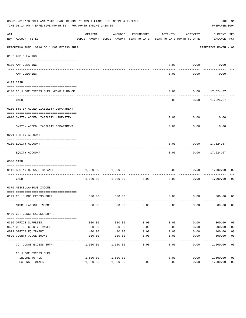|     | 03-01-2019**BUDGET ANALYSIS USAGE REPORT ** ASSET LIABILITY INCOME & EXPENSE<br>TIME: 01:14 PM - EFFECTIVE MONTH: 02 - FOR MONTH ENDING 2-28-19 |          |                                                     |                             |                                        |          | PREPARER: 0004                     | PAGE 31        |
|-----|-------------------------------------------------------------------------------------------------------------------------------------------------|----------|-----------------------------------------------------|-----------------------------|----------------------------------------|----------|------------------------------------|----------------|
| ACT | NUM ACCOUNT-TITLE                                                                                                                               | ORIGINAL | AMENDED<br>BUDGET-AMOUNT BUDGET-AMOUNT YEAR-TO-DATE | ENCUMBERED                  | ACTIVITY<br>YEAR-TO-DATE MONTH-TO-DATE | ACTIVITY | <b>CURRENT USED</b><br>BALANCE PCT |                |
|     | REPORTING FUND: 0016 CO.JUDGE EXCESS SUPP.                                                                                                      |          |                                                     |                             |                                        |          | EFFECTIVE MONTH - 02               |                |
|     | 0102 A/P CLEARING                                                                                                                               |          |                                                     |                             |                                        |          |                                    |                |
|     | 0100 A/P CLEARING                                                                                                                               |          |                                                     |                             | 0.00                                   | 0.00     | 0.00                               |                |
|     | ---- -------                                                                                                                                    |          |                                                     |                             |                                        |          |                                    |                |
|     | A/P CLEARING                                                                                                                                    |          |                                                     |                             | 0.00                                   | 0.00     | 0.00                               |                |
|     | 0103 CASH                                                                                                                                       |          |                                                     |                             |                                        |          |                                    |                |
|     |                                                                                                                                                 |          |                                                     |                             | 0.00                                   | 0.00     |                                    |                |
|     | 0100 CO.JUDGE EXCESS SUPP.-COMB.FUND CK                                                                                                         |          |                                                     |                             |                                        |          | 17,624.67                          |                |
|     | CASH                                                                                                                                            |          |                                                     |                             | 0.00                                   | 0.00     | 17,624.67                          |                |
|     | 0200 SYSTEM ADDED LIABILITY DEPARTMENT                                                                                                          |          |                                                     |                             |                                        |          |                                    |                |
|     | 0910 SYSTEM ADDED LIABILITY LINE-ITEM                                                                                                           |          |                                                     |                             | 0.00                                   | 0.00     | 0.00                               |                |
|     |                                                                                                                                                 |          |                                                     |                             |                                        |          |                                    |                |
|     | SYSTEM ADDED LIABILITY DEPARTMENT                                                                                                               |          |                                                     |                             | 0.00                                   | 0.00     | 0.00                               |                |
|     | 0271 EQUITY ACCOUNT                                                                                                                             |          |                                                     |                             |                                        |          |                                    |                |
|     | 0200 EQUITY ACCOUNT                                                                                                                             |          |                                                     |                             | 0.00                                   | 0.00     | 17,624.67                          |                |
|     | EQUITY ACCOUNT                                                                                                                                  |          |                                                     |                             | 0.00                                   |          | $0.00$ 17,624.67                   |                |
|     | 0300 CASH                                                                                                                                       |          |                                                     |                             |                                        |          |                                    |                |
|     | 0116 BEGINNING CASH BALANCE                                                                                                                     | 1,000.00 | 1,000.00                                            |                             | 0.00                                   | 0.00     | 1,000.00                           | 00             |
|     | CASH                                                                                                                                            | 1,000.00 | 1,000.00                                            | ------------ ------<br>0.00 | 0.00                                   | 0.00     | 1,000.00                           | 0 <sub>0</sub> |
|     | 0370 MISCELLANEOUS INCOME                                                                                                                       |          |                                                     |                             |                                        |          |                                    |                |
|     |                                                                                                                                                 |          |                                                     |                             |                                        |          |                                    |                |
|     | 0149 CO. JUDGE EXCESS SUPP.                                                                                                                     |          | 500.00 500.00                                       |                             | 0.00                                   |          | $0.00$ 500.00 00                   |                |
|     | MISCELLANEOUS INCOME                                                                                                                            | 500.00   | 500.00                                              | 0.00                        | 0.00                                   | 0.00     | 500.00                             | 0 <sub>0</sub> |
|     | 0400 CO. JUDGE EXCESS SUPP.                                                                                                                     |          |                                                     |                             |                                        |          |                                    |                |
|     | 0310 OFFICE SUPPLIES                                                                                                                            | 300.00   | 300.00                                              | 0.00                        | 0.00                                   | 0.00     | 300.00                             | 0 <sub>0</sub> |
|     | 0427 OUT OF COUNTY TRAVEL                                                                                                                       | 500.00   | 500.00                                              | 0.00                        | 0.00                                   | 0.00     | 500.00                             | 0 <sub>0</sub> |
|     | 0572 OFFICE EQUIPMENT                                                                                                                           | 400.00   | 400.00                                              | 0.00                        | 0.00                                   | 0.00     | 400.00                             | 0 <sub>0</sub> |
|     | 0590 COUNTY JUDGE BOOKS                                                                                                                         | 300.00   | 300.00                                              | 0.00                        | 0.00                                   | 0.00     | 300.00                             | 0 <sub>0</sub> |
|     | CO. JUDGE EXCESS SUPP.                                                                                                                          | 1,500.00 | 1,500.00                                            | $- - - -$<br>0.00           | 0.00                                   | 0.00     | --------<br>1,500.00               | 00             |
|     | CO.JUDGE EXCESS SUPP.                                                                                                                           |          |                                                     |                             |                                        |          |                                    |                |
|     | INCOME TOTALS                                                                                                                                   | 1,500.00 | 1,500.00                                            |                             | 0.00                                   | 0.00     | 1,500.00                           | 0 <sub>0</sub> |
|     | EXPENSE TOTALS                                                                                                                                  | 1,500.00 | 1,500.00                                            | 0.00                        | 0.00                                   | 0.00     | 1,500.00                           | 0 <sub>0</sub> |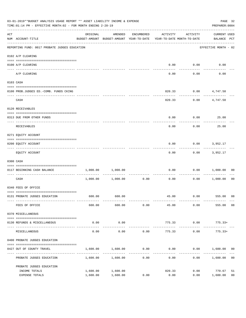|     | 03-01-2019**BUDGET ANALYSIS USAGE REPORT ** ASSET LIABILITY INCOME & EXPENSE<br>TIME: 01:14 PM - EFFECTIVE MONTH: 02 - FOR MONTH ENDING 2-28-19<br>PREPARER: 0004<br>AMENDED<br>ACTIVITY<br>ACTIVITY<br>ORIGINAL<br>ENCUMBERED |                                                                     |                       |                      |        |      |                                    |                |
|-----|--------------------------------------------------------------------------------------------------------------------------------------------------------------------------------------------------------------------------------|---------------------------------------------------------------------|-----------------------|----------------------|--------|------|------------------------------------|----------------|
| ACT | NUM ACCOUNT-TITLE                                                                                                                                                                                                              | BUDGET-AMOUNT BUDGET-AMOUNT YEAR-TO-DATE YEAR-TO-DATE MONTH-TO-DATE |                       |                      |        |      | <b>CURRENT USED</b><br>BALANCE PCT |                |
|     | REPORTING FUND: 0017 PROBATE JUDGES EDUCATION                                                                                                                                                                                  |                                                                     |                       |                      |        |      | EFFECTIVE MONTH - 02               |                |
|     | 0102 A/P CLEARING                                                                                                                                                                                                              |                                                                     |                       |                      |        |      |                                    |                |
|     | 0100 A/P CLEARING                                                                                                                                                                                                              |                                                                     |                       |                      | 0.00   | 0.00 | 0.00                               |                |
|     | ---- --------<br>A/P CLEARING                                                                                                                                                                                                  |                                                                     |                       |                      | 0.00   | 0.00 | 0.00                               |                |
|     | 0103 CASH                                                                                                                                                                                                                      |                                                                     |                       |                      |        |      |                                    |                |
|     | 0100 PROB.JUDGES ED. - COMB. FUNDS CKING                                                                                                                                                                                       |                                                                     |                       |                      | 820.33 |      | $0.00$ $4,747.50$                  |                |
|     | CASH                                                                                                                                                                                                                           |                                                                     |                       |                      | 820.33 |      | $0.00$ $4,747.50$                  |                |
|     | 0120 RECEIVABLES                                                                                                                                                                                                               |                                                                     |                       |                      |        |      |                                    |                |
|     | 0313 DUE FROM OTHER FUNDS                                                                                                                                                                                                      |                                                                     |                       |                      | 0.00   | 0.00 | 25.00                              |                |
|     | RECEIVABLES                                                                                                                                                                                                                    |                                                                     |                       |                      | 0.00   | 0.00 | 25.00                              |                |
|     | 0271 EQUITY ACCOUNT                                                                                                                                                                                                            |                                                                     |                       |                      |        |      |                                    |                |
|     | 0200 EQUITY ACCOUNT                                                                                                                                                                                                            |                                                                     |                       |                      | 0.00   | 0.00 | 3,952.17                           |                |
|     | EQUITY ACCOUNT                                                                                                                                                                                                                 |                                                                     |                       |                      | 0.00   | 0.00 | 3,952.17                           |                |
|     | 0300 CASH                                                                                                                                                                                                                      |                                                                     |                       |                      |        |      |                                    |                |
|     | 0117 BEGINNING CASH BALANCE                                                                                                                                                                                                    |                                                                     | 1,000.00 1,000.00     |                      | 0.00   | 0.00 | 1,000.00                           | 00             |
|     | CASH                                                                                                                                                                                                                           |                                                                     | $1,000.00$ $1,000.00$ | ------------<br>0.00 | 0.00   | 0.00 | 1,000.00                           | 00             |
|     | 0340 FEES OF OFFICE                                                                                                                                                                                                            |                                                                     |                       |                      |        |      |                                    |                |
|     | 0131 PROBATE JUDGES EDUCATION                                                                                                                                                                                                  |                                                                     | 600.00 600.00         |                      |        |      | 45.00   0.00   555.00   08         |                |
|     | FEES OF OFFICE                                                                                                                                                                                                                 | 600.00                                                              | 600.00                | 0.00                 | 45.00  | 0.00 | 555.00 08                          |                |
|     | 0370 MISCELLANEOUS                                                                                                                                                                                                             |                                                                     |                       |                      |        |      |                                    |                |
|     | 0130 REFUNDS & MISCELLANEOUS                                                                                                                                                                                                   | 0.00                                                                | 0.00                  |                      | 775.33 | 0.00 | $775.33+$                          |                |
|     | MISCELLANEOUS                                                                                                                                                                                                                  | 0.00                                                                | -----------<br>0.00   | 0.00                 | 775.33 | 0.00 | -------------<br>$775.33+$         |                |
|     | 0400 PROBATE JUDGES EDUCATION                                                                                                                                                                                                  |                                                                     |                       |                      |        |      |                                    |                |
|     | 0427 OUT OF COUNTY TRAVEL                                                                                                                                                                                                      | 1,600.00                                                            | 1,600.00              | 0.00                 | 0.00   |      | $0.00$ 1,600.00 00                 |                |
|     | PROBATE JUDGES EDUCATION                                                                                                                                                                                                       |                                                                     | 1,600.00 1,600.00     | -----------<br>0.00  | 0.00   |      | 0.00 1,600.00                      | 0 <sub>0</sub> |
|     | PROBATE JUDGES EDUCATION                                                                                                                                                                                                       |                                                                     |                       |                      |        |      |                                    |                |
|     | INCOME TOTALS                                                                                                                                                                                                                  | 1,600.00                                                            | 1,600.00              |                      | 820.33 | 0.00 | 779.67                             | 51             |
|     | EXPENSE TOTALS                                                                                                                                                                                                                 | 1,600.00                                                            | 1,600.00              | 0.00                 | 0.00   | 0.00 | 1,600.00                           | 0 <sub>0</sub> |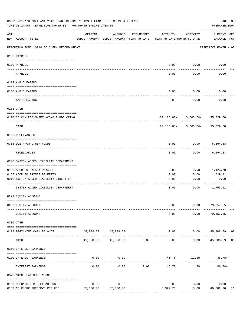|          | 03-01-2019**BUDGET ANALYSIS USAGE REPORT ** ASSET LIABILITY INCOME & EXPENSE<br>TIME:01:14 PM - EFFECTIVE MONTH:02 - FOR MONTH ENDING 2-28-19 |           |                                                     |               |                                        |                                       | PAGE 33<br>PREPARER: 0004          |    |
|----------|-----------------------------------------------------------------------------------------------------------------------------------------------|-----------|-----------------------------------------------------|---------------|----------------------------------------|---------------------------------------|------------------------------------|----|
| ACT      | NUM ACCOUNT-TITLE                                                                                                                             | ORIGINAL  | AMENDED<br>BUDGET-AMOUNT BUDGET-AMOUNT YEAR-TO-DATE | ENCUMBERED    | ACTIVITY<br>YEAR-TO-DATE MONTH-TO-DATE | ACTIVITY                              | <b>CURRENT USED</b><br>BALANCE PCT |    |
|          | REPORTING FUND: 0018 CO.CLERK RECORD MNGMT.                                                                                                   |           |                                                     |               |                                        |                                       | EFFECTIVE MONTH - 02               |    |
|          | 0100 PAYROLL                                                                                                                                  |           |                                                     |               |                                        |                                       |                                    |    |
|          | 0100 PAYROLL                                                                                                                                  |           |                                                     |               | 0.00                                   | 0.00                                  | 0.00                               |    |
| ---- --- | PAYROLL                                                                                                                                       |           |                                                     |               | 0.00                                   | 0.00                                  | 0.00                               |    |
|          | 0102 A/P CLEARING                                                                                                                             |           |                                                     |               |                                        |                                       |                                    |    |
|          | 0100 A/P CLEARING                                                                                                                             |           |                                                     |               | 0.00                                   | 0.00                                  | 0.00                               |    |
|          | A/P CLEARING                                                                                                                                  |           |                                                     |               | 0.00                                   | 0.00                                  | 0.00                               |    |
|          | 0103 CASH                                                                                                                                     |           |                                                     |               |                                        |                                       |                                    |    |
|          | 0100 CO.CLK.REC.MNGMT.-COMB.FUNDS CKING                                                                                                       |           |                                                     |               |                                        | $20, 186.63 - 3, 663.04 - 55, 029.60$ |                                    |    |
|          | ---------------------------------<br>CASH                                                                                                     |           |                                                     |               |                                        | $20, 186.63 - 3, 663.04 - 55, 029.60$ |                                    |    |
|          | 0120 RECEIVABLES                                                                                                                              |           |                                                     |               |                                        |                                       |                                    |    |
|          | 0313 DUE FROM OTHER FUNDS                                                                                                                     |           |                                                     |               | 0.00                                   | 0.00                                  | 6,194.83                           |    |
|          | RECEIVABLES                                                                                                                                   |           |                                                     |               | 0.00                                   | 0.00                                  | 6,194.83                           |    |
|          | 0200 SYSTEM ADDED LIABILITY DEPARTMENT                                                                                                        |           |                                                     |               |                                        |                                       |                                    |    |
|          | 0150 ACCRUED SALARY PAYABLE                                                                                                                   |           |                                                     |               | 0.00                                   | 0.00                                  | 1,123.70                           |    |
|          | 0155 ACCRUED FRINGE BENEFITS                                                                                                                  |           |                                                     |               | 0.00                                   | 0.00                                  | 629.81                             |    |
|          | 0910 SYSTEM ADDED LIABILITY LINE-ITEM                                                                                                         |           |                                                     |               | 0.00                                   | 0.00                                  | 0.00                               |    |
|          | SYSTEM ADDED LIABILITY DEPARTMENT                                                                                                             |           |                                                     |               | 0.00                                   | 0.00                                  | 1,753.51                           |    |
|          | 0271 EQUITY ACCOUNT                                                                                                                           |           |                                                     |               |                                        |                                       |                                    |    |
|          | 0200 EQUITY ACCOUNT                                                                                                                           |           |                                                     |               | 0.00                                   |                                       | $0.00$ 79,657.55                   |    |
|          | EQUITY ACCOUNT                                                                                                                                |           |                                                     |               | 0.00                                   | 0.00                                  | 79,657.55                          |    |
|          | 0300 CASH                                                                                                                                     |           |                                                     |               |                                        |                                       |                                    |    |
|          | 0118 BEGINNING CASH BALANCE                                                                                                                   |           | 45,808.59 45,808.59                                 |               | 0.00                                   |                                       | $0.00$ 45,808.59 00                |    |
|          | CASH                                                                                                                                          | 45,808.59 | --------------<br>45,808.59 0.00                    | ------------- | -----<br>0.00                          | 0.00                                  | 45,808.59 00                       |    |
|          | 0360 INTEREST EARNINGS                                                                                                                        |           |                                                     |               |                                        |                                       |                                    |    |
|          | 0100 INTEREST EARNINGS                                                                                                                        | 0.00      | 0.00                                                |               |                                        | 46.78 11.50 46.78+                    |                                    |    |
|          | INTEREST EARNINGS                                                                                                                             | 0.00      | 0.00                                                | 0.00          | 46.78                                  | 11.50                                 | $46.78+$                           |    |
|          | 0370 MISCELLANEOUS INCOME                                                                                                                     |           |                                                     |               |                                        |                                       |                                    |    |
|          | 0130 REFUNDS & MISCELLANEOUS                                                                                                                  | 0.00      | 0.00                                                |               | 0.00                                   | 0.00                                  | 0.00                               |    |
|          | 0133 CO. CLERK PRESERVE REC FEE                                                                                                               | 55,000.00 | 55,000.00                                           |               | 5,997.70                               | 0.00                                  | 49,002.30                          | 11 |
|          |                                                                                                                                               |           |                                                     |               |                                        | -------------                         | -----------------                  |    |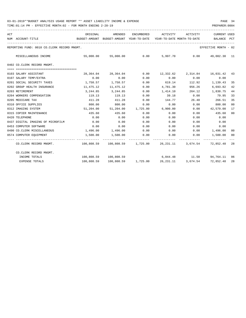| ACT |                                                                                           | ORIGINAL                                                            | AMENDED                                              |      | ENCUMBERED ACTIVITY ACTIVITY |        | <b>CURRENT USED</b>                                                 |                |
|-----|-------------------------------------------------------------------------------------------|---------------------------------------------------------------------|------------------------------------------------------|------|------------------------------|--------|---------------------------------------------------------------------|----------------|
|     | NUM ACCOUNT-TITLE                                                                         | BUDGET-AMOUNT BUDGET-AMOUNT YEAR-TO-DATE YEAR-TO-DATE MONTH-TO-DATE |                                                      |      |                              |        | BALANCE PCT                                                         |                |
|     | REPORTING FUND: 0018 CO.CLERK RECORD MNGMT.                                               |                                                                     |                                                      |      |                              |        | EFFECTIVE MONTH - 02                                                |                |
|     | MISCELLANEOUS INCOME                                                                      |                                                                     |                                                      |      |                              |        | 55,000.00   55,000.00     0.00    5,997.70     0.00   49,002.30  11 |                |
|     | 0402 CO.CLERK RECORD MNGMT.                                                               |                                                                     |                                                      |      |                              |        |                                                                     |                |
|     | ======================================                                                    |                                                                     |                                                      |      |                              |        |                                                                     |                |
|     | 0103 SALARY ASSISTANT                                                                     | 28,364.04                                                           | 28,364.04                                            |      |                              |        | $0.00$ 12,332.62 2,314.84 16,031.42 43                              |                |
|     | 0107 SALARY TEMP/EXTRA                                                                    | 0.00                                                                | 0.00                                                 | 0.00 | 0.00                         | 0.00   | 0.00                                                                |                |
|     | 0201 SOCIAL SECURITY TAXES                                                                |                                                                     | 1,758.57 1,758.57                                    | 0.00 | 619.14                       |        | 112.92 1,139.43                                                     | 35             |
|     | 0202 GROUP HEALTH INSURANCE                                                               | 11,475.12                                                           | 11,475.12                                            | 0.00 | 4,781.30                     | 956.26 | 6,693.82                                                            | 42             |
|     | 0203 RETIREMENT                                                                           |                                                                     | 3, 244, 85 3, 244, 85                                | 0.00 | 1,414.10                     | 264.12 | 1,830.75                                                            | 44             |
|     | 0204 WORKERS COMPENSATION                                                                 | 119.13                                                              | 119.13                                               | 0.00 | 39.18                        | 0.00   | 79.95                                                               | 33             |
|     | 0205 MEDICARE TAX                                                                         | 411.28                                                              | 411.28                                               | 0.00 | 144.77                       | 26.40  | 266.51                                                              | 35             |
|     | 0310 OFFICE SUPPLIES                                                                      | 800.00                                                              | 800.00                                               | 0.00 | 0.00                         | 0.00   | 800.00                                                              | 0 <sub>0</sub> |
|     | 0312 IMAGING SYSTEM                                                                       |                                                                     | $51,204.00$ $51,204.00$ $1,725.00$ $6,900.00$ $0.00$ |      |                              |        | 42,579.00                                                           | 17             |
|     | 0315 COPIER MAINTENANCE                                                                   | 435.60                                                              | 435.60                                               | 0.00 | 0.00                         | 0.00   | 435.60                                                              | 00             |
|     | 0420 TELEPHONE                                                                            | 0.00                                                                | 0.00                                                 | 0.00 | 0.00                         | 0.00   | 0.00                                                                |                |
|     | 0437 DIGITAL IMAGING OF MICROFILM                                                         | 0.00                                                                | 0.00                                                 | 0.00 | 0.00                         | 0.00   | 0.00                                                                |                |
|     | 0453 COMPUTER SOFTWARE                                                                    | 0.00                                                                | 0.00                                                 | 0.00 | 0.00                         | 0.00   | 0.00                                                                |                |
|     | 0490 CO. CLERK MISCELLANEOUS                                                              | $1,496.00$ $1,496.00$ 0.00                                          |                                                      |      |                              |        | $0.00$ $0.00$ $1,496.00$                                            | 0 <sub>0</sub> |
|     | 0574 COMPUTER EQUIPMENT                                                                   |                                                                     | 1,500.00 1,500.00 0.00                               |      |                              |        | $0.00$ $0.00$ $1,500.00$                                            | - 00           |
|     | CO.CLERK RECORD MNGMT. 42 (100,808.59 100,808.59 1,725.00 26,231.11 3,674.54 72,852.48 28 |                                                                     |                                                      |      |                              |        |                                                                     |                |
|     | CO.CLERK RECORD MNGMT.                                                                    |                                                                     |                                                      |      |                              |        |                                                                     |                |
|     | INCOME TOTALS                                                                             |                                                                     | 100,808.59 100,808.59                                |      |                              |        | 6,044.48 11.50 94,764.11 06                                         |                |
|     | <b>EXPENSE TOTALS</b>                                                                     |                                                                     |                                                      |      |                              |        | 100,808.59 100,808.59 1,725.00 26,231.11 3,674.54 72,852.48 28      |                |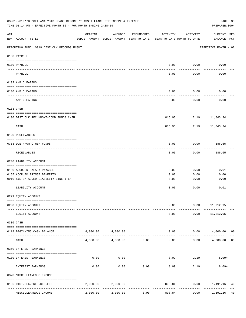| 03-01-2019**BUDGET ANALYSIS USAGE REPORT ** ASSET LIABILITY INCOME & EXPENSE<br>PAGE 35<br>TIME: 01:14 PM - EFFECTIVE MONTH: 02 - FOR MONTH ENDING 2-28-19<br>PREPARER: 0004 |                                                             |                                                      |                   |            |                                        |                   |                                 |
|------------------------------------------------------------------------------------------------------------------------------------------------------------------------------|-------------------------------------------------------------|------------------------------------------------------|-------------------|------------|----------------------------------------|-------------------|---------------------------------|
| ACT                                                                                                                                                                          | NUM ACCOUNT-TITLE                                           | ORIGINAL<br>BUDGET-AMOUNT BUDGET-AMOUNT YEAR-TO-DATE | AMENDED           | ENCUMBERED | ACTIVITY<br>YEAR-TO-DATE MONTH-TO-DATE | ACTIVITY          | CURRENT USED<br>BALANCE PCT     |
|                                                                                                                                                                              | REPORTING FUND: 0019 DIST.CLK.RECORDS MNGMT.                |                                                      |                   |            |                                        |                   | EFFECTIVE MONTH - 02            |
|                                                                                                                                                                              | 0100 PAYROLL                                                |                                                      |                   |            |                                        |                   |                                 |
|                                                                                                                                                                              | 0100 PAYROLL                                                |                                                      |                   |            | 0.00                                   | 0.00              | 0.00                            |
|                                                                                                                                                                              | ---- -------<br>PAYROLL                                     |                                                      |                   |            | 0.00                                   | -------<br>0.00   | 0.00                            |
|                                                                                                                                                                              | 0102 A/P CLEARING                                           |                                                      |                   |            |                                        |                   |                                 |
|                                                                                                                                                                              | 0100 A/P CLEARING                                           |                                                      |                   |            | 0.00                                   | 0.00              | 0.00                            |
|                                                                                                                                                                              | A/P CLEARING                                                |                                                      |                   |            | 0.00                                   | 0.00              | 0.00                            |
|                                                                                                                                                                              | 0103 CASH                                                   |                                                      |                   |            |                                        |                   |                                 |
|                                                                                                                                                                              | 0100 DIST.CLK.REC.MNGMT-COMB.FUNDS CKIN                     |                                                      |                   |            |                                        |                   | 816.93 2.19 11,843.24           |
|                                                                                                                                                                              | CASH                                                        |                                                      |                   |            | 816.93                                 | 2.19              | 11,843.24                       |
|                                                                                                                                                                              | 0120 RECEIVABLES                                            |                                                      |                   |            |                                        |                   |                                 |
|                                                                                                                                                                              | 0313 DUE FROM OTHER FUNDS                                   |                                                      |                   |            | 0.00                                   | 0.00              | 186.65                          |
|                                                                                                                                                                              | RECEIVABLES                                                 |                                                      |                   |            | 0.00                                   | ---------<br>0.00 | ---------<br>186.65             |
|                                                                                                                                                                              | 0200 LIABILITY ACCOUNT                                      |                                                      |                   |            |                                        |                   |                                 |
|                                                                                                                                                                              |                                                             |                                                      |                   |            |                                        |                   |                                 |
|                                                                                                                                                                              | 0150 ACCRUED SALARY PAYABLE<br>0155 ACCRUED FRINGE BENEFITS |                                                      |                   |            | 0.00<br>0.00                           | 0.00<br>0.00      | 0.01<br>0.00                    |
|                                                                                                                                                                              | 0910 SYSTEM ADDED LIABILITY LINE-ITEM                       |                                                      |                   |            | 0.00                                   | 0.00              | 0.00                            |
|                                                                                                                                                                              |                                                             |                                                      |                   |            |                                        |                   |                                 |
|                                                                                                                                                                              | LIABILITY ACCOUNT                                           |                                                      |                   |            | 0.00                                   | 0.00              | 0.01                            |
|                                                                                                                                                                              | 0271 EQUITY ACCOUNT                                         |                                                      |                   |            |                                        |                   |                                 |
|                                                                                                                                                                              | 0200 EQUITY ACCOUNT                                         |                                                      |                   |            | 0.00                                   | 0.00              | 11,212.95                       |
|                                                                                                                                                                              | EQUITY ACCOUNT                                              |                                                      |                   |            | 0.00                                   | 0.00              | 11,212.95                       |
|                                                                                                                                                                              | 0300 CASH                                                   |                                                      |                   |            |                                        |                   |                                 |
|                                                                                                                                                                              | 0119 BEGINNING CASH BALANCE                                 |                                                      | 4,000.00 4,000.00 |            |                                        | 0.00              | 0.00 4,000.00<br>0 <sub>0</sub> |
|                                                                                                                                                                              | CASH                                                        | 4,000.00                                             | 4,000.00          | 0.00       | 0.00                                   | 0.00              | 4,000.00<br>0 <sub>0</sub>      |
|                                                                                                                                                                              | 0360 INTEREST EARNINGS                                      |                                                      |                   |            |                                        |                   |                                 |
|                                                                                                                                                                              | 0100 INTEREST EARNINGS                                      | 0.00                                                 | 0.00              |            | 8.09                                   | 2.19              | $8.09+$                         |
|                                                                                                                                                                              | INTEREST EARNINGS                                           | 0.00                                                 | 0.00              | 0.00       | 8.09                                   | 2.19              | $8.09+$                         |
|                                                                                                                                                                              | 0370 MISCELLEANEOUS INCOME                                  |                                                      |                   |            |                                        |                   |                                 |
|                                                                                                                                                                              |                                                             |                                                      |                   |            |                                        |                   |                                 |
|                                                                                                                                                                              | 0136 DIST.CLK.PRES.REC.FEE<br>-------------                 | 2,000.00                                             | 2,000.00          |            | 808.84                                 |                   | $0.00$ 1,191.16<br>40           |
|                                                                                                                                                                              | MISCELLEANEOUS INCOME                                       | 2,000.00                                             | 2,000.00          | 0.00       | 808.84                                 | 0.00              | 1,191.16<br>40                  |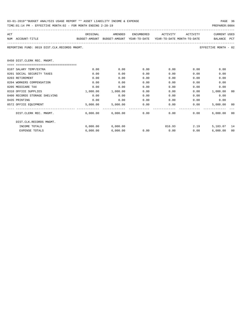| 03-01-2019**BUDGET ANALYSIS USAGE REPORT ** ASSET LIABILITY INCOME & EXPENSE | PAGE 36        |
|------------------------------------------------------------------------------|----------------|
| TIME:01:14 PM - EFFECTIVE MONTH:02 - FOR MONTH ENDING 2-28-19                | PREPARER: 0004 |

|  |  | FAGE<br>___ |  |  |
|--|--|-------------|--|--|
|  |  |             |  |  |

| ACT                                                                                      |          | ORIGINAL AMENDED ENCUMBERED ACTIVITY ACTIVITY |               |             |             | <b>CURRENT USED</b>   |      |
|------------------------------------------------------------------------------------------|----------|-----------------------------------------------|---------------|-------------|-------------|-----------------------|------|
| BUDGET-AMOUNT BUDGET-AMOUNT YEAR-TO-DATE YEAR-TO-DATE_MONTH-TO-DATE<br>NUM ACCOUNT-TITLE |          |                                               |               |             |             | BALANCE PCT           |      |
| REPORTING FUND: 0019 DIST.CLK.RECORDS MNGMT.                                             |          |                                               |               |             |             | EFFECTIVE MONTH - 02  |      |
| 0450 DIST. CLERK REC. MNGMT.                                                             |          |                                               |               |             |             |                       |      |
| -200000000000000000000000000000000000                                                    |          |                                               |               |             |             |                       |      |
| 0107 SALARY TEMP/EXTRA                                                                   | 0.00     | 0.00                                          | 0.00          | 0.00        | 0.00        | 0.00                  |      |
| 0201 SOCIAL SECURITY TAXES                                                               | 0.00     | 0.00                                          | 0.00          | 0.00        | 0.00        | 0.00                  |      |
| 0203 RETIREMENT                                                                          | 0.00     | 0.00                                          | 0.00          | 0.00        | 0.00        | 0.00                  |      |
| 0204 WORKERS COMPENSATION                                                                | 0.00     | 0.00                                          | 0.00          | 0.00        | 0.00        | 0.00                  |      |
| 0205 MEDICARE TAX                                                                        | 0.00     | 0.00                                          | 0.00          | 0.00        | 0.00        | 0.00                  |      |
| 0310 OFFICE SUPPLIES                                                                     | 1,000.00 | 1,000.00                                      | 0.00          | 0.00        |             | 0.00 1,000.00         | - 00 |
| 0400 RECORDS STORAGE SHELVING                                                            | 0.00     | 0.00                                          | 0.00          |             | 0.00        | 0.00<br>0.00          |      |
| 0435 PRINTING                                                                            | 0.00     | 0.00                                          | 0.00          |             | 0.00        | 0.00<br>0.00          |      |
| 0572 OFFICE EOUIPMENT                                                                    | 5,000.00 |                                               | 5,000.00 0.00 | $0.00$ 0.00 |             | 5,000.00 00           |      |
| DIST.CLERK REC. MNGMT.                                                                   |          | $6,000.00$ $6,000.00$ $0.00$ $0.00$ $0.00$    |               |             |             | 0.00<br>$6,000.00$ 00 |      |
| DIST.CLK.RECORDS MNGMT.                                                                  |          |                                               |               |             |             |                       |      |
| INCOME TOTALS                                                                            |          | 6,000.00 6,000.00                             |               |             | 816.93 2.19 | 5,183.07 14           |      |
| <b>EXPENSE TOTALS</b>                                                                    | 6,000.00 | 6,000.00                                      | 0.00          | 0.00        | 0.00        | $6,000.00$ 00         |      |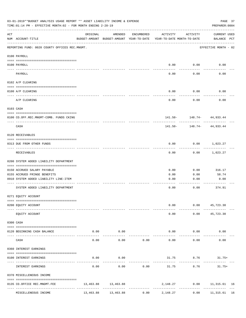|     | 03-01-2019**BUDGET ANALYSIS USAGE REPORT ** ASSET LIABILITY INCOME & EXPENSE<br>TIME: 01:14 PM - EFFECTIVE MONTH: 02 - FOR MONTH ENDING 2-28-19 |           |                     |                                 |                                                                                 |                             | PAGE 37<br>PREPARER: 0004       |  |
|-----|-------------------------------------------------------------------------------------------------------------------------------------------------|-----------|---------------------|---------------------------------|---------------------------------------------------------------------------------|-----------------------------|---------------------------------|--|
| ACT | NUM ACCOUNT-TITLE                                                                                                                               | ORIGINAL  | AMENDED             | ENCUMBERED                      | ACTIVITY<br>BUDGET-AMOUNT BUDGET-AMOUNT YEAR-TO-DATE YEAR-TO-DATE MONTH-TO-DATE | ACTIVITY                    | CURRENT USED<br>BALANCE PCT     |  |
|     | REPORTING FUND: 0020 COUNTY OFFICES REC.MNGMT.                                                                                                  |           |                     |                                 |                                                                                 |                             | EFFECTIVE MONTH - 02            |  |
|     | 0100 PAYROLL                                                                                                                                    |           |                     |                                 |                                                                                 |                             |                                 |  |
|     | 0100 PAYROLL                                                                                                                                    |           |                     |                                 |                                                                                 | $0.00$ $0.00$               | 0.00                            |  |
|     | PAYROLL                                                                                                                                         |           |                     |                                 | 0.00                                                                            | 0.00                        | 0.00                            |  |
|     | 0102 A/P CLEARING                                                                                                                               |           |                     |                                 |                                                                                 |                             |                                 |  |
|     | 0100 A/P CLEARING                                                                                                                               |           |                     |                                 | 0.00                                                                            | 0.00                        | 0.00                            |  |
|     | A/P CLEARING                                                                                                                                    |           |                     |                                 | 0.00                                                                            | 0.00                        | 0.00                            |  |
|     | 0103 CASH                                                                                                                                       |           |                     |                                 |                                                                                 |                             |                                 |  |
|     | 0100 CO.OFF.REC.MNGMT-COMB. FUNDS CKING                                                                                                         |           |                     |                                 |                                                                                 | 141.50- 148.74- 44,933.44   |                                 |  |
|     | -----------------------------<br>CASH                                                                                                           |           |                     |                                 | 141.50-                                                                         | ----------                  | 148.74- 44,933.44               |  |
|     | 0120 RECEIVABLES                                                                                                                                |           |                     |                                 |                                                                                 |                             |                                 |  |
|     | 0313 DUE FROM OTHER FUNDS                                                                                                                       |           |                     |                                 | 0.00                                                                            |                             | $0.00$ 1,023.27                 |  |
|     | RECEIVABLES                                                                                                                                     |           |                     |                                 | 0.00                                                                            | 0.00                        | 1,023.27                        |  |
|     | 0200 SYSTEM ADDED LIABILITY DEPARTMENT                                                                                                          |           |                     |                                 |                                                                                 |                             |                                 |  |
|     | 0150 ACCRUED SALARY PAYABLE                                                                                                                     |           |                     |                                 | 0.00                                                                            | 0.00                        | 316.17                          |  |
|     | 0155 ACCRUED FRINGE BENEFITS                                                                                                                    |           |                     |                                 | 0.00                                                                            | 0.00                        | 58.74                           |  |
|     | 0910 SYSTEM ADDED LIABILITY LINE-ITEM                                                                                                           |           |                     |                                 | 0.00                                                                            | 0.00                        | 0.00                            |  |
|     | SYSTEM ADDED LIABILITY DEPARTMENT                                                                                                               |           |                     |                                 | 0.00                                                                            | 0.00                        | 374.91                          |  |
|     | 0271 EQUITY ACCOUNT                                                                                                                             |           |                     |                                 |                                                                                 |                             |                                 |  |
|     | 0200 EQUITY ACCOUNT                                                                                                                             |           |                     |                                 | 0.00                                                                            |                             | $0.00$ 45,723.30                |  |
|     | EQUITY ACCOUNT                                                                                                                                  |           |                     |                                 | 0.00                                                                            |                             | $0.00$ $45,723.30$              |  |
|     | 0300 CASH                                                                                                                                       |           |                     |                                 |                                                                                 |                             |                                 |  |
|     | 0120 BEGINNING CASH BALANCE                                                                                                                     | 0.00      | 0.00<br>----------  |                                 | $- - - - -$                                                                     | $0.00$ $0.00$<br>---------- | 0.00                            |  |
|     | CASH                                                                                                                                            | 0.00      | 0.00                | 0.00                            | 0.00                                                                            | 0.00                        | 0.00                            |  |
|     | 0360 INTEREST EARNINGS                                                                                                                          |           |                     |                                 |                                                                                 |                             |                                 |  |
|     | 0100 INTEREST EARNINGS                                                                                                                          | 0.00      | 0.00                |                                 |                                                                                 | 31.75 8.76                  | $31.75+$                        |  |
|     | INTEREST EARNINGS                                                                                                                               | 0.00      | 0.00                | 0.00                            | 31.75                                                                           | 8.76                        | 31.75+                          |  |
|     | 0370 MISCELLENEOUS INCOME                                                                                                                       |           |                     |                                 |                                                                                 |                             |                                 |  |
|     | 0135 CO.OFFICE REC.MNGMT.FEE<br>---- --------------------                                                                                       |           | 13,463.88 13,463.88 | ------------------------------- |                                                                                 |                             | 2,148.27 0.00 11,315.61 16<br>. |  |
|     | MISCELLENEOUS INCOME                                                                                                                            | 13,463.88 | 13,463.88           | 0.00                            | 2,148.27                                                                        | 0.00                        | 11,315.61 16                    |  |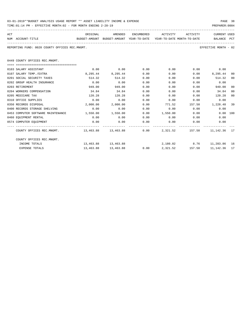| 03-01-2019**BUDGET ANALYSIS USAGE REPORT ** ASSET LIABILITY INCOME & EXPENSE | PAGE 38        |  |
|------------------------------------------------------------------------------|----------------|--|
| TIME:01:14 PM - EFFECTIVE MONTH:02 - FOR MONTH ENDING 2-28-19                | PREPARER: 0004 |  |

| ACT |                                                                                          |          | ORIGINAL AMENDED    |      | ENCUMBERED ACTIVITY ACTIVITY        |      | CURRENT USED         |    |
|-----|------------------------------------------------------------------------------------------|----------|---------------------|------|-------------------------------------|------|----------------------|----|
|     | NUM ACCOUNT-TITLE<br>BUDGET-AMOUNT BUDGET-AMOUNT YEAR-TO-DATE YEAR-TO-DATE MONTH-TO-DATE |          |                     |      |                                     |      | BALANCE PCT          |    |
|     | REPORTING FUND: 0020 COUNTY OFFICES REC.MNGMT.                                           |          |                     |      |                                     |      | EFFECTIVE MONTH - 02 |    |
|     | 0449 COUNTY OFFICES REC.MNGMT.                                                           |          |                     |      |                                     |      |                      |    |
|     | ==================================                                                       |          |                     |      |                                     |      |                      |    |
|     | 0103 SALARY ASSISTANT                                                                    | 0.00     | 0.00                | 0.00 | 0.00                                |      | $0.00$ 0.00          |    |
|     | 0107 SALARY TEMP./EXTRA                                                                  |          | 8,295.44 8,295.44   | 0.00 | 0.00                                |      | $0.00$ $8,295.44$    | 00 |
|     | 0201 SOCIAL SECURITY TAXES                                                               | 514.32   | 514.32              | 0.00 | 0.00                                | 0.00 | 514.32               | 00 |
|     | 0202 GROUP HEALTH INSURANCE                                                              | 0.00     | 0.00                | 0.00 | 0.00                                | 0.00 | 0.00                 |    |
|     | 0203 RETIREMENT                                                                          | 949.00   | 949.00              | 0.00 | 0.00                                | 0.00 | 949.00               | 00 |
|     | 0204 WORKERS COMPENSATION                                                                | 34.84    | 34.84               | 0.00 | 0.00                                | 0.00 | 34.84                | 00 |
|     | 0205 MEDICARE TAX                                                                        | 120.28   | 120.28              | 0.00 | 0.00                                | 0.00 | 120.28               | 00 |
|     | 0310 OFFICE SUPPLIES                                                                     | 0.00     | 0.00                | 0.00 | 0.00                                | 0.00 | 0.00                 |    |
|     | 0350 RECORDS DISPOSAL                                                                    | 2,000.00 | 2,000.00            | 0.00 | 771.52                              |      | 157.50 1,228.48 39   |    |
|     | 0400 RECORDS STORAGE SHELVING                                                            | 0.00     | 0.00                | 0.00 | $0.00$ 0.00                         |      | 0.00                 |    |
|     | 0453 COMPUTER SOFTWARE MAINTENANCE 1,550.00 1,550.00                                     |          |                     | 0.00 | 1,550.00 0.00                       |      | 0.00 100             |    |
|     | 0460 EQUIPMENT RENTAL                                                                    | 0.00     | 0.00                | 0.00 | $0.00$ 0.00                         |      | 0.00                 |    |
|     | 0574 COMPUTER EQUIPMENT                                                                  | 0.00     | 0.00                | 0.00 | $0.00$ 0.00                         |      | 0.00                 |    |
|     | COUNTY OFFICES REC.MNGMT. 463.88 13.463.88 13.463.88 0.00 2.321.52 157.50 11.142.36 17   |          |                     |      |                                     |      |                      |    |
|     | COUNTY OFFICES REC.MNGMT.                                                                |          |                     |      |                                     |      |                      |    |
|     | INCOME TOTALS                                                                            |          | 13,463.88 13,463.88 |      | 2,180.02 8.76 11,283.86 16          |      |                      |    |
|     | <b>EXPENSE TOTALS</b>                                                                    |          | 13,463.88 13,463.88 |      | $0.00$ 2,321.52 157.50 11,142.36 17 |      |                      |    |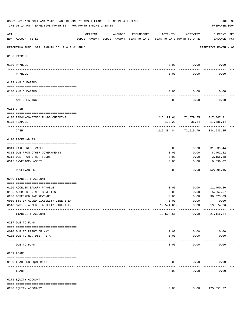|           | 03-01-2019**BUDGET ANALYSIS USAGE REPORT ** ASSET LIABILITY INCOME & EXPENSE<br>TIME: 01:14 PM - EFFECTIVE MONTH: 02 - FOR MONTH ENDING 2-28-19 |          |         |               |                                                                                 |                                             | PAGE 39<br>PREPARER: 0004          |  |
|-----------|-------------------------------------------------------------------------------------------------------------------------------------------------|----------|---------|---------------|---------------------------------------------------------------------------------|---------------------------------------------|------------------------------------|--|
| ACT       | NUM ACCOUNT-TITLE                                                                                                                               | ORIGINAL | AMENDED | ENCUMBERED    | ACTIVITY<br>BUDGET-AMOUNT BUDGET-AMOUNT YEAR-TO-DATE YEAR-TO-DATE MONTH-TO-DATE | ACTIVITY                                    | <b>CURRENT USED</b><br>BALANCE PCT |  |
|           | REPORTING FUND: 0021 FANNIN CO. R & B #1 FUND                                                                                                   |          |         |               |                                                                                 |                                             | EFFECTIVE MONTH - 02               |  |
|           | 0100 PAYROLL                                                                                                                                    |          |         |               |                                                                                 |                                             |                                    |  |
| ---- ---- | 0100 PAYROLL                                                                                                                                    |          |         |               | 0.00<br>$---$                                                                   | 0.00<br>-------                             | 0.00                               |  |
|           | PAYROLL                                                                                                                                         |          |         |               | 0.00                                                                            | 0.00                                        | 0.00                               |  |
|           | 0102 A/P CLEARING                                                                                                                               |          |         |               |                                                                                 |                                             |                                    |  |
|           | 0100 A/P CLEARING                                                                                                                               |          |         |               | 0.00                                                                            | 0.00                                        | 0.00                               |  |
|           | A/P CLEARING                                                                                                                                    |          |         |               | 0.00                                                                            | 0.00                                        | 0.00                               |  |
|           | 0103 CASH                                                                                                                                       |          |         |               |                                                                                 |                                             |                                    |  |
|           |                                                                                                                                                 |          |         |               |                                                                                 |                                             |                                    |  |
|           | 0100 R&B#1-COMBINED FUNDS CHECKING<br>0175 TEXPOOL                                                                                              |          |         |               | 193.23                                                                          | 215, 191.61 72, 579.55 317, 047.21<br>36.24 | 17,886.14                          |  |
|           | CASH                                                                                                                                            |          |         |               |                                                                                 | 215,384.84 72,615.79                        | 334,933.35                         |  |
|           | 0120 RECEIVABLES                                                                                                                                |          |         |               |                                                                                 |                                             |                                    |  |
|           | 0311 TAXES RECEIVABLE                                                                                                                           |          |         |               | 0.00                                                                            | 0.00                                        | 31,539.44                          |  |
|           | 0312 DUE FROM OTHER GOVERNMENTS                                                                                                                 |          |         |               | 0.00                                                                            | 0.00                                        | 8,402.82                           |  |
|           | 0313 DUE FROM OTHER FUNDS                                                                                                                       |          |         |               | 0.00                                                                            | 0.00                                        | 3,155.88                           |  |
|           | 0315 INVENTORY ASSET                                                                                                                            |          |         |               | 0.00<br>----                                                                    | 0.00<br>-----                               | 9,596.02<br>----------             |  |
|           | RECEIVABLES                                                                                                                                     |          |         |               | 0.00                                                                            | 0.00                                        | 52,694.16                          |  |
|           | 0200 LIABILITY ACCOUNT                                                                                                                          |          |         |               |                                                                                 |                                             |                                    |  |
|           | 0150 ACCRUED SALARY PAYABLE                                                                                                                     |          |         |               | 0.00                                                                            | 0.00                                        | 11,400.30                          |  |
|           | 0155 ACCRUED FRINGE BENEFITS                                                                                                                    |          |         |               | 0.00                                                                            | 0.00                                        | 5,267.57                           |  |
|           | 0200 DEFERRED TAX REVENUE                                                                                                                       |          |         |               | 0.00                                                                            | 0.00                                        | 30,023.03                          |  |
|           | 0900 SYSTEM ADDED LIABILITY LINE-ITEM                                                                                                           |          |         |               | 0.00                                                                            | 0.00                                        | 0.00                               |  |
|           | 0910 SYSTEM ADDED LIABILITY LINE-ITEM                                                                                                           |          |         |               | $19,574.66-$                                                                    | 0.00<br>------------                        | 19,574.66-                         |  |
|           | LIABILITY ACCOUNT                                                                                                                               |          |         |               | 19,574.66-                                                                      | 0.00                                        | 27, 116.24                         |  |
|           | 0207 DUE TO FUND                                                                                                                                |          |         |               |                                                                                 |                                             |                                    |  |
|           | 0070 DUE TO RIGHT OF WAY                                                                                                                        |          |         |               | 0.00                                                                            | 0.00                                        | 0.00                               |  |
|           | 0131 DUE TO RD. DIST. 17A                                                                                                                       |          |         |               | 0.00                                                                            | 0.00                                        | 0.00                               |  |
|           | ----------------------- -----------<br>DUE TO FUND                                                                                              |          |         |               | 0.00                                                                            | 0.00                                        | 0.00                               |  |
|           | 0231 LOANS                                                                                                                                      |          |         |               |                                                                                 |                                             |                                    |  |
|           | 0100 LOAN BSB EQUIPMENT                                                                                                                         |          |         |               | 0.00                                                                            | 0.00                                        | 0.00                               |  |
|           | LOANS                                                                                                                                           |          |         |               | 0.00                                                                            | 0.00                                        | 0.00                               |  |
|           | 0271 EQUITY ACCOUNT                                                                                                                             |          |         |               |                                                                                 |                                             |                                    |  |
|           |                                                                                                                                                 |          |         |               |                                                                                 |                                             |                                    |  |
|           | 0200 EQUITY ACCOUNTY                                                                                                                            |          |         | ------------- | 0.00<br>-------------                                                           | 0.00<br>-------------                       | 125,551.77<br>-------------        |  |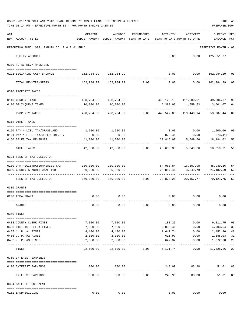|     | 03-01-2019**BUDGET ANALYSIS USAGE REPORT ** ASSET LIABILITY INCOME & EXPENSE<br>TIME: 01:14 PM - EFFECTIVE MONTH: 02 - FOR MONTH ENDING 2-28-19 |                                                      |                                                                           |                  |                                        |                                                      | PREPARER: 0004                        | PAGE 40     |
|-----|-------------------------------------------------------------------------------------------------------------------------------------------------|------------------------------------------------------|---------------------------------------------------------------------------|------------------|----------------------------------------|------------------------------------------------------|---------------------------------------|-------------|
| ACT | NUM ACCOUNT-TITLE                                                                                                                               | ORIGINAL<br>BUDGET-AMOUNT BUDGET-AMOUNT YEAR-TO-DATE | AMENDED                                                                   | ENCUMBERED       | ACTIVITY<br>YEAR-TO-DATE MONTH-TO-DATE | ACTIVITY                                             | <b>CURRENT USED</b><br><b>BALANCE</b> | PCT         |
|     | REPORTING FUND: 0021 FANNIN CO. R & B #1 FUND                                                                                                   |                                                      |                                                                           |                  |                                        |                                                      | EFFECTIVE MONTH - 02                  |             |
|     | EQUITY ACCOUNT                                                                                                                                  |                                                      |                                                                           |                  |                                        | $0.00$ $0.00$ $125,551.77$                           |                                       |             |
|     | 0300 TOTAL REV/TRANSFERS                                                                                                                        |                                                      |                                                                           |                  |                                        |                                                      |                                       |             |
|     | 0121 BEGINNING CASH BALANCE                                                                                                                     | 162,984.29 162,984.29                                |                                                                           |                  |                                        | $0.00$ $0.00$ $162,984.29$ 00                        |                                       |             |
|     | TOTAL REV/TRANSFERS                                                                                                                             |                                                      | $162,984.29$ $162,984.29$ $0.00$ $0.00$ $0.00$ $162,984.29$               |                  |                                        |                                                      |                                       | 00          |
|     | 0310 PROPERTY TAXES                                                                                                                             |                                                      |                                                                           |                  |                                        |                                                      |                                       |             |
|     |                                                                                                                                                 |                                                      |                                                                           |                  |                                        |                                                      |                                       |             |
|     | 0110 CURRENT TAXES<br>0120 DELINQUENT TAXES                                                                                                     | 10,000.00                                            | 488,734.52 488,734.52<br>10,000.00                                        |                  |                                        | 439,128.15 111,680.61 49,606.37<br>6,398.93 1,759.53 | 3,601.07                              | 90<br>64    |
|     | PROPERTY TAXES                                                                                                                                  |                                                      | -----------<br>498,734.52 498,734.52 0.00 445,527.08 113,440.14 53,207.44 |                  |                                        | <u>------------ ------------</u>                     | ------------                          | 89          |
|     | 0318 OTHER TAXES                                                                                                                                |                                                      |                                                                           |                  |                                        |                                                      |                                       |             |
|     |                                                                                                                                                 |                                                      |                                                                           |                  |                                        |                                                      |                                       |             |
|     | 0120 PAY N LIEU TAX/GRASSLAND<br>0121 PAY N LIEU TAX/UPPER TRINITY                                                                              | 0.00                                                 | 1,500.00 1,500.00<br>0.00                                                 |                  |                                        | $0.00$ $0.00$ $1,500.00$<br>873.41 0.00 873.41+      |                                       | 00          |
|     | 0160 SALES TAX REVENUES                                                                                                                         | 41,000.00                                            | 41,000.00                                                                 |                  | 22,815.98                              | 5,049.66                                             | 18,184.02                             | 56          |
|     | OTHER TAXES                                                                                                                                     | -----------<br>42,500.00                             |                                                                           | $42,500.00$ 0.00 |                                        | 23,689.39 5,049.66 18,810.61                         |                                       | 56          |
|     | 0321 FEES OF TAX COLLECTOR                                                                                                                      |                                                      |                                                                           |                  |                                        |                                                      |                                       |             |
|     | 0200 CAR REGISTRATION/SALES TAX                                                                                                                 | 100,000.00    100,000.00                             |                                                                           |                  |                                        | 54,060.84 16,307.98 45,939.16                        |                                       | 54          |
|     | 0300 COUNTY'S ADDITIONAL \$10                                                                                                                   | 50,000.00                                            | 50,000.00                                                                 |                  | 25,817.41                              | 3,849.79                                             | 24,182.59                             | 52          |
|     |                                                                                                                                                 |                                                      |                                                                           |                  |                                        | -------------                                        |                                       |             |
|     | FEES OF TAX COLLECTOR                                                                                                                           | $150,000.00$ $150,000.00$ $0.00$ $79,878.25$         |                                                                           |                  |                                        |                                                      | 20, 157, 77 70, 121, 75               | 53          |
|     | 0330 GRANTS                                                                                                                                     |                                                      |                                                                           |                  |                                        |                                                      |                                       |             |
|     |                                                                                                                                                 |                                                      |                                                                           |                  |                                        |                                                      |                                       |             |
|     | 0200 FEMA GRANT                                                                                                                                 |                                                      | $0.00$ 0.00                                                               |                  |                                        | $0.00$ $0.00$ $0.00$                                 |                                       |             |
|     | GRANTS                                                                                                                                          | 0.00                                                 | 0.00                                                                      | 0.00             | 0.00                                   | 0.00                                                 | 0.00                                  |             |
|     | 0350 FINES                                                                                                                                      |                                                      |                                                                           |                  |                                        |                                                      |                                       |             |
|     | 0403 COUNTY CLERK FINES                                                                                                                         | 7,000.00                                             | 7,000.00                                                                  |                  | 188.25                                 | 0.00                                                 | 6,811.75                              | 03          |
|     | 0450 DISTRICT CLERK FINES                                                                                                                       | 7,000.00                                             | 7,000.00                                                                  |                  | 2,096.46                               | 0.00                                                 | 4,903.54                              | 30          |
|     | 0455 J. P. #1 FINES                                                                                                                             | 4,100.00                                             | 4,100.00                                                                  |                  | 1,647.74                               | 0.00                                                 | 2,452.26                              | 40          |
|     | 0456 J. P. #2 FINES                                                                                                                             | 2,000.00                                             | 2,000.00                                                                  |                  | 611.97                                 | 0.00                                                 | 1,388.03                              | 31          |
|     | 0457 J. P. #3 FINES                                                                                                                             | 2,500.00                                             | 2,500.00                                                                  |                  | 627.32                                 | 0.00                                                 | 1,872.68                              | 25<br>$---$ |
|     | FINES                                                                                                                                           | 22,600.00                                            | 22,600.00                                                                 | 0.00             | 5,171.74                               | 0.00                                                 | 17,428.26                             | 23          |
|     | 0360 INTEREST EARNINGS                                                                                                                          |                                                      |                                                                           |                  |                                        |                                                      |                                       |             |
|     | 0100 INTEREST EARNINGS                                                                                                                          | 300.00<br><u>------------- --------------</u>        | 300.00<br>-------------                                                   |                  | 248.99<br>-------------                | 83.88                                                | 51.01 83                              |             |
|     | INTEREST EARNINGS                                                                                                                               | 300.00                                               | 300.00                                                                    | 0.00             | 248.99                                 | -----------<br>83.88                                 | 51.01 83                              |             |
|     | 0364 SALE OF EQUIPMENT                                                                                                                          |                                                      |                                                                           |                  |                                        |                                                      |                                       |             |
|     | 0162 LAND/BUILDING                                                                                                                              | 0.00                                                 | 0.00                                                                      |                  | 0.00                                   | 0.00                                                 | 0.00                                  |             |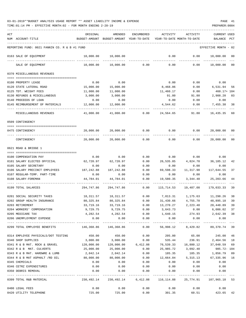| ACT |                                                 | ORIGINAL                                                                    | AMENDED                                                           | ENCUMBERED            | ACTIVITY                    | ACTIVITY                                              | <b>CURRENT USED</b>     |         |
|-----|-------------------------------------------------|-----------------------------------------------------------------------------|-------------------------------------------------------------------|-----------------------|-----------------------------|-------------------------------------------------------|-------------------------|---------|
|     | NUM ACCOUNT-TITLE                               |                                                                             | BUDGET-AMOUNT BUDGET-AMOUNT YEAR-TO-DATE                          |                       |                             | YEAR-TO-DATE MONTH-TO-DATE                            | BALANCE                 | PCT     |
|     | REPORTING FUND: 0021 FANNIN CO. R & B #1 FUND   |                                                                             |                                                                   |                       |                             |                                                       | EFFECTIVE MONTH - 02    |         |
|     | 0163 SALE OF EQUIPMENT                          | 10,000.00                                                                   | 10,000.00                                                         |                       | 0.00                        | 0.00                                                  | 10,000.00               | $_{00}$ |
|     | SALE OF EQUIPMENT                               | 10,000.00                                                                   | 10,000.00                                                         | 0.00                  | 0.00                        | 0.00                                                  | 10,000.00               | 00      |
|     | 0370 MISCELLANEOUS REVENUES                     |                                                                             |                                                                   |                       |                             |                                                       |                         |         |
|     | 0100 PROPERTY LEASE                             | 0.00                                                                        | 0.00                                                              |                       | 0.00                        | 0.00                                                  | 0.00                    |         |
|     | 0120 STATE LATERAL ROAD                         | 15,000.00                                                                   | 15,000.00                                                         |                       | 8,468.06                    | 0.00                                                  | 6,531.94                | 56      |
|     | 0125 TDT. WEIGHT FEES                           | 11,000.00                                                                   | 11,000.00                                                         |                       | 11,460.17                   | 0.00                                                  | 460.17+ 104             |         |
|     | 0130 REFUNDS & MISCELLANEOUS                    | 3,000.00                                                                    | 3,000.00                                                          |                       | 91.80                       | 91.80                                                 | 2,908.20                | 03      |
|     | 0140 PROCEEDS OF LOAN                           | 0.00                                                                        | 0.00                                                              |                       | 0.00                        | 0.00                                                  | 0.00                    |         |
|     | 0145 REIMBURSEMENT OF MATERIALS                 | 12,000.00                                                                   | 12,000.00                                                         |                       | 4,544.62                    | 0.00                                                  | 7,455.38                | 38      |
|     | MISCELLANEOUS REVENUES                          | 41,000.00                                                                   | 41,000.00                                                         | 0.00                  | 24,564.65                   | 91.80                                                 | 16,435.35               | 60      |
|     | 0509 CONTINGENCY                                |                                                                             |                                                                   |                       |                             |                                                       |                         |         |
|     |                                                 |                                                                             |                                                                   |                       |                             |                                                       |                         |         |
|     | 0475 CONTINGENCY                                | 20,000.00                                                                   | 20,000.00                                                         | 0.00<br>-------       | 0.00                        | 0.00                                                  | 20,000.00<br>. <u>.</u> | 00      |
|     | CONTINGENCY                                     | 20,000.00                                                                   | 20,000.00                                                         | 0.00                  | 0.00                        | 0.00                                                  | 20,000.00               | $_{00}$ |
|     | 0621 ROAD & BRIDGE 1                            |                                                                             |                                                                   |                       |                             |                                                       |                         |         |
|     | 0100 COMPENSATION PAY                           | 0.00                                                                        | 0.00                                                              | 0.00                  |                             | $0.00$ 0.00                                           | 0.00                    |         |
|     | 0101 SALARY ELECTED OFFICIAL                    | 62,720.97                                                                   | 62,720.97                                                         | 0.00                  | 26,535.85                   | 4,824.70                                              | 36,185.12               | 42      |
|     | 0105 SALARY SECRETARY                           | 0.00                                                                        | 0.00                                                              | 0.00                  | 0.00                        | 0.00                                                  | 0.00                    |         |
|     | 0106 SALARY PRECINCT EMPLOYEES                  | 187,242.88                                                                  | 187,242.88                                                        | 0.00                  | 69,598.33                   | 11,317.90                                             | 117,644.55              | 37      |
|     | 0107 REGULAR-TEMP. PART-TIME                    | 0.00                                                                        | 0.00                                                              | 0.00                  | 0.00                        | 0.00                                                  | 0.00                    |         |
|     | 0108 SALARY-FOREMAN                             | 44,784.01                                                                   | 44,784.01                                                         | 0.00                  | 19,580.35                   | 3,344.48                                              | 25,203.66               | 44      |
|     | 0199 TOTAL SALARIES                             | 294,747.86                                                                  | 294,747.86                                                        | $- - - - - -$<br>0.00 | 115,714.53                  | 19,487.08                                             | 179,033.33              | 39      |
|     |                                                 |                                                                             |                                                                   |                       |                             |                                                       |                         |         |
|     | 0201 SOCIAL SECURITY TAXES                      | 18,311.57                                                                   |                                                                   |                       |                             | 18,311.57 0.00 7,013.31 1,175.63 11,298.26            |                         | 38      |
|     | 0202 GROUP HEALTH INSURANCE                     | 80, 325.84                                                                  | 80,325.84                                                         | 0.00                  |                             | 31,430.66 4,755.78                                    | 48,895.18               | 39      |
|     | 0203 RETIREMENT                                 | 33,719.16                                                                   | 33,719.16                                                         | 0.00                  | 13,270.27                   | 2,223.48                                              | 20,448.89               | 39      |
|     | 0204 WORKERS' COMPENSATION<br>0205 MEDICARE TAX |                                                                             | 9,729.75 9,729.75                                                 |                       | $0.00$ 3,643.73<br>1,640.15 | 0.00<br>274.93                                        | 6,086.02 37             |         |
|     | 0206 UNEMPLOYMENT EXPENSE                       | 4,282.54<br>0.00                                                            | 4,282.54<br>0.00                                                  | 0.00<br>0.00          | 0.00                        | 0.00                                                  | 2,642.39 38<br>0.00     |         |
|     |                                                 |                                                                             |                                                                   |                       |                             |                                                       |                         |         |
|     | 0299 TOTAL EMPLOYEE BENEFITS                    | 146,368.86   146,368.86      0.00    56,998.12    8,429.82    89,370.74  39 |                                                                   |                       |                             |                                                       |                         |         |
|     | 0314 EMPLOYEE PHYSICALS/DOT TESTING             | 450.00                                                                      | 450.00                                                            | 0.00                  | 205.00                      | 65.00                                                 | 245.00 46               |         |
|     | 0340 SHOP SUPPLIES                              | 3,000.00                                                                    | 3,000.00                                                          | 0.00                  | 535.44                      |                                                       | 236.91 2,464.56 18      |         |
|     | 0341 R & B MAT. ROCK & GRAVEL 120,000.00        |                                                                             |                                                                   |                       |                             | 120,000.00  6,412.08  76,539.33  16,880.12  37,048.59 |                         | 69      |
|     | 0342 R & B MAT. CULVERTS                        | 25,000.00                                                                   | 25,000.00                                                         |                       |                             | $0.00$ 25,985.72 3,092.40                             | 985.72- 104             |         |
|     | 0343 R & B MAT. HARDWRE & LUMB                  | 2,042.14                                                                    | 2,042.14                                                          | 0.00                  |                             | 185.35 185.35                                         | 1,856.79                | 09      |
|     | 0344 R & B MAT ASPHALT /RD OIL                  | 80,000.00                                                                   | 80,000.00                                                         |                       |                             | 0.00 12,664.04 5,315.13 67,335.96 16                  |                         |         |
|     | 0345 CHEMICALS                                  | 0.00                                                                        | 0.00                                                              | 0.00                  | 0.00                        | 0.00                                                  | 0.00                    |         |
|     | 0346 CETRZ EXPENDITURES                         | 0.00                                                                        |                                                                   | $0.00$ $0.00$         | 0.00                        | 0.00                                                  | 0.00                    |         |
|     | 0350 DEBRIS REMOVAL                             | 0.00                                                                        |                                                                   | $0.00$ 0.00           | 0.00                        |                                                       | $0.00$ 0.00             |         |
|     | 0399 TOTAL R&B MATERIAL                         |                                                                             | 230,492.14 230,492.14 6,412.08 116,114.88 25,774.91 107,965.18 53 |                       |                             |                                                       |                         |         |
|     | 0400 LEGAL FEES                                 | 0.00                                                                        | 0.00                                                              | 0.00                  |                             | $0.00$ 0.00                                           | 0.00                    |         |
|     | 0420 UTILITY TELEPHONE                          | 725.00                                                                      | 725.00                                                            | 0.00                  |                             | 301.35 60.51 423.65                                   |                         | 42      |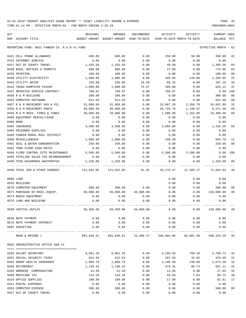TIME:01:14 PM - EFFECTIVE MONTH:02 - FOR MONTH ENDING 2-28-19 PREPARER:0004

| ACT |                                               | ORIGINAL      | AMENDED                                                        | <b>ENCUMBERED</b> | <b>ACTIVITY</b> | ACTIVITY                   | <b>CURRENT USED</b>  |                |
|-----|-----------------------------------------------|---------------|----------------------------------------------------------------|-------------------|-----------------|----------------------------|----------------------|----------------|
| NUM | ACCOUNT-TITLE                                 | BUDGET-AMOUNT | BUDGET-AMOUNT                                                  | YEAR-TO-DATE      |                 | YEAR-TO-DATE MONTH-TO-DATE | <b>BALANCE</b>       | PCT            |
|     | REPORTING FUND: 0021 FANNIN CO. R & B #1 FUND |               |                                                                |                   |                 |                            | EFFECTIVE MONTH - 02 |                |
|     | 0421 CELL PHONE ALLOWANCE                     | 600.00        | 600.00                                                         | 0.00              | 250.00          | 50.00                      | 350.00               | 42             |
|     | 0423 INTERNET SERVICE                         | 0.00          | 0.00                                                           | 0.00              | 0.00            | 0.00                       | 0.00                 |                |
|     | 0427 OUT OF COUNTY TRAVEL                     | 1,435.58      | 1,435.58                                                       | 0.00              | 40.00           | 0.00                       | 1,395.58             | 03             |
|     | 0430 BIDS, NOTICES & PERMITS                  | 800.00        | 800.00                                                         | 0.00              | 27.00           | 0.00                       | 773.00               | 03             |
|     | 0435 PRINTING                                 | 100.00        | 100.00                                                         | 0.00              | 0.00            | 0.00                       | 100.00               | 0 <sub>0</sub> |
|     | 0440 UTILITY ELECTRICITY                      | 1,600.00      | 1,600.00                                                       | 0.00              | 395.95          | 110.00                     | 1,204.05             | 25             |
|     | 0442 UTILITY WATER                            | 250.00        | 250.00                                                         | 16.58             | 66.32           | 0.00                       | 167.10               | 33             |
|     | 0443 TRASH DUMPSTER PICKUP                    | 1,000.00      | 1,000.00                                                       | 74.97             | 299.88          | 0.00                       | 625.15               | 37             |
|     | 0447 REPEATER SERVICE CONTRACT                | 708.97        | 708.97                                                         | 0.00              | 708.97          | 0.00                       | 0.00                 | 100            |
|     | 0450 R & M BUILDING                           | 300.00        | 300.00                                                         | 0.00              | 0.00            | 0.00                       | 300.00               | 0 <sub>0</sub> |
|     | 0453 COMPUTER SOFTWARE                        | 912.50        | 912.50                                                         | 0.00              | 0.00            | 0.00                       | 912.50               | 0 <sub>0</sub> |
|     | 0457 R & M MACHINERY GAS & OIL                | 51,000.00     | 51,000.00                                                      | 0.00              | 16,067.20       | 3,356.79                   | 34,932.80            | 32             |
|     | 0458 R & M MACHINERY PARTS                    | 30,000.00     | 30,000.00                                                      | 0.00              | 20,728.70       | 1,149.97                   | 9,271.30             | 69             |
|     | 0459 R & M MACH. TIRES & TUBES                | 20,000.00     | 20,000.00                                                      | 0.00              | 1,600.00        | 1,162.00                   | 18,400.00            | 08             |
|     | 0460 EOUIPMENT RENTAL/LEASE                   | 0.00          | 0.00                                                           | 0.00              | 0.00            | 0.00                       | 0.00                 |                |
|     | 0480 BOND                                     | 0.00          | 0.00                                                           | 0.00              | 0.00            | 0.00                       | 0.00                 |                |
|     | 0482 INSURANCE                                | 4,500.00      | 4,500.00                                                       | 0.00              | 3,084.80        | 0.00                       | 1,415.20             | 69             |
|     | 0485 PRISONER SUPPLIES                        | 0.00          | 0.00                                                           | 0.00              | 0.00            | 0.00                       | 0.00                 |                |
|     | 0488 FANNIN RURAL RAIL DISTRICT               | 0.00          | 0.00                                                           | 0.00              | 0.00            | 0.00                       | 0.00                 |                |
|     | 0490 MISCELLANEOUS                            | 1,000.00      | 1,000.00                                                       | 0.00              | 106.30          | 0.00                       | 893.70               | 11             |
|     | 0491 SOIL & WATER CONSERVATION                | 250.00        | 250.00                                                         | 0.00              | 0.00            | 0.00                       | 250.00               | 0 <sub>0</sub> |
|     | 0492 TDRA FLOOD CASH MATCH                    | 0.00          | 0.00                                                           | 0.00              | 0.00            | 0.00                       | 0.00                 |                |
|     | 0494 FLOOD CONTROL SITE MAINTENANCE           | 5,500.00      | 5,500.00                                                       | 0.00              | 5,500.00        | 5,500.00                   | 0.00                 | 100            |
|     | 0495 PIPELINE SALES TAX REIMBURSEMENT         | 0.00          | 0.00                                                           | 0.00              | 0.00            | 0.00                       | 0.00                 |                |
|     | 0496 TCOG HAZARDOUS WASTEMATCH                | 1,250.00      | 1,250.00                                                       | 0.00              | 0.00            | 0.00                       | 1,250.00             | 00             |
|     | 0499 TOTAL SER.& OTHER CHARGES                | 121,932.05    | 121,932.05                                                     | 91.55             | 49,176.47       | 11,389.27                  | 72,664.03            | 40             |
|     | 0500 LAND                                     |               |                                                                |                   | 0.00            | 0.00                       | 0.00                 |                |
|     | 0535 BUILDING                                 |               |                                                                |                   | 0.00            | 0.00                       | 0.00                 |                |
|     | 0570 COMPUTER EQUIPMENT                       | 300.00        | 300.00                                                         | 0.00              | 0.00            | 0.00                       | 300.00               | 00             |
|     | 0571 PURCHASE OF MACH./EQUIP.                 | 99,000.00     | 99,000.00                                                      | $40,000.00 -$     | 0.00            | 0.00                       | 139,000.00           | 40             |
|     | 0573 RADIO EQUIPMENT                          | 0.00          | 0.00                                                           | 0.00              | 0.00            | 0.00                       | 0.00                 |                |
|     | 0575 LAND AND BUILDING                        | 0.00          | 0.00                                                           | 0.00              | 0.00            | 0.00                       | 0.00                 |                |
|     | 0599 CAPITAL OUTLAY                           | 99,300.00     | 99,300.00                                                      | $40,000.00-$      | 0.00            | 0.00                       | 139,300.00 40        |                |
|     | 0630 NOTE PAYMENT                             | 0.00          | 0.00                                                           | 0.00              | 0.00            | 0.00                       | 0.00                 |                |
|     | 0670 NOTE PAYMENT-INTEREST                    | 0.00          | 0.00                                                           | 0.00              | 0.00            | 0.00                       | 0.00                 |                |
|     | 0695 SURVEYING                                | 0.00          | 0.00                                                           | 0.00              | 0.00            | 0.00                       | 0.00                 |                |
|     | ROAD & BRIDGE 1                               |               | $892,840.91$ $892,840.91$ $33,496.37$ $338,004.00$ $65,081.08$ |                   |                 |                            | 588,333.28           | 34             |
|     | 0625 ADMINISTRATIVE OFFICE R&B #1             |               |                                                                |                   |                 |                            |                      |                |
|     |                                               |               |                                                                |                   |                 |                            |                      |                |
|     | 0105 SALARY SECRETARY                         | 9,881.28      | 9,881.28                                                       | 0.00              | 4,180.55        | 760.10                     | 5,700.73             | 42             |
|     | 0201 SOCIAL SECURITY TAXES                    | 612.64        | 612.64                                                         | 0.00              | 187.04          | 32.82                      | 425.60               | 31             |
|     | 0202 GROUP HEALTH INSURANCE                   | 2,868.78      | 2,868.78                                                       | 0.00              | 1,195.40        | 239.08                     | 1,673.38             | 42             |
|     | 0203 RETIREMENT                               | 1,130.42      | 1,130.42                                                       | 0.00              | 479.31          | 86.74                      | 651.11               | 42             |
|     | 0204 WORKERS' COMPENSATION                    | 41.50         | 41.50                                                          | 0.00              | 13.65           | 0.00                       | 27.85                | 33             |
|     | 0205 MEDICARE TAX                             | 143.28        | 143.28                                                         | 0.00              | 43.56           | 7.64                       | 99.72                | 30             |
|     | 0310 OFFICE SUPPLIES                          | 100.00        | 100.00                                                         | 0.00              | 17.09           | 0.00                       | 82.91                | 17             |
|     | 0311 POSTAL EXPENSES                          | 0.00          | 0.00                                                           | 0.00              | 0.00            | 0.00                       | 0.00                 |                |
|     | 0353 COMPUTER EXPENSE                         | 500.00        | 500.00                                                         | 0.00              | 0.00            | 0.00                       | 500.00               | 0 <sub>0</sub> |

0427 OUT OF COUNTY TRAVEL 0.00 0.00 0.00 0.00 0.00 0.00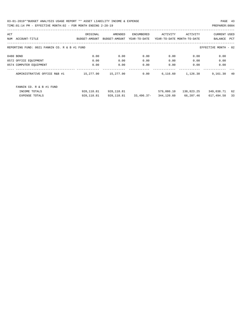03-01-2019\*\*BUDGET ANALYSIS USAGE REPORT \*\* ASSET LIABILITY INCOME & EXPENSE PAGE 43 TIME:01:14 PM - EFFECTIVE MONTH:02 - FOR MONTH ENDING 2-28-19 PREPARER:0004

| ACT |                                                                       | ORIGINAL      | AMENDED       | ENCUMBERED   | ACTIVITY   | ACTIVITY                   | <b>CURRENT USED</b> |     |  |
|-----|-----------------------------------------------------------------------|---------------|---------------|--------------|------------|----------------------------|---------------------|-----|--|
| NUM | ACCOUNT-TITLE                                                         | BUDGET-AMOUNT | BUDGET-AMOUNT | YEAR-TO-DATE |            | YEAR-TO-DATE MONTH-TO-DATE | BALANCE             | PCT |  |
|     |                                                                       |               |               |              |            |                            |                     |     |  |
|     | REPORTING FUND: 0021 FANNIN CO. R & B #1 FUND<br>EFFECTIVE MONTH - 02 |               |               |              |            |                            |                     |     |  |
|     |                                                                       |               |               |              |            |                            |                     |     |  |
|     | 0480 BOND                                                             | 0.00          | 0.00          | 0.00         | 0.00       | 0.00                       | 0.00                |     |  |
|     | 0572 OFFICE EQUIPMENT                                                 | 0.00          | 0.00          | 0.00         | 0.00       | 0.00                       | 0.00                |     |  |
|     | 0574 COMPUTER EQUIPMENT                                               | 0.00          | 0.00          | 0.00         | 0.00       | 0.00                       | 0.00                |     |  |
|     |                                                                       |               |               |              |            |                            |                     |     |  |
|     | ADMINISTRATIVE OFFICE R&B #1                                          | 15,277.90     | 15,277.90     | 0.00         | 6,116.60   | 1,126.38                   | 9,161.30            | 40  |  |
|     |                                                                       |               |               |              |            |                            |                     |     |  |
|     |                                                                       |               |               |              |            |                            |                     |     |  |
|     | FANNIN CO. R & B #1 FUND                                              |               |               |              |            |                            |                     |     |  |
|     | INCOME TOTALS                                                         | 928,118.81    | 928,118.81    |              | 579,080.10 | 138,823.25                 | 349,038.71          | 62  |  |
|     | <b>EXPENSE TOTALS</b>                                                 | 928, 118.81   | 928,118.81    | 33,496.37-   | 344,120.60 | 66,207.46                  | 617,494.58          | 33  |  |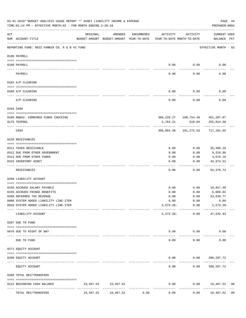|           | 03-01-2019**BUDGET ANALYSIS USAGE REPORT ** ASSET LIABILITY INCOME & EXPENSE<br>TIME:01:14 PM - EFFECTIVE MONTH:02 - FOR MONTH ENDING 2-28-19 |           |                                                     |            |                                        |                                   | PAGE 44<br>PREPARER: 0004                                         |                |
|-----------|-----------------------------------------------------------------------------------------------------------------------------------------------|-----------|-----------------------------------------------------|------------|----------------------------------------|-----------------------------------|-------------------------------------------------------------------|----------------|
| ACT       | NUM ACCOUNT-TITLE                                                                                                                             | ORIGINAL  | AMENDED<br>BUDGET-AMOUNT BUDGET-AMOUNT YEAR-TO-DATE | ENCUMBERED | ACTIVITY<br>YEAR-TO-DATE MONTH-TO-DATE | ACTIVITY                          | CURRENT USED<br>BALANCE PCT                                       |                |
|           | REPORTING FUND: 0022 FANNIN CO. R & B #2 FUND                                                                                                 |           |                                                     |            |                                        |                                   | EFFECTIVE MONTH - 02                                              |                |
|           | 0100 PAYROLL                                                                                                                                  |           |                                                     |            |                                        |                                   |                                                                   |                |
|           | 0100 PAYROLL                                                                                                                                  |           |                                                     |            | 0.00                                   | 0.00                              | 0.00                                                              |                |
|           | PAYROLL                                                                                                                                       |           |                                                     |            | 0.00                                   | 0.00                              | 0.00                                                              |                |
|           | 0102 A/P CLEARING                                                                                                                             |           |                                                     |            |                                        |                                   |                                                                   |                |
|           | 0100 A/P CLEARING                                                                                                                             |           |                                                     |            | 0.00                                   | 0.00                              | 0.00                                                              |                |
|           | A/P CLEARING                                                                                                                                  |           |                                                     |            | 0.00                                   | 0.00                              | 0.00                                                              |                |
|           | 0103 CASH                                                                                                                                     |           |                                                     |            |                                        |                                   |                                                                   |                |
|           |                                                                                                                                               |           |                                                     |            |                                        |                                   |                                                                   |                |
|           | 0100 R&B#2- COMBINED FUNDS CHECKING<br>0175 TEXPOOL                                                                                           |           |                                                     |            | 2,764.21                               |                                   | 366, 220. 27    100, 754. 49    461, 287. 07<br>518.04 255,814.58 |                |
|           | CASH                                                                                                                                          |           |                                                     |            | 368,984.48                             | -------------<br>101,272.53       | 717,101.65                                                        |                |
|           | 0120 RECEIVABLES                                                                                                                              |           |                                                     |            |                                        |                                   |                                                                   |                |
|           | 0311 TAXES RECEIVABLE                                                                                                                         |           |                                                     |            | 0.00                                   | 0.00                              | 35,406.18                                                         |                |
|           | 0312 DUE FROM OTHER GOVERNMENT                                                                                                                |           |                                                     |            | 0.00                                   | 0.00                              | 9,319.86                                                          |                |
|           | 0313 DUE FROM OTHER FUNDS                                                                                                                     |           |                                                     |            | 0.00                                   | 0.00                              | 3,676.18                                                          |                |
|           | 0315 INVENTORY ASSET                                                                                                                          |           |                                                     |            | 0.00                                   | 0.00<br>-----                     | 43,974.52<br>----------                                           |                |
|           | RECEIVABLES                                                                                                                                   |           |                                                     |            | 0.00                                   | 0.00                              | 92,376.74                                                         |                |
|           | 0200 LIABILITY ACCOUNT                                                                                                                        |           |                                                     |            |                                        |                                   |                                                                   |                |
|           | 0150 ACCRUED SALARY PAYABLE                                                                                                                   |           |                                                     |            | 0.00                                   | 0.00                              | 10,957.40                                                         |                |
|           | 0155 ACCRUED FRINGE BENEFITS                                                                                                                  |           |                                                     |            | 0.00                                   | 0.00                              | 5,609.02                                                          |                |
|           | 0200 DEFERRED TAX REVENUE                                                                                                                     |           |                                                     |            | 0.00                                   | 0.00                              | 33,639.77                                                         |                |
|           | 0900 SYSTEM ADDED LIABILITY LINE-ITEM                                                                                                         |           |                                                     |            | 0.00                                   | 0.00                              | 0.00                                                              |                |
|           | 0910 SYSTEM ADDED LIABILITY LINE-ITEM                                                                                                         |           |                                                     |            |                                        | $2,573.26 - 0.00$<br>------------ | $2,573.26 -$                                                      |                |
|           | LIABILITY ACCOUNT                                                                                                                             |           |                                                     |            | $2,573.26-$                            |                                   | $0.00$ $47,632.93$                                                |                |
|           | 0207 DUE TO FUND                                                                                                                              |           |                                                     |            |                                        |                                   |                                                                   |                |
|           | 0070 DUE TO RIGHT OF WAY                                                                                                                      |           |                                                     |            |                                        | $0.00$ 0.00                       | 0.00                                                              |                |
| $- - - -$ | DUE TO FUND                                                                                                                                   |           |                                                     |            | -----<br>0.00                          | ----------<br>0.00                | 0.00                                                              |                |
|           | 0271 EQUITY ACCOUNT                                                                                                                           |           |                                                     |            |                                        |                                   |                                                                   |                |
|           | 0200 EQUITY ACCOUNT                                                                                                                           |           |                                                     |            |                                        |                                   | $0.00$ $0.00$ $390,287.72$                                        |                |
|           | EQUITY ACCOUNT                                                                                                                                |           |                                                     |            | 0.00                                   |                                   | $0.00$ 390, 287.72                                                |                |
|           | 0300 TOTAL REV/TRANSFERS                                                                                                                      |           |                                                     |            |                                        |                                   |                                                                   |                |
|           | 0122 BEGINNING CASH BALANCE                                                                                                                   |           | 19,487.52 19,487.52                                 |            | 0.00                                   |                                   | $0.00$ 19,487.52                                                  | 00             |
|           | TOTAL REV/TRANSFERS                                                                                                                           | 19,487.52 | 19,487.52                                           | 0.00       | 0.00                                   | 0.00                              | 19,487.52                                                         | 0 <sub>0</sub> |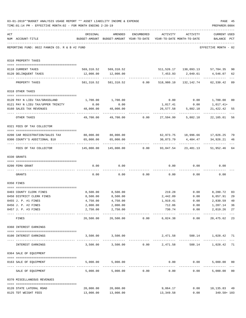|     | 03-01-2019**BUDGET ANALYSIS USAGE REPORT ** ASSET LIABILITY INCOME & EXPENSE<br>TIME: 01:14 PM - EFFECTIVE MONTH: 02 - FOR MONTH ENDING 2-28-19 |                                              |                                                                                |                                             |                          |                   | PAGE 45<br>PREPARER: 0004                                     |               |
|-----|-------------------------------------------------------------------------------------------------------------------------------------------------|----------------------------------------------|--------------------------------------------------------------------------------|---------------------------------------------|--------------------------|-------------------|---------------------------------------------------------------|---------------|
| ACT | NUM ACCOUNT-TITLE                                                                                                                               | ORIGINAL                                     | AMENDED<br>BUDGET-AMOUNT BUDGET-AMOUNT YEAR-TO-DATE YEAR-TO-DATE MONTH-TO-DATE | ENCUMBERED                                  |                          | ACTIVITY ACTIVITY | <b>CURRENT USED</b><br>BALANCE PCT                            |               |
|     | REPORTING FUND: 0022 FANNIN CO. R & B #2 FUND                                                                                                   |                                              |                                                                                |                                             |                          |                   | EFFECTIVE MONTH - 02                                          |               |
|     | 0310 PROPERTY TAXES                                                                                                                             |                                              |                                                                                |                                             |                          |                   |                                                               |               |
|     | 0110 CURRENT TAXES                                                                                                                              |                                              |                                                                                |                                             |                          |                   | 569,310.52 569,310.52 511,526.17 130,093.13 57,784.35         | 90            |
|     | 0120 DELINQUENT TAXES                                                                                                                           |                                              | 12,000.00   12,000.00                                                          |                                             |                          |                   | 7,453.93 2,049.61 4,546.07                                    | 62            |
|     | PROPERTY TAXES                                                                                                                                  | 581,310.52                                   |                                                                                |                                             |                          |                   | 581, 310.52 0.00 518, 980.10 132, 142.74 62, 330.42           | $---$<br>89   |
|     | 0318 OTHER TAXES                                                                                                                                |                                              |                                                                                |                                             |                          |                   |                                                               |               |
|     |                                                                                                                                                 |                                              |                                                                                |                                             |                          |                   |                                                               |               |
|     | 0120 PAY N LIEU TAX/GRASSLAND                                                                                                                   | 1,700.00                                     | 1,700.00                                                                       |                                             |                          |                   | $0.00$ $0.00$ $1,700.00$                                      | 00            |
|     | 0121 PAY N LIEU TAX/UPPER TRINITY                                                                                                               | 0.00                                         | 0.00                                                                           |                                             | 1,017.41                 | 0.00              | 1,017.41+                                                     |               |
|     | 0160 SALES TAX REVENUES                                                                                                                         | 48,000.00<br>---------------- -------------  | 48,000.00                                                                      |                                             | 26,577.58                | 5,882.18<br>.     | 21,422.42                                                     | 55            |
|     | OTHER TAXES                                                                                                                                     | 49,700.00                                    |                                                                                |                                             |                          |                   | 5,882.18 22,105.01                                            | 56            |
|     | 0321 FEES OF TAX COLLECTOR                                                                                                                      |                                              |                                                                                |                                             |                          |                   |                                                               |               |
|     |                                                                                                                                                 | 80,000.00 80,000.00                          |                                                                                |                                             |                          |                   |                                                               |               |
|     | 0200 CAR REGISTRATION/SALES TAX<br>0300 COUNTY'S ADDITIONAL \$10                                                                                | 65,000.00                                    | 65,000.00                                                                      |                                             |                          |                   | 62,973.75 18,996.66 17,026.25<br>30,073.79 4,484.47 34,926.21 | 79<br>46      |
|     | FEES OF TAX COLLECTOR                                                                                                                           | 145,000.00                                   |                                                                                | $145,000.00$ $0.00$ $93,047.54$ $23,481.13$ | --------------           | --------------    | _____________<br>51,952.46                                    | 64            |
|     | 0330 GRANTS                                                                                                                                     |                                              |                                                                                |                                             |                          |                   |                                                               |               |
|     |                                                                                                                                                 |                                              |                                                                                |                                             |                          |                   |                                                               |               |
|     | 0200 FEMA GRANT                                                                                                                                 | 0.00                                         | 0.00                                                                           |                                             |                          | $0.00$ 0.00       | 0.00                                                          |               |
|     | GRANTS                                                                                                                                          | 0.00                                         |                                                                                | $0.00$ $0.00$ $0.00$                        |                          |                   | 0.00<br>0.00                                                  |               |
|     | 0350 FINES                                                                                                                                      |                                              |                                                                                |                                             |                          |                   |                                                               |               |
|     | 0403 COUNTY CLERK FINES                                                                                                                         | 8,500.00                                     | 8,500.00                                                                       |                                             |                          |                   | 219.28 0.00 8,280.72                                          | 03            |
|     | 0450 DISTRICT CLERK FINES                                                                                                                       | 8,500.00                                     | 8,500.00                                                                       |                                             | 2,442.09                 | 0.00              | 6,057.91                                                      | 29            |
|     | 0455 J. P. #1 FINES                                                                                                                             | 4,750.00                                     | 4,750.00                                                                       |                                             | 1,919.41                 | 0.00              | 2,830.59 40                                                   |               |
|     | 0456 J. P. #2 FINES                                                                                                                             | 2,000.00                                     | 2,000.00                                                                       |                                             | 712.86                   | 0.00              | 1,287.14                                                      | 36            |
|     | 0457 J. P. #3 FINES                                                                                                                             | 2,750.00<br>------------------- ------------ | 2,750.00<br>------------                                                       |                                             | 730.74<br>-------------- | ------------      | 0.00<br>2,019.26<br>.                                         | 27            |
|     | FINES                                                                                                                                           | 26,500.00                                    |                                                                                | 26,500.00 0.00                              | 6,024.38                 | 0.00              | 20,475.62                                                     | 23            |
|     | 0360 INTEREST EARNINGS                                                                                                                          |                                              |                                                                                |                                             |                          |                   |                                                               |               |
|     | 0100 INTEREST EARNINGS                                                                                                                          |                                              | 3,500.00 3,500.00                                                              |                                             |                          |                   | 2,471.58 588.14 1,028.42 71                                   |               |
|     | INTEREST EARNINGS                                                                                                                               |                                              | 3,500.00 3,500.00 0.00 2,471.58                                                |                                             |                          |                   | 588.14 1,028.42 71                                            | $\frac{1}{2}$ |
|     | 0364 SALE OF EQUIPMENT                                                                                                                          |                                              |                                                                                |                                             |                          |                   |                                                               |               |
|     | --------------------------------------<br>0163 SALE OF EQUIPMENT                                                                                |                                              | 5,000.00 5,000.00                                                              |                                             |                          | $0.00$ $0.00$     | 5,000.00 00                                                   |               |
|     | SALE OF EQUIPMENT                                                                                                                               | 5,000.00                                     |                                                                                | 5,000.00 0.00                               | 0.00                     |                   | _____________<br>5,000.00 00<br>0.00                          |               |
|     | 0370 MISCELLANEOUS REVENUES                                                                                                                     |                                              |                                                                                |                                             |                          |                   |                                                               |               |
|     | 0120 STATE LATERAL ROAD                                                                                                                         | 20,000.00                                    | 20,000.00                                                                      |                                             | 9,864.17                 |                   | $0.00$ 10,135.83 49                                           |               |
|     | 0125 TDT WEIGHT FEES                                                                                                                            | 13,000.00                                    | 13,000.00                                                                      |                                             | 13,349.58                | 0.00              | 349.58+ 103                                                   |               |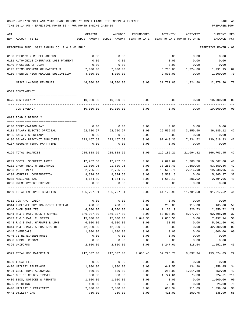| ACT                                           | ORIGINAL      | AMENDED                                                         | <b>ENCUMBERED</b> | ACTIVITY              | ACTIVITY                   | <b>CURRENT USED</b>   |        |
|-----------------------------------------------|---------------|-----------------------------------------------------------------|-------------------|-----------------------|----------------------------|-----------------------|--------|
| NUM ACCOUNT-TITLE                             | BUDGET-AMOUNT | BUDGET-AMOUNT                                                   | YEAR-TO-DATE      |                       | YEAR-TO-DATE MONTH-TO-DATE | BALANCE               | PCT    |
| REPORTING FUND: 0022 FANNIN CO. R & B #2 FUND |               |                                                                 |                   |                       |                            | EFFECTIVE MONTH - 02  |        |
| 0130 REFUNDS & MISCELLANEOUS                  | 0.00          | 0.00                                                            |                   | 0.00                  | 0.00                       | 0.00                  |        |
| 0131 AUTOMOBILE INSURANCE LOSS PAYMENT        | 0.00          | 0.00                                                            |                   | 0.00                  | 0.00                       | 0.00                  |        |
| 0140 PROCEEDS OF LOAN                         | 0.00          | 0.00                                                            |                   | 0.00                  | 0.00                       | 0.00                  |        |
| 0145 REIMBURSEMENT OF MATERIALS               | 7,000.00      | 7,000.00                                                        |                   | 5,708.05              | 1,324.80                   | 1,291.95              | 82     |
| 0150 TRENTON HIGH MEADOWS SUBDIVISION         | 4,000.00      | 4,000.00                                                        |                   | 2,800.00              | 0.00                       | 1,200.00              | 70     |
| MISCELLANEOUS REVENUES                        | 44,000.00     | 44,000.00                                                       | 0.00              | 31,721.80             | 1,324.80                   | 12,278.20             | 72     |
| 0509 CONTINGENCY                              |               |                                                                 |                   |                       |                            |                       |        |
|                                               |               |                                                                 |                   |                       |                            |                       |        |
| 0475 CONTINGENCY                              | 10,000.00     | 10,000.00                                                       | 0.00              | 0.00                  | 0.00                       | 10,000.00             | 00     |
| CONTINGENCY                                   | 10,000.00     | 10,000.00                                                       | 0.00              | 0.00                  | 0.00                       | 10,000.00             | 00     |
| 0622 ROAD & BRIDGE 2                          |               |                                                                 |                   |                       |                            |                       |        |
| 0100 COMPENSATION PAY                         | 0.00          | 0.00                                                            | 0.00              |                       | $0.00$ 0.00                | 0.00                  |        |
| 0101 SALARY ELECTED OFFICIAL                  | 62,720.97     | 62,720.97                                                       | 0.00              | 26,535.85             |                            | 3,859.90 36,185.12    | 42     |
| 0105 SALARY SECRETARY                         | 0.00          | 0.00                                                            | 0.00              | 0.00                  | 0.00                       | 0.00                  |        |
| 0106 SALARY PRECINCT EMPLOYEES                | 223,167.69    | 223, 167.69                                                     | 0.00              | 92,649.36             | 17,234.52                  | 130,518.33            | 42     |
| 0107 REGULAR-TEMP. PART-TIME                  | 0.00          | 0.00                                                            | 0.00              | 0.00                  | 0.00                       | 0.00                  |        |
|                                               |               |                                                                 |                   |                       |                            |                       |        |
| 0199 TOTAL SALARIES                           | 285,888.66    | 285,888.66                                                      | 0.00              | 119,185.21            | 21,094.42                  | 166,703.45            | 42     |
| 0201 SOCIAL SECURITY TAXES                    | 17,762.30     | 17,762.30                                                       | 0.00              | 7,094.62              | 1,308.50                   | 10,667.68             | 40     |
| 0202 GROUP HEALTH INSURANCE                   | 91,800.96     | 91,800.96                                                       | 0.00              | 38,250.40             | 7,650.08                   | 53,550.56             | 42     |
| 0203 RETIREMENT                               | 32,705.66     | 32,705.66                                                       | 0.00              | 13,666.71             | 2,516.98                   | 19,038.95             | 42     |
| 0204 WORKERS' COMPENSATION                    | 9,374.50      | 9,374.50                                                        | 0.00              | 3,509.13              | 0.00                       | 5,865.37              | 37     |
| 0205 MEDICARE TAX                             | 4,154.09      | 4,154.09                                                        | 0.00              | 1,659.13              | 306.02                     | 2,494.96              | 40     |
| 0206 UNEMPLOYMENT EXPENSE                     | 0.00          | 0.00                                                            | 0.00              | 0.00                  | 0.00                       | 0.00                  |        |
| 0299 TOTAL EMPLOYEE BENEFITS                  | 155,797.51    | 155,797.51                                                      | 0.00              | 64,179.99             | 11,781.58                  | 91,617.52             | 41     |
| 0312 CONTRACT LABOR                           | 0.00          | 0.00                                                            | 0.00              | 0.00                  | 0.00                       | 0.00                  |        |
| 0314 EMPLOYEE PHYSICALS/DOT TESTING           | 400.00        | 400.00                                                          | 0.00              | 235.00                | 115.00                     | 165.00                | 59     |
| 0340 SHOP SUPPLIES                            | 4,000.00      | 4,000.00                                                        | 41.09             |                       | 326.73                     |                       | 29     |
| 0341 R & B MAT. ROCK & GRAVEL                 | 146,307.00    | 146,307.00                                                      | 0.00              | 1,108.19<br>53,808.90 | 8,077.07                   | 2,850.72<br>92,498.10 | 37     |
| 0342 R & B MAT. CULVERTS                      | 15,000.00     | 15,000.00                                                       | 4,644.36          | 2,858.50              | 0.00                       | 7,497.14              | 50     |
| 0343 R & B MAT. HARDWRE & LUMB                | 6,000.00      | 6,000.00                                                        | 0.00              | 38.50                 | 0.00                       | 5,961.50              | 01     |
| 0344 R & B MAT. ASPHALT/RD OIL                | 42,000.00     | 42,000.00                                                       | 0.00              | 0.00                  | 0.00                       | 42,000.00             | $00\,$ |
| 0345 CHEMICALS                                | 1,000.00      | 1,000.00                                                        | 0.00              | 0.00                  | 0.00                       | 1,000.00              | $00\,$ |
| 0346 CETRZ EXPENDITURES                       | 0.00          | 0.00                                                            | 0.00              | 0.00                  | 0.00                       | 0.00                  |        |
| 0350 DEBRIS REMOVAL                           | 0.00          | 0.00                                                            | 0.00              | 0.00                  | 0.00                       | 0.00                  |        |
| 0395 UNIFORMS                                 | 2,800.00      | 2,800.00                                                        | 0.00              | 1,247.61              | 318.54                     | 1,552.39              | 45     |
|                                               |               |                                                                 |                   |                       |                            |                       |        |
| 0399 TOTAL R&B MATERIALS                      |               | 217,507.00 217,507.00 4,685.45 59,296.70 8,837.34 153,524.85 29 |                   |                       |                            |                       |        |
| 0400 LEGAL FEES                               | 0.00          | 0.00                                                            | 0.00              | 0.00                  | 0.00                       | 0.00                  |        |
| 0420 UTILITY TELEPHONE                        | 1,900.00      | 1,900.00                                                        | 0.00              | 641.55                | 134.90                     | 1,258.45 34           |        |
| 0421 CELL PHONE ALLOWANCE                     | 600.00        | 600.00                                                          | 0.00              | 250.00                | 1,014.80                   | 350.00                | 42     |
| 0427 OUT OF COUNTY TRAVEL                     | 800.00        | 800.00                                                          | 0.00              | 1,724.61              | 75.00                      | $924.61 - 216$        |        |
| 0430 BIDS, NOTICES & PERMITS                  | 1,000.00      | 1,000.00                                                        | 0.00              | 0.00                  | 0.00                       | 1,000.00              | $00\,$ |
| 0435 PRINTING                                 | 100.00        | 100.00                                                          | 0.00              | 75.00                 | 0.00                       | 25.00                 | 75     |
| 0440 UTILITY ELECTRICITY                      | 2,000.00      | 2,000.00                                                        | 0.00              | 600.34                | 111.09                     | 1,399.66              | 30     |
| 0441 UTILITY GAS                              | 750.00        | 750.00                                                          | 0.00              | 411.01                | 100.75                     | 338.99                | 55     |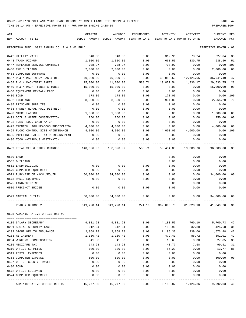TIME:01:14 PM - EFFECTIVE MONTH:02 - FOR MONTH ENDING 2-28-19 PREPARER:0004

| ACT |                                               | ORIGINAL   | AMENDED                                  | <b>ENCUMBERED</b> | ACTIVITY                   | ACTIVITY  | <b>CURRENT USED</b>  |                |
|-----|-----------------------------------------------|------------|------------------------------------------|-------------------|----------------------------|-----------|----------------------|----------------|
|     | NUM ACCOUNT-TITLE                             |            | BUDGET-AMOUNT BUDGET-AMOUNT YEAR-TO-DATE |                   | YEAR-TO-DATE MONTH-TO-DATE |           | BALANCE              | PCT            |
|     | REPORTING FUND: 0022 FANNIN CO. R & B #2 FUND |            |                                          |                   |                            |           | EFFECTIVE MONTH - 02 |                |
|     |                                               |            |                                          |                   |                            |           |                      |                |
|     | 0442 UTILITY WATER                            | 940.00     | 940.00                                   | 0.00              | 312.96                     | 78.24     | 627.04               | 33             |
|     | 0443 TRASH PICKUP                             | 1,300.00   | 1,300.00                                 | 0.00              | 661.50                     | 330.75    | 638.50               | 51             |
|     | 0447 REPEATER SERVICE CONTRACT                | 708.97     | 708.97                                   | 0.00              | 708.97                     | 0.00      | 0.00                 | 100            |
|     | 0450 R&M BUILDING                             | 2,000.00   | 2,000.00                                 | 0.00              | 0.00                       | 0.00      | 2,000.00             | 0 <sub>0</sub> |
|     | 0453 COMPUTER SOFTWARE                        | 0.00       | 0.00                                     | 0.00              | 0.00                       | 0.00      | 0.00                 |                |
|     | 0457 R & M MACHINERY GAS & OIL                | 70,000.00  | 70,000.00                                | 0.00              | 33,058.60                  | 12,125.06 | 36,941.40            | 47             |
|     | 0458 R & M MACHINERY PARTS                    | 25,000.00  | 41,000.00                                | 588.71            | 10,877.54                  | 1,336.17  | 29,533.75            | 28             |
|     | 0459 R & M MACH. TIRES & TUBES                | 15,000.00  | 15,000.00                                | 0.00              | 0.00                       | 0.00      | 15,000.00            | 00             |
|     | 0460 EQUIPMENT RENTAL/LEASE                   | 0.00       | 0.00                                     | 0.00              | 0.00                       | 0.00      | 0.00                 |                |
|     | 0480 BOND                                     | 178.00     | 178.00                                   | 0.00              | 178.00                     | 0.00      | 0.00                 | 100            |
|     | 0482 INSURANCE                                | 8,500.00   | 8,500.00                                 | 0.00              | 5,934.80                   | 0.00      | 2,565.20             | 70             |
|     | 0485 PRISONER SUPPLIES                        | 0.00       | 0.00                                     | 0.00              | 0.00                       | 0.00      | 0.00                 |                |
|     | 0488 FANNIN RURAL RAIL DISTRICT               | 0.00       | 0.00                                     | 0.00              | 0.00                       | 0.00      | 0.00                 |                |
|     | 0490 MISCELLANEOUS                            | 1,000.00   | 1,000.00                                 | 0.00              | 0.00                       | 0.00      | 1,000.00             | 00             |
|     | 0491 SOIL & WATER CONSERVATION                | 250.00     | 250.00                                   | 0.00              | 0.00                       | 0.00      | 250.00               | 0 <sup>0</sup> |
|     | 0492 TDRA FLOOD CASH MATCH                    | 0.00       | 0.00                                     | 0.00              | 0.00                       | 0.00      | 0.00                 |                |
|     | 0493 TRENTON HIGH MEADOWS SUBDIVISION         | 4,000.00   | 4,000.00                                 | 0.00              | 0.00                       | 0.00      | 4,000.00             | 00             |
|     | 0494 FLOOD CONTROL SITE MAINTENANCE           | 4,000.00   | 4,000.00                                 | 0.00              | 4,000.00                   | 4,000.00  | 0.00                 | 100            |
|     | 0495 PIPELINE SALES TAX REIMBURSEMENT         | 0.00       | 0.00                                     | 0.00              | 0.00                       | 0.00      | 0.00                 |                |
|     | 0496 TCOG HAZARDOUS WASTEMATCH                | 0.00       | 0.00                                     | 0.00              | 0.00                       | 0.00      | 0.00                 |                |
|     | 0499 TOTAL SER.& OTHER CHARGES                | 140,026.97 | 156,026.97                               |                   | 588.71 59,434.88           | 19,306.76 | 96,003.38            | 38             |
|     | 0500 LAND                                     |            |                                          |                   | 0.00                       | 0.00      | 0.00                 |                |
|     | 0535 BUILDING                                 |            |                                          |                   | 0.00                       | 0.00      | 0.00                 |                |
|     | 0562 LAND/BUILDING                            | 0.00       | 0.00                                     | 0.00              | 0.00                       | 0.00      | 0.00                 |                |
|     | 0570 COMPUTER EQUIPMENT                       | 0.00       | 0.00                                     | 0.00              | 0.00                       | 0.00      | 0.00                 |                |
|     | 0571 PURCHASE OF MACH./EQUIP.                 | 50,000.00  | 34,000.00                                | 0.00              | 0.00                       | 0.00      | 34,000.00            | 00             |
|     | 0573 RADIO EQUIPMENT                          | 0.00       | 0.00                                     | 0.00              | 0.00                       | 0.00      | 0.00                 |                |
|     | 0575 LAND/BUILDING                            |            |                                          |                   | 0.00                       | 0.00      | 0.00                 |                |
|     | 0580 PRECINCT BRIDGE                          | 0.00       | 0.00                                     | 0.00              | 0.00                       | 0.00      | 0.00                 |                |
|     |                                               |            |                                          |                   |                            |           |                      |                |
|     | 0599 CAPITAL OUTLAY                           | 50,000.00  | 34,000.00                                | 0.00              | 0.00                       | 0.00      | 34,000.00            | 00             |
|     | ROAD & BRIDGE 2                               | 849,220.14 | 849,220.14                               | 5,274.16          | 302,096.78                 | 61,020.10 | 541,849.20           | 36             |
|     | 0625 ADMINISTRATIVE OFFICE R&B #2             |            |                                          |                   |                            |           |                      |                |
|     | 0105 SALARY SECRETARY                         | 9,881.28   | 9,881.28                                 | 0.00              | 4,180.55                   | 760.10    | 5,700.73             | 42             |
|     | 0201 SOCIAL SECURITY TAXES                    | 612.64     | 612.64                                   | 0.00              | 186.96                     | 32.80     | 425.68               | 31             |
|     | 0202 GROUP HEALTH INSURANCE                   | 2,868.78   | 2,868.78                                 | 0.00              | 1,195.30                   | 239.06    | 1,673.48             | 42             |
|     | 0203 RETIREMENT                               | 1,130.42   | 1,130.42                                 | 0.00              | 479.41                     | 86.72     | 651.01               | 42             |
|     | 0204 WORKERS' COMPENSATION                    | 41.50      | 41.50                                    | 0.00              | 13.65                      | 0.00      | 27.85                | 33             |
|     | 0205 MEDICARE TAX                             | 143.28     | 143.28                                   | 0.00              | 43.77                      | 7.68      | 99.51                | 31             |
|     |                                               |            | 100.00                                   |                   |                            |           | 13.77                |                |
|     | 0310 OFFICE SUPPLIES                          | 100.00     |                                          | 0.00              | 86.23                      | 0.00      |                      | 86             |
|     | 0311 POSTAL EXPENSES                          | 0.00       | 0.00                                     | 0.00              | 0.00                       | 0.00      | 0.00                 |                |
|     | 0353 COMPUTER EXPENSE                         | 500.00     | 500.00                                   | 0.00              | 0.00                       | 0.00      | 500.00               | 0 <sub>0</sub> |
|     | 0427 OUT OF COUNTY TRAVEL                     | 0.00       | 0.00                                     | 0.00              | 0.00                       | 0.00      | 0.00                 |                |
|     | 0480 BOND                                     | 0.00       | 0.00                                     | 0.00              | 0.00                       | 0.00      | 0.00                 |                |
|     | 0572 OFFICE EQUIPMENT                         | 0.00       | 0.00                                     | 0.00              | 0.00                       | 0.00      | 0.00                 |                |
|     | 0574 COMPUTER EQUIPMENT                       | 0.00       | 0.00                                     | 0.00              | 0.00                       | 0.00      | 0.00                 |                |
|     |                                               |            |                                          |                   |                            |           |                      |                |

ADMINISTRATIVE OFFICE R&B #2 15,277.90 15,277.90 0.00 6,185.87 1,126.36 9,092.03 40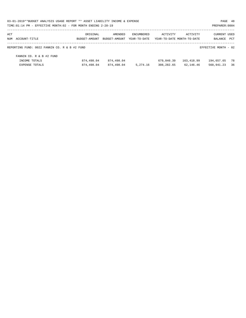| 03-01-2019**BUDGET ANALYSIS USAGE REPORT ** ASSET LIABILITY INCOME & EXPENSE |               |               |                   |            |                            | PAGE 48              |      |
|------------------------------------------------------------------------------|---------------|---------------|-------------------|------------|----------------------------|----------------------|------|
| TIME: 01:14 PM - EFFECTIVE MONTH: 02 - FOR MONTH ENDING 2-28-19              |               |               |                   |            |                            | PREPARER: 0004       |      |
| ACT                                                                          | ORIGINAL      | AMENDED       | <b>ENCUMBERED</b> | ACTIVITY   | ACTIVITY                   | <b>CURRENT USED</b>  |      |
| NUM ACCOUNT-TITLE                                                            | BUDGET-AMOUNT | BUDGET-AMOUNT | YEAR-TO-DATE      |            | YEAR-TO-DATE MONTH-TO-DATE | BALANCE              | PCT  |
| REPORTING FUND: 0022 FANNIN CO. R & B #2 FUND                                |               |               |                   |            |                            | EFFECTIVE MONTH - 02 |      |
| FANNIN CO. R & B #2 FUND                                                     |               |               |                   |            |                            |                      |      |
| INCOME TOTALS                                                                | 874,498.04    | 874,498.04    |                   | 679,840.39 | 163,418.99                 | 194,657.65           | - 78 |
| EXPENSE TOTALS                                                               | 874,498.04    | 874,498.04    | 5,274.16          | 308,282.65 | 62,146.46                  | 560,941.23           | 36   |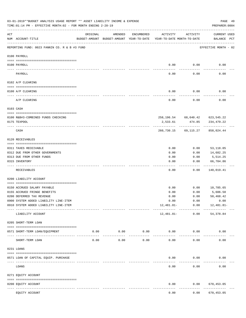|     | 03-01-2019**BUDGET ANALYSIS USAGE REPORT ** ASSET LIABILITY INCOME & EXPENSE<br>TIME: 01:14 PM - EFFECTIVE MONTH: 02 - FOR MONTH ENDING 2-28-19 |                                                                                 |                            |                     |              |                                 | PREPARER: 0004                                   | PAGE 49 |
|-----|-------------------------------------------------------------------------------------------------------------------------------------------------|---------------------------------------------------------------------------------|----------------------------|---------------------|--------------|---------------------------------|--------------------------------------------------|---------|
| ACT | NUM ACCOUNT-TITLE                                                                                                                               | ORIGINAL<br>BUDGET-AMOUNT BUDGET-AMOUNT YEAR-TO-DATE YEAR-TO-DATE MONTH-TO-DATE | AMENDED                    | ENCUMBERED          | ACTIVITY     | ACTIVITY                        | <b>CURRENT USED</b><br>BALANCE PCT               |         |
|     | REPORTING FUND: 0023 FANNIN CO. R & B #3 FUND                                                                                                   |                                                                                 |                            |                     |              |                                 | EFFECTIVE MONTH - 02                             |         |
|     | 0100 PAYROLL                                                                                                                                    |                                                                                 |                            |                     |              |                                 |                                                  |         |
|     | 0100 PAYROLL                                                                                                                                    |                                                                                 |                            |                     | 0.00         | 0.00                            | 0.00                                             |         |
|     | PAYROLL                                                                                                                                         |                                                                                 |                            |                     | 0.00         | 0.00                            | 0.00                                             |         |
|     | 0102 A/P CLEARING                                                                                                                               |                                                                                 |                            |                     |              |                                 |                                                  |         |
|     | 0100 A/P CLEARING                                                                                                                               |                                                                                 |                            |                     | 0.00         | 0.00                            | 0.00                                             |         |
|     | A/P CLEARING                                                                                                                                    |                                                                                 |                            |                     | 0.00         | 0.00                            | 0.00                                             |         |
|     | 0103 CASH                                                                                                                                       |                                                                                 |                            |                     |              |                                 |                                                  |         |
|     |                                                                                                                                                 |                                                                                 |                            |                     |              |                                 |                                                  |         |
|     | 0100 R&B#3-COMBINED FUNDS CHECKING<br>0175 TEXPOOL                                                                                              |                                                                                 |                            |                     | 2,533.61     | 474.85                          | 258, 196.54 68, 640.42 623, 545.22<br>234,479.22 |         |
|     |                                                                                                                                                 |                                                                                 |                            |                     |              |                                 |                                                  |         |
|     | CASH                                                                                                                                            |                                                                                 |                            |                     | 260,730.15   | 69,115.27                       | 858,024.44                                       |         |
|     | 0120 RECEIVABLES                                                                                                                                |                                                                                 |                            |                     |              |                                 |                                                  |         |
|     | 0311 TAXES RECEIVABLE                                                                                                                           |                                                                                 |                            |                     | 0.00         | 0.00                            | 53,118.05                                        |         |
|     | 0312 DUE FROM OTHER GOVERNMENTS                                                                                                                 |                                                                                 |                            |                     | 0.00         | 0.00                            | 14,682.25                                        |         |
|     | 0313 DUE FROM OTHER FUNDS                                                                                                                       |                                                                                 |                            |                     | 0.00         | 0.00                            | 5,514.25                                         |         |
|     | 0315 INVENTORY                                                                                                                                  |                                                                                 |                            |                     | 0.00         | 0.00                            | 66,704.86<br>.                                   |         |
|     | RECEIVABLES                                                                                                                                     |                                                                                 |                            |                     | 0.00         | 0.00                            | 140,019.41                                       |         |
|     | 0200 LIABILITY ACCOUNT                                                                                                                          |                                                                                 |                            |                     |              |                                 |                                                  |         |
|     |                                                                                                                                                 |                                                                                 |                            |                     |              |                                 |                                                  |         |
|     | 0150 ACCRUED SALARY PAYABLE                                                                                                                     |                                                                                 |                            |                     | 0.00         | 0.00                            | 10,785.65                                        |         |
|     | 0155 ACCRUED FRINGE BENEFITS<br>0200 DEFERRED TAX REVENUE                                                                                       |                                                                                 |                            |                     | 0.00         | 0.00<br>0.00                    | 5,606.58                                         |         |
|     | 0900 SYSTEM ADDED LIABILITY LINE-ITEM                                                                                                           |                                                                                 |                            |                     | 0.00<br>0.00 | 0.00                            | 50,468.42<br>0.00                                |         |
|     | 0910 SYSTEM ADDED LIABILITY LINE-ITEM                                                                                                           |                                                                                 |                            |                     | 12,481.81-   | 0.00                            | 12,481.81-                                       |         |
|     | LIABILITY ACCOUNT                                                                                                                               |                                                                                 |                            |                     | 12,481.81-   | ---------- ------------<br>0.00 | -------------<br>54,378.84                       |         |
|     | 0205 SHORT-TERM LOAN                                                                                                                            |                                                                                 |                            |                     |              |                                 |                                                  |         |
|     | 0571 SHORT-TERM LOAN/EQUIPMENT                                                                                                                  |                                                                                 | $0.00$ 0.00<br>----------- | 0.00<br>----------- | 0.00         | 0.00                            | 0.00                                             |         |
|     | SHORT-TERM LOAN                                                                                                                                 | 0.00                                                                            | 0.00                       | 0.00                | 0.00         | 0.00                            | 0.00                                             |         |
|     | 0231 LOANS                                                                                                                                      |                                                                                 |                            |                     |              |                                 |                                                  |         |
|     |                                                                                                                                                 |                                                                                 |                            |                     | 0.00         | 0.00                            | 0.00                                             |         |
|     | 0571 LOAN OF CAPITAL EQUIP. PURCHASE                                                                                                            |                                                                                 |                            |                     |              |                                 |                                                  |         |
|     | LOANS                                                                                                                                           |                                                                                 |                            |                     | 0.00         | 0.00                            | 0.00                                             |         |
|     | 0271 EQUITY ACCOUNT                                                                                                                             |                                                                                 |                            |                     |              |                                 |                                                  |         |
|     | 0200 EQUITY ACCOUNT<br>---- -----------<br>----------------------- -----------                                                                  |                                                                                 | -------------              |                     | 0.00         | 0.00                            | 670,453.05<br>----------                         |         |
|     | EQUITY ACCOUNT                                                                                                                                  |                                                                                 |                            |                     | 0.00         | 0.00                            | 670,453.05                                       |         |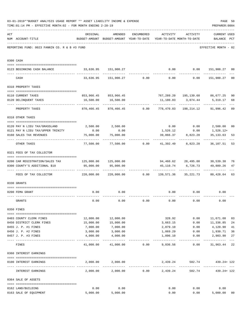|     | 03-01-2019**BUDGET ANALYSIS USAGE REPORT ** ASSET LIABILITY INCOME & EXPENSE<br>TIME: 01:14 PM - EFFECTIVE MONTH: 02 - FOR MONTH ENDING 2-28-19 |                                                            |                                                                                |                 |                            |                        | PREPARER: 0004                                   | PAGE 50        |
|-----|-------------------------------------------------------------------------------------------------------------------------------------------------|------------------------------------------------------------|--------------------------------------------------------------------------------|-----------------|----------------------------|------------------------|--------------------------------------------------|----------------|
| ACT | NUM ACCOUNT-TITLE                                                                                                                               | ORIGINAL                                                   | AMENDED<br>BUDGET-AMOUNT BUDGET-AMOUNT YEAR-TO-DATE YEAR-TO-DATE MONTH-TO-DATE | ENCUMBERED      | ACTIVITY ACTIVITY          |                        | <b>CURRENT USED</b><br>BALANCE PCT               |                |
|     | REPORTING FUND: 0023 FANNIN CO. R & B #3 FUND                                                                                                   |                                                            |                                                                                |                 |                            |                        | EFFECTIVE MONTH - 02                             |                |
|     | 0300 CASH                                                                                                                                       |                                                            |                                                                                |                 |                            |                        |                                                  |                |
|     | 0123 BEGINNING CASH BALANCE                                                                                                                     |                                                            | 33,636.95    151,900.27                                                        |                 |                            |                        | $0.00$ $0.00$ $151,900.27$ 00                    |                |
|     | CASH                                                                                                                                            |                                                            |                                                                                |                 |                            |                        | $33,636.95$ 151,900.27 0.00 0.00 0.00 151,900.27 | 0 <sub>0</sub> |
|     | 0310 PROPERTY TAXES                                                                                                                             |                                                            |                                                                                |                 |                            |                        |                                                  |                |
|     |                                                                                                                                                 |                                                            |                                                                                |                 |                            |                        |                                                  |                |
|     | 0110 CURRENT TAXES                                                                                                                              |                                                            | 853,966.45 853,966.45                                                          |                 |                            |                        | 767,289.20 195,139.68 86,677.25                  | 90             |
|     | 0120 DELINQUENT TAXES<br>--------------------- --------------                                                                                   |                                                            | 16,500.00   16,500.00<br><u>. Bergera Bergera</u>                              |                 |                            |                        | 11,180.83 3,074.44 5,319.17                      | 68             |
|     | PROPERTY TAXES                                                                                                                                  | 870,466.45                                                 |                                                                                | 870,466.45 0.00 |                            |                        | 778,470.03 198,214.12 91,996.42                  | 89             |
|     | 0318 OTHER TAXES                                                                                                                                |                                                            |                                                                                |                 |                            |                        |                                                  |                |
|     | 0120 PAY N LIEU TAX/GRASSLAND                                                                                                                   |                                                            | 2,500.00 2,500.00                                                              |                 |                            |                        | $0.00$ $0.00$ $2,500.00$                         | 00             |
|     | 0121 PAY N LIEU TAX/UPPER TRINITY                                                                                                               | 0.00                                                       | 0.00                                                                           |                 |                            |                        | $1,526.12$ 0.00 1,526.12+                        |                |
|     | 0160 SALES TAX REVENUES                                                                                                                         | 75,000.00                                                  | 75,000.00                                                                      |                 | 39,866.37                  | 8,823.28               | 35,133.63                                        | 53             |
|     | OTHER TAXES                                                                                                                                     |                                                            | $77,500.00$ $77,500.00$ 0.00 $41,392.49$ 8,823.28                              |                 |                            |                        | 36,107.51                                        | 53             |
|     | 0321 FEES OF TAX COLLECTOR                                                                                                                      |                                                            |                                                                                |                 |                            |                        |                                                  |                |
|     |                                                                                                                                                 |                                                            |                                                                                |                 |                            |                        |                                                  |                |
|     | 0200 CAR REGISTRATION/SALES TAX<br>0300 COUNTY'S ADDITIONAL \$10                                                                                | 95,000.00                                                  | 95,000.00                                                                      |                 | 45,110.74                  | 6,726.73               | 94,460.62 28,495.00 30,539.38<br>49,889.26       | 76<br>47       |
|     |                                                                                                                                                 |                                                            |                                                                                |                 |                            |                        |                                                  |                |
|     | FEES OF TAX COLLECTOR                                                                                                                           | 220,000.00   220,000.00      0.00   139,571.36   35,221.73 |                                                                                |                 |                            |                        | 80,428.64                                        | 63             |
|     | 0330 GRANTS                                                                                                                                     |                                                            |                                                                                |                 |                            |                        |                                                  |                |
|     | 0200 FEMA GRANT                                                                                                                                 | 0.00                                                       | 0.00                                                                           |                 | 0.00                       | 0.00                   | 0.00                                             |                |
|     | GRANTS                                                                                                                                          | 0.00                                                       | 0.00                                                                           | 0.00            | 0.00                       | 0.00                   | 0.00                                             |                |
|     | 0350 FINES                                                                                                                                      |                                                            |                                                                                |                 |                            |                        |                                                  |                |
|     | 0403 COUNTY CLERK FINES                                                                                                                         | 12,000.00                                                  | 12,000.00                                                                      |                 | 328.92                     |                        | $0.00$ 11,671.08                                 | 03             |
|     | 0450 DISTRICT CLERK FINES                                                                                                                       | 15,000.00                                                  | 15,000.00                                                                      |                 | 3,663.15                   | 0.00                   | 11,336.85                                        | 24             |
|     | 0455 J. P. #1 FINES                                                                                                                             | 7,000.00                                                   | 7,000.00                                                                       |                 | 2,879.10                   | 0.00                   | 4,120.90                                         | 41             |
|     | 0456 J. P. #2 FINES                                                                                                                             | 3,000.00                                                   | 3,000.00                                                                       |                 | 1,069.29                   | 0.00                   | 1,930.71                                         | 36             |
|     | 0457 J. P. #3 FINES                                                                                                                             | 4,000.00                                                   | 4,000.00                                                                       |                 | 1,096.10                   | 0.00                   | 2,903.90                                         | 27<br>$---$    |
|     | FINES                                                                                                                                           |                                                            | $41,000.00$ $41,000.00$ $0.00$ $9,036.56$                                      |                 |                            |                        | $0.00$ $31,963.44$                               | 22             |
|     | 0360 INTEREST EARNINGS                                                                                                                          |                                                            |                                                                                |                 |                            |                        |                                                  |                |
|     |                                                                                                                                                 |                                                            |                                                                                |                 |                            |                        |                                                  |                |
|     | 0100 INTEREST EARNINGS                                                                                                                          |                                                            | 2,000.00 2,000.00                                                              |                 | 2,439.24<br>______________ | 582.74<br>------------ | 439.24+ 122                                      |                |
|     | INTEREST EARNINGS                                                                                                                               |                                                            | $2,000.00$ $2,000.00$ $0.00$ $2,439.24$                                        |                 |                            |                        | 582.74 439.24+122                                |                |
|     | 0364 SALE OF ASSETS                                                                                                                             |                                                            |                                                                                |                 |                            |                        |                                                  |                |
|     | 0162 LAND/BUILDING                                                                                                                              | 0.00                                                       | 0.00                                                                           |                 | 0.00                       | 0.00                   | 0.00                                             |                |
|     | 0163 SALE OF EQUIPMENT                                                                                                                          |                                                            | 5,000.00 5,000.00                                                              |                 | 0.00                       |                        | 0.00<br>5,000.00                                 | 00             |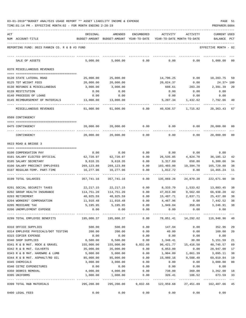| 03-01-2019**BUDGET ANALYSIS USAGE REPORT ** ASSET LIABILITY INCOME & EXPENSE |  |  |  | PAGE |  |
|------------------------------------------------------------------------------|--|--|--|------|--|
|                                                                              |  |  |  |      |  |

| ACT |                                                       | ORIGINAL                                                                    | AMENDED                                                 | ENCUMBERED            | ACTIVITY               | ACTIVITY                   | <b>CURRENT USED</b>    |          |
|-----|-------------------------------------------------------|-----------------------------------------------------------------------------|---------------------------------------------------------|-----------------------|------------------------|----------------------------|------------------------|----------|
|     | NUM ACCOUNT-TITLE                                     | BUDGET-AMOUNT                                                               | BUDGET-AMOUNT YEAR-TO-DATE                              |                       |                        | YEAR-TO-DATE MONTH-TO-DATE | BALANCE                | PCT      |
|     | REPORTING FUND: 0023 FANNIN CO. R & B #3 FUND         |                                                                             |                                                         |                       |                        |                            | EFFECTIVE MONTH - 02   |          |
|     | SALE OF ASSETS                                        | 5,000.00                                                                    | 5,000.00                                                | 0.00                  | 0.00                   | 0.00                       | 5,000.00               | 00       |
|     | 0370 MISCELLANEOUS REVENUES                           |                                                                             |                                                         |                       |                        |                            |                        |          |
|     | 0120 STATE LATERAL ROAD                               | 25,000.00                                                                   | 25,000.00                                               |                       | 14,796.25              | 0.00                       | 10,203.75 59           |          |
|     | 0125 TDT WEIGHT FEES                                  | 20,000.00                                                                   | 20,000.00                                               |                       | 20,024.37              | 0.00                       | $24.37 + 100$          |          |
|     | 0130 REFUNDS & MISCELLANEOUS                          | 3,000.00                                                                    | 3,000.00                                                |                       | 608.61                 | 283.20                     | 2,391.39               | 20       |
|     | 0139 RESTITUTION                                      | 0.00                                                                        | 0.00                                                    |                       | 0.00                   | 0.00                       | 0.00                   |          |
|     | 0140 PROCEEDS OF LOANS                                | 0.00                                                                        | 0.00                                                    |                       | 0.00                   | 0.00                       | 0.00                   |          |
|     | 0145 REIMBURSEMENT OF MATERIALS                       | 13,000.00                                                                   | 13,000.00                                               |                       | 5,207.34               | 1,432.62                   | 7,792.66               | 40       |
|     | MISCELLANEOUS REVENUES                                | 61,000.00                                                                   | 61,000.00                                               | 0.00                  | 40,636.57              | 1,715.82                   | 20,363.43              | 67       |
|     | 0509 CONTINGENCY                                      |                                                                             |                                                         |                       |                        |                            |                        |          |
|     | 0475 CONTINGENCY                                      | 20,000.00                                                                   | 20,000.00                                               | 0.00                  | 0.00                   | 0.00                       | 20,000.00              | 00       |
|     | CONTINGENCY                                           | 20,000.00                                                                   | 20,000.00                                               | -------<br>0.00       | 0.00                   | 0.00                       | 20,000.00              | 00       |
|     | 0623 ROAD & BRIDGE 3                                  |                                                                             |                                                         |                       |                        |                            |                        |          |
|     |                                                       |                                                                             |                                                         |                       |                        |                            |                        |          |
|     | 0100 COMPENSATION PAY                                 | 0.00                                                                        | 0.00                                                    | 0.00                  |                        | $0.00$ 0.00                | 0.00                   |          |
|     | 0101 SALARY ELECTED OFFICIAL<br>0105 SALARY SECRETARY | 62,720.97<br>9,618.35                                                       | 62,720.97                                               | 0.00                  | 26,535.85              | 4,824.70<br>650.80         | 36,185.12              | 42<br>34 |
|     | 0106 SALARY PRECINCT EMPLOYEES                        | 269,123.88                                                                  | 9,618.35<br>269, 123.88                                 | 0.00<br>0.00          | 3,317.69<br>103,403.00 | 19,394.70                  | 6,300.66<br>165,720.88 | 38       |
|     | 0107 REGULAR-TEMP. PART-TIME                          | 16,277.96                                                                   | 16,277.96                                               | 0.00                  | 1,812.72               | 0.00                       | 14,465.24              | -11      |
|     |                                                       |                                                                             |                                                         |                       |                        |                            |                        |          |
|     | 0199 TOTAL SALARIES                                   | 357,741.16                                                                  | 357,741.16                                              | 0.00                  | 135,069.26             | 24,870.20                  | 222,671.90             | 38       |
|     | 0201 SOCIAL SECURITY TAXES                            | 22,217.15                                                                   | 22,217.15                                               | 0.00                  | 8,333.70               | 1,533.62                   | 13,883.45              | 38       |
|     | 0202 GROUP HEALTH INSURANCE                           | 114,751.20                                                                  | 114,751.20                                              | 0.00                  | 47,813.00              | 9,562.60                   | 66,938.20              | 42       |
|     | 0203 RETIREMENT                                       | 40,925.59                                                                   | 40,925.59                                               | 0.00                  | 15,487.71              | 2,837.71                   | 25,437.88              | 38       |
|     | 0204 WORKERS' COMPENSATION                            | 11,910.48                                                                   | 11,910.48                                               | 0.00                  | 4,467.96               | 0.00                       | 7,442.52               | 38       |
|     | 0205 MEDICARE TAX                                     | 5,195.95                                                                    | 5,195.95                                                | 0.00                  | 1,949.04               | 358.69                     | 3,246.91               | 38       |
|     | 0206 UNEMPLOYMENT EXPENSE                             | 0.00                                                                        | 0.00                                                    | 0.00                  | 0.00                   | 0.00                       | 0.00                   |          |
|     | 0299 TOTAL EMPLOYEE BENEFITS                          | 195,000.37   195,000.37      0.00    78,051.41   14,292.62   116,948.96  40 |                                                         |                       |                        |                            |                        |          |
|     | 0310 OFFICE SUPPLIES                                  | 500.00                                                                      | 500.00                                                  | 0.00                  | 147.04                 | 0.00                       | 352.96                 | 29       |
|     | 0314 EMPLOYEE PHYSICALS/DOT TESTING                   | 200.00                                                                      | 200.00                                                  | 0.00                  | 40.00                  | 0.00                       | 160.00                 | 20       |
|     | 0315 COPIER EXPENSE                                   | 0.00                                                                        | 0.00                                                    | 0.00                  | 0.00                   | 0.00                       | 0.00                   |          |
|     | 0340 SHOP SUPPLIES                                    | 6,500.00                                                                    | 6,500.00                                                | 0.00                  | 1,348.41               | 30.00                      | 5,151.59               | 21       |
|     | 0341 R & B MAT. ROCK & GRAVEL                         | 155,000.00                                                                  | 155,000.00                                              | 9,832.66              | 96,421.77              | 15,416.50                  | 48,745.57              | 69       |
|     | 0342 R & B MAT. CULVERTS                              | 35,000.00                                                                   | 35,000.00                                               | 0.00                  | 6,053.00               | 0.00                       | 28,947.00              | 17       |
|     | 0343 R & B MAT. HARDWRE & LUMB                        | 5,000.00                                                                    | 5,000.00                                                | 0.00                  | 1,904.89               | 1,861.39                   | 3,095.11               | 38       |
|     | 0344 R & B MAT. ASPHALT/RD OIL                        | 85,000.00                                                                   | 85,000.00                                               | 0.00                  | 15,980.16              | 9,588.48                   | 69,019.84              | 19       |
|     | 0345 CHEMICALS                                        | 3,000.00                                                                    | 3,000.00                                                | 0.00                  | 0.00                   | 0.00                       | 3,000.00               | 00       |
|     | 0346 CETRZ EXPENDITURES                               | 0.00                                                                        | 0.00                                                    | 0.00                  | 0.00                   | 0.00                       | 0.00                   |          |
|     | 0350 DEBRIS REMOVAL                                   | 4,000.00                                                                    | 4,000.00                                                | 0.00                  | 738.00                 | 369.00                     | 3,262.00 18            |          |
|     | 0395 UNIFORMS                                         | 1,000.00                                                                    | 1,000.00                                                | 0.00<br>------------- | 326.41                 | 186.52                     | 673.59                 | 33       |
|     | 0399 TOTAL R&B MATERIALS                              |                                                                             | 295,200.00  295,200.00  9,832.66  122,959.68  27,451.89 |                       |                        |                            | 162,407.66 45          |          |
|     | 0400 LEGAL FEES                                       | 0.00                                                                        | 0.00                                                    | 0.00                  | 0.00                   | 0.00                       | 0.00                   |          |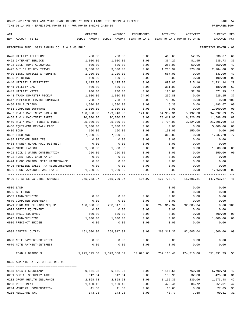TIME:01:14 PM - EFFECTIVE MONTH:02 - FOR MONTH ENDING 2-28-19 PREPARER:0004

| ACT |                                               | ORIGINAL                                                             | AMENDED                                  | ENCUMBERED           | ACTIVITY                   | ACTIVITY     | <b>CURRENT USED</b>  |                |
|-----|-----------------------------------------------|----------------------------------------------------------------------|------------------------------------------|----------------------|----------------------------|--------------|----------------------|----------------|
|     | NUM ACCOUNT-TITLE                             |                                                                      | BUDGET-AMOUNT BUDGET-AMOUNT YEAR-TO-DATE |                      | YEAR-TO-DATE MONTH-TO-DATE |              | BALANCE PCT          |                |
|     | REPORTING FUND: 0023 FANNIN CO. R & B #3 FUND |                                                                      |                                          |                      |                            |              | EFFECTIVE MONTH - 02 |                |
|     | 0420 UTILITY TELEPHONE                        | 700.00                                                               | 700.00                                   | 0.00                 | 463.63                     | 52.95        | 236.37               | 66             |
|     | 0421 INTERNET SERVICE                         | 1,000.00                                                             | 1,000.00                                 | 0.00                 | 364.27                     | 81.95        | 635.73               | 36             |
|     | 0423 CELL PHONE ALLOWANCE                     | 600.00                                                               | 600.00                                   | 0.00                 | 250.00                     | 50.00        | 350.00               | 42             |
|     | 0427 OUT OF COUNTY TRAVEL                     | 3,500.00                                                             | 3,500.00                                 | 0.00                 | 1,215.92                   | 370.80       | 2,284.08             | 35             |
|     | 0430 BIDS, NOTICES & PERMITS                  | 1,200.00                                                             | 1,200.00                                 | 0.00                 | 567.00                     | 0.00         | 633.00               | 47             |
|     | 0435 PRINTING                                 | 100.00                                                               | 100.00                                   | 0.00                 | 0.00                       | 0.00         | 100.00               | 0 <sub>0</sub> |
|     | 0440 UTILITY ELECTRICITY                      | 3,125.00                                                             | 3,125.00                                 | 0.00                 | 893.86                     | 215.16       | 2,231.14             | 29             |
|     | 0441 UTILITY GAS                              | 500.00                                                               | 500.00                                   | 0.00                 | 311.00                     | 0.00         | 189.00               | 62             |
|     | 0442 UTILITY WATER                            | 700.00                                                               | 700.00                                   | 0.00                 | 128.81                     | 32.20        | 571.19               | 18             |
|     | 0443 TRASH DUMPSTER PICKUP                    | 1,000.00                                                             | 1,000.00                                 | 74.97                | 299.88                     | 0.00         | 625.15               | 37             |
|     | 0447 REPEATER SERVICE CONTRACT                | 708.97                                                               | 708.97                                   | 0.00                 | 708.97                     | 0.00         | 0.00                 | 100            |
|     | 0450 R&M BUILDING                             | 1,500.00                                                             | 1,500.00                                 | 0.00                 | 6.33                       | 0.00         | 1,493.67             | 0 <sub>0</sub> |
|     | 0453 COMPUTER SOFTWARE                        | 1,000.00                                                             | 1,000.00                                 | 0.00                 | 0.00                       | 0.00         | 1,000.00             | 0 <sub>0</sub> |
|     | 0457 R & M MACHINERY GAS & OIL                | 150,000.00                                                           | 129,946.00                               | 121.00               | 34,932.31                  | 5,192.60     | 94,892.69            | 27             |
|     | 0458 R & M MACHINERY PARTS                    | 70,000.00                                                            | 90,000.00                                | 0.00                 | 78,411.95                  | 6,226.65     | 11,588.05            | 87             |
|     | 0459 R & M MACH. TIRES & TUBES                | 25,000.00                                                            | 25,000.00                                | 0.00                 | 3,704.00                   | 3,324.00     | 21,296.00            | 15             |
|     | 0460 EQUIPMENT RENTAL/LEASE                   | 5,000.00                                                             | 5,000.00                                 | 0.00                 | 0.00                       | 0.00         | 5,000.00             | 0 <sub>0</sub> |
|     | 0480 BOND                                     | 150.00                                                               | 150.00                                   | 0.00                 | 150.00                     | 150.00       | 0.00                 | 100            |
|     | 0482 INSURANCE                                | 7,000.00                                                             | 7,000.00                                 | 0.00                 | 5,362.80                   | 0.00         | 1,637.20             | 77             |
|     | 0485 PRISONER SUPPLIES                        | 0.00                                                                 | 0.00                                     | 0.00                 | 0.00                       | 0.00         | 0.00                 |                |
|     | 0488 FANNIN RURAL RAIL DISTRICT               | 0.00                                                                 | 0.00                                     | 0.00                 | 0.00                       | 0.00         | 0.00                 |                |
|     | 0490 MISCELLANEOUS                            | 1,500.00                                                             | 1,500.00                                 | 0.00                 | 0.00                       | 0.00         | 1,500.00             | 0 <sub>0</sub> |
|     | 0491 SOIL & WATER CONSERVATION                | 250.00                                                               | 250.00                                   | 0.00                 | 0.00                       | 0.00         | 250.00               | 0 <sub>0</sub> |
|     | 0492 TDRA FLOOD CASH MATCH                    | 0.00                                                                 | 0.00                                     | 0.00                 | 0.00                       | 0.00         | 0.00                 |                |
|     | 0494 FLOOD CONTROL SITE MAINTENANCE           | 0.00                                                                 | 0.00                                     | 0.00                 | 0.00                       | 0.00         | 0.00                 |                |
|     | 0495 PIPELINE SALES TAX REIMBURSEMENT         | 0.00                                                                 | 0.00                                     | 0.00                 | 0.00                       | 0.00         | 0.00                 |                |
|     | 0496 TCOG HAZARDOUS WASTEMATCH                | 1,250.00                                                             | 1,250.00                                 | 0.00                 | 0.00                       | 0.00         | 1,250.00             | 00             |
|     | 0499 TOTAL SER.& OTHER CHARGES                |                                                                      |                                          |                      |                            | 15,696.31    | 147,763.27           | 46             |
|     | 0500 LAND                                     |                                                                      |                                          |                      | 0.00                       | 0.00         | 0.00                 |                |
|     | 0535 BUILDING                                 |                                                                      |                                          |                      | 0.00                       | 0.00         | 0.00                 |                |
|     | 0562 LAND/BUILDING                            | 0.00                                                                 | 0.00                                     | 0.00                 | 0.00                       | 0.00         | 0.00                 |                |
|     | 0570 COMPUTER EQUIPMENT                       | 0.00                                                                 | 0.00                                     | 0.00                 | 0.00                       | 0.00         | 0.00                 |                |
|     | 0571 PURCHASE OF MACH./EQUIP.                 | 150,000.00                                                           | 268,317.32                               | 0.00                 | 268,317.32                 | 92,005.04    | 0.00 100             |                |
|     | 0572 OFFICE EQUIPMENT                         | 0.00                                                                 | 0.00                                     | 0.00                 | 0.00                       | 0.00         | 0.00                 |                |
|     | 0573 RADIO EQUIPMENT                          | 600.00                                                               | 600.00                                   | 0.00                 | 0.00                       | 0.00         | 600.00               | 00             |
|     | 0575 LAND/BUILDING                            | 1,000.00                                                             | 1,000.00                                 | 0.00                 | 0.00                       | 0.00         | 1,000.00             | 0 <sub>0</sub> |
|     | 0580 PRECINCT BRIDGE                          | 0.00                                                                 | 0.00                                     | 0.00                 | 0.00                       | 0.00         | 0.00                 |                |
|     | 0599 CAPITAL OUTLAY                           | 151,600.00                                                           | 269,917.32                               | ------------<br>0.00 | 268,317.32                 | ------------ | ------------         |                |
|     | 0630 NOTE PAYMENT-PRINCIPAL                   | 0.00                                                                 | 0.00                                     | 0.00                 | 0.00                       | 0.00         | 0.00                 |                |
|     | 0670 NOTE PAYMENT-INTEREST                    | 0.00                                                                 | 0.00                                     | 0.00                 | 0.00                       | 0.00         | 0.00                 |                |
|     | ROAD & BRIDGE 3                               | 1,275,325.50 1,393,588.82 10,028.63 732,168.40 174,316.06 651,391.79 |                                          |                      |                            | ------------ |                      | 53             |
|     | 0625 ADMINISTRATIVE OFFICE R&B #3             |                                                                      |                                          |                      |                            |              |                      |                |
|     |                                               |                                                                      |                                          |                      |                            |              |                      |                |
|     | 0105 SALARY SECRETARY                         | 9,881.28                                                             | 9,881.28                                 | 0.00                 | 4,180.55                   | 760.10       | 5,700.73             | 42             |
|     | 0201 SOCIAL SECURITY TAXES                    | 612.64                                                               | 612.64                                   | 0.00                 | 186.96                     | 32.80        | 425.68               | 31<br>42       |
|     | 0202 GROUP HEALTH INSURANCE                   | 2,868.78                                                             | 2,868.78                                 | 0.00                 | 1,195.30                   | 239.06       | 1,673.48             |                |
|     | 0203 RETIREMENT                               | 1,130.42                                                             | 1,130.42                                 | 0.00                 | 479.41                     | 86.72        | 651.01               | 42             |
|     | 0204 WORKERS' COMPENSATION                    | 41.50                                                                | 41.50                                    | 0.00                 | 13.65                      | 0.00         | 27.85                | 33             |

0205 MEDICARE TAX 69.51 (143.28 143.28 143.28 0.00 43.77 7.68 99.51 31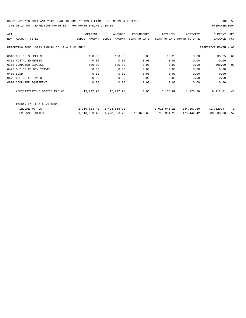| ACT                                           | ORIGINAL      | AMENDED       | ENCUMBERED   | ACTIVITY                   | ACTIVITY | <b>CURRENT USED</b>  |                |
|-----------------------------------------------|---------------|---------------|--------------|----------------------------|----------|----------------------|----------------|
| <b>NUM</b><br>ACCOUNT-TITLE                   | BUDGET-AMOUNT | BUDGET-AMOUNT | YEAR-TO-DATE | YEAR-TO-DATE MONTH-TO-DATE |          | <b>BALANCE</b>       | PCT            |
| REPORTING FUND: 0023 FANNIN CO. R & B #3 FUND |               |               |              |                            |          | EFFECTIVE MONTH - 02 |                |
| 0310 OFFICE SUPPLIES                          | 100.00        | 100.00        | 0.00         | 66.25                      | 0.00     | 33.75                | 66             |
| 0311 POSTAL EXPENSES                          | 0.00          | 0.00          | 0.00         | 0.00                       | 0.00     | 0.00                 |                |
| 0353 COMPUTER EXPENSE                         | 500.00        | 500.00        | 0.00         | 0.00                       | 0.00     | 500.00               | 0 <sup>0</sup> |
| 0427 OUT OF COUNTY TRAVEL                     | 0.00          | 0.00          | 0.00         | 0.00                       | 0.00     | 0.00                 |                |
| 0480 BOND                                     | 0.00          | 0.00          | 0.00         | 0.00                       | 0.00     | 0.00                 |                |
| 0572 OFFICE EQUIPMENT                         | 0.00          | 0.00          | 0.00         | 0.00                       | 0.00     | 0.00                 |                |
| 0574 COMPUTER EQUIPMENT                       | 0.00          | 0.00          | 0.00         | 0.00                       | 0.00     | 0.00                 |                |
| ADMINISTRATIVE OFFICE R&B #3                  | 15,277.90     | 15,277.90     | 0.00         | 6,165.89                   | 1,126.36 | 9,112.01             | 40             |
|                                               |               |               |              |                            |          |                      |                |
| FANNIN CO. R & B #3 FUND                      |               |               |              |                            |          |                      |                |

| INCOME TOTALS  | 1,310,603.40 1,428,866.72    |           | 1,011,546.25 | 244,557.69 | 417,320.47 | 71 |
|----------------|------------------------------|-----------|--------------|------------|------------|----|
| EXPENSE TOTALS | 1,310,603.40    1,428,866.72 | 10,028.63 | 738,334.29   | 175,442.42 | 680,503.80 | 52 |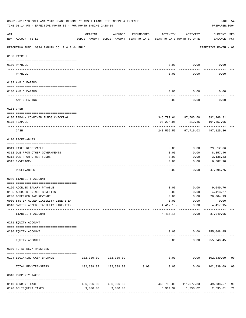|                 | 03-01-2019**BUDGET ANALYSIS USAGE REPORT ** ASSET LIABILITY INCOME & EXPENSE<br>TIME: 01:14 PM - EFFECTIVE MONTH: 02 - FOR MONTH ENDING 2-28-19 |          |                                                     |                               |                                        |                      | PAGE 54<br>PREPARER: 0004                        |      |
|-----------------|-------------------------------------------------------------------------------------------------------------------------------------------------|----------|-----------------------------------------------------|-------------------------------|----------------------------------------|----------------------|--------------------------------------------------|------|
| ACT             | NUM ACCOUNT-TITLE                                                                                                                               | ORIGINAL | AMENDED<br>BUDGET-AMOUNT BUDGET-AMOUNT YEAR-TO-DATE | ENCUMBERED                    | ACTIVITY<br>YEAR-TO-DATE MONTH-TO-DATE | ACTIVITY             | CURRENT USED<br>BALANCE PCT                      |      |
|                 | REPORTING FUND: 0024 FANNIN CO. R & B #4 FUND                                                                                                   |          |                                                     |                               |                                        |                      | EFFECTIVE MONTH - 02                             |      |
|                 | 0100 PAYROLL                                                                                                                                    |          |                                                     |                               |                                        |                      |                                                  |      |
|                 |                                                                                                                                                 |          |                                                     |                               |                                        |                      |                                                  |      |
| $- - - - - - -$ | 0100 PAYROLL                                                                                                                                    |          |                                                     |                               | 0.00                                   | 0.00                 | 0.00                                             |      |
|                 | PAYROLL                                                                                                                                         |          |                                                     |                               | 0.00                                   | 0.00                 | 0.00                                             |      |
|                 | 0102 A/P CLEARING                                                                                                                               |          |                                                     |                               |                                        |                      |                                                  |      |
|                 | 0100 A/P CLEARING                                                                                                                               |          |                                                     |                               | 0.00                                   | 0.00                 | 0.00                                             |      |
|                 | A/P CLEARING                                                                                                                                    |          |                                                     |                               | 0.00                                   | 0.00                 | 0.00                                             |      |
|                 | 0103 CASH                                                                                                                                       |          |                                                     |                               |                                        |                      |                                                  |      |
|                 | 0100 R&B#4- COMBINED FUNDS CHECKING                                                                                                             |          |                                                     |                               |                                        |                      | 346,799.61 97,503.68 392,268.31                  |      |
|                 | 0175 TEXPOOL                                                                                                                                    |          |                                                     |                               | 98,294.05-                             | 212.35               | 104,857.05                                       |      |
|                 | CASH                                                                                                                                            |          |                                                     |                               | 248,505.56                             | 97,716.03            | 497,125.36                                       |      |
|                 | 0120 RECEIVABLES                                                                                                                                |          |                                                     |                               |                                        |                      |                                                  |      |
|                 | 0311 TAXES RECEIVABLE                                                                                                                           |          |                                                     |                               | 0.00                                   | 0.00                 | 29,512.36                                        |      |
|                 | 0312 DUE FROM OTHER GOVERNMENTS                                                                                                                 |          |                                                     |                               | 0.00                                   | 0.00                 | 8,357.46                                         |      |
|                 | 0313 DUE FROM OTHER FUNDS                                                                                                                       |          |                                                     |                               | 0.00                                   | 0.00                 | 3,138.83                                         |      |
|                 | 0315 INVENTORY                                                                                                                                  |          |                                                     |                               | 0.00                                   | 0.00                 | 6,887.10                                         |      |
|                 | RECEIVABLES                                                                                                                                     |          |                                                     |                               | 0.00                                   | 0.00                 | 47,895.75                                        |      |
|                 | 0200 LIABILITY ACCOUNT                                                                                                                          |          |                                                     |                               |                                        |                      |                                                  |      |
|                 | 0150 ACCRUED SALARY PAYABLE                                                                                                                     |          |                                                     |                               | 0.00                                   | 0.00                 | 9,049.70                                         |      |
|                 | 0155 ACCRUED FRINGE BENEFITS                                                                                                                    |          |                                                     |                               | 0.00                                   | 0.00                 | 4,413.27                                         |      |
|                 | 0200 DEFERRED TAX REVENUE                                                                                                                       |          |                                                     |                               | 0.00                                   | 0.00                 | 28,004.13                                        |      |
|                 | 0900 SYSTEM ADDED LIABILITY LINE-ITEM                                                                                                           |          |                                                     |                               |                                        | $0.00$ $0.00$        | 0.00                                             |      |
|                 | 0910 SYSTEM ADDED LIABILITY LINE-ITEM                                                                                                           |          |                                                     |                               |                                        |                      | $4,417.15-$ 0.00 $4,417.15-$                     |      |
|                 | LIABILITY ACCOUNT                                                                                                                               |          |                                                     |                               |                                        | $4,417.15-$ 0.00     | --------- ------------ ------------<br>37,049.95 |      |
|                 | 0271 EQUITY ACCOUNT                                                                                                                             |          |                                                     |                               |                                        |                      |                                                  |      |
|                 | 0200 EQUITY ACCOUNT                                                                                                                             |          |                                                     |                               |                                        |                      | $0.00$ $0.00$ $255,048.45$                       |      |
|                 | ____________________<br>--------------------- --------------<br>EQUITY ACCOUNT                                                                  |          |                                                     |                               | -----<br>0.00                          | ------------<br>0.00 | _____________<br>255,048.45                      |      |
|                 | 0300 TOTAL REV/TRANSFERS                                                                                                                        |          |                                                     |                               |                                        |                      |                                                  |      |
|                 | 0124 BEGINNING CASH BALANCE                                                                                                                     |          | 102,339.09 102,339.09                               |                               |                                        |                      | $0.00$ $0.00$ $102,339.09$ 00                    |      |
|                 | TOTAL REV/TRANSFERS                                                                                                                             |          |                                                     | ----------------------------- | 0.00                                   | -----------          | -------------<br>$0.00$ $102,339.09$ 00          |      |
|                 | 0310 PROPERTY TAXES                                                                                                                             |          |                                                     |                               |                                        |                      |                                                  |      |
|                 | 0110 CURRENT TAXES                                                                                                                              |          | 486,096.60 486,096.60                               |                               |                                        |                      | 436,758.03 111,077.83 49,338.57                  | 90   |
|                 | 0120 DELINQUENT TAXES                                                                                                                           | 9,000.00 | 9,000.00                                            |                               |                                        |                      | 6,364.39 1,750.02 2,635.61                       | - 71 |
|                 |                                                                                                                                                 |          |                                                     |                               |                                        |                      |                                                  |      |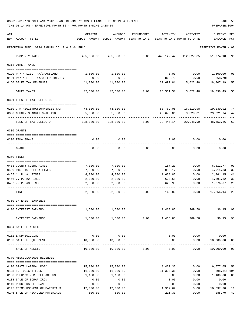03-01-2019\*\*BUDGET ANALYSIS USAGE REPORT \*\* ASSET LIABILITY INCOME & EXPENSE PAGE 55 TIME:01:14 PM - EFFECTIVE MONTH:02 - FOR MONTH ENDING 2-28-19 PREPARER:0004

| ACT | NUM ACCOUNT-TITLE                                                  | ORIGINAL               | AMENDED<br>BUDGET-AMOUNT BUDGET-AMOUNT YEAR-TO-DATE | ENCUMBERED | ACTIVITY<br>YEAR-TO-DATE MONTH-TO-DATE | ACTIVITY                      | <b>CURRENT USED</b><br>BALANCE | $_{\rm PCT}$ |
|-----|--------------------------------------------------------------------|------------------------|-----------------------------------------------------|------------|----------------------------------------|-------------------------------|--------------------------------|--------------|
|     | REPORTING FUND: 0024 FANNIN CO. R & B #4 FUND                      |                        |                                                     |            |                                        |                               | EFFECTIVE MONTH - 02           |              |
|     | PROPERTY TAXES                                                     |                        | 495,096.60 495,096.60                               | 0.00       | 443,122.42                             | 112,827.85                    | 51,974.18 90                   |              |
|     | 0318 OTHER TAXES                                                   |                        |                                                     |            |                                        |                               |                                |              |
|     |                                                                    |                        |                                                     |            |                                        |                               |                                |              |
|     | 0120 PAY N LIEU TAX/GRASSLAND<br>0121 PAY N LIEU TAX/UPPER TRINITY | 1,600.00<br>0.00       | 1,600.00<br>0.00                                    |            | 0.00<br>868.70                         | 0.00<br>0.00                  | 1,600.00 00<br>868.70+         |              |
|     | 0160 SALES TAX REVENUES                                            | 41,000.00              | 41,000.00                                           |            | 22,692.81                              | 5,022.40                      | 18,307.19                      | 55           |
|     | OTHER TAXES                                                        | 42,600.00              | 42,600.00                                           | 0.00       | 23,561.51                              | 5,022.40                      | ---------<br>19,038.49         | 55           |
|     | 0321 FEES OF TAX COLLECTOR                                         |                        |                                                     |            |                                        |                               |                                |              |
|     |                                                                    |                        |                                                     |            |                                        |                               |                                |              |
|     | 0200 CAR REGISTRATION/SALES TAX                                    | 73,000.00              | 73,000.00                                           |            |                                        | 53,769.08 16,219.98 19,230.92 |                                | 74           |
|     | 0300 COUNTY'S ADDITIONAL \$10                                      | 55,000.00              | 55,000.00                                           |            | 25,678.06                              | 3,829.01                      | 29,321.94                      | 47           |
|     | FEES OF TAX COLLECTOR                                              | 128,000.00             | 128,000.00                                          | 0.00       | 79,447.14                              | 20,048.99                     | 48,552.86                      | 62           |
|     | 0330 GRANTS                                                        |                        |                                                     |            |                                        |                               |                                |              |
|     | 0200 FEMA GRANT                                                    | 0.00                   | 0.00                                                |            | 0.00                                   | 0.00                          | 0.00                           |              |
|     |                                                                    |                        |                                                     |            |                                        |                               |                                |              |
|     | GRANTS                                                             | 0.00                   | 0.00                                                | 0.00       | 0.00                                   | 0.00                          | 0.00                           |              |
|     | 0350 FINES                                                         |                        |                                                     |            |                                        |                               |                                |              |
|     | 0403 COUNTY CLERK FINES                                            | 7,000.00               | 7,000.00                                            |            | 187.23                                 | 0.00                          | 6,812.77                       | 03           |
|     | 0450 DISTRICT CLERK FINES                                          | 7,000.00               | 7,000.00                                            |            | 2,085.17                               | 0.00                          | 4,914.83                       | 30           |
|     | 0455 J. P. #1 FINES                                                | 4,000.00               | 4,000.00                                            |            | 1,638.85                               | 0.00                          | 2,361.15                       | 41           |
|     | 0456 J. P. #2 FINES                                                | 2,000.00               | 2,000.00                                            |            | 608.68                                 | 0.00                          | 1,391.32                       | 30           |
|     | 0457 J. P. #3 FINES                                                | 2,500.00               | 2,500.00                                            |            | 623.93                                 | 0.00                          | 1,876.07                       | 25           |
|     | FINES                                                              | 22,500.00              | 22,500.00                                           | 0.00       | 5,143.86                               | 0.00                          | 17,356.14                      | 23           |
|     | 0360 INTEREST EARNINGS                                             |                        |                                                     |            |                                        |                               |                                |              |
|     | 0100 INTEREST EARNING                                              | 1,500.00               | 1,500.00                                            |            | 1,463.85                               | 269.58                        | 36.15                          | 98           |
|     | INTEREST EARNINGS                                                  |                        | 1,500.00 1,500.00                                   |            | $0.00$ 1,463.85                        | 269.58                        | 36.15 98                       |              |
|     | 0364 SALE OF ASSETS                                                |                        |                                                     |            |                                        |                               |                                |              |
|     |                                                                    |                        |                                                     |            |                                        |                               |                                |              |
|     | 0162 LAND/BUILDING                                                 | 0.00                   | 0.00                                                |            | 0.00                                   | 0.00                          | 0.00                           |              |
|     | 0163 SALE OF EQUIPMENT                                             | 10,000.00              | 10,000.00<br>--------------                         |            | 0.00                                   | 0.00<br>-----                 | 10,000.00                      | $_{00}$      |
|     | SALE OF ASSETS                                                     | 10,000.00              | 10,000.00                                           | 0.00       | 0.00                                   | 0.00                          | 10,000.00 00                   |              |
|     | 0370 MISCELLANEOUS REVENUES                                        |                        |                                                     |            |                                        |                               |                                |              |
|     |                                                                    |                        |                                                     |            |                                        |                               |                                |              |
|     | 0120 STATE LATERAL ROAD<br>0125 TDT WEIGHT FEES                    | 15,000.00<br>11,000.00 | 15,000.00<br>11,000.00                              |            | 8,422.35<br>11,398.31                  | 0.00<br>0.00                  | 6,577.65 56<br>398.31+ 104     |              |
|     | 0130 REFUNDS & MISCELLANEOUS                                       | 1,100.00               | 1,100.00                                            |            | 0.00                                   | 0.00                          | 1,100.00                       | 00           |
|     | 0138 SALE OF SCRAP IRON                                            | 0.00                   | 0.00                                                |            | 0.00                                   | 0.00                          | 0.00                           |              |
|     | 0140 PROCEEDS OF LOAN                                              | 0.00                   | 0.00                                                |            | 0.00                                   | 0.00                          | 0.00                           |              |
|     | 0145 REIMBURSEMENT OF MATERIALS                                    | 12,000.00              | 12,000.00                                           |            | 1,362.62                               | 0.00                          | 10,637.38                      | 11           |
|     | 0146 SALE OF RECYCLED MATERIALS                                    | 500.00                 | 500.00                                              |            | 211.30                                 | 0.00                          | 288.70                         | 42           |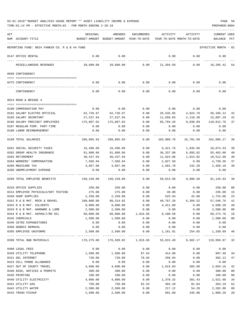| ACT |                                                       | ORIGINAL               | AMENDED                                  | <b>ENCUMBERED</b>   | ACTIVITY                   | ACTIVITY             | <b>CURRENT USED</b>    |              |
|-----|-------------------------------------------------------|------------------------|------------------------------------------|---------------------|----------------------------|----------------------|------------------------|--------------|
|     | NUM ACCOUNT-TITLE                                     |                        | BUDGET-AMOUNT BUDGET-AMOUNT YEAR-TO-DATE |                     | YEAR-TO-DATE MONTH-TO-DATE |                      | BALANCE                | $_{\rm PCT}$ |
|     |                                                       |                        |                                          |                     |                            |                      |                        |              |
|     | REPORTING FUND: 0024 FANNIN CO. R & B #4 FUND         |                        |                                          |                     |                            |                      | EFFECTIVE MONTH - 02   |              |
|     | 0147 OFFICE RENTAL                                    | 0.00                   | 0.00                                     |                     | 0.00                       | 0.00                 | 0.00                   |              |
|     | MISCELLANEOUS REVENUES                                | 39,600.00              | 39,600.00                                | 0.00                | 21,394.58                  | 0.00                 | 18,205.42              | -54          |
|     | 0509 CONTINGENCY                                      |                        |                                          |                     |                            |                      |                        |              |
|     |                                                       |                        |                                          |                     |                            |                      |                        |              |
|     | 0475 CONTINGENCY                                      | 0.00                   | 0.00                                     | 0.00                |                            | $0.00$ 0.00          | 0.00                   |              |
|     | CONTINGENCY                                           | 0.00                   | 0.00                                     | 0.00                | 0.00                       | 0.00                 | 0.00                   |              |
|     | 0624 ROAD & BRIDGE 4                                  |                        |                                          |                     |                            |                      |                        |              |
|     |                                                       |                        | 0.00                                     |                     |                            |                      |                        |              |
|     | 0100 COMPENSATION PAY                                 | 0.00                   |                                          | 0.00                | 0.00                       | 0.00                 | 0.00                   |              |
|     | 0101 SALARY ELECTED OFFICIAL<br>0105 SALARY SECRETARY | 62,720.97<br>27,537.94 | 62,720.97<br>27,537.94                   | 0.00<br>0.00        | 26,535.85<br>11,650.65     | 4,824.70<br>2,118.30 | 36,185.12<br>15,887.29 | 42<br>42     |
|     | 0106 SALARY PRECINCT EMPLOYEES                        | 175,807.02             | 175,807.02                               | 0.00                | 65,794.26                  | 9,838.89             | 110,012.76             | 37           |
|     | 0107 REGULAR-TEMP. PART-TIME                          | 0.00                   | 0.00                                     | 0.00                | 0.00                       | 0.00                 | 0.00                   |              |
|     | 0108 LABOR REIMBURSEMENT                              | 0.00                   | 0.00                                     | 0.00                | 0.00                       | 0.00                 | 0.00                   |              |
|     |                                                       |                        |                                          |                     |                            |                      |                        |              |
|     | 0199 TOTAL SALARIES                                   | 266,065.93             | 266,065.93                               | 0.00                | 103,980.76                 | 16,781.89            | 162,085.17             | 39           |
|     | 0201 SOCIAL SECURITY TAXES                            | 16,496.09              | 16,496.09                                | 0.00                | 6,421.76                   | 1,035.66             | 10,074.33              | 39           |
|     | 0202 GROUP HEALTH INSURANCE                           | 91,800.96              | 91,800.96                                | 0.00                | 36,337.88                  | 6,693.82             | 55,463.08              | 40           |
|     | 0203 RETIREMENT                                       | 30,437.94              | 30,437.94                                | 0.00                | 11,924.96                  | 1,914.82             | 18,512.98              | 39           |
|     | 0204 WORKERS' COMPENSATION                            | 7,566.94               | 7,566.94                                 | 0.00                | 2,827.58                   | 0.00                 | 4,739.36               | 37           |
|     | 0205 MEDICARE TAX                                     | 3,857.96               | 3,857.96                                 | 0.00                | 1,501.78                   | 242.20               | 2,356.18               | 39           |
|     | 0206 UNEMPLOYMENT EXPENSE                             | 0.00                   | 0.00                                     | 0.00                | 0.00                       | 0.00                 | 0.00                   |              |
|     | 0299 TOTAL EMPLOYEE BENEFITS                          | 150,159.89             | 150,159.89                               | 0.00                | 59,013.96                  | 9,886.50             | 91,145.93              | 39           |
|     | 0310 OFFICE SUPPLIES                                  | 250.00                 | 250.00                                   | 0.00                | 0.00                       | 0.00                 | 250.00                 | 00           |
|     | 0314 EMPLOYEE PHYSICALS/DOT TESTING                   | 275.00                 | 275.00                                   | 0.00                | 40.00                      | 0.00                 | 235.00                 | 15           |
|     | 0340 SHOP SUPPLIES                                    | 2,250.00               | 2,250.00                                 | 0.00                | 525.94                     | 42.80                | 1,724.06               | 23           |
|     | 0341 R & B MAT. ROCK & GRAVEL                         | 100,000.00             | 98,314.02                                | 0.00                | 40,767.26                  | 6,304.52             | 57,546.76              | 41           |
|     | 0342 R & B MAT. CULVERTS                              | 9.000.00               | 9.000.00                                 | 0.00                | 4,411.80                   | 0.00                 | 4,588.20               | 49           |
|     | 0343 R & B MAT. HARDWRE & LUMB                        | 2,500.00               | 2,500.00                                 | 0.00                | 0.00                       | 0.00                 | 2,500.00               | 00           |
|     | 0344 R & B MAT. ASPHALT/RD OIL                        | 60,000.00              | 60,000.00                                | 1,616.66            | 8,108.58                   | 0.00                 | 50,274.76              | 16           |
|     | 0345 CHEMICALS                                        | 1,500.00               | 1,500.00                                 | 0.00                | 0.00                       | 0.00                 | 1,500.00               | $00\,$       |
|     | 0346 CETRZ EXPENDITURES                               | 0.00                   | 0.00                                     | 0.00                | 0.00                       | 0.00                 | 0.00                   |              |
|     | 0350 DEBRIS REMOVAL                                   | 0.00                   | 0.00                                     | 0.00                | 0.00                       | 0.00                 | 0.00                   |              |
|     | 0395 EMPLOYEE UNIFORMS                                | 2,500.00               | 2,500.00<br>--------------               | 0.00                | 1,161.91                   | 254.85               | 1,338.09               | - 46         |
|     | 0399 TOTAL R&B MATERIALS                              | 178,275.00             |                                          | 176,589.02 1,616.66 | 55,015.49                  | 6,602.17             | 119,956.87 32          |              |
|     | 0400 LEGAL FEES                                       | 0.00                   | 0.00                                     | 0.00                | 0.00                       | 0.00                 | 0.00                   |              |
|     | 0420 UTILITY TELEPHONE                                | 1,500.00               | 1,500.00                                 | 87.54               | 414.98                     | 0.00                 | 997.48                 | 34           |
|     | 0421 DSL INTERNET                                     | 720.00                 | 720.00                                   | 78.94               | 258.94                     | 0.00                 | 382.12                 | 47           |
|     | 0423 CELL PHONE ALLOWANCE                             | 0.00                   | 0.00                                     | 0.00                | 0.00                       | 0.00                 | 0.00                   |              |
|     | 0427 OUT OF COUNTY TRAVEL                             | 4,600.00               | 4,600.00                                 | 0.00                | 1,915.84                   | 365.00               | 2,684.16               | 42           |
|     | 0430 BIDS, NOTICES & PERMITS                          | 300.00                 | 300.00                                   | 0.00                | 0.00                       | 0.00                 | 300.00                 | 00           |
|     | 0435 PRINTING                                         | 100.00                 | 100.00                                   | 0.00                | 0.00                       | 0.00                 | 100.00                 | 00           |
|     | 0440 UTILITY ELECTRICITY                              | 4,000.00               | 4,000.00                                 | 0.00                | 1,378.32                   | 301.43               | 2,621.68               | 34           |
|     | 0441 UTILITY GAS                                      | 750.00                 | 750.00                                   | 82.53               | 304.28                     | 81.04                | 363.19                 | 52           |
|     | 0442 UTILITY WATER                                    | 2,500.00               | 2,500.00                                 | 0.00                | 217.12                     | 54.28                | 2,282.88               | 09           |
|     | 0443 TRASH PICKUP                                     | 2,500.00               | 2,500.00                                 | 0.00                | 691.80                     | 345.90               | 1,808.20               | 28           |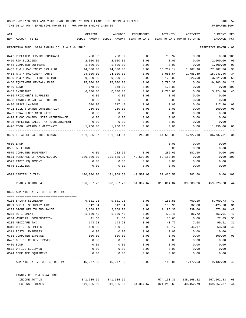| ACT | NUM ACCOUNT-TITLE                                      | ORIGINAL     | AMENDED<br>BUDGET-AMOUNT BUDGET-AMOUNT YEAR-TO-DATE | ENCUMBERED           | ACTIVITY                    | ACTIVITY<br>YEAR-TO-DATE MONTH-TO-DATE | <b>CURRENT USED</b><br>BALANCE | $_{\rm PCT}$ |
|-----|--------------------------------------------------------|--------------|-----------------------------------------------------|----------------------|-----------------------------|----------------------------------------|--------------------------------|--------------|
|     |                                                        |              |                                                     |                      |                             |                                        |                                |              |
|     | REPORTING FUND: 0024 FANNIN CO. R & B #4 FUND          |              |                                                     |                      |                             |                                        | EFFECTIVE MONTH - 02           |              |
|     | 0447 REPEATER SERVICE CONTRACT                         | 708.97       | 708.97                                              | 0.00                 | 708.97                      | 0.00                                   | 0.00                           | 100          |
|     | 0450 R&M BUILDING                                      | 2,000.00     | 2,000.00                                            | 0.00                 | 0.00                        | 0.00                                   | 2,000.00                       | 00           |
|     | 0453 COMPUTER SOFTWARE                                 | 1,500.00     | 1,500.00                                            | 0.00                 | 0.00                        | 0.00                                   | 1,500.00                       | 00           |
|     | 0457 R & M MACHINERY GAS & OIL                         | 44,500.00    | 44,500.00                                           | 0.00                 | 16,712.14                   | 1,967.96                               | 27,787.86                      | 38           |
|     | 0458 R & M MACHINERY PARTS                             | 24,000.00    | 24,000.00                                           | 0.00                 | 8,056.54                    | 1,785.49                               | 15,943.46                      | 34           |
|     | 0459 R & M MACH. TIRES & TUBES                         | 9,000.00     | 9,000.00                                            | 0.00                 | 5,179.00                    | 826.00                                 | 3,821.00                       | 58           |
|     | 0460 EOUIPMENT RENTAL/LEASE                            | 25,000.00    | 25,000.00                                           | 0.00                 | 5,796.32                    | 0.00                                   | 19,203.68                      | 23           |
|     | 0480 BOND                                              | 178.00       | 178.00                                              | 0.00                 | 178.00                      | 0.00                                   | 0.00                           | 100          |
|     | 0482 INSURANCE                                         | 6,000.00     | 6,000.00                                            | 0.00                 | 2,775.80                    | 0.00                                   | 3,224.20                       | 46           |
|     | 0485 PRISONER'S SUPPLIES                               | 0.00         | 0.00                                                | 0.00                 | 0.00                        | 0.00                                   | 0.00                           |              |
|     | 0488 FANNIN RURAL RAIL DISTRICT                        | 0.00         | 0.00                                                | 0.00                 | 0.00                        | 0.00                                   | 0.00                           |              |
|     | 0490 MISCELLANEOUS                                     | 500.00       | 217.40                                              | 0.00                 | 0.00                        | 0.00                                   | 217.40                         | 00           |
|     | 0491 SOIL & WATER CONSERVATION                         | 250.00       | 250.00                                              | 0.00                 | 0.00                        | 0.00                                   | 250.00                         | 00           |
|     | 0492 TDRA FLOOD CASH MATCH                             | 0.00         | 0.00                                                | 0.00                 | 0.00                        | 0.00                                   | 0.00                           |              |
|     | 0494 FLOOD CONTROL SITE MAINTENANCE                    | 0.00         | 0.00                                                | 0.00                 | 0.00                        | 0.00                                   | 0.00                           |              |
|     | 0495 PIPELINE SALES TAX REIMBURSEMENT                  | 0.00         | 0.00                                                | 0.00                 | 0.00                        | 0.00                                   | 0.00                           |              |
|     | 0496 TCOG HAZARDOUS WASTEMATCH<br>-------------------- | 1,250.00     | 1,250.00                                            | 0.00<br>------------ | 0.00                        | 0.00                                   | 1,250.00                       | 00           |
|     | 0499 TOTAL SER. & OTHER CHARGES                        | 131,856.97   | 131,574.37                                          | 249.01               | 44,588.05                   | 5,727.10                               | 86,737.31                      | 34           |
|     | 0500 LAND                                              |              |                                                     |                      | 0.00                        | 0.00                                   | 0.00                           |              |
|     | 0535 BUILDING                                          |              |                                                     |                      | 0.00                        | 0.00                                   | 0.00                           |              |
|     | 0570 COMPUTER EQUIPMENT                                | 0.00         | 282.60                                              | 0.00                 | 282.60                      | 282.60                                 | 0.00                           | 100          |
|     | 0571 PURCHASE OF MACH./EQUIP.                          | 100,000.00   | 101,685.98                                          | 49,502.00            | 52,183.98                   | 0.00                                   | 0.00                           | 100          |
|     | 0573 RADIO EQUIPMENT                                   | 0.00         | 0.00                                                | 0.00                 | 0.00                        | 0.00                                   | 0.00                           |              |
|     | 0575 BUILDING                                          | 0.00         | 0.00                                                | 0.00                 | 0.00                        | 0.00                                   | 0.00                           |              |
|     | 0599 CAPITAL OUTLAY<br>---- -------------              | 100,000.00   | 101,968.58                                          | 49,502.00            | 52,466.58<br>______________ | 282.60<br>_____________                |                                | 0.00 100     |
|     | ROAD & BRIDGE 4                                        | 826, 357. 79 | 826, 357, 79                                        | 51,367.67            | 315,064.84                  | 39,280.26                              | 459,925.28                     | - 44         |
|     | 0625 ADMINISTRATIVE OFFICE R&B #4                      |              |                                                     |                      |                             |                                        |                                |              |
|     |                                                        |              |                                                     |                      |                             |                                        |                                |              |
|     | 0105 SALARY SECRETARY                                  | 9,881.28     | 9,881.28                                            | 0.00                 | 4,180.55                    | 760.10                                 | 5,700.73                       | 42           |
|     | 0201 SOCIAL SECURITY TAXES                             | 612.64       | 612.64                                              | 0.00                 | 186.96                      | 32.80                                  | 425.68                         | 31           |
|     | 0202 GROUP HEALTH INSURANCE                            | 2,868.78     | 2,868.78                                            | 0.00                 | 1,195.30                    | 239.06                                 | 1,673.48                       | 42           |
|     | 0203 RETIREMENT                                        | 1,130.42     | 1,130.42                                            | 0.00                 | 479.41                      | 86.72                                  | 651.01                         | 42           |
|     | 0204 WORKERS' COMPENSATION                             | 41.50        | 41.50                                               | 0.00                 | 13.65                       | 0.00                                   | 27.85                          | 33           |
|     | 0205 MEDICARE TAX                                      | 143.28       | 143.28                                              | 0.00                 | 43.77                       | 7.68                                   | 99.51                          | 31           |
|     | 0310 OFFICE SUPPLIES                                   | 100.00       | 100.00                                              | 0.00                 | 46.17                       | 46.17                                  | 53.83                          | 46           |
|     | 0311 POSTAL EXPENSES                                   | 0.00         | 0.00                                                | 0.00                 | 0.00                        | 0.00                                   | 0.00                           | $00\,$       |
|     | 0353 COMPUTER EXPENSE                                  | 500.00       | 500.00                                              | 0.00                 | 0.00                        | 0.00                                   | 500.00                         |              |
|     | 0427 OUT OF COUNTY TRAVEL                              | 0.00         | 0.00                                                | 0.00                 | 0.00                        | 0.00                                   | 0.00                           |              |
|     | 0480 BOND                                              | 0.00<br>0.00 | 0.00<br>0.00                                        | 0.00<br>0.00         | 0.00                        | 0.00                                   | 0.00                           |              |
|     | 0572 OFFICE EQUIPMENT<br>0574 COMPUTER EQUIPMENT       | 0.00         | 0.00                                                | 0.00                 | 0.00<br>0.00                | 0.00<br>0.00                           | 0.00<br>0.00                   |              |
|     | ADMINISTRATIVE OFFICE R&B #4                           |              |                                                     | 0.00                 | 6,145.81                    | 1,172.53                               | 9,132.09 40                    |              |
|     | FANNIN CO. R & B #4 FUND                               |              |                                                     |                      |                             |                                        |                                |              |
|     | INCOME TOTALS                                          | 841,635.69   | 841,635.69                                          |                      | 574,133.36                  | 138,168.82                             | 267,502.33 68                  |              |
|     | EXPENSE TOTALS                                         | 841,635.69   | 841,635.69                                          | 51,367.67            | 321,210.65                  | 40,452.79                              | 469,057.37                     | 44           |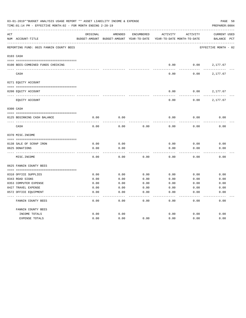|     | 03-01-2019**BUDGET ANALYSIS USAGE REPORT ** ASSET LIABILITY INCOME & EXPENSE<br>TIME:01:14 PM - EFFECTIVE MONTH:02 - FOR MONTH ENDING 2-28-19 |               |               |              |                            |          | PREPARER: 0004       | PAGE 58      |
|-----|-----------------------------------------------------------------------------------------------------------------------------------------------|---------------|---------------|--------------|----------------------------|----------|----------------------|--------------|
| ACT |                                                                                                                                               | ORIGINAL      | AMENDED       | ENCUMBERED   | <b>ACTIVITY</b>            | ACTIVITY | <b>CURRENT USED</b>  |              |
|     | NUM ACCOUNT-TITLE                                                                                                                             | BUDGET-AMOUNT | BUDGET-AMOUNT | YEAR-TO-DATE | YEAR-TO-DATE MONTH-TO-DATE |          | BALANCE              | $_{\rm PCT}$ |
|     | REPORTING FUND: 0025 FANNIN COUNTY BEES                                                                                                       |               |               |              |                            |          | EFFECTIVE MONTH - 02 |              |
|     | 0103 CASH                                                                                                                                     |               |               |              |                            |          |                      |              |
|     | 0100 BEES-COMBINED FUNDS CHECKING                                                                                                             |               |               |              | 0.00                       | 0.00     | 2,177.67             |              |
|     | CASH                                                                                                                                          |               |               |              | 0.00                       | 0.00     | 2,177.67             |              |
|     | 0271 EQUITY ACCOUNT                                                                                                                           |               |               |              |                            |          |                      |              |
|     | 0200 EQUITY ACCOUNT                                                                                                                           |               |               |              | 0.00                       | 0.00     | 2,177.67             |              |
|     | EQUITY ACCOUNT                                                                                                                                |               |               |              | 0.00                       | 0.00     | 2,177.67             |              |
|     | 0300 CASH                                                                                                                                     |               |               |              |                            |          |                      |              |
|     | 0125 BEGINNING CASH BALANCE                                                                                                                   | 0.00          | 0.00          |              | 0.00                       | 0.00     | 0.00                 |              |
|     | CASH                                                                                                                                          | 0.00          | 0.00          | 0.00         | 0.00                       | 0.00     | 0.00                 |              |
|     | 0370 MISC. INCOME                                                                                                                             |               |               |              |                            |          |                      |              |
|     | 0138 SALE OF SCRAP IRON                                                                                                                       | 0.00          | 0.00          |              | 0.00                       | 0.00     | 0.00                 |              |
|     | 0625 DONATIONS                                                                                                                                | 0.00          | 0.00          |              | 0.00                       | 0.00     | 0.00                 |              |
|     | MISC. INCOME                                                                                                                                  | 0.00          | 0.00          | 0.00         | 0.00                       | 0.00     | 0.00                 |              |
|     | 0625 FANNIN COUNTY BEES                                                                                                                       |               |               |              |                            |          |                      |              |
|     | 0310 OFFICE SUPPLIES                                                                                                                          | 0.00          | 0.00          | 0.00         | 0.00                       | 0.00     | 0.00                 |              |
|     | 0343 ROAD SIGNS                                                                                                                               | 0.00          | 0.00          | 0.00         | 0.00                       | 0.00     | 0.00                 |              |
|     | 0353 COMPUTER EXPENSE                                                                                                                         | 0.00          | 0.00          | 0.00         | 0.00                       | 0.00     | 0.00                 |              |
|     | 0427 TRAVEL EXPENSE                                                                                                                           | 0.00          | 0.00          | 0.00         | 0.00                       | 0.00     | 0.00                 |              |
|     | 0572 OFFICE EQUIPMENT                                                                                                                         | 0.00          | 0.00          | 0.00         | 0.00                       | 0.00     | 0.00                 |              |
|     | FANNIN COUNTY BEES                                                                                                                            | 0.00          | 0.00          | 0.00         | 0.00                       | 0.00     | 0.00                 |              |
|     | FANNIN COUNTY BEES                                                                                                                            |               |               |              |                            |          |                      |              |
|     | INCOME TOTALS                                                                                                                                 | 0.00          | 0.00          |              | 0.00                       | 0.00     | 0.00                 |              |
|     | <b>EXPENSE TOTALS</b>                                                                                                                         | 0.00          | 0.00          | 0.00         | 0.00                       | 0.00     | 0.00                 |              |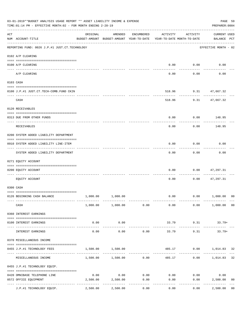|     | 03-01-2019**BUDGET ANALYSIS USAGE REPORT ** ASSET LIABILITY INCOME & EXPENSE<br>TIME:01:14 PM - EFFECTIVE MONTH:02 - FOR MONTH ENDING 2-28-19 |                                        |                                                                                |            |          |                       |                                    |                |  |  |
|-----|-----------------------------------------------------------------------------------------------------------------------------------------------|----------------------------------------|--------------------------------------------------------------------------------|------------|----------|-----------------------|------------------------------------|----------------|--|--|
| ACT | NUM ACCOUNT-TITLE                                                                                                                             | ORIGINAL                               | AMENDED<br>BUDGET-AMOUNT BUDGET-AMOUNT YEAR-TO-DATE YEAR-TO-DATE MONTH-TO-DATE | ENCUMBERED | ACTIVITY | ACTIVITY              | <b>CURRENT USED</b><br>BALANCE PCT |                |  |  |
|     | REPORTING FUND: 0026 J.P.#1 JUST.CT.TECHNOLOGY                                                                                                |                                        |                                                                                |            |          |                       | EFFECTIVE MONTH - 02               |                |  |  |
|     | 0102 A/P CLEARING                                                                                                                             |                                        |                                                                                |            |          |                       |                                    |                |  |  |
|     | 0100 A/P CLEARING                                                                                                                             |                                        |                                                                                |            |          | $0.00$ $0.00$         | 0.00                               |                |  |  |
|     | A/P CLEARING                                                                                                                                  |                                        |                                                                                |            | 0.00     | 0.00                  | 0.00                               |                |  |  |
|     | 0103 CASH                                                                                                                                     |                                        |                                                                                |            |          |                       |                                    |                |  |  |
|     | 0100 J.P.#1 JUST.CT.TECH-COMB.FUND CKIN                                                                                                       |                                        |                                                                                |            |          | 518.96 9.31 47,667.32 |                                    |                |  |  |
|     | CASH                                                                                                                                          |                                        |                                                                                |            | 518.96   | ----------            | 9.31 47,667.32                     |                |  |  |
|     | 0120 RECEIVABLES                                                                                                                              |                                        |                                                                                |            |          |                       |                                    |                |  |  |
|     | 0313 DUE FROM OTHER FUNDS                                                                                                                     |                                        |                                                                                |            | 0.00     |                       | $0.00$ 148.95                      |                |  |  |
|     | RECEIVABLES                                                                                                                                   |                                        |                                                                                |            | 0.00     | 0.00                  | 148.95                             |                |  |  |
|     | 0200 SYSTEM ADDED LIABILITY DEPARTMENT                                                                                                        |                                        |                                                                                |            |          |                       |                                    |                |  |  |
|     | 0910 SYSTEM ADDED LIABILITY LINE-ITEM                                                                                                         |                                        |                                                                                |            | 0.00     | 0.00                  | 0.00                               |                |  |  |
|     | SYSTEM ADDED LIABILITY DEPARTMENT                                                                                                             |                                        |                                                                                |            | 0.00     | .<br>0.00             | 0.00                               |                |  |  |
|     | 0271 EQUITY ACCOUNT                                                                                                                           |                                        |                                                                                |            |          |                       |                                    |                |  |  |
|     | 0200 EQUITY ACCOUNT                                                                                                                           |                                        |                                                                                |            | 0.00     | 0.00                  | 47,297.31                          |                |  |  |
|     | EQUITY ACCOUNT                                                                                                                                |                                        |                                                                                |            | 0.00     | 0.00                  | 47,297.31                          |                |  |  |
|     | 0300 CASH                                                                                                                                     |                                        |                                                                                |            |          |                       |                                    |                |  |  |
|     | 0126 BEGINNING CASH BALANCE                                                                                                                   |                                        | 1,000.00 1,000.00                                                              |            |          |                       | $0.00$ $0.00$ $1,000.00$           | 00             |  |  |
|     | CASH                                                                                                                                          |                                        | 1,000.00 1,000.00 0.00                                                         |            | 0.00     |                       | $0.00$ $1,000.00$ 00               |                |  |  |
|     | 0360 INTEREST EARNINGS                                                                                                                        |                                        |                                                                                |            |          |                       |                                    |                |  |  |
|     | 0100 INTEREST EARNINGS                                                                                                                        | 0.00                                   | 0.00                                                                           |            | 33.79    |                       | $9.31$ $33.79+$                    |                |  |  |
|     | INTEREST EARNINGS                                                                                                                             | --------<br>0.00                       | .<br>0.00                                                                      | 0.00       | 33.79    | ---------<br>9.31     | $33.79+$                           |                |  |  |
|     | 0370 MISCELLANEOUS INCOME                                                                                                                     |                                        |                                                                                |            |          |                       |                                    |                |  |  |
|     | 0455 J.P.#1 TECHNOLOGY FEES                                                                                                                   | 1,500.00                               | 1,500.00                                                                       |            |          |                       | 485.17 0.00 1,014.83 32            |                |  |  |
|     | MISCELLANEOUS INCOME                                                                                                                          |                                        | $1,500.00$ $1,500.00$ 0.00                                                     |            |          | 485.17                | $0.00$ 1,014.83                    | 32             |  |  |
|     | 0455 J.P.#1 TECHNOLOGY EQUIP.                                                                                                                 |                                        |                                                                                |            |          |                       |                                    |                |  |  |
|     | 0420 OMNIBASE TELEPHONE LINE                                                                                                                  | 0.00                                   | 0.00                                                                           | 0.00       |          | $0.00$ 0.00           | 0.00                               |                |  |  |
|     | 0572 OFFICE EQUIPMENT                                                                                                                         | 2,500.00<br>------------ ------------- | 2,500.00                                                                       | 0.00       | 0.00     | 0.00                  | 2,500.00                           | 0 <sub>0</sub> |  |  |
|     | J.P.#1 TECHNOLOGY EQUIP.                                                                                                                      | 2,500.00                               | 2,500.00                                                                       | 0.00       | 0.00     | 0.00                  | 2,500.00                           | 0 <sub>0</sub> |  |  |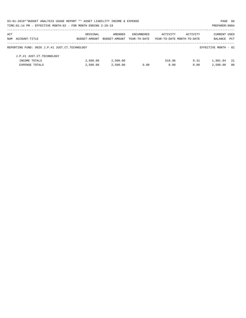|     | 03-01-2019**BUDGET ANALYSIS USAGE REPORT ** ASSET LIABILITY INCOME & EXPENSE |               |               |              |                            |          | PAGE 60              |            |
|-----|------------------------------------------------------------------------------|---------------|---------------|--------------|----------------------------|----------|----------------------|------------|
|     | TIME: 01:14 PM - EFFECTIVE MONTH: 02 - FOR MONTH ENDING 2-28-19              |               |               |              |                            |          | PREPARER: 0004       |            |
| ACT |                                                                              | ORIGINAL      | AMENDED       | ENCUMBERED   | ACTIVITY                   | ACTIVITY | <b>CURRENT USED</b>  |            |
|     | NUM ACCOUNT-TITLE                                                            | BUDGET-AMOUNT | BUDGET-AMOUNT | YEAR-TO-DATE | YEAR-TO-DATE MONTH-TO-DATE |          | BALANCE              | <b>PCT</b> |
|     | REPORTING FUND: 0026 J.P.#1 JUST.CT.TECHNOLOGY                               |               |               |              |                            |          | EFFECTIVE MONTH - 02 |            |
|     | J.P.#1 JUST.CT.TECHNOLOGY                                                    |               |               |              |                            |          |                      |            |
|     | INCOME TOTALS                                                                | 2,500.00      | 2,500.00      |              | 518.96                     | 9.31     | 1,981.04             | - 21       |
|     | <b>EXPENSE TOTALS</b>                                                        | 2.500.00      | 2,500.00      | 0.00         | 0.00                       | 0.00     | 2,500.00             | - 00       |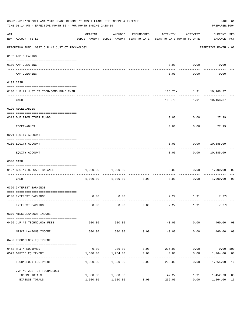|                                    | PREPARER: 0004 |
|------------------------------------|----------------|
| <b>CURRENT USED</b><br>BALANCE PCT |                |
| EFFECTIVE MONTH - 02               |                |
|                                    |                |
| 0.00                               |                |
| 0.00                               |                |
|                                    |                |
| 188.73- 1.91 10,168.37             |                |
| 188.73- 1.91 10,168.37             |                |
|                                    |                |
| 0.00<br>27.99                      |                |
| 27.99                              |                |
|                                    |                |
| $0.00$ 10,385.09                   |                |
| $0.00$ 10,385.09                   |                |
|                                    |                |
| 0.00<br>1,000.00                   | 00             |
| 1,000.00                           | 0 <sub>0</sub> |
|                                    |                |
| $7.27$ 1.91 7.27+                  |                |
| $7.27+$                            |                |
|                                    |                |
| 460.00 08                          |                |
| 460.00                             | 08             |
|                                    |                |
| 0.00<br>$0.00$ 100                 |                |
| 1,264.00 00                        |                |
| 1,264.00                           | 16             |
|                                    |                |
| 1.91<br>1,452.73                   | 03             |
|                                    | -----------    |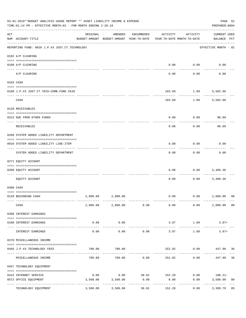|     | 03-01-2019**BUDGET ANALYSIS USAGE REPORT ** ASSET LIABILITY INCOME & EXPENSE<br>TIME:01:14 PM - EFFECTIVE MONTH:02 - FOR MONTH ENDING 2-28-19 |                     |                                                     |              |                                        |                    |                                    |    |  |  |
|-----|-----------------------------------------------------------------------------------------------------------------------------------------------|---------------------|-----------------------------------------------------|--------------|----------------------------------------|--------------------|------------------------------------|----|--|--|
| ACT | NUM ACCOUNT-TITLE                                                                                                                             | ORIGINAL            | AMENDED<br>BUDGET-AMOUNT BUDGET-AMOUNT YEAR-TO-DATE | ENCUMBERED   | ACTIVITY<br>YEAR-TO-DATE MONTH-TO-DATE | ACTIVITY           | <b>CURRENT USED</b><br>BALANCE PCT |    |  |  |
|     | REPORTING FUND: 0028 J.P.#3 JUST.CT.TECHNOLOGY                                                                                                |                     |                                                     |              |                                        |                    | EFFECTIVE MONTH - 02               |    |  |  |
|     | 0102 A/P CLEARING                                                                                                                             |                     |                                                     |              |                                        |                    |                                    |    |  |  |
|     | 0100 A/P CLEARING                                                                                                                             |                     |                                                     |              | 0.00                                   | 0.00               | 0.00                               |    |  |  |
|     | A/P CLEARING                                                                                                                                  |                     |                                                     |              | 0.00                                   | 0.00               | 0.00                               |    |  |  |
|     | 0103 CASH                                                                                                                                     |                     |                                                     |              |                                        |                    |                                    |    |  |  |
|     | 0100 J.P.#3 JUST.CT.TECH-COMB.FUND CKIN                                                                                                       |                     |                                                     |              | 103.69                                 | 1.09               | 5,502.96                           |    |  |  |
|     | CASH                                                                                                                                          |                     |                                                     |              | 103.69                                 | ----------<br>1.09 | 5,502.96                           |    |  |  |
|     | 0120 RECEIVABLES                                                                                                                              |                     |                                                     |              |                                        |                    |                                    |    |  |  |
|     | 0313 DUE FROM OTHER FUNDS                                                                                                                     |                     |                                                     |              | 0.00                                   |                    | 0.00<br>90.09                      |    |  |  |
|     | RECEIVABLES                                                                                                                                   |                     |                                                     |              | 0.00                                   | 0.00               | 90.09                              |    |  |  |
|     | 0200 SYSTEM ADDED LIABILITY DEPARTMENT                                                                                                        |                     |                                                     |              |                                        |                    |                                    |    |  |  |
|     | 0910 SYSTEM ADDED LIABILITY LINE-ITEM                                                                                                         |                     |                                                     |              | 0.00                                   | 0.00               | 0.00                               |    |  |  |
|     | SYSTEM ADDED LIABILITY DEPARTMENT                                                                                                             |                     |                                                     |              | 0.00                                   | 0.00               | 0.00                               |    |  |  |
|     | 0271 EQUITY ACCOUNT                                                                                                                           |                     |                                                     |              |                                        |                    |                                    |    |  |  |
|     | 0200 EQUITY ACCOUNT                                                                                                                           |                     |                                                     |              | 0.00                                   | 0.00               | 5,489.36                           |    |  |  |
|     | EQUITY ACCOUNT                                                                                                                                |                     |                                                     |              | 0.00                                   | 0.00               | 5,489.36                           |    |  |  |
|     | 0300 CASH                                                                                                                                     |                     |                                                     |              |                                        |                    |                                    |    |  |  |
|     | 0128 BEGINNING CASH                                                                                                                           | 2,800.00            | 2,800.00                                            |              |                                        |                    | $0.00$ $0.00$ $2,800.00$           | 00 |  |  |
|     | CASH                                                                                                                                          |                     | 2,800.00 2,800.00 0.00                              |              | 0.00                                   | 0.00               | 2,800.00                           | 00 |  |  |
|     | 0360 INTEREST EARNINGS                                                                                                                        |                     |                                                     |              |                                        |                    |                                    |    |  |  |
|     | 0100 INTEREST EARNINGS                                                                                                                        | 0.00                | 0.00                                                |              | 3.87                                   | 1.09               | $3.87+$                            |    |  |  |
|     | INTEREST EARNINGS                                                                                                                             | $- - - - -$<br>0.00 | ----------<br>0.00                                  | 0.00         | 3.87                                   | 1.09               | $3.87+$                            |    |  |  |
|     | 0370 MISCELLANEOUS INCOME                                                                                                                     |                     |                                                     |              |                                        |                    |                                    |    |  |  |
|     | 0456 J.P.#3 TECHNOLOGY FEES                                                                                                                   | 700.00              | 700.00                                              |              | 252.02                                 |                    | $0.00$ $447.98$ 36                 |    |  |  |
|     | MISCELLANEOUS INCOME                                                                                                                          | 700.00              | 700.00                                              | 0.00         | 252.02                                 | 0.00               | 447.98                             | 36 |  |  |
|     | 0457 TECHNOLOGY EQUIPMENT                                                                                                                     |                     |                                                     |              |                                        |                    |                                    |    |  |  |
|     | 0423 INTERNET SERVICE                                                                                                                         | 0.00                |                                                     | $0.00$ 38.01 | 152.20                                 |                    | $0.00$ 190.21-                     |    |  |  |
|     | 0572 OFFICE EQUIPMENT                                                                                                                         | 3,500.00            | 3,500.00                                            | 0.00         | 0.00                                   | 0.00               | 3,500.00                           | 00 |  |  |
|     | ------------ --<br>TECHNOLOGY EQUIPMENT                                                                                                       | 3,500.00            | 3,500.00                                            | 38.01        | 152.20                                 | 0.00               | 3,309.79                           | 05 |  |  |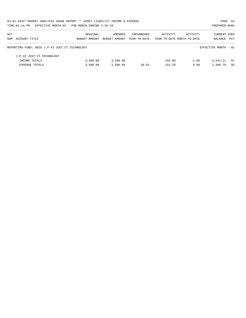|     | 03-01-2019**BUDGET ANALYSIS USAGE REPORT ** ASSET LIABILITY INCOME & EXPENSE |               |               |              |                            |          | PAGE 63              |            |
|-----|------------------------------------------------------------------------------|---------------|---------------|--------------|----------------------------|----------|----------------------|------------|
|     | TIME: 01:14 PM - EFFECTIVE MONTH: 02 - FOR MONTH ENDING 2-28-19              |               |               |              |                            |          | PREPARER: 0004       |            |
| ACT |                                                                              | ORIGINAL      | AMENDED       | ENCUMBERED   | ACTIVITY                   | ACTIVITY | <b>CURRENT USED</b>  |            |
|     | NUM ACCOUNT-TITLE                                                            | BUDGET-AMOUNT | BUDGET-AMOUNT | YEAR-TO-DATE | YEAR-TO-DATE MONTH-TO-DATE |          | BALANCE              | <b>PCT</b> |
|     | REPORTING FUND: 0028 J.P.#3 JUST.CT.TECHNOLOGY                               |               |               |              |                            |          | EFFECTIVE MONTH - 02 |            |
|     | J.P.#3 JUST.CT.TECHNOLOGY                                                    |               |               |              |                            |          |                      |            |
|     | INCOME TOTALS                                                                | 3,500.00      | 3,500.00      |              | 255.89                     | 1.09     | 3, 244, 11           | - 07       |
|     | <b>EXPENSE TOTALS</b>                                                        | 3,500.00      | 3,500.00      | 38.01        | 152.20                     | 0.00     | 3,309.79             | 05         |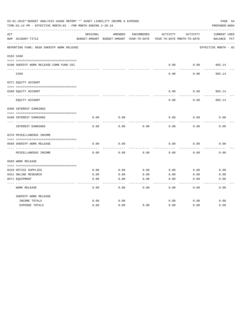|     | 03-01-2019**BUDGET ANALYSIS USAGE REPORT ** ASSET LIABILITY INCOME & EXPENSE<br>TIME: 01:14 PM - EFFECTIVE MONTH: 02 - FOR MONTH ENDING 2-28-19 |          |                                                     |            |          |                                        | PAGE 64<br>PREPARER: 0004          |
|-----|-------------------------------------------------------------------------------------------------------------------------------------------------|----------|-----------------------------------------------------|------------|----------|----------------------------------------|------------------------------------|
| ACT | NUM ACCOUNT-TITLE                                                                                                                               | ORIGINAL | AMENDED<br>BUDGET-AMOUNT BUDGET-AMOUNT YEAR-TO-DATE | ENCUMBERED | ACTIVITY | ACTIVITY<br>YEAR-TO-DATE MONTH-TO-DATE | <b>CURRENT USED</b><br>BALANCE PCT |
|     | REPORTING FUND: 0030 SHERIFF WORK RELEASE                                                                                                       |          |                                                     |            |          |                                        | EFFECTIVE MONTH - 02               |
|     | 0103 CASH                                                                                                                                       |          |                                                     |            |          |                                        |                                    |
|     | 0100 SHERIFF WORK RELEASE-COMB FUND CKI                                                                                                         |          |                                                     |            | 0.00     | 0.00                                   | 983.14                             |
|     | CASH                                                                                                                                            |          |                                                     |            | 0.00     | 0.00                                   | 983.14                             |
|     | 0271 EQUITY ACCOUNT                                                                                                                             |          |                                                     |            |          |                                        |                                    |
|     | 0200 EQUITY ACCOUNT                                                                                                                             |          |                                                     |            | 0.00     | 0.00                                   | 983.14                             |
|     | EQUITY ACCOUNT                                                                                                                                  |          |                                                     |            | 0.00     | 0.00                                   | 983.14                             |
|     | 0360 INTEREST EARNINGS                                                                                                                          |          |                                                     |            |          |                                        |                                    |
|     | 0100 INTEREST EARNINGS                                                                                                                          | 0.00     | 0.00                                                |            | 0.00     | 0.00                                   | 0.00                               |
|     |                                                                                                                                                 |          |                                                     |            |          |                                        |                                    |
|     | INTEREST EARNINGS                                                                                                                               | 0.00     | 0.00                                                | 0.00       | 0.00     | 0.00                                   | 0.00                               |
|     | 0370 MISCELLANEOUS INCOME                                                                                                                       |          |                                                     |            |          |                                        |                                    |
|     | 0569 SHERIFF WORK RELEASE                                                                                                                       | 0.00     | 0.00                                                |            | 0.00     | 0.00                                   | 0.00                               |
|     | ---------------<br>MISCELLANEOUS INCOME                                                                                                         | 0.00     | 0.00                                                | 0.00       | 0.00     | 0.00                                   | 0.00                               |
|     | 0569 WORK RELEASE                                                                                                                               |          |                                                     |            |          |                                        |                                    |
|     | 0310 OFFICE SUPPLIES                                                                                                                            | 0.00     | 0.00                                                | 0.00       | 0.00     | 0.00                                   | 0.00                               |
|     | 0421 ONLINE RESEARCH                                                                                                                            | 0.00     | 0.00                                                | 0.00       | 0.00     | 0.00                                   | 0.00                               |
|     | 0571 EQUIPMENT                                                                                                                                  | 0.00     | 0.00                                                | 0.00       | 0.00     | 0.00                                   | 0.00                               |
|     | <b>WORK RELEASE</b>                                                                                                                             | 0.00     | 0.00                                                | 0.00       | 0.00     | 0.00                                   | 0.00                               |
|     | SHERIFF WORK RELEASE                                                                                                                            |          |                                                     |            |          |                                        |                                    |
|     | INCOME TOTALS                                                                                                                                   | 0.00     | 0.00                                                |            | 0.00     | 0.00                                   | 0.00                               |
|     | <b>EXPENSE TOTALS</b>                                                                                                                           | 0.00     | 0.00                                                | 0.00       | 0.00     | 0.00                                   | 0.00                               |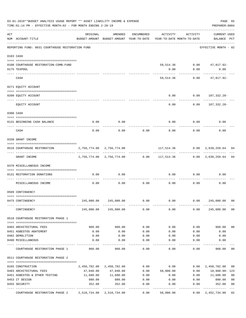|     | 03-01-2019**BUDGET ANALYSIS USAGE REPORT ** ASSET LIABILITY INCOME & EXPENSE<br>TIME: 01:14 PM - EFFECTIVE MONTH: 02 - FOR MONTH ENDING 2-28-19 |                                                                                 |                           |              |                                                             |               | PAGE 65<br>PREPARER: 0004          |                |
|-----|-------------------------------------------------------------------------------------------------------------------------------------------------|---------------------------------------------------------------------------------|---------------------------|--------------|-------------------------------------------------------------|---------------|------------------------------------|----------------|
| ACT | NUM ACCOUNT-TITLE                                                                                                                               | ORIGINAL<br>BUDGET-AMOUNT BUDGET-AMOUNT YEAR-TO-DATE YEAR-TO-DATE MONTH-TO-DATE | AMENDED                   | ENCUMBERED   | ACTIVITY                                                    | ACTIVITY      | <b>CURRENT USED</b><br>BALANCE PCT |                |
|     | REPORTING FUND: 0031 COURTHOUSE RESTORATION FUND                                                                                                |                                                                                 |                           |              |                                                             |               | EFFECTIVE MONTH - 02               |                |
|     | 0103 CASH                                                                                                                                       |                                                                                 |                           |              |                                                             |               |                                    |                |
|     | 0100 COURTHOUSE RESTORATION-COMB.FUND                                                                                                           |                                                                                 |                           |              |                                                             |               | 59,514.36 0.00 47,817.92-          |                |
|     | 0175 TEXPOOL                                                                                                                                    |                                                                                 |                           |              | 0.00                                                        | 0.00          | 0.00<br>----------                 |                |
|     | CASH                                                                                                                                            |                                                                                 |                           |              | 59,514.36                                                   | 0.00          | 47,817.92-                         |                |
|     | 0271 EQUITY ACCOUNT                                                                                                                             |                                                                                 |                           |              |                                                             |               |                                    |                |
|     | 0200 EQUITY ACCOUNT                                                                                                                             |                                                                                 |                           |              | 0.00                                                        |               | $0.00 107,332.28-$                 |                |
|     | EQUITY ACCOUNT                                                                                                                                  |                                                                                 |                           |              | 0.00                                                        | 0.00          | . <u>.</u><br>107,332.28-          |                |
|     | 0300 CASH                                                                                                                                       |                                                                                 |                           |              |                                                             |               |                                    |                |
|     | 0131 BEGINNING CASH BALANCE                                                                                                                     | 0.00                                                                            | 0.00                      |              | 0.00                                                        | 0.00          | 0.00                               |                |
|     | -------------------------- --                                                                                                                   |                                                                                 |                           |              |                                                             |               |                                    |                |
|     | CASH                                                                                                                                            | 0.00                                                                            | 0.00                      | 0.00         | 0.00                                                        | 0.00          | 0.00                               |                |
|     | 0330 GRANT INCOME                                                                                                                               |                                                                                 |                           |              |                                                             |               |                                    |                |
|     | 0510 COURTHOUSE RESTORATION                                                                                                                     | 2,756,774.00 2,756,774.00                                                       |                           |              | 117,514.36 0.00 2,639,259.64                                |               |                                    | 04             |
|     | GRANT INCOME                                                                                                                                    |                                                                                 |                           |              | 2,756,774.00 2,756,774.00 0.00 117,514.36 0.00 2,639,259.64 |               |                                    | 04             |
|     | 0370 MISCELLANEOUS INCOME                                                                                                                       |                                                                                 |                           |              |                                                             |               |                                    |                |
|     | 0131 RESTORATION DONATIONS                                                                                                                      | 0.00                                                                            | 0.00                      |              |                                                             | $0.00$ $0.00$ | 0.00                               |                |
|     | MISCELLANEOUS INCOME                                                                                                                            | 0.00                                                                            | 0.00                      | 0.00         | 0.00                                                        | 0.00          | 0.00                               |                |
|     | 0509 CONTINGENCY                                                                                                                                |                                                                                 |                           |              |                                                             |               |                                    |                |
|     | 0475 CONTINGENCY                                                                                                                                | 245,080.00                                                                      | 245,080.00                | 0.00         | 0.00                                                        | 0.00          | 245,080.00                         | 0 <sub>0</sub> |
|     | CONTINGENCY                                                                                                                                     |                                                                                 | 245,080.00 245,080.00     | 0.00         | 0.00                                                        | 0.00          | 245,080.00                         | 0 <sub>0</sub> |
|     | 0510 COURTHOUSE RESTORATION PHASE 1                                                                                                             |                                                                                 |                           |              |                                                             |               |                                    |                |
|     |                                                                                                                                                 |                                                                                 |                           |              |                                                             |               |                                    |                |
|     | 0403 ARCHITECTURAL FEES                                                                                                                         | 960.00                                                                          | 960.00                    | 0.00         | 0.00                                                        | 0.00          | 960.00                             | 0 <sub>0</sub> |
|     | 0451 ASBESTOS ABATEMENT<br>0482 DEMOLITION                                                                                                      | 0.00<br>0.00                                                                    | 0.00<br>0.00              | 0.00<br>0.00 | 0.00<br>0.00                                                | 0.00<br>0.00  | 0.00<br>0.00                       |                |
|     | 0490 MISCELLANEOUS                                                                                                                              | 0.00                                                                            | 0.00                      | 0.00         | 0.00                                                        | 0.00          | 0.00                               |                |
|     | COURTHOUSE RESTORATION PHASE 1                                                                                                                  | 960.00                                                                          | 960.00                    | 0.00         | 0.00                                                        | 0.00          | 960.00                             | 00             |
|     | 0511 COURTHOUSE RESTORATION PHASE 2                                                                                                             |                                                                                 |                           |              |                                                             |               |                                    |                |
|     | 0165 CONSTRUCTION                                                                                                                               |                                                                                 | 2,450,782.00 2,450,782.00 | 0.00         | 0.00                                                        | 0.00          | 2,450,782.00                       | 00             |
|     | 0403 ARCHITECTURAL FEES                                                                                                                         | 47,040.00                                                                       | 47,040.00                 | 0.00         | 58,000.00                                                   | 0.00          | 10,960.00-123                      |                |
|     | 0451 ASBESTOS & OTHER TESTING                                                                                                                   | 11,680.00                                                                       | 11,680.00                 | 0.00         | 0.00                                                        | 0.00          | 11,680.00                          | 0 <sub>0</sub> |
|     | 0453 IT DESIGN                                                                                                                                  | 880.00                                                                          | 880.00                    | 0.00         | 0.00                                                        | 0.00          | 880.00                             | 0 <sub>0</sub> |
|     | 0455 SECURITY                                                                                                                                   | 352.00                                                                          | 352.00                    | 0.00         | 0.00                                                        | 0.00          | 352.00                             | 0 <sub>0</sub> |
|     | COURTHOUSE RESTORATION PHASE 2 2,510,734.00 2,510,734.00                                                                                        |                                                                                 |                           | 0.00         | 58,000.00                                                   | 0.00          | 2,452,734.00                       | 02             |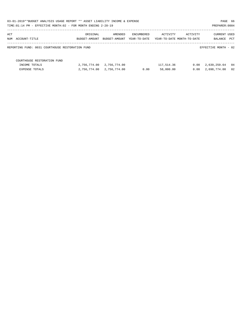| 03-01-2019**BUDGET ANALYSIS USAGE REPORT ** ASSET LIABILITY INCOME & EXPENSE |               |               |              |            |                            | PAGE 66              |    |
|------------------------------------------------------------------------------|---------------|---------------|--------------|------------|----------------------------|----------------------|----|
| TIME:01:14 PM - EFFECTIVE MONTH:02 - FOR MONTH ENDING 2-28-19                |               |               |              |            |                            | PREPARER: 0004       |    |
| ACT                                                                          | ORIGINAL      | AMENDED       | ENCUMBERED   | ACTIVITY   | ACTIVITY                   | CURRENT USED         |    |
| NUM ACCOUNT-TITLE                                                            | BUDGET-AMOUNT | BUDGET-AMOUNT | YEAR-TO-DATE |            | YEAR-TO-DATE MONTH-TO-DATE | BALANCE PCT          |    |
| REPORTING FUND: 0031 COURTHOUSE RESTORATION FUND                             |               |               |              |            |                            | EFFECTIVE MONTH - 02 |    |
| COURTHOUSE RESTORATION FUND                                                  |               |               |              |            |                            |                      |    |
| INCOME TOTALS                                                                | 2,756,774.00  | 2,756,774.00  |              | 117,514.36 | 0.00                       | 2,639,259.64         | 04 |
| <b>EXPENSE TOTALS</b>                                                        | 2,756,774.00  | 2,756,774.00  | 0.00         | 58,000.00  | 0.00                       | 2,698,774.00         | 02 |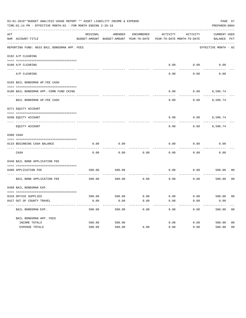| 03-01-2019**BUDGET ANALYSIS USAGE REPORT ** ASSET LIABILITY INCOME & EXPENSE<br>PAGE 67<br>TIME: 01:14 PM - EFFECTIVE MONTH: 02 - FOR MONTH ENDING 2-28-19<br>PREPARER: 0004 |                                              |          |                                                     |            |                                        |          |                                    |                |
|------------------------------------------------------------------------------------------------------------------------------------------------------------------------------|----------------------------------------------|----------|-----------------------------------------------------|------------|----------------------------------------|----------|------------------------------------|----------------|
| ACT                                                                                                                                                                          | NUM ACCOUNT-TITLE                            | ORIGINAL | AMENDED<br>BUDGET-AMOUNT BUDGET-AMOUNT YEAR-TO-DATE | ENCUMBERED | ACTIVITY<br>YEAR-TO-DATE MONTH-TO-DATE | ACTIVITY | <b>CURRENT USED</b><br>BALANCE PCT |                |
|                                                                                                                                                                              | REPORTING FUND: 0033 BAIL BONDSMAN APP. FEES |          |                                                     |            |                                        |          | EFFECTIVE MONTH - 02               |                |
|                                                                                                                                                                              | 0102 A/P CLEARING                            |          |                                                     |            |                                        |          |                                    |                |
|                                                                                                                                                                              | 0100 A/P CLEARING                            |          |                                                     |            | 0.00                                   | 0.00     | 0.00                               |                |
|                                                                                                                                                                              | ---- --------<br>A/P CLEARING                |          |                                                     |            | 0.00                                   | 0.00     | 0.00                               |                |
|                                                                                                                                                                              | 0103 BAIL BONDSMAN AP.FEE CASH               |          |                                                     |            |                                        |          |                                    |                |
|                                                                                                                                                                              | 0100 BAIL BONDSMAN APP.-COMB FUND CKING      |          |                                                     |            | 0.00                                   | 0.00     | 8,596.74                           |                |
|                                                                                                                                                                              | BAIL BONDSMAN AP.FEE CASH                    |          |                                                     |            | 0.00                                   | 0.00     | 8,596.74                           |                |
|                                                                                                                                                                              | 0271 EQUITY ACCOUNT                          |          |                                                     |            |                                        |          |                                    |                |
|                                                                                                                                                                              | 0200 EQUITY ACCOUNT                          |          |                                                     |            | 0.00                                   |          | $0.00$ 8,596.74                    |                |
|                                                                                                                                                                              | EQUITY ACCOUNT                               |          |                                                     |            | 0.00                                   | 0.00     | 8,596.74                           |                |
|                                                                                                                                                                              | 0300 CASH                                    |          |                                                     |            |                                        |          |                                    |                |
|                                                                                                                                                                              | 0133 BEGINNING CASH BALANCE                  | 0.00     | 0.00                                                |            | 0.00                                   | 0.00     | 0.00                               |                |
|                                                                                                                                                                              | CASH                                         | 0.00     | 0.00                                                | 0.00       | 0.00                                   | 0.00     | 0.00                               |                |
|                                                                                                                                                                              | 0340 BAIL BOND APPLICATION FEE               |          |                                                     |            |                                        |          |                                    |                |
|                                                                                                                                                                              | 0480 APPLICATION FEE                         | 500.00   | 500.00                                              |            | 0.00                                   | 0.00     | 500.00                             | 00             |
|                                                                                                                                                                              | BAIL BOND APPLICATION FEE                    | 500.00   | 500.00                                              | 0.00       | 0.00                                   | 0.00     | 500.00                             | 0 <sub>0</sub> |
|                                                                                                                                                                              | 0498 BAIL BONDSMAN EXP.                      |          |                                                     |            |                                        |          |                                    |                |
|                                                                                                                                                                              | 0310 OFFICE SUPPLIES                         | 500.00   | 500.00 0.00                                         |            | $0.00$ $0.00$ $500.00$                 |          |                                    | 00             |
|                                                                                                                                                                              | 0427 OUT OF COUNTY TRAVEL                    | 0.00     | 0.00                                                | 0.00       | 0.00                                   | 0.00     | 0.00                               |                |
|                                                                                                                                                                              | BAIL BONDSMAN EXP.                           | 500.00   | 500.00                                              | 0.00       | 0.00                                   | 0.00     | 500.00                             | 0 <sub>0</sub> |
|                                                                                                                                                                              | BAIL BONDSMAN APP. FEES                      |          |                                                     |            |                                        |          |                                    |                |
|                                                                                                                                                                              | INCOME TOTALS                                | 500.00   | 500.00                                              |            | 0.00                                   | 0.00     | 500.00                             | 0 <sub>0</sub> |
|                                                                                                                                                                              | EXPENSE TOTALS                               | 500.00   | 500.00                                              | 0.00       | 0.00                                   | 0.00     | 500.00                             | 0 <sub>0</sub> |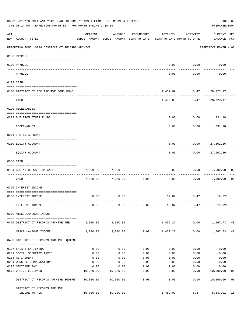|     | 03-01-2019**BUDGET ANALYSIS USAGE REPORT ** ASSET LIABILITY INCOME & EXPENSE<br>TIME: 01:14 PM - EFFECTIVE MONTH: 02 - FOR MONTH ENDING 2-28-19 |           |                                                     |                               |                                        |                           | PAGE 68<br>PREPARER: 0004          |                |
|-----|-------------------------------------------------------------------------------------------------------------------------------------------------|-----------|-----------------------------------------------------|-------------------------------|----------------------------------------|---------------------------|------------------------------------|----------------|
| ACT | NUM ACCOUNT-TITLE                                                                                                                               | ORIGINAL  | AMENDED<br>BUDGET-AMOUNT BUDGET-AMOUNT YEAR-TO-DATE | ENCUMBERED                    | ACTIVITY<br>YEAR-TO-DATE MONTH-TO-DATE | ACTIVITY                  | <b>CURRENT USED</b><br>BALANCE PCT |                |
|     | REPORTING FUND: 0034 DISTRICT CT.RECORDS ARCHIVE                                                                                                |           |                                                     |                               |                                        |                           | EFFECTIVE MONTH - 02               |                |
|     | 0100 PAYROLL                                                                                                                                    |           |                                                     |                               |                                        |                           |                                    |                |
|     | 0100 PAYROLL                                                                                                                                    |           |                                                     |                               | 0.00                                   | 0.00                      | 0.00                               |                |
|     | PAYROLL                                                                                                                                         |           |                                                     |                               | 0.00                                   | 0.00                      | 0.00                               |                |
|     | 0103 CASH                                                                                                                                       |           |                                                     |                               |                                        |                           |                                    |                |
|     | 0100 DISTRICT CT.REC.ARCHIVE COMB.FUND                                                                                                          |           |                                                     |                               |                                        | 1,452.09 5.47 28,723.17   |                                    |                |
|     | CASH                                                                                                                                            |           |                                                     |                               |                                        | 1,452.09 5.47             | 28,723.17                          |                |
|     | 0120 RECEIVABLES                                                                                                                                |           |                                                     |                               |                                        |                           |                                    |                |
|     | 0313 DUE FROM OTHER FUNDS                                                                                                                       |           |                                                     |                               | 0.00                                   | 0.00                      | 331.18                             |                |
|     | RECEIVABLES                                                                                                                                     |           |                                                     |                               | 0.00                                   | 0.00                      | 331.18                             |                |
|     | 0271 EQUITY ACCOUNT                                                                                                                             |           |                                                     |                               |                                        |                           |                                    |                |
|     | 0200 EQUITY ACCOUNT                                                                                                                             |           |                                                     |                               | 0.00                                   | 0.00                      | 27,602.26                          |                |
|     | EQUITY ACCOUNT                                                                                                                                  |           |                                                     |                               | 0.00                                   | 0.00                      | 27,602.26                          |                |
|     | 0300 CASH                                                                                                                                       |           |                                                     |                               |                                        |                           |                                    |                |
|     | 0134 BEGINNING CASH BALANCE                                                                                                                     | 7,000.00  | 7,000.00                                            |                               | 0.00                                   | 0.00                      | 7,000.00                           | 00             |
|     | CASH                                                                                                                                            | 7,000.00  | 7,000.00                                            | 0.00                          | 0.00                                   | 0.00                      | 7,000.00                           | 0 <sub>0</sub> |
|     | 0360 INTEREST INCOME                                                                                                                            |           |                                                     |                               |                                        |                           |                                    |                |
|     | 0100 INTEREST INCOME                                                                                                                            | 0.00      | 0.00                                                |                               |                                        | 19.82 5.47                | 19.82+                             |                |
|     | INTEREST INCOME                                                                                                                                 | 0.00      | 0.00                                                |                               |                                        | $0.00$ 19.82 5.47         | 19.82+                             |                |
|     | 0370 MISCELLANEOUS INCOME                                                                                                                       |           |                                                     |                               |                                        |                           |                                    |                |
|     | 0450 DISTRICT CT.RECORDS ARCHIVE FEE                                                                                                            |           | 3,000.00 3,000.00                                   |                               |                                        | 1,432.27 0.00 1,567.73 48 |                                    |                |
|     | MISCELLANEOUS INCOME                                                                                                                            | 3,000.00  | ------------<br>3,000.00                            |                               | $0.00$ 1,432.27                        |                           | $0.00$ 1,567.73 48                 |                |
|     | 0450 DISTRICT CT.RECORDS ARCHIVE EQUIPM                                                                                                         |           |                                                     |                               |                                        |                           |                                    |                |
|     | 0107 SALARYTEMP/EXTRA                                                                                                                           | 0.00      | 0.00                                                | 0.00                          | 0.00                                   | 0.00                      | 0.00                               |                |
|     | 0201 SOCIAL SECURITY TAXES                                                                                                                      | 0.00      | 0.00                                                | 0.00                          | 0.00                                   | 0.00                      | 0.00                               |                |
|     | 0203 RETIREMENT                                                                                                                                 | 0.00      | 0.00                                                | 0.00                          | 0.00                                   | 0.00                      | 0.00                               |                |
|     | 0204 WORKERS COMPENSATION                                                                                                                       | 0.00      | 0.00                                                | 0.00                          | 0.00                                   | 0.00                      | 0.00                               |                |
|     | 0205 MEDICARE TAX                                                                                                                               | 0.00      | 0.00                                                | 0.00                          | 0.00                                   | 0.00                      | 0.00                               |                |
|     | 0572 OFFICE EQUIPMENT                                                                                                                           | 10,000.00 | 10,000.00                                           | 0.00<br>. _ _ _ _ _ _ _ _ _ _ | 0.00<br>----------                     | 0.00<br>.                 | 10,000.00<br>------------          | 0 <sub>0</sub> |
|     | DISTRICT CT.RECORDS ARCHIVE EQUIPM 10,000.00 10,000.00                                                                                          |           |                                                     | 0.00                          | 0.00                                   |                           | $0.00$ 10,000.00 00                |                |
|     | DISTRICT CT.RECORDS ARCHIVE<br>INCOME TOTALS                                                                                                    |           | 10,000.00 10,000.00                                 |                               | 1,452.09                               |                           | 5.47 8,547.91 15                   |                |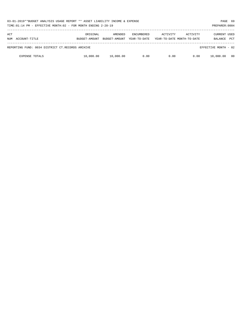| 03-01-2019**BUDGET ANALYSIS USAGE REPORT ** ASSET LIABILITY INCOME & EXPENSE<br>TIME:01:14 PM - EFFECTIVE MONTH:02 - FOR MONTH ENDING 2-28-19 |                                                  |                           |                          |                                   |          |                                        | PREPARER: 0004                        | PAGE 69    |
|-----------------------------------------------------------------------------------------------------------------------------------------------|--------------------------------------------------|---------------------------|--------------------------|-----------------------------------|----------|----------------------------------------|---------------------------------------|------------|
| ACT<br>NUM                                                                                                                                    | ACCOUNT-TITLE                                    | ORIGINAL<br>BUDGET-AMOUNT | AMENDED<br>BUDGET-AMOUNT | <b>ENCUMBERED</b><br>YEAR-TO-DATE | ACTIVITY | ACTIVITY<br>YEAR-TO-DATE MONTH-TO-DATE | <b>CURRENT USED</b><br><b>BALANCE</b> | <b>PCT</b> |
|                                                                                                                                               | REPORTING FUND: 0034 DISTRICT CT.RECORDS ARCHIVE |                           |                          |                                   |          |                                        | EFFECTIVE MONTH - 02                  |            |
|                                                                                                                                               | <b>EXPENSE TOTALS</b>                            | 10,000.00                 | 10,000.00                | 0.00                              | 0.00     | 0.00                                   | 10,000.00                             | - 00       |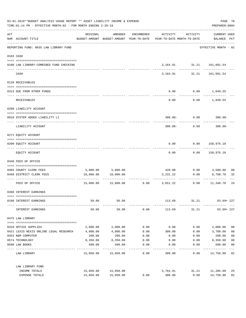| 03-01-2019**BUDGET ANALYSIS USAGE REPORT ** ASSET LIABILITY INCOME & EXPENSE<br>TIME: 01:14 PM - EFFECTIVE MONTH: 02 - FOR MONTH ENDING 2-28-19 |                                                     |           |                      |            |                                                                                 |                             |                                    | PAGE 70<br>PREPARER: 0004 |
|-------------------------------------------------------------------------------------------------------------------------------------------------|-----------------------------------------------------|-----------|----------------------|------------|---------------------------------------------------------------------------------|-----------------------------|------------------------------------|---------------------------|
| ACT                                                                                                                                             | NUM ACCOUNT-TITLE                                   | ORIGINAL  | AMENDED              | ENCUMBERED | ACTIVITY<br>BUDGET-AMOUNT BUDGET-AMOUNT YEAR-TO-DATE YEAR-TO-DATE MONTH-TO-DATE | ACTIVITY                    | <b>CURRENT USED</b><br>BALANCE PCT |                           |
|                                                                                                                                                 | REPORTING FUND: 0035 LAW LIBRARY FUND               |           |                      |            |                                                                                 |                             | EFFECTIVE MONTH - 02               |                           |
|                                                                                                                                                 | 0103 CASH                                           |           |                      |            |                                                                                 |                             |                                    |                           |
|                                                                                                                                                 | 0100 LAW LIBRARY-COMBINED FUND CHECKING             |           |                      |            |                                                                                 | 3, 164.91 31.21 161, 091.54 |                                    |                           |
|                                                                                                                                                 | CASH                                                |           |                      |            | 3,164.91                                                                        | 31.21                       | 161,091.54                         |                           |
|                                                                                                                                                 | 0120 RECEIVABLES                                    |           |                      |            |                                                                                 |                             |                                    |                           |
|                                                                                                                                                 | 0313 DUE FROM OTHER FUNDS                           |           |                      |            | 0.00                                                                            | $0.00$ 1,049.55             |                                    |                           |
|                                                                                                                                                 | RECEIVABLES                                         |           |                      |            | 0.00                                                                            |                             | $0.00$ 1,049.55                    |                           |
|                                                                                                                                                 | 0200 LIABILITY ACCOUNT                              |           |                      |            |                                                                                 |                             |                                    |                           |
|                                                                                                                                                 | 0910 SYSTEM ADDED LIABILITY LI                      |           |                      |            |                                                                                 | $300.00 - 0.00$             | $300.00 -$                         |                           |
|                                                                                                                                                 | LIABILITY ACCOUNT                                   |           |                      |            | $300.00 -$                                                                      | 0.00                        | $300.00 -$                         |                           |
|                                                                                                                                                 | 0271 EQUITY ACCOUNT                                 |           |                      |            |                                                                                 |                             |                                    |                           |
|                                                                                                                                                 | 0200 EQUITY ACCOUNT                                 |           |                      |            | 0.00                                                                            | 0.00 158,976.18             |                                    |                           |
|                                                                                                                                                 | EQUITY ACCOUNT                                      |           |                      |            | 0.00                                                                            | 0.00                        | 158,976.18                         |                           |
|                                                                                                                                                 | 0340 FEES OF OFFICE                                 |           |                      |            |                                                                                 |                             |                                    |                           |
|                                                                                                                                                 | 0403 COUNTY CLERK FEES                              |           | 5,000.00 5,000.00    |            |                                                                                 | 420.00 0.00 4,580.00        |                                    | 08                        |
|                                                                                                                                                 | 0450 DISTRICT CLERK FEES                            | 10,000.00 | 10,000.00            |            | 3,231.22                                                                        | 0.00                        | 6,768.78                           | 32                        |
|                                                                                                                                                 | ------------------- -------------<br>FEES OF OFFICE |           | 15,000.00  15,000.00 |            | ----------------------------<br>$0.00$ 3,651.22                                 | 0.00                        | -----------<br>11,348.78           | 24                        |
|                                                                                                                                                 | 0360 INTEREST EARNINGS                              |           |                      |            |                                                                                 |                             |                                    |                           |
|                                                                                                                                                 | 0100 INTEREST EARNINGS                              | 50.00     | 50.00                |            | 113.69                                                                          | 31.21                       | $63.69 + 227$                      |                           |
|                                                                                                                                                 | INTEREST EARNINGS                                   | 50.00     | 50.00                | 0.00       | 113.69                                                                          | 31.21                       | $63.69 + 227$                      |                           |
|                                                                                                                                                 | 0475 LAW LIBRARY                                    |           |                      |            |                                                                                 |                             |                                    |                           |
|                                                                                                                                                 | 0310 OFFICE SUPPLIES                                | 2,000.00  | 2,000.00             | 0.00       | 0.00                                                                            | 0.00                        | 2,000.00                           | 0 <sub>0</sub>            |
|                                                                                                                                                 | 0421 LEXIS NEXIS ONLINE LEGAL RESEARCH              | 4,000.00  | 4,000.00             | 0.00       | 300.00                                                                          | 0.00                        | 3,700.00                           | 08                        |
|                                                                                                                                                 | 0453 R&M COMPUTER                                   | 200.00    | 200.00               | 0.00       | 0.00                                                                            | 0.00                        | 200.00                             | 0 <sub>0</sub>            |
|                                                                                                                                                 | 0574 TECHNOLOGY                                     | 8,350.00  | 8,350.00             | 0.00       | 0.00                                                                            | 0.00                        | 8,350.00                           | 0 <sub>0</sub>            |
|                                                                                                                                                 | 0590 LAW BOOKS                                      | 500.00    | 500.00               | 0.00       | 0.00                                                                            | 0.00                        | 500.00                             | 0 <sub>0</sub>            |
|                                                                                                                                                 | LAW LIBRARY                                         |           | 15,050.00 15,050.00  | 0.00       | 300.00                                                                          | 0.00                        | 14,750.00 02                       | $---$                     |
|                                                                                                                                                 | LAW LIBRARY FUND                                    |           |                      |            |                                                                                 |                             |                                    |                           |
|                                                                                                                                                 | INCOME TOTALS                                       | 15,050.00 | 15,050.00            |            | 3,764.91                                                                        | 31.21                       | 11,285.09                          | 25                        |
|                                                                                                                                                 | EXPENSE TOTALS                                      | 15,050.00 | 15,050.00            | 0.00       | 300.00                                                                          | 0.00                        | 14,750.00                          | 02                        |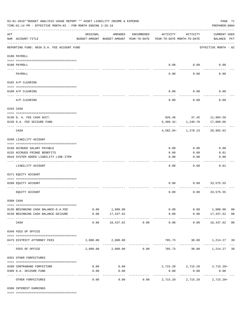| 03-01-2019**BUDGET ANALYSIS USAGE REPORT ** ASSET LIABILITY INCOME & EXPENSE<br>TIME: 01:14 PM - EFFECTIVE MONTH: 02 - FOR MONTH ENDING 2-28-19 |                                                                       |                                                      |                            |                       |                                        |                           |                                     | PAGE 71<br>PREPARER: 0004 |
|-------------------------------------------------------------------------------------------------------------------------------------------------|-----------------------------------------------------------------------|------------------------------------------------------|----------------------------|-----------------------|----------------------------------------|---------------------------|-------------------------------------|---------------------------|
| $\mathop{\rm ACT}$                                                                                                                              | NUM ACCOUNT-TITLE                                                     | ORIGINAL<br>BUDGET-AMOUNT BUDGET-AMOUNT YEAR-TO-DATE | AMENDED                    | ENCUMBERED            | ACTIVITY<br>YEAR-TO-DATE MONTH-TO-DATE | ACTIVITY                  | <b>CURRENT USED</b><br>BALANCE PCT  |                           |
|                                                                                                                                                 | REPORTING FUND: 0036 D.A. FEE ACCOUNT FUND                            |                                                      |                            |                       |                                        |                           | EFFECTIVE MONTH - 02                |                           |
|                                                                                                                                                 | 0100 PAYROLL                                                          |                                                      |                            |                       |                                        |                           |                                     |                           |
|                                                                                                                                                 | 0100 PAYROLL                                                          |                                                      |                            |                       |                                        | $0.00$ 0.00               | 0.00                                |                           |
| ---- ---                                                                                                                                        | PAYROLL                                                               |                                                      |                            |                       | 0.00                                   | 0.00                      | 0.00                                |                           |
|                                                                                                                                                 | 0102 A/P CLEARING                                                     |                                                      |                            |                       |                                        |                           |                                     |                           |
|                                                                                                                                                 |                                                                       |                                                      |                            |                       |                                        |                           |                                     |                           |
|                                                                                                                                                 | 0100 A/P CLEARING                                                     |                                                      |                            |                       | 0.00                                   | 0.00                      | 0.00                                |                           |
|                                                                                                                                                 | A/P CLEARING                                                          |                                                      |                            |                       | 0.00                                   | 0.00                      | 0.00                                |                           |
|                                                                                                                                                 | 0103 CASH                                                             |                                                      |                            |                       |                                        |                           |                                     |                           |
|                                                                                                                                                 |                                                                       |                                                      |                            |                       |                                        |                           |                                     |                           |
|                                                                                                                                                 | 0136 D. A. FEE CASH ACCT.<br>0236 D.A. FEE SEIZURE FUND               |                                                      |                            |                       |                                        | $5,409.42 - 1,240.78$     | 826.48 37.45 11,984.56<br>17,008.06 |                           |
|                                                                                                                                                 | CASH                                                                  |                                                      |                            |                       |                                        | 4,582.94- 1,278.23        | 28,992.62                           |                           |
|                                                                                                                                                 | 0200 LIABILITY ACCOUNT                                                |                                                      |                            |                       |                                        |                           |                                     |                           |
|                                                                                                                                                 |                                                                       |                                                      |                            |                       |                                        |                           |                                     |                           |
|                                                                                                                                                 | 0150 ACCRUED SALARY PAYABLE                                           |                                                      |                            |                       | 0.00                                   | 0.00                      | 0.00                                |                           |
|                                                                                                                                                 | 0155 ACCRUED FRINGE BENEFITS<br>0910 SYSTEM ADDED LIABILITY LINE-ITEM |                                                      |                            |                       | 0.00<br>0.00                           | 0.00<br>0.00              | 0.01<br>0.00                        |                           |
|                                                                                                                                                 |                                                                       |                                                      |                            |                       |                                        |                           |                                     |                           |
|                                                                                                                                                 | LIABILITY ACCOUNT                                                     |                                                      |                            |                       | 0.00                                   | 0.00                      | 0.01                                |                           |
|                                                                                                                                                 | 0271 EQUITY ACCOUNT                                                   |                                                      |                            |                       |                                        |                           |                                     |                           |
|                                                                                                                                                 | 0200 EQUITY ACCOUNT                                                   |                                                      |                            |                       | 0.00                                   | 0.00                      | 33,575.55                           |                           |
|                                                                                                                                                 | EQUITY ACCOUNT                                                        |                                                      |                            |                       | 0.00                                   | 0.00                      | 33,575.55                           |                           |
|                                                                                                                                                 | 0300 CASH                                                             |                                                      |                            |                       |                                        |                           |                                     |                           |
|                                                                                                                                                 | 0136 BEGINNING CASH BALANCE-D.A.FEE                                   |                                                      | $0.00$ 1,000.00            |                       |                                        |                           | $0.00$ $0.00$ $1,000.00$            | 0 <sub>0</sub>            |
|                                                                                                                                                 | 0236 BEGINNING CASH BALANCE-SEIZURE                                   | 0.00                                                 | 17,437.62                  |                       | 0.00                                   |                           | $0.00$ 17,437.62 00                 |                           |
|                                                                                                                                                 | CASH                                                                  | 0.00                                                 | -------------<br>18,437.62 | -------------<br>0.00 | -------------<br>0.00                  | -----------<br>0.00       | .<br>18,437.62 00                   |                           |
|                                                                                                                                                 | 0340 FEES OF OFFICE                                                   |                                                      |                            |                       |                                        |                           |                                     |                           |
|                                                                                                                                                 |                                                                       |                                                      |                            |                       |                                        |                           |                                     |                           |
|                                                                                                                                                 | 0475 DISTRICT ATTORNEY FEES                                           |                                                      | 2,000.00 2,000.00          | . <u>.</u> .          |                                        |                           | 785.73 30.00 1,214.27 39            |                           |
|                                                                                                                                                 | FEES OF OFFICE                                                        |                                                      | 2,000.00 2,000.00 0.00     |                       |                                        |                           | 785.73 30.00 1,214.27 39            |                           |
|                                                                                                                                                 | 0352 OTHER FORFEITURES                                                |                                                      |                            |                       |                                        |                           |                                     |                           |
|                                                                                                                                                 | 0200 CONTRABAND FORFEITURE                                            | 0.00                                                 | 0.00                       |                       |                                        |                           | 2,715.20 2,715.20 2,715.20+         |                           |
|                                                                                                                                                 | 0300 D.A. SEIZURE FUND                                                | 0.00                                                 | 0.00                       |                       | 0.00                                   | 0.00                      | 0.00                                |                           |
|                                                                                                                                                 | OTHER FORFEITURES                                                     | 0.00                                                 | . <u>.</u> .<br>0.00       | 0.00                  | .<br>2,715.20                          | -------------<br>2,715.20 | -------------<br>$2,715.20+$        |                           |

0360 INTEREST EARNINGS

==== ===================================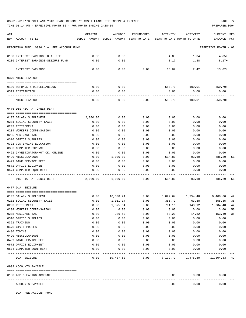TIME:01:14 PM - EFFECTIVE MONTH:02 - FOR MONTH ENDING 2-28-19 PREPARER:0004

| ACT                                        | ORIGINAL | AMENDED                                                             | ENCUMBERED | ACTIVITY | ACTIVITY          | CURRENT USED            |    |
|--------------------------------------------|----------|---------------------------------------------------------------------|------------|----------|-------------------|-------------------------|----|
| NUM ACCOUNT-TITLE                          |          | BUDGET-AMOUNT BUDGET-AMOUNT YEAR-TO-DATE YEAR-TO-DATE MONTH-TO-DATE |            |          |                   | BALANCE<br>$_{\rm PCT}$ |    |
| REPORTING FUND: 0036 D.A. FEE ACCOUNT FUND |          |                                                                     |            |          |                   | EFFECTIVE MONTH - 02    |    |
| 0100 INTEREST EARNINGS-D.A. FEE            | 0.00     | 0.00                                                                |            | 4.85     | 1.04              | $4.85+$                 |    |
| 0236 INTEREST EARNINGS-SEIZURE FUND        | 0.00     | 0.00                                                                |            | 8.17     | 1.38              | $8.17+$                 |    |
|                                            |          |                                                                     |            |          |                   |                         |    |
| <b>INTEREST EARNINGS</b>                   | 0.00     | 0.00                                                                | 0.00       | 13.02    | 2.42              | $13.02+$                |    |
| 0370 MISCELLANEOUS                         |          |                                                                     |            |          |                   |                         |    |
|                                            |          |                                                                     |            |          |                   |                         |    |
| 0130 REFUNDS & MISCELLANEOUS               | 0.00     | 0.00                                                                |            | 550.70   | 100.01            | $550.70+$               |    |
| 0319 RESTITUTION                           | 0.00     | 0.00                                                                |            | 0.00     | 0.00              | 0.00                    |    |
| MISCELLANEOUS                              | 0.00     | 0.00                                                                | 0.00       | 550.70   | 100.01            | $550.70+$               |    |
| 0475 DISTRICT ATTORNEY DEPT                |          |                                                                     |            |          |                   |                         |    |
|                                            |          |                                                                     |            |          |                   |                         |    |
| 0107 SALARY SUPPLEMENT                     | 2,000.00 | 0.00                                                                | 0.00       | 0.00     | 0.00              | 0.00                    |    |
| 0201 SOCIAL SECURITY TAXES                 | 0.00     | 0.00                                                                | 0.00       | 0.00     | 0.00              | 0.00                    |    |
| 0203 RETIREMENT                            | 0.00     | 0.00                                                                | 0.00       | 0.00     | 0.00              | 0.00                    |    |
| 0204 WORKERS COMPENSATION                  | 0.00     | 0.00                                                                | 0.00       | 0.00     | 0.00              | 0.00                    |    |
| 0205 MEDICARE TAX                          | 0.00     | 0.00                                                                | 0.00       | 0.00     | 0.00              | 0.00                    |    |
| 0310 OFFICE SUPPLIES                       | 0.00     | 0.00                                                                | 0.00       | 0.00     | 0.00              | 0.00                    |    |
| 0321 CONTINUING EDUCATION                  | 0.00     | 0.00                                                                | 0.00       | 0.00     | 0.00              | 0.00                    |    |
| 0353 COMPUTER EXPENSE                      | 0.00     | 0.00                                                                | 0.00       | 0.00     | 0.00              | 0.00                    |    |
| 0421 INVESTIGATOR/HOT CK. ONLINE           | 0.00     | 0.00                                                                | 0.00       | 0.00     | 0.00              | 0.00                    |    |
| 0490 MISCELLANEOUS                         | 0.00     | 1,000.00                                                            | 0.00       | 514.80   | 93.60             | 485.20                  | 51 |
| 0499 BANK SERVICE FEES                     | 0.00     | 0.00                                                                | 0.00       | 0.00     | 0.00              | 0.00                    |    |
| 0572 OFFICE EQUIPMENT                      | 0.00     | 0.00                                                                | 0.00       | 0.00     | 0.00              | 0.00                    |    |
| 0574 COMPUTER EQUIPMENT                    | 0.00     | 0.00                                                                | 0.00       | 0.00     | 0.00              | 0.00                    |    |
| DISTRICT ATTORNEY DEPT                     | 2,000.00 | 1,000.00                                                            | 0.00       | 514.80   | 93.60             | 485.20                  | 51 |
| 0477 D.A. SEIZURE                          |          |                                                                     |            |          |                   |                         |    |
|                                            |          |                                                                     |            |          |                   |                         |    |
| 0107 SALARY SUPPLEMENT                     | 0.00     | 16,308.24                                                           | 0.00       |          | 6,899.64 1,254.48 | 9,408.60                | 42 |
| 0201 SOCIAL SECURITY TAXES                 | 0.00     | 1,011.14                                                            | 0.00       | 355.79   | 63.38             | 655.35                  | 35 |
| 0203 RETIREMENT                            | 0.00     | 1,875.64                                                            | 0.00       | 791.16   | 143.12            | 1,084.48                | 42 |
| 0204 WORKERS COMPENSATION                  | 0.00     | 6.00                                                                | 0.00       | 3.00     | 0.00              | 3.00                    | 50 |
| 0205 MEDICARE TAX                          | 0.00     | 236.60                                                              | 0.00       | 83.20    | 14.82             | 153.40                  | 35 |
| 0310 OFFICE SUPPLIES                       | 0.00     | 0.00                                                                | 0.00       | 0.00     | 0.00              | 0.00                    |    |
| 0321 TRAINING                              | 0.00     | 0.00                                                                | 0.00       | 0.00     | 0.00              | 0.00                    |    |
| 0470 CIVIL PROCESS                         | 0.00     | 0.00                                                                | 0.00       | 0.00     | 0.00              | 0.00                    |    |
| 0480 TOWING                                | 0.00     | 0.00                                                                | 0.00       | 0.00     | 0.00              | 0.00                    |    |
| 0490 MISCELLANEOUS                         | 0.00     | 0.00                                                                | 0.00       | 0.00     | 0.00              | 0.00                    |    |
| 0499 BANK SERVICE FEES                     | 0.00     | 0.00                                                                | 0.00       | 0.00     | 0.00              | 0.00                    |    |
| 0572 OFFICE EQUIPMENT                      | 0.00     | 0.00                                                                | 0.00       | 0.00     | 0.00              | 0.00                    |    |
| 0574 COMPUTER EQUIPMENT                    | 0.00     | 0.00                                                                | 0.00       | 0.00     | 0.00              | 0.00                    |    |
| D.A. SEIZURE                               | 0.00     | 19,437.62                                                           | 0.00       | 8,132.79 | 1,475.80          | 11,304.83 42            |    |
| 0999 ACCOUNTS PAYABLE                      |          |                                                                     |            |          |                   |                         |    |
| 0100 A/P CLEARING ACCOUNT                  |          |                                                                     |            | 0.00     | 0.00              | 0.00                    |    |
|                                            |          |                                                                     |            |          |                   |                         |    |
| ACCOUNTS PAYABLE                           |          |                                                                     |            | 0.00     | 0.00              | 0.00                    |    |

D.A. FEE ACCOUNT FUND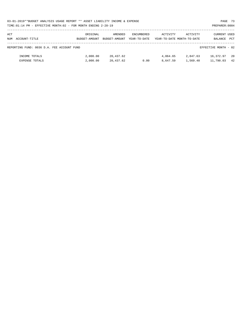| 03-01-2019**BUDGET ANALYSIS USAGE REPORT ** ASSET LIABILITY INCOME & EXPENSE | PAGE 73        |  |
|------------------------------------------------------------------------------|----------------|--|
| TIME:01:14 PM - EFFECTIVE MONTH:02 - FOR MONTH ENDING 2-28-19                | PREPARER: 0004 |  |

| ACT<br>ACCOUNT-TITLE<br>NUM                | ORIGINAL<br>BUDGET-AMOUNT | AMENDED<br>BUDGET-AMOUNT | ENCUMBERED<br>YEAR-TO-DATE | ACTIVITY             | ACTIVITY<br>YEAR-TO-DATE MONTH-TO-DATE | <b>CURRENT USED</b><br>BALANCE | PCT        |
|--------------------------------------------|---------------------------|--------------------------|----------------------------|----------------------|----------------------------------------|--------------------------------|------------|
| REPORTING FUND: 0036 D.A. FEE ACCOUNT FUND |                           |                          |                            |                      |                                        | EFFECTIVE MONTH - 02           |            |
| INCOME TOTALS<br><b>EXPENSE TOTALS</b>     | 2,000.00<br>2,000.00      | 20,437.62<br>20,437.62   | 0.00                       | 4,064.65<br>8,647.59 | 2,847.63<br>1,569.40                   | 16,372.97<br>11,790.03         | - 20<br>42 |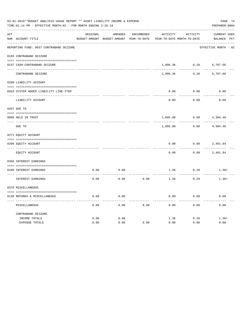|     | 03-01-2019**BUDGET ANALYSIS USAGE REPORT ** ASSET LIABILITY INCOME & EXPENSE<br>PAGE 74<br>TIME:01:14 PM - EFFECTIVE MONTH:02 - FOR MONTH ENDING 2-28-19<br>PREPARER: 0004 |          |                                          |                   |                            |          |                      |  |  |  |  |
|-----|----------------------------------------------------------------------------------------------------------------------------------------------------------------------------|----------|------------------------------------------|-------------------|----------------------------|----------|----------------------|--|--|--|--|
| ACT |                                                                                                                                                                            | ORIGINAL | AMENDED                                  | <b>ENCUMBERED</b> | ACTIVITY                   | ACTIVITY | CURRENT USED         |  |  |  |  |
|     | NUM ACCOUNT-TITLE                                                                                                                                                          |          | BUDGET-AMOUNT BUDGET-AMOUNT YEAR-TO-DATE |                   | YEAR-TO-DATE MONTH-TO-DATE |          | BALANCE PCT          |  |  |  |  |
|     | REPORTING FUND: 0037 CONTRABAND SEIZURE                                                                                                                                    |          |                                          |                   |                            |          | EFFECTIVE MONTH - 02 |  |  |  |  |
|     | 0103 CONTRABAND SEIZURE                                                                                                                                                    |          |                                          |                   |                            |          |                      |  |  |  |  |
|     | 0137 CASH-CONTRABAND SEIZURE                                                                                                                                               |          |                                          |                   | 1,096.36                   | 0.28     | 6,707.66             |  |  |  |  |
|     | CONTRABAND SEIZURE                                                                                                                                                         |          |                                          |                   | 1,096.36                   | 0.28     | 6,707.66             |  |  |  |  |
|     | 0200 LIABILITY ACCOUNT                                                                                                                                                     |          |                                          |                   |                            |          |                      |  |  |  |  |
|     | 0910 SYSTEM ADDED LIABILITY LINE-ITEM                                                                                                                                      |          |                                          |                   | 0.00                       | 0.00     | 0.00                 |  |  |  |  |
|     | LIABILITY ACCOUNT                                                                                                                                                          |          |                                          |                   | 0.00                       | 0.00     | 0.00                 |  |  |  |  |
|     | 0207 DUE TO                                                                                                                                                                |          |                                          |                   |                            |          |                      |  |  |  |  |
|     | 0099 HELD IN TRUST                                                                                                                                                         |          |                                          |                   | 1,095.00                   | 0.00     | 4,304.46             |  |  |  |  |
|     | DUE TO                                                                                                                                                                     |          |                                          |                   | 1,095.00                   | 0.00     | 4,304.46             |  |  |  |  |
|     | 0271 EQUITY ACCOUNT                                                                                                                                                        |          |                                          |                   |                            |          |                      |  |  |  |  |
|     | 0200 EQUITY ACCOUNT                                                                                                                                                        |          |                                          |                   | 0.00                       | 0.00     | 2,401.84             |  |  |  |  |
|     | EQUITY ACCOUNT                                                                                                                                                             |          |                                          |                   | 0.00                       | 0.00     | 2,401.84             |  |  |  |  |
|     | 0360 INTEREST EARNINGS                                                                                                                                                     |          |                                          |                   |                            |          |                      |  |  |  |  |
|     | 0100 INTEREST EARNINGS                                                                                                                                                     | 0.00     | 0.00                                     |                   | 1.36                       | 0.28     | $1.36+$              |  |  |  |  |
|     | INTEREST EARNINGS                                                                                                                                                          | 0.00     | 0.00                                     | 0.00              | 1.36                       | 0.28     | $1.36+$              |  |  |  |  |
|     | 0370 MISCELLANEOUS                                                                                                                                                         |          |                                          |                   |                            |          |                      |  |  |  |  |
|     | 0130 REFUNDS & MISCELLANEOUS                                                                                                                                               | 0.00     | 0.00                                     |                   | 0.00                       | 0.00     | 0.00                 |  |  |  |  |
|     | MISCELLANEOUS                                                                                                                                                              | 0.00     | 0.00                                     | 0.00              | 0.00                       | 0.00     | 0.00                 |  |  |  |  |
|     | CONTRABAND SEIZURE                                                                                                                                                         |          |                                          |                   |                            |          |                      |  |  |  |  |
|     | INCOME TOTALS                                                                                                                                                              | 0.00     | 0.00                                     |                   | 1.36                       | 0.28     | $1.36+$              |  |  |  |  |
|     | <b>EXPENSE TOTALS</b>                                                                                                                                                      | 0.00     | 0.00                                     | 0.00              | 0.00                       | 0.00     | 0.00                 |  |  |  |  |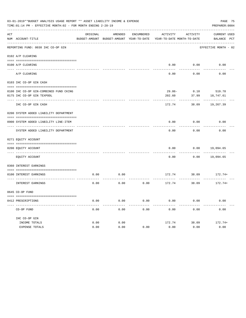|     | 03-01-2019**BUDGET ANALYSIS USAGE REPORT ** ASSET LIABILITY INCOME & EXPENSE<br>TIME: 01:14 PM - EFFECTIVE MONTH: 02 - FOR MONTH ENDING 2-28-19<br>PREPARER: 0004 |          |                                                     |                   |                                        |          |                                    |  |  |  |
|-----|-------------------------------------------------------------------------------------------------------------------------------------------------------------------|----------|-----------------------------------------------------|-------------------|----------------------------------------|----------|------------------------------------|--|--|--|
| ACT | NUM ACCOUNT-TITLE                                                                                                                                                 | ORIGINAL | AMENDED<br>BUDGET-AMOUNT BUDGET-AMOUNT YEAR-TO-DATE | <b>ENCUMBERED</b> | ACTIVITY<br>YEAR-TO-DATE MONTH-TO-DATE | ACTIVITY | <b>CURRENT USED</b><br>BALANCE PCT |  |  |  |
|     | REPORTING FUND: 0038 IHC CO-OP GIN                                                                                                                                |          |                                                     |                   |                                        |          | EFFECTIVE MONTH - 02               |  |  |  |
|     | 0102 A/P CLEARING                                                                                                                                                 |          |                                                     |                   |                                        |          |                                    |  |  |  |
|     | 0100 A/P CLEARING                                                                                                                                                 |          |                                                     |                   | 0.00                                   | 0.00     | 0.00                               |  |  |  |
|     | A/P CLEARING                                                                                                                                                      |          |                                                     |                   | 0.00                                   | 0.00     | 0.00                               |  |  |  |
|     | 0103 IHC CO-OP GIN CASH                                                                                                                                           |          |                                                     |                   |                                        |          |                                    |  |  |  |
|     | 0100 IHC CO-OP GIN-COMBINED FUND CKING                                                                                                                            |          |                                                     |                   | $29.86 -$                              | 0.10     | 519.78                             |  |  |  |
|     | 0175 IHC CO-OP GIN TEXPOOL                                                                                                                                        |          |                                                     |                   | 202.60                                 | 37.99    | 18,747.61                          |  |  |  |
|     | IHC CO-OP GIN CASH                                                                                                                                                |          |                                                     |                   | 172.74                                 | 38.09    | 19,267.39                          |  |  |  |
|     | 0200 SYSTEM ADDED LIABILITY DEPARTMENT                                                                                                                            |          |                                                     |                   |                                        |          |                                    |  |  |  |
|     |                                                                                                                                                                   |          |                                                     |                   |                                        |          |                                    |  |  |  |
|     | 0900 SYSTEM ADDED LIABILITY LINE-ITEM                                                                                                                             |          |                                                     |                   | 0.00                                   | 0.00     | 0.00                               |  |  |  |
|     | SYSTEM ADDED LIABILITY DEPARTMENT                                                                                                                                 |          |                                                     |                   | 0.00                                   | 0.00     | 0.00                               |  |  |  |
|     | 0271 EQUITY ACCOUNT                                                                                                                                               |          |                                                     |                   |                                        |          |                                    |  |  |  |
|     |                                                                                                                                                                   |          |                                                     |                   |                                        |          |                                    |  |  |  |
|     | 0200 EQUITY ACCOUNT<br>---- ------------                                                                                                                          |          |                                                     |                   | 0.00                                   | 0.00     | 19,094.65                          |  |  |  |
|     | EQUITY ACCOUNT                                                                                                                                                    |          |                                                     |                   | 0.00                                   | 0.00     | 19,094.65                          |  |  |  |
|     | 0360 INTEREST EARNINGS                                                                                                                                            |          |                                                     |                   |                                        |          |                                    |  |  |  |
|     | 0100 INTEREST EARNINGS                                                                                                                                            | 0.00     | 0.00                                                |                   | 172.74                                 | 38.09    | $172.74+$                          |  |  |  |
|     | INTEREST EARNINGS                                                                                                                                                 | 0.00     | 0.00                                                | 0.00              | 172.74                                 | 38.09    | 172.74+                            |  |  |  |
|     | 0645 CO-OP FUND                                                                                                                                                   |          |                                                     |                   |                                        |          |                                    |  |  |  |
|     | 0412 PRESCRIPTIONS                                                                                                                                                | 0.00     | 0.00                                                | 0.00              | 0.00                                   | 0.00     | 0.00                               |  |  |  |
|     | CO-OP FUND                                                                                                                                                        | 0.00     | 0.00                                                | 0.00              | 0.00                                   | 0.00     | 0.00                               |  |  |  |
|     | IHC CO-OP GIN                                                                                                                                                     |          |                                                     |                   |                                        |          |                                    |  |  |  |
|     | INCOME TOTALS                                                                                                                                                     | 0.00     | 0.00                                                |                   | 172.74                                 | 38.09    | $172.74+$                          |  |  |  |
|     | <b>EXPENSE TOTALS</b>                                                                                                                                             | 0.00     | 0.00                                                | 0.00              | 0.00                                   | 0.00     | 0.00                               |  |  |  |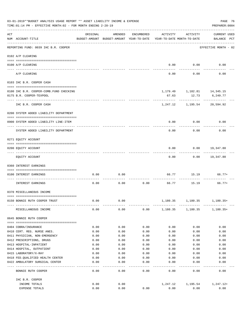|     | 03-01-2019**BUDGET ANALYSIS USAGE REPORT ** ASSET LIABILITY INCOME & EXPENSE<br>PAGE 76<br>TIME: 01:14 PM - EFFECTIVE MONTH: 02 - FOR MONTH ENDING 2-28-19<br>PREPARER: 0004 |              |                                                     |                     |                                        |                                    |                                    |  |  |  |
|-----|------------------------------------------------------------------------------------------------------------------------------------------------------------------------------|--------------|-----------------------------------------------------|---------------------|----------------------------------------|------------------------------------|------------------------------------|--|--|--|
| ACT | NUM ACCOUNT-TITLE                                                                                                                                                            | ORIGINAL     | AMENDED<br>BUDGET-AMOUNT BUDGET-AMOUNT YEAR-TO-DATE | ENCUMBERED          | ACTIVITY<br>YEAR-TO-DATE MONTH-TO-DATE | ACTIVITY                           | <b>CURRENT USED</b><br>BALANCE PCT |  |  |  |
|     | REPORTING FUND: 0039 IHC B.R. COOPER                                                                                                                                         |              |                                                     |                     |                                        |                                    | EFFECTIVE MONTH - 02               |  |  |  |
|     | 0102 A/P CLEARING                                                                                                                                                            |              |                                                     |                     |                                        |                                    |                                    |  |  |  |
|     | 0100 A/P CLEARING                                                                                                                                                            |              |                                                     |                     |                                        | $0.00$ 0.00                        | 0.00                               |  |  |  |
|     | ---- ---------<br>A/P CLEARING                                                                                                                                               |              |                                                     |                     | 0.00                                   | 0.00                               | 0.00                               |  |  |  |
|     | 0103 IHC B.R. COOPER CASH                                                                                                                                                    |              |                                                     |                     |                                        |                                    |                                    |  |  |  |
|     |                                                                                                                                                                              |              |                                                     |                     |                                        |                                    |                                    |  |  |  |
|     | 0100 IHC B.R. COOPER-COMB.FUND CHECKING                                                                                                                                      |              |                                                     |                     |                                        | 1, 179.49 1, 182.81 14, 345.15     |                                    |  |  |  |
|     | 0175 B.R. COOPER-TEXPOOL                                                                                                                                                     |              |                                                     |                     | 67.63                                  | 12.73<br>---------                 | 6,249.77                           |  |  |  |
|     | IHC B.R. COOPER CASH                                                                                                                                                         |              |                                                     |                     | 1,247.12                               | 1,195.54                           | 20,594.92                          |  |  |  |
|     | 0200 SYSTEM ADDED LIABILITY DEPARTMENT                                                                                                                                       |              |                                                     |                     |                                        |                                    |                                    |  |  |  |
|     | 0900 SYSTEM ADDED LIABILITY LINE-ITEM                                                                                                                                        |              |                                                     |                     | 0.00                                   | 0.00                               | 0.00                               |  |  |  |
|     | SYSTEM ADDED LIABILITY DEPARTMENT                                                                                                                                            |              |                                                     |                     | 0.00                                   | 0.00                               | 0.00                               |  |  |  |
|     | 0271 EQUITY ACCOUNT                                                                                                                                                          |              |                                                     |                     |                                        |                                    |                                    |  |  |  |
|     |                                                                                                                                                                              |              |                                                     |                     |                                        |                                    |                                    |  |  |  |
|     | 0200 EQUITY ACCOUNT                                                                                                                                                          |              |                                                     |                     | 0.00                                   | 0.00                               | 19,347.80                          |  |  |  |
|     | EQUITY ACCOUNT                                                                                                                                                               |              |                                                     |                     | 0.00                                   |                                    | $0.00$ 19,347.80                   |  |  |  |
|     | 0360 INTEREST EARNINGS                                                                                                                                                       |              |                                                     |                     |                                        |                                    |                                    |  |  |  |
|     | 0100 INTEREST EARNINGS                                                                                                                                                       | 0.00         | 0.00                                                |                     | 66.77                                  | 15.19                              | 66.77+                             |  |  |  |
|     | INTEREST EARNINGS                                                                                                                                                            | 0.00         | 0.00                                                | 0.00                | 66.77                                  | 15.19                              | $66.77+$                           |  |  |  |
|     | 0370 MISCELLANEOUS INCOME                                                                                                                                                    |              |                                                     |                     |                                        |                                    |                                    |  |  |  |
|     |                                                                                                                                                                              |              |                                                     |                     |                                        |                                    |                                    |  |  |  |
|     | 0150 BONNIE RUTH COOPER TRUST                                                                                                                                                | 0.00         | 0.00                                                |                     | 1,180.35                               | 1,180.35                           | 1,180.35+                          |  |  |  |
|     | MISCELLANEOUS INCOME                                                                                                                                                         | 0.00         | 0.00                                                |                     |                                        | $0.00$ 1,180.35 1,180.35 1,180.35+ |                                    |  |  |  |
|     | 0645 BONNIE RUTH COOPER                                                                                                                                                      |              |                                                     |                     |                                        |                                    |                                    |  |  |  |
|     |                                                                                                                                                                              |              |                                                     |                     |                                        |                                    |                                    |  |  |  |
|     | 0404 COBRA/INSURANCE                                                                                                                                                         | 0.00         | 0.00                                                | 0.00                | 0.00                                   | 0.00                               | 0.00                               |  |  |  |
|     | 0410 CERT. REG. NURSE ANES.<br>0411 PHYSICIAN, NON-EMERGENCY                                                                                                                 | 0.00<br>0.00 | 0.00<br>0.00                                        | 0.00<br>0.00        | 0.00<br>0.00                           | 0.00<br>0.00                       | 0.00<br>0.00                       |  |  |  |
|     | 0412 PRESCRIPTIONS, DRUGS                                                                                                                                                    | 0.00         | 0.00                                                | 0.00                | 0.00                                   | 0.00                               | 0.00                               |  |  |  |
|     | 0413 HOSPITAL-INPATIENT                                                                                                                                                      | 0.00         | 0.00                                                | 0.00                | 0.00                                   | 0.00                               | 0.00                               |  |  |  |
|     | 0414 HOSPITAL, OUTPATIENT                                                                                                                                                    | 0.00         | 0.00                                                | 0.00                | 0.00                                   | 0.00                               | 0.00                               |  |  |  |
|     | 0415 LABORATORY/X-RAY                                                                                                                                                        | 0.00         | 0.00                                                | 0.00                | 0.00                                   | 0.00                               | 0.00                               |  |  |  |
|     | 0418 FED.QUALIFIED HEALTH CENTER                                                                                                                                             | 0.00         | 0.00                                                | 0.00                | 0.00                                   | 0.00                               | 0.00                               |  |  |  |
|     | 0422 AMBULATORY SURGICAL CENTER                                                                                                                                              | 0.00         | 0.00<br>$- - - - -$                                 | 0.00<br>$- - - - -$ | 0.00                                   | 0.00                               | 0.00                               |  |  |  |
|     | BONNIE RUTH COOPER                                                                                                                                                           | 0.00         | 0.00                                                | 0.00                | 0.00                                   | 0.00                               | 0.00                               |  |  |  |
|     | IHC B.R. COOPER                                                                                                                                                              |              |                                                     |                     |                                        |                                    |                                    |  |  |  |
|     | INCOME TOTALS                                                                                                                                                                | 0.00         | 0.00                                                |                     | 1,247.12                               | 1,195.54                           | 1,247.12+                          |  |  |  |
|     | EXPENSE TOTALS                                                                                                                                                               | 0.00         | 0.00                                                | 0.00                | 0.00                                   | 0.00                               | 0.00                               |  |  |  |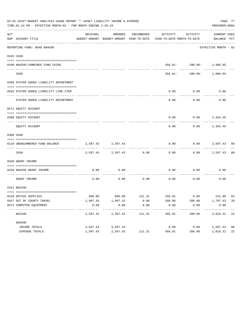|     | 03-01-2019**BUDGET ANALYSIS USAGE REPORT ** ASSET LIABILITY INCOME & EXPENSE<br>PREPARER: 0004<br>TIME: 01:14 PM - EFFECTIVE MONTH: 02 - FOR MONTH ENDING 2-28-19 |          |                   |            |                                                                                 |                          |                             |                |  |  |
|-----|-------------------------------------------------------------------------------------------------------------------------------------------------------------------|----------|-------------------|------------|---------------------------------------------------------------------------------|--------------------------|-----------------------------|----------------|--|--|
| ACT | NUM ACCOUNT-TITLE                                                                                                                                                 | ORIGINAL | AMENDED           | ENCUMBERED | ACTIVITY<br>BUDGET-AMOUNT BUDGET-AMOUNT YEAR-TO-DATE YEAR-TO-DATE MONTH-TO-DATE | ACTIVITY                 | CURRENT USED<br>BALANCE PCT |                |  |  |
|     | REPORTING FUND: 0040 NAACHO                                                                                                                                       |          |                   |            |                                                                                 |                          | EFFECTIVE MONTH - 02        |                |  |  |
|     | 0103 CASH                                                                                                                                                         |          |                   |            |                                                                                 |                          |                             |                |  |  |
|     | 0100 NAACHO-COMBINED FUND CKING                                                                                                                                   |          |                   |            |                                                                                 | 456.81- 200.00- 1,906.65 |                             |                |  |  |
|     | CASH                                                                                                                                                              |          |                   |            | $456.81-$                                                                       | ---------                | $200.00 - 1,906.65$         |                |  |  |
|     | 0200 SYSTEM ADDED LIABILITY DEPARTMENT                                                                                                                            |          |                   |            |                                                                                 |                          |                             |                |  |  |
|     | 0910 SYSTEM ADDED LIABILITY LINE-ITEM                                                                                                                             |          |                   |            | 0.00                                                                            | 0.00                     | 0.00                        |                |  |  |
|     | SYSTEM ADDED LIABILITY DEPARTMENT                                                                                                                                 |          |                   |            | 0.00                                                                            | 0.00                     | 0.00                        |                |  |  |
|     | 0271 EQUITY ACCOUNT                                                                                                                                               |          |                   |            |                                                                                 |                          |                             |                |  |  |
|     | 0200 EQUITY ACCOUNT                                                                                                                                               |          |                   |            |                                                                                 | $0.00$ $0.00$ $2,363.46$ |                             |                |  |  |
|     | EQUITY ACCOUNT                                                                                                                                                    |          |                   |            | 0.00                                                                            | 0.00                     | 2,363.46                    |                |  |  |
|     | 0300 CASH                                                                                                                                                         |          |                   |            |                                                                                 |                          |                             |                |  |  |
|     | 0110 UNENCUMBERED FUND BALANCE                                                                                                                                    |          | 2,597.43 2,597.43 |            | 0.00                                                                            | 0.00                     | 2,597.43 00                 |                |  |  |
|     | CASH                                                                                                                                                              |          | 2,597.43 2,597.43 | 0.00       | 0.00                                                                            |                          | $0.00$ 2,597.43             | 0 <sub>0</sub> |  |  |
|     | 0330 GRANT INCOME                                                                                                                                                 |          |                   |            |                                                                                 |                          |                             |                |  |  |
|     | 0410 NAACHO GRANT INCOME                                                                                                                                          | 0.00     | 0.00              |            | 0.00                                                                            | 0.00                     | 0.00                        |                |  |  |
|     | GRANT INCOME                                                                                                                                                      | 0.00     | 0.00              | 0.00       | 0.00                                                                            | 0.00                     | 0.00                        |                |  |  |
|     | 0411 NACCHO                                                                                                                                                       |          |                   |            |                                                                                 |                          |                             |                |  |  |
|     | 0310 OFFICE SUPPLIES                                                                                                                                              |          |                   |            | $600.00$ $600.00$ $121.31$ $256.81$ $0.00$ $221.88$ $63$                        |                          |                             |                |  |  |
|     | 0427 OUT OF COUNTY TRAVEL                                                                                                                                         | 1,997.43 | 1,997.43          | 0.00       | 200.00                                                                          | 200.00                   | 1,797.43 10                 |                |  |  |
|     | 0574 COMPUTER EQUIPMENT                                                                                                                                           | 0.00     | 0.00<br>--------- | 0.00       | 0.00                                                                            | 0.00                     | 0.00                        |                |  |  |
|     | NACCHO                                                                                                                                                            | 2,597.43 | 2,597.43          | 121.31     | 456.81                                                                          | 200.00                   | 2,019.31 22                 |                |  |  |
|     | NAACHO                                                                                                                                                            |          |                   |            |                                                                                 |                          |                             |                |  |  |
|     | INCOME TOTALS                                                                                                                                                     | 2,597.43 | 2,597.43          |            | 0.00                                                                            | 0.00                     | 2,597.43                    | 0 <sub>0</sub> |  |  |
|     | EXPENSE TOTALS                                                                                                                                                    | 2,597.43 | 2,597.43          | 121.31     | 456.81                                                                          | 200.00                   | 2,019.31                    | 22             |  |  |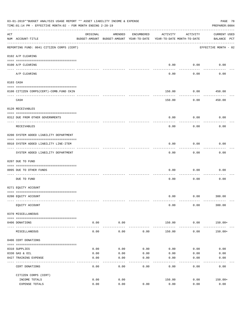| 03-01-2019**BUDGET ANALYSIS USAGE REPORT ** ASSET LIABILITY INCOME & EXPENSE<br>PAGE 78<br>PREPARER: 0004<br>TIME:01:14 PM - EFFECTIVE MONTH:02 - FOR MONTH ENDING 2-28-19 |                                                                   |              |                                                                                |            |                         |                        |                                    |  |  |
|----------------------------------------------------------------------------------------------------------------------------------------------------------------------------|-------------------------------------------------------------------|--------------|--------------------------------------------------------------------------------|------------|-------------------------|------------------------|------------------------------------|--|--|
| ACT                                                                                                                                                                        | NUM ACCOUNT-TITLE                                                 | ORIGINAL     | AMENDED<br>BUDGET-AMOUNT BUDGET-AMOUNT YEAR-TO-DATE YEAR-TO-DATE MONTH-TO-DATE | ENCUMBERED | ACTIVITY                | ACTIVITY               | <b>CURRENT USED</b><br>BALANCE PCT |  |  |
|                                                                                                                                                                            | REPORTING FUND: 0041 CITIZEN CORPS (CERT)                         |              |                                                                                |            |                         |                        | EFFECTIVE MONTH - 02               |  |  |
|                                                                                                                                                                            | 0102 A/P CLEARING                                                 |              |                                                                                |            |                         |                        |                                    |  |  |
|                                                                                                                                                                            | 0100 A/P CLEARING                                                 |              |                                                                                |            | 0.00                    | 0.00                   | 0.00                               |  |  |
|                                                                                                                                                                            | ---- --------<br>A/P CLEARING                                     |              |                                                                                |            | 0.00                    | 0.00                   | 0.00                               |  |  |
|                                                                                                                                                                            | 0103 CASH                                                         |              |                                                                                |            |                         |                        |                                    |  |  |
|                                                                                                                                                                            | 0100 CITIZEN CORPS (CERT)-COMB. FUND CKIN                         |              |                                                                                |            | 150.00                  | 0.00                   | 450.00                             |  |  |
|                                                                                                                                                                            | CASH                                                              |              |                                                                                |            | 150.00                  | 0.00                   | ---------<br>450.00                |  |  |
|                                                                                                                                                                            | 0120 RECEIVABLES                                                  |              |                                                                                |            |                         |                        |                                    |  |  |
|                                                                                                                                                                            | 0312 DUE FROM OTHER GOVERNMENTS                                   |              |                                                                                |            | 0.00                    | 0.00                   | 0.00                               |  |  |
|                                                                                                                                                                            | RECEIVABLES                                                       |              |                                                                                |            | 0.00                    | 0.00                   | 0.00                               |  |  |
|                                                                                                                                                                            | 0200 SYSTEM ADDED LIABILITY DEPARTMENT                            |              |                                                                                |            |                         |                        |                                    |  |  |
|                                                                                                                                                                            | 0910 SYSTEM ADDED LIABILITY LINE-ITEM<br>------------------------ |              |                                                                                |            | 0.00                    | 0.00<br>--------       | 0.00                               |  |  |
|                                                                                                                                                                            | SYSTEM ADDED LIABILITY DEPARTMENT                                 |              |                                                                                |            | 0.00                    | 0.00                   | 0.00                               |  |  |
|                                                                                                                                                                            | 0207 DUE TO FUND                                                  |              |                                                                                |            |                         |                        |                                    |  |  |
|                                                                                                                                                                            | 0095 DUE TO OTHER FUNDS                                           |              |                                                                                |            | 0.00                    | 0.00                   | 0.00                               |  |  |
|                                                                                                                                                                            | DUE TO FUND                                                       |              |                                                                                |            | 0.00                    | 0.00                   | 0.00                               |  |  |
|                                                                                                                                                                            | 0271 EQUITY ACCOUNT                                               |              |                                                                                |            |                         |                        |                                    |  |  |
|                                                                                                                                                                            | 0200 EQUITY ACCOUNT                                               |              |                                                                                |            |                         | $0.00$ $0.00$ $300.00$ |                                    |  |  |
|                                                                                                                                                                            | EQUITY ACCOUNT                                                    |              |                                                                                |            | 0.00                    | 0.00                   | 300.00                             |  |  |
|                                                                                                                                                                            | 0370 MISCELLANEOUS                                                |              |                                                                                |            |                         |                        |                                    |  |  |
|                                                                                                                                                                            | 0406 DONATIONS                                                    | 0.00         | 0.00                                                                           |            | 150.00                  | 0.00                   | 150.00+                            |  |  |
|                                                                                                                                                                            | MISCELLANEOUS                                                     | 0.00         | .<br>0.00                                                                      | 0.00       | -------------<br>150.00 | ------------<br>0.00   | $150.00+$                          |  |  |
|                                                                                                                                                                            | 0406 CERT DONATIONS                                               |              |                                                                                |            |                         |                        |                                    |  |  |
|                                                                                                                                                                            | 0310 SUPPLIES                                                     | 0.00         | 0.00                                                                           | 0.00       | 0.00                    | 0.00                   | 0.00                               |  |  |
|                                                                                                                                                                            | 0330 GAS & OIL                                                    | 0.00         | 0.00                                                                           | 0.00       | 0.00                    | 0.00                   | 0.00                               |  |  |
|                                                                                                                                                                            | 0427 TRAINING EXPENSE                                             | 0.00         | 0.00                                                                           | 0.00       | 0.00                    | 0.00                   | 0.00                               |  |  |
|                                                                                                                                                                            | CERT DONATIONS                                                    | 0.00         | 0.00                                                                           | 0.00       | 0.00                    | 0.00                   | 0.00                               |  |  |
|                                                                                                                                                                            | CITIZEN CORPS (CERT)                                              |              |                                                                                |            |                         |                        |                                    |  |  |
|                                                                                                                                                                            | INCOME TOTALS<br>EXPENSE TOTALS                                   | 0.00<br>0.00 | 0.00<br>0.00                                                                   | 0.00       | 150.00<br>0.00          | 0.00<br>0.00           | $150.00+$<br>0.00                  |  |  |
|                                                                                                                                                                            |                                                                   |              |                                                                                |            |                         |                        |                                    |  |  |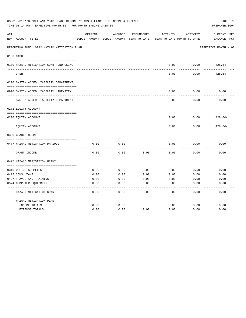|     | 03-01-2019**BUDGET ANALYSIS USAGE REPORT ** ASSET LIABILITY INCOME & EXPENSE<br>PAGE 79<br>TIME: 01:14 PM - EFFECTIVE MONTH: 02 - FOR MONTH ENDING 2-28-19<br>PREPARER: 0004 |          |                                                     |            |          |                                        |                                                |  |  |
|-----|------------------------------------------------------------------------------------------------------------------------------------------------------------------------------|----------|-----------------------------------------------------|------------|----------|----------------------------------------|------------------------------------------------|--|--|
| ACT | NUM ACCOUNT-TITLE                                                                                                                                                            | ORIGINAL | AMENDED<br>BUDGET-AMOUNT BUDGET-AMOUNT YEAR-TO-DATE | ENCUMBERED | ACTIVITY | ACTIVITY<br>YEAR-TO-DATE MONTH-TO-DATE | <b>CURRENT USED</b><br>BALANCE<br>$_{\rm PCT}$ |  |  |
|     | REPORTING FUND: 0042 HAZARD MITIGATION PLAN                                                                                                                                  |          |                                                     |            |          |                                        | EFFECTIVE MONTH - 02                           |  |  |
|     | 0103 CASH                                                                                                                                                                    |          |                                                     |            |          |                                        |                                                |  |  |
|     | 0100 HAZARD MITIGATION-COMB.FUND CKING.                                                                                                                                      |          |                                                     |            | 0.00     | 0.00                                   | $428.64-$                                      |  |  |
|     | CASH                                                                                                                                                                         |          |                                                     |            | 0.00     | 0.00                                   | $428.64-$                                      |  |  |
|     | 0200 SYSTEM ADDED LIABILITY DEPARTMENT                                                                                                                                       |          |                                                     |            |          |                                        |                                                |  |  |
|     | 0910 SYSTEM ADDED LIABILITY LINE-ITEM                                                                                                                                        |          |                                                     |            | 0.00     | 0.00                                   | 0.00                                           |  |  |
|     | SYSTEM ADDED LIABILITY DEPARTMENT                                                                                                                                            |          |                                                     |            | 0.00     | 0.00                                   | 0.00                                           |  |  |
|     | 0271 EQUITY ACCOUNT                                                                                                                                                          |          |                                                     |            |          |                                        |                                                |  |  |
|     | 0200 EQUITY ACCOUNT                                                                                                                                                          |          |                                                     |            | 0.00     | 0.00                                   | $428.64-$                                      |  |  |
|     | EQUITY ACCOUNT                                                                                                                                                               |          |                                                     |            | 0.00     | 0.00                                   | $428.64-$                                      |  |  |
|     | 0330 GRANT INCOME                                                                                                                                                            |          |                                                     |            |          |                                        |                                                |  |  |
|     | 0477 HAZARD MITIGATION DR-1999                                                                                                                                               | 0.00     | 0.00                                                |            | 0.00     | 0.00                                   | 0.00                                           |  |  |
|     | GRANT INCOME                                                                                                                                                                 | 0.00     | 0.00                                                | 0.00       | 0.00     | 0.00                                   | 0.00                                           |  |  |
|     | 0477 HAZARD MITIGATION GRANT                                                                                                                                                 |          |                                                     |            |          |                                        |                                                |  |  |
|     |                                                                                                                                                                              |          |                                                     |            |          |                                        |                                                |  |  |
|     | 0310 OFFICE SUPPLIES                                                                                                                                                         | 0.00     | 0.00                                                | 0.00       | 0.00     | 0.00                                   | 0.00                                           |  |  |
|     | 0415 CONSULTANT                                                                                                                                                              | 0.00     | 0.00                                                | 0.00       | 0.00     | 0.00                                   | 0.00                                           |  |  |
|     | 0427 TRAVEL AND TRAINING                                                                                                                                                     | 0.00     | 0.00                                                | 0.00       | 0.00     | 0.00                                   | 0.00                                           |  |  |
|     | 0574 COMPUTER EQUIPMENT                                                                                                                                                      | 0.00     | 0.00                                                | 0.00       | 0.00     | 0.00                                   | 0.00                                           |  |  |
|     | HAZARD MITIGATION GRANT                                                                                                                                                      | 0.00     | 0.00                                                | 0.00       | 0.00     | 0.00                                   | 0.00                                           |  |  |
|     | HAZARD MITIGATION PLAN                                                                                                                                                       |          |                                                     |            |          |                                        |                                                |  |  |
|     | INCOME TOTALS                                                                                                                                                                | 0.00     | 0.00                                                |            | 0.00     | 0.00                                   | 0.00                                           |  |  |
|     | <b>EXPENSE TOTALS</b>                                                                                                                                                        | 0.00     | 0.00                                                | 0.00       | 0.00     | 0.00                                   | 0.00                                           |  |  |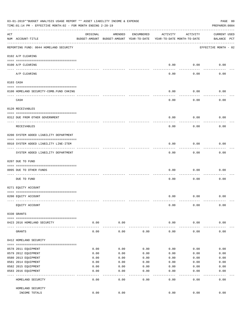|                    | 03-01-2019**BUDGET ANALYSIS USAGE REPORT ** ASSET LIABILITY INCOME & EXPENSE<br>TIME: $01:14$ PM - EFFECTIVE MONTH: $02$ - FOR MONTH ENDING 2-28-19 |          |                                                     |              |                                        |               | PAGE 80<br>PREPARER: 0004          |
|--------------------|-----------------------------------------------------------------------------------------------------------------------------------------------------|----------|-----------------------------------------------------|--------------|----------------------------------------|---------------|------------------------------------|
| $\mathop{\rm ACT}$ | NUM ACCOUNT-TITLE                                                                                                                                   | ORIGINAL | AMENDED<br>BUDGET-AMOUNT BUDGET-AMOUNT YEAR-TO-DATE | ENCUMBERED   | ACTIVITY<br>YEAR-TO-DATE MONTH-TO-DATE | ACTIVITY      | <b>CURRENT USED</b><br>BALANCE PCT |
|                    | REPORTING FUND: 0044 HOMELAND SECURITY                                                                                                              |          |                                                     |              |                                        |               | EFFECTIVE MONTH - 02               |
|                    | 0102 A/P CLEARING                                                                                                                                   |          |                                                     |              |                                        |               |                                    |
|                    | 0100 A/P CLEARING                                                                                                                                   |          |                                                     |              | 0.00                                   | 0.00          | 0.00                               |
|                    | ---- ---------<br>A/P CLEARING                                                                                                                      |          |                                                     |              | 0.00                                   | 0.00          | 0.00                               |
|                    | 0103 CASH                                                                                                                                           |          |                                                     |              |                                        |               |                                    |
|                    | 0100 HOMELAND SECURITY-COMB.FUND CHKING                                                                                                             |          |                                                     |              | 0.00                                   | 0.00          | 0.00                               |
|                    | CASH                                                                                                                                                |          |                                                     |              | 0.00                                   | 0.00          | 0.00                               |
|                    | 0120 RECEIVABLES                                                                                                                                    |          |                                                     |              |                                        |               |                                    |
|                    | 0312 DUE FROM OTHER GOVERNMENT                                                                                                                      |          |                                                     |              | 0.00                                   | 0.00          | 0.00                               |
|                    | RECEIVABLES                                                                                                                                         |          |                                                     |              | 0.00                                   | 0.00          | 0.00                               |
|                    | 0200 SYSTEM ADDED LIABILITY DEPARTMENT                                                                                                              |          |                                                     |              |                                        |               |                                    |
|                    | 0910 SYSTEM ADDED LIABILITY LINE-ITEM                                                                                                               |          |                                                     |              | 0.00                                   | 0.00          | 0.00                               |
|                    | SYSTEM ADDED LIABILITY DEPARTMENT                                                                                                                   |          |                                                     |              | 0.00                                   | 0.00          | 0.00                               |
|                    | 0207 DUE TO FUND                                                                                                                                    |          |                                                     |              |                                        |               |                                    |
|                    | 0095 DUE TO OTHER FUNDS                                                                                                                             |          |                                                     |              | 0.00                                   | 0.00          | 0.00                               |
|                    | DUE TO FUND                                                                                                                                         |          |                                                     |              | 0.00                                   | 0.00          | 0.00                               |
|                    | 0271 EQUITY ACCOUNT                                                                                                                                 |          |                                                     |              |                                        |               |                                    |
|                    | 0200 EQUITY ACCOUNT                                                                                                                                 |          |                                                     |              | 0.00                                   | 0.00          | 0.00                               |
|                    | EQUITY ACCOUNT                                                                                                                                      |          |                                                     |              | 0.00                                   | 0.00          | 0.00                               |
|                    | 0330 GRANTS                                                                                                                                         |          |                                                     |              |                                        |               |                                    |
|                    | 0423 2016 HOMELAND SECURITY                                                                                                                         | 0.00     | 0.00                                                |              | 0.00                                   | 0.00          | 0.00                               |
|                    | GRANTS                                                                                                                                              | 0.00     | 0.00                                                | 0.00         | 0.00                                   | 0.00          | 0.00                               |
|                    | 0412 HOMELAND SECURITY                                                                                                                              |          |                                                     |              |                                        |               |                                    |
|                    | 0578 2011 EQUIPMENT                                                                                                                                 | 0.00     | 0.00                                                | 0.00         | 0.00                                   | 0.00          | 0.00                               |
|                    | 0579 2012 EQUIPMENT                                                                                                                                 | 0.00     | 0.00                                                | 0.00         | 0.00                                   | 0.00          | 0.00                               |
|                    | 0580 2013 EQUIPMENT                                                                                                                                 | 0.00     | 0.00                                                | 0.00         | 0.00                                   | 0.00          | 0.00                               |
|                    | 0581 2014 EQUIPMENT                                                                                                                                 | 0.00     | 0.00                                                | 0.00         | 0.00                                   | 0.00          | 0.00                               |
|                    | 0582 2015 EQUIPMENT                                                                                                                                 | 0.00     | 0.00                                                | 0.00         | 0.00                                   | 0.00          | 0.00                               |
|                    | 0583 2016 EQUIPMENT                                                                                                                                 | 0.00     | 0.00                                                | 0.00         | 0.00                                   | 0.00          | 0.00                               |
|                    | HOMELAND SECURITY                                                                                                                                   | 0.00     | ----<br>0.00                                        | ----<br>0.00 | $---$<br>0.00                          | $---$<br>0.00 | 0.00                               |
|                    | HOMELAND SECURITY                                                                                                                                   |          |                                                     |              |                                        |               |                                    |
|                    | INCOME TOTALS                                                                                                                                       | 0.00     | 0.00                                                |              | 0.00                                   | 0.00          | 0.00                               |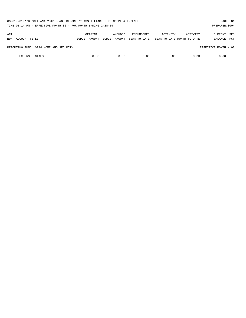| 03-01-2019**BUDGET ANALYSIS USAGE REPORT ** ASSET LIABILITY INCOME & EXPENSE<br>TIME:01:14 PM - EFFECTIVE MONTH:02 - FOR MONTH ENDING 2-28-19 |          |                                        |                                   |                                        |          | PAGE 81<br>PREPARER: 0004      |            |
|-----------------------------------------------------------------------------------------------------------------------------------------------|----------|----------------------------------------|-----------------------------------|----------------------------------------|----------|--------------------------------|------------|
| ACT<br>NUM ACCOUNT-TITLE                                                                                                                      | ORIGINAL | AMENDED<br>BUDGET-AMOUNT BUDGET-AMOUNT | <b>ENCUMBERED</b><br>YEAR-TO-DATE | ACTIVITY<br>YEAR-TO-DATE MONTH-TO-DATE | ACTIVITY | <b>CURRENT USED</b><br>BALANCE | <b>PCT</b> |
| REPORTING FUND: 0044 HOMELAND SECURITY                                                                                                        |          |                                        |                                   |                                        |          | EFFECTIVE MONTH - 02           |            |
| <b>EXPENSE TOTALS</b>                                                                                                                         | 0.00     | 0.00                                   | 0.00                              | 0.00                                   | 0.00     | 0.00                           |            |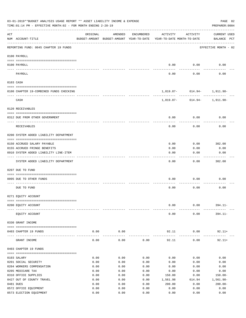| 03-01-2019**BUDGET ANALYSIS USAGE REPORT ** ASSET LIABILITY INCOME & EXPENSE<br>TIME: 01:14 PM - EFFECTIVE MONTH: 02 - FOR MONTH ENDING 2-28-19<br>PREPARER: 0004 |                                                             |          |                                                     |            |                                        |                             |                                    |  |  |
|-------------------------------------------------------------------------------------------------------------------------------------------------------------------|-------------------------------------------------------------|----------|-----------------------------------------------------|------------|----------------------------------------|-----------------------------|------------------------------------|--|--|
| ACT                                                                                                                                                               | NUM ACCOUNT-TITLE                                           | ORIGINAL | AMENDED<br>BUDGET-AMOUNT BUDGET-AMOUNT YEAR-TO-DATE | ENCUMBERED | ACTIVITY<br>YEAR-TO-DATE MONTH-TO-DATE | ACTIVITY                    | <b>CURRENT USED</b><br>BALANCE PCT |  |  |
|                                                                                                                                                                   | REPORTING FUND: 0045 CHAPTER 19 FUNDS                       |          |                                                     |            |                                        |                             | EFFECTIVE MONTH - 02               |  |  |
|                                                                                                                                                                   | 0100 PAYROLL                                                |          |                                                     |            |                                        |                             |                                    |  |  |
|                                                                                                                                                                   | 0100 PAYROLL                                                |          |                                                     |            | 0.00                                   | 0.00                        | 0.00                               |  |  |
|                                                                                                                                                                   | PAYROLL                                                     |          |                                                     |            | 0.00                                   | 0.00                        | 0.00                               |  |  |
|                                                                                                                                                                   | 0103 CASH                                                   |          |                                                     |            |                                        |                             |                                    |  |  |
|                                                                                                                                                                   | 0100 CHAPTER 19-COMBINED FUNDS CHECKING                     |          |                                                     |            |                                        | 1,819.87- 614.94- 1,911.98- |                                    |  |  |
|                                                                                                                                                                   | CASH                                                        |          |                                                     |            |                                        | 1,819.87- 614.94- 1,911.98- |                                    |  |  |
|                                                                                                                                                                   | 0120 RECEIVABLES                                            |          |                                                     |            |                                        |                             |                                    |  |  |
|                                                                                                                                                                   | 0312 DUE FROM OTHER GOVERNMENT                              |          |                                                     |            | 0.00                                   | 0.00                        | 0.00                               |  |  |
|                                                                                                                                                                   |                                                             |          |                                                     |            |                                        |                             |                                    |  |  |
|                                                                                                                                                                   | RECEIVABLES                                                 |          |                                                     |            | 0.00                                   | 0.00                        | 0.00                               |  |  |
|                                                                                                                                                                   | 0200 SYSTEM ADDED LIABILITY DEPARTMENT                      |          |                                                     |            |                                        |                             |                                    |  |  |
|                                                                                                                                                                   |                                                             |          |                                                     |            | 0.00                                   | 0.00                        | 302.00                             |  |  |
|                                                                                                                                                                   | 0150 ACCRUED SALARY PAYABLE<br>0155 ACCRUED FRINGE BENEFITS |          |                                                     |            | 0.00                                   | 0.00                        | 0.00                               |  |  |
|                                                                                                                                                                   | 0910 SYSTEM ADDED LIABILITY LINE-ITEM                       |          |                                                     |            | 0.00                                   | 0.00                        | 0.00                               |  |  |
|                                                                                                                                                                   |                                                             |          |                                                     |            |                                        |                             |                                    |  |  |
|                                                                                                                                                                   | SYSTEM ADDED LIABILITY DEPARTMENT                           |          |                                                     |            | 0.00                                   | 0.00                        | 302.00                             |  |  |
|                                                                                                                                                                   | 0207 DUE TO FUND                                            |          |                                                     |            |                                        |                             |                                    |  |  |
|                                                                                                                                                                   | 0095 DUE TO OTHER FUNDS                                     |          |                                                     |            | 0.00                                   | 0.00                        | 0.00                               |  |  |
|                                                                                                                                                                   |                                                             |          |                                                     |            |                                        |                             |                                    |  |  |
|                                                                                                                                                                   | DUE TO FUND                                                 |          |                                                     |            | 0.00                                   | 0.00                        | 0.00                               |  |  |
|                                                                                                                                                                   | 0271 EQUITY ACCOUNT                                         |          |                                                     |            |                                        |                             |                                    |  |  |
|                                                                                                                                                                   |                                                             |          |                                                     |            |                                        |                             |                                    |  |  |
|                                                                                                                                                                   | 0200 EQUITY ACCOUNT                                         |          |                                                     |            | 0.00                                   | 0.00                        | $394.11 -$                         |  |  |
|                                                                                                                                                                   | EQUITY ACCOUNT                                              |          |                                                     |            | 0.00                                   | 0.00                        | $394.11 -$                         |  |  |
|                                                                                                                                                                   | 0330 GRANT INCOME                                           |          |                                                     |            |                                        |                             |                                    |  |  |
|                                                                                                                                                                   | 0403 CHAPTER 19 FUNDS                                       | 0.00     | 0.00                                                |            | 92.11                                  | 0.00                        | $92.11+$                           |  |  |
| $---$                                                                                                                                                             | GRANT INCOME                                                | 0.00     | 0.00                                                | 0.00       | 92.11                                  | 0.00                        | $92.11+$                           |  |  |
|                                                                                                                                                                   | 0403 CHAPTER 19 FUNDS                                       |          |                                                     |            |                                        |                             |                                    |  |  |
|                                                                                                                                                                   | 0103 SALARY                                                 | 0.00     | 0.00                                                | 0.00       | 0.00                                   | 0.00                        | 0.00                               |  |  |
|                                                                                                                                                                   | 0201 SOCIAL SECURITY                                        | 0.00     | 0.00                                                | 0.00       | 0.00                                   | 0.00                        | 0.00                               |  |  |
|                                                                                                                                                                   | 0204 WORKERS COMPENSATION                                   | 0.00     | 0.00                                                | 0.00       | 0.00                                   | 0.00                        | 0.00                               |  |  |
|                                                                                                                                                                   | 0205 MEDICARE TAX                                           | 0.00     | 0.00                                                | 0.00       | 0.00                                   | 0.00                        | 0.00                               |  |  |
|                                                                                                                                                                   | 0310 OFFICE SUPPLIES                                        | 0.00     | 0.00                                                | 0.00       | 150.00                                 | 0.00                        | $150.00 -$                         |  |  |
|                                                                                                                                                                   | 0427 OUT OF COUNTY TRAVEL                                   | 0.00     | 0.00                                                | 0.00       | 1,561.98                               | 614.94                      | 1,561.98-                          |  |  |
|                                                                                                                                                                   | 0481 DUES                                                   | 0.00     | 0.00                                                | 0.00       | 200.00                                 | 0.00                        | $200.00 -$                         |  |  |
|                                                                                                                                                                   | 0572 OFFICE EQUIPMENT                                       | 0.00     | 0.00                                                | 0.00       | 0.00                                   | 0.00                        | 0.00                               |  |  |
|                                                                                                                                                                   | 0573 ELECTION EQUIPMENT                                     | 0.00     | 0.00                                                | 0.00       | 0.00                                   | 0.00                        | 0.00                               |  |  |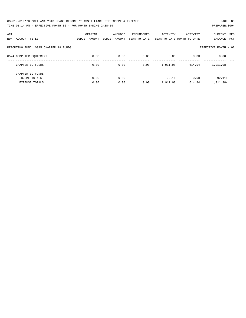| 03-01-2019**BUDGET ANALYSIS USAGE REPORT ** ASSET LIABILITY INCOME & EXPENSE | PAGE 83        |
|------------------------------------------------------------------------------|----------------|
| TIME:01:14 PM - EFFECTIVE MONTH:02 - FOR MONTH ENDING 2-28-19                | PREPARER: 0004 |

| ACT<br>ACCOUNT-TITLE<br>NUM           | ORIGINAL<br>BUDGET-AMOUNT | AMENDED<br>BUDGET-AMOUNT | ENCUMBERED<br>YEAR-TO-DATE | ACTIVITY | ACTIVITY<br>YEAR-TO-DATE MONTH-TO-DATE | <b>CURRENT USED</b><br><b>PCT</b><br>BALANCE |
|---------------------------------------|---------------------------|--------------------------|----------------------------|----------|----------------------------------------|----------------------------------------------|
|                                       |                           |                          |                            |          |                                        |                                              |
| REPORTING FUND: 0045 CHAPTER 19 FUNDS |                           |                          |                            |          |                                        | EFFECTIVE MONTH - 02                         |
| 0574 COMPUTER EOUIPMENT               | 0.00                      | 0.00                     | 0.00                       | 0.00     | 0.00                                   | 0.00                                         |
| CHAPTER 19 FUNDS                      | 0.00                      | 0.00                     | 0.00                       | 1,911.98 | 614.94                                 | 1,911.98-                                    |
| CHAPTER 19 FUNDS                      |                           |                          |                            |          |                                        |                                              |
| INCOME TOTALS                         | 0.00                      | 0.00                     |                            | 92.11    | 0.00                                   | $92.11+$                                     |
| <b>EXPENSE TOTALS</b>                 | 0.00                      | 0.00                     | 0.00                       | 1,911.98 | 614.94                                 | $1.911.98 -$                                 |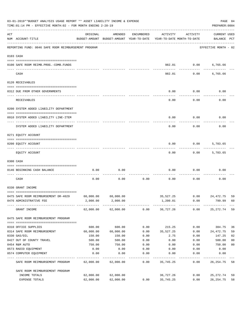|     | 03-01-2019**BUDGET ANALYSIS USAGE REPORT ** ASSET LIABILITY INCOME & EXPENSE<br>TIME: 01:14 PM - EFFECTIVE MONTH: 02 - FOR MONTH ENDING 2-28-19 |                                                                                 |                     |            |           |                |                                    |                |  |  |
|-----|-------------------------------------------------------------------------------------------------------------------------------------------------|---------------------------------------------------------------------------------|---------------------|------------|-----------|----------------|------------------------------------|----------------|--|--|
| ACT | NUM ACCOUNT-TITLE                                                                                                                               | ORIGINAL<br>BUDGET-AMOUNT BUDGET-AMOUNT YEAR-TO-DATE YEAR-TO-DATE MONTH-TO-DATE | AMENDED             | ENCUMBERED | ACTIVITY  | ACTIVITY       | <b>CURRENT USED</b><br>BALANCE PCT |                |  |  |
|     | REPORTING FUND: 0046 SAFE ROOM REIMBURSEMENT PROGRAM                                                                                            |                                                                                 |                     |            |           |                | EFFECTIVE MONTH - 02               |                |  |  |
|     | 0103 CASH                                                                                                                                       |                                                                                 |                     |            |           |                |                                    |                |  |  |
|     | 0100 SAFE ROOM REIMB.PROG.-COMB.FUNDS                                                                                                           |                                                                                 |                     |            | 982.01    | 0.00           | 6,765.66                           |                |  |  |
|     | CASH                                                                                                                                            |                                                                                 |                     |            | 982.01    |                | 0.00<br>6,765.66                   |                |  |  |
|     | 0120 RECEIVABLES                                                                                                                                |                                                                                 |                     |            |           |                |                                    |                |  |  |
|     | 0312 DUE FROM OTHER GOVERNMENTS                                                                                                                 |                                                                                 |                     |            | 0.00      | 0.00           | 0.00                               |                |  |  |
|     | RECEIVABLES                                                                                                                                     |                                                                                 |                     |            | 0.00      | 0.00           | 0.00                               |                |  |  |
|     | 0200 SYSTEM ADDED LIABILITY DEPARTMENT                                                                                                          |                                                                                 |                     |            |           |                |                                    |                |  |  |
|     | 0910 SYSTEM ADDED LIABILITY LINE-ITEM                                                                                                           |                                                                                 |                     |            | 0.00      | 0.00           | 0.00                               |                |  |  |
|     | SYSTEM ADDED LIABILITY DEPARTMENT                                                                                                               |                                                                                 |                     |            | 0.00      | 0.00           | 0.00                               |                |  |  |
|     | 0271 EQUITY ACCOUNT                                                                                                                             |                                                                                 |                     |            |           |                |                                    |                |  |  |
|     |                                                                                                                                                 |                                                                                 |                     |            |           |                |                                    |                |  |  |
|     | 0200 EQUITY ACCOUNT                                                                                                                             |                                                                                 |                     |            | 0.00      |                | 0.00<br>5,783.65                   |                |  |  |
|     | EQUITY ACCOUNT                                                                                                                                  |                                                                                 |                     |            | 0.00      | 0.00           | 5,783.65                           |                |  |  |
|     | 0300 CASH                                                                                                                                       |                                                                                 |                     |            |           |                |                                    |                |  |  |
|     | 0146 BEGINNING CASH BALANCE                                                                                                                     | 0.00                                                                            | 0.00                |            | 0.00      | 0.00           | 0.00                               |                |  |  |
|     | CASH                                                                                                                                            | 0.00                                                                            | 0.00                | 0.00       | 0.00      | 0.00           | 0.00                               |                |  |  |
|     | 0330 GRANT INCOME                                                                                                                               |                                                                                 |                     |            |           |                |                                    |                |  |  |
|     | 0475 SAFE ROOM REIMBURSEMENT DR-4029                                                                                                            | 60,000.00                                                                       | 60,000.00           |            |           | 35,527,25 0.00 | 24,472.75                          | 59             |  |  |
|     | 0476 ADMINISTRATIVE FEE                                                                                                                         | 2,000.00                                                                        | 2,000.00            |            | 1,200.01  | 0.00           | 799.99                             | 60             |  |  |
|     | GRANT INCOME                                                                                                                                    |                                                                                 | 62,000.00 62,000.00 | 0.00       | 36,727.26 | 0.00           | 25,272.74                          | 59             |  |  |
|     | 0475 SAFE ROOM REIMBURSEMENT PROGRAM                                                                                                            |                                                                                 |                     |            |           |                |                                    |                |  |  |
|     | 0310 OFFICE SUPPLIES                                                                                                                            | 600.00                                                                          | 600.00              | 0.00       | 215.25    | 0.00           | 384.75                             | 36             |  |  |
|     | 0314 SAFE ROOM REIMBURSEMENT                                                                                                                    | 60,000.00                                                                       | 60,000.00           | 0.00       | 35,527.25 | 0.00           | 24,472.75                          | 59             |  |  |
|     | 0330 GAS/OIL                                                                                                                                    | 150.00                                                                          | 150.00              | 0.00       | 2.75      | 0.00           | 147.25                             | 02             |  |  |
|     | 0427 OUT OF COUNTY TRAVEL                                                                                                                       | 500.00                                                                          | 500.00              | 0.00       | 0.00      | 0.00           | 500.00                             | 0 <sub>0</sub> |  |  |
|     | 0454 R&M AUTO                                                                                                                                   | 750.00                                                                          | 750.00              | 0.00       | 0.00      | 0.00           | 750.00                             | 0 <sub>0</sub> |  |  |
|     | 0573 RADIO EQUIPMENT                                                                                                                            | 0.00                                                                            | 0.00                | 0.00       | 0.00      | 0.00           | 0.00                               |                |  |  |
|     | 0574 COMPUTER EQUIPMENT                                                                                                                         | 0.00                                                                            | 0.00                | 0.00       | 0.00      | 0.00           | 0.00                               |                |  |  |
|     | SAFE ROOM REIMBURSEMENT PROGRAM                                                                                                                 | 62,000.00                                                                       | 62,000.00           | 0.00       | 35,745.25 | 0.00           | 26, 254.75                         | 58             |  |  |
|     | SAFE ROOM REIMBURSEMENT PROGRAM                                                                                                                 |                                                                                 |                     |            |           |                |                                    |                |  |  |
|     | INCOME TOTALS                                                                                                                                   | 62,000.00                                                                       | 62,000.00           |            | 36,727.26 | 0.00           | 25,272.74                          | 59             |  |  |
|     | EXPENSE TOTALS                                                                                                                                  | 62,000.00                                                                       | 62,000.00           | 0.00       | 35,745.25 | 0.00           | 26, 254.75                         | 58             |  |  |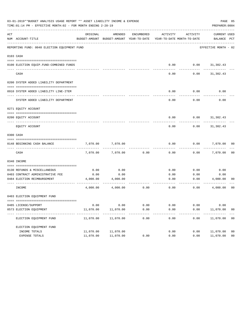|     | 03-01-2019**BUDGET ANALYSIS USAGE REPORT ** ASSET LIABILITY INCOME & EXPENSE<br>PAGE 85<br>TIME: 01:14 PM - EFFECTIVE MONTH: 02 - FOR MONTH ENDING 2-28-19<br>PREPARER: 0004 |                         |                                                     |               |                                        |              |                                    |                |  |  |  |  |
|-----|------------------------------------------------------------------------------------------------------------------------------------------------------------------------------|-------------------------|-----------------------------------------------------|---------------|----------------------------------------|--------------|------------------------------------|----------------|--|--|--|--|
| ACT | NUM ACCOUNT-TITLE                                                                                                                                                            | ORIGINAL                | AMENDED<br>BUDGET-AMOUNT BUDGET-AMOUNT YEAR-TO-DATE | ENCUMBERED    | ACTIVITY<br>YEAR-TO-DATE MONTH-TO-DATE | ACTIVITY     | <b>CURRENT USED</b><br>BALANCE PCT |                |  |  |  |  |
|     | REPORTING FUND: 0048 ELECTION EQUIPMENT FUND                                                                                                                                 |                         |                                                     |               |                                        |              | EFFECTIVE MONTH - 02               |                |  |  |  |  |
|     | 0103 CASH                                                                                                                                                                    |                         |                                                     |               |                                        |              |                                    |                |  |  |  |  |
|     |                                                                                                                                                                              |                         |                                                     |               |                                        |              | $0.00$ $0.00$ $31,302.43$          |                |  |  |  |  |
|     | 0100 ELECTION EQUIP.FUND-COMBINED FUNDS                                                                                                                                      |                         |                                                     |               |                                        |              |                                    |                |  |  |  |  |
|     | CASH                                                                                                                                                                         |                         |                                                     |               | 0.00                                   | 0.00         | 31,302.43                          |                |  |  |  |  |
|     | 0200 SYSTEM ADDED LIABILITY DEPARTMENT                                                                                                                                       |                         |                                                     |               |                                        |              |                                    |                |  |  |  |  |
|     | 0910 SYSTEM ADDED LIABILITY LINE-ITEM                                                                                                                                        |                         |                                                     |               | 0.00                                   | 0.00         | 0.00                               |                |  |  |  |  |
|     | SYSTEM ADDED LIABILITY DEPARTMENT                                                                                                                                            |                         |                                                     |               | 0.00                                   | 0.00         | 0.00                               |                |  |  |  |  |
|     | 0271 EQUITY ACCOUNT                                                                                                                                                          |                         |                                                     |               |                                        |              |                                    |                |  |  |  |  |
|     | 0200 EQUITY ACCOUNT                                                                                                                                                          |                         |                                                     |               | 0.00                                   |              | $0.00$ $31,302.43$                 |                |  |  |  |  |
|     | EQUITY ACCOUNT                                                                                                                                                               |                         |                                                     |               | 0.00                                   | 0.00         | 31,302.43                          |                |  |  |  |  |
|     | 0300 CASH                                                                                                                                                                    |                         |                                                     |               |                                        |              |                                    |                |  |  |  |  |
|     | 0148 BEGINNING CASH BALANCE                                                                                                                                                  | 7,070.00                | 7,070.00                                            |               | 0.00                                   | 0.00         | 7,070.00 00                        |                |  |  |  |  |
|     | CASH                                                                                                                                                                         | 7,070.00                | 7,070.00                                            | 0.00          | 0.00                                   |              | 0.00<br>7,070.00                   | 0 <sub>0</sub> |  |  |  |  |
|     | 0340 INCOME                                                                                                                                                                  |                         |                                                     |               |                                        |              |                                    |                |  |  |  |  |
|     |                                                                                                                                                                              |                         | 0.00                                                |               |                                        |              |                                    |                |  |  |  |  |
|     | 0130 REFUNDS & MISCELLANEOUS<br>0403 CONTRACT ADMINISTRATIVE FEE                                                                                                             | 0.00<br>0.00            | 0.00                                                |               | 0.00<br>0.00                           | 0.00<br>0.00 | 0.00<br>0.00                       |                |  |  |  |  |
|     | 0484 ELECTION REIMBURSEMENT                                                                                                                                                  |                         | 4,000.00 4,000.00                                   |               | 0.00                                   |              | $0.00$ $4,000.00$                  | 00             |  |  |  |  |
|     | INCOME                                                                                                                                                                       | 4,000.00                | 4,000.00                                            | 0.00          | 0.00                                   | 0.00         | 4,000.00                           | 0 <sub>0</sub> |  |  |  |  |
|     | 0403 ELECTION EQUIPMENT FUND                                                                                                                                                 |                         |                                                     |               |                                        |              |                                    |                |  |  |  |  |
|     |                                                                                                                                                                              |                         |                                                     |               |                                        |              |                                    |                |  |  |  |  |
|     | 0485 LICENSE/SUPPORT                                                                                                                                                         | 0.00                    | 0.00                                                | 0.00          | 0.00                                   | 0.00         | 0.00                               |                |  |  |  |  |
|     | 0573 ELECTION EQUIPMENT                                                                                                                                                      | 11,070.00<br>---------- | 11,070.00<br>----------                             | 0.00<br>----- | 0.00<br>-----                          | 0.00         | 11,070.00                          | 00             |  |  |  |  |
|     | ELECTION EQUIPMENT FUND                                                                                                                                                      | 11,070.00               | 11,070.00                                           | 0.00          | 0.00                                   | 0.00         | 11,070.00                          | 00             |  |  |  |  |
|     | ELECTION EQUIPMENT FUND                                                                                                                                                      |                         |                                                     |               |                                        |              |                                    |                |  |  |  |  |
|     | INCOME TOTALS                                                                                                                                                                | 11,070.00               | 11,070.00                                           |               | 0.00                                   | 0.00         | 11,070.00                          | 0 <sub>0</sub> |  |  |  |  |
|     | EXPENSE TOTALS                                                                                                                                                               | 11,070.00               | 11,070.00                                           | 0.00          | 0.00                                   | 0.00         | 11,070.00                          | 0 <sub>0</sub> |  |  |  |  |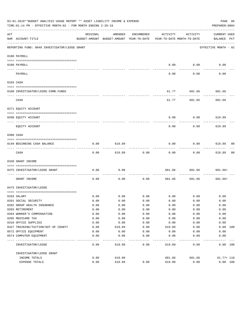|          | 03-01-2019**BUDGET ANALYSIS USAGE REPORT ** ASSET LIABILITY INCOME & EXPENSE<br>PAGE 86<br>TIME:01:14 PM - EFFECTIVE MONTH:02 - FOR MONTH ENDING 2-28-19<br>PREPARER: 0004 |          |                                                     |            |                                        |             |                             |  |  |  |  |
|----------|----------------------------------------------------------------------------------------------------------------------------------------------------------------------------|----------|-----------------------------------------------------|------------|----------------------------------------|-------------|-----------------------------|--|--|--|--|
| ACT      | NUM ACCOUNT-TITLE                                                                                                                                                          | ORIGINAL | AMENDED<br>BUDGET-AMOUNT BUDGET-AMOUNT YEAR-TO-DATE | ENCUMBERED | ACTIVITY<br>YEAR-TO-DATE MONTH-TO-DATE | ACTIVITY    | CURRENT USED<br>BALANCE PCT |  |  |  |  |
|          | REPORTING FUND: 0049 INVESTIGATOR/LEOSE GRANT                                                                                                                              |          |                                                     |            |                                        |             | EFFECTIVE MONTH - 02        |  |  |  |  |
|          | 0100 PAYROLL                                                                                                                                                               |          |                                                     |            |                                        |             |                             |  |  |  |  |
|          | 0100 PAYROLL                                                                                                                                                               |          |                                                     |            | 0.00                                   | 0.00        | 0.00                        |  |  |  |  |
| ---- --- | PAYROLL                                                                                                                                                                    |          |                                                     |            | 0.00                                   | 0.00        | 0.00                        |  |  |  |  |
|          | 0103 CASH                                                                                                                                                                  |          |                                                     |            |                                        |             |                             |  |  |  |  |
|          | 0100 INVESTIGATOR/LEOSE-COMB.FUNDS                                                                                                                                         |          |                                                     |            | 61.77                                  | 681.66      | 681.66                      |  |  |  |  |
|          | CASH                                                                                                                                                                       |          |                                                     |            | 61.77                                  | 681.66      | 681.66                      |  |  |  |  |
|          | 0271 EQUITY ACCOUNT                                                                                                                                                        |          |                                                     |            |                                        |             |                             |  |  |  |  |
|          | 0200 EQUITY ACCOUNT                                                                                                                                                        |          |                                                     |            | 0.00                                   | 0.00        | 619.89                      |  |  |  |  |
|          | EOUITY ACCOUNT                                                                                                                                                             |          |                                                     |            | 0.00                                   | 0.00        | 619.89                      |  |  |  |  |
|          | 0300 CASH                                                                                                                                                                  |          |                                                     |            |                                        |             |                             |  |  |  |  |
|          | 0149 BEGINNING CASH BALANCE                                                                                                                                                | 0.00     | 619.89                                              |            | 0.00                                   | 0.00        | 619.89 00                   |  |  |  |  |
|          | CASH                                                                                                                                                                       | 0.00     | 619.89                                              | 0.00       | 0.00                                   | 0.00        | 619.89<br>00                |  |  |  |  |
|          | 0330 GRANT INCOME                                                                                                                                                          |          |                                                     |            |                                        |             |                             |  |  |  |  |
|          | 0475 INVESTIGATOR/LEOSE GRANT                                                                                                                                              | 0.00     | 0.00                                                |            | 681.66                                 | 681.66      | 681.66+                     |  |  |  |  |
|          | GRANT INCOME                                                                                                                                                               | 0.00     | 0.00                                                | 0.00       | 681.66                                 | 681.66      | 681.66+                     |  |  |  |  |
|          | 0475 INVESTIGATOR/LEOSE                                                                                                                                                    |          |                                                     |            |                                        |             |                             |  |  |  |  |
|          |                                                                                                                                                                            |          |                                                     |            |                                        |             |                             |  |  |  |  |
|          | 0103 SALARY                                                                                                                                                                | 0.00     | 0.00                                                | 0.00       |                                        | $0.00$ 0.00 | 0.00                        |  |  |  |  |
|          | 0201 SOCIAL SECURITY                                                                                                                                                       | 0.00     | 0.00                                                | 0.00       | 0.00                                   | 0.00        | 0.00                        |  |  |  |  |
|          | 0202 GROUP HEALTH INSURANCE                                                                                                                                                | 0.00     | 0.00                                                | 0.00       | 0.00                                   | 0.00        | 0.00                        |  |  |  |  |
|          | 0203 RETIREMENT                                                                                                                                                            | 0.00     | 0.00                                                | 0.00       | 0.00                                   | 0.00        | 0.00                        |  |  |  |  |
|          | 0204 WORKER'S COMPENSATION                                                                                                                                                 | 0.00     | 0.00                                                | 0.00       | 0.00                                   | 0.00        | 0.00                        |  |  |  |  |
|          | 0205 MEDICARE TAX                                                                                                                                                          | 0.00     | 0.00                                                | 0.00       | 0.00                                   | 0.00        | 0.00                        |  |  |  |  |
|          | 0310 OFFICE SUPPLIES                                                                                                                                                       | 0.00     | 0.00                                                | 0.00       | 0.00                                   | 0.00        | 0.00                        |  |  |  |  |
|          | 0427 TRAINING/TUITION/OUT OF COUNTY                                                                                                                                        | 0.00     | 619.89                                              | 0.00       | 619.89                                 | 0.00        | 0.00<br>100                 |  |  |  |  |
|          | 0572 OFFICE EQUIPMENT                                                                                                                                                      | 0.00     | 0.00                                                | 0.00       | 0.00                                   | 0.00        | 0.00                        |  |  |  |  |
|          | 0574 COMPUTER EQUIPMENT                                                                                                                                                    | 0.00     | 0.00                                                | 0.00       | 0.00                                   | 0.00        | 0.00                        |  |  |  |  |
|          | INVESTIGATOR/LEOSE                                                                                                                                                         | 0.00     | 619.89                                              | 0.00       | 619.89                                 | 0.00        | 0.00 100                    |  |  |  |  |
|          | INVESTIGATOR/LEOSE GRANT                                                                                                                                                   |          |                                                     |            |                                        |             |                             |  |  |  |  |
|          | INCOME TOTALS                                                                                                                                                              | 0.00     | 619.89                                              |            | 681.66                                 | 681.66      | $61.77 + 110$               |  |  |  |  |
|          | EXPENSE TOTALS                                                                                                                                                             | 0.00     | 619.89                                              | 0.00       | 619.89                                 | 0.00        | 0.00 100                    |  |  |  |  |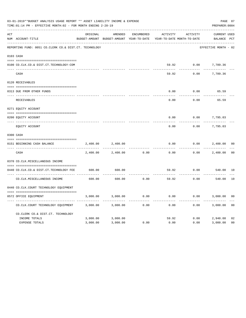|     | 03-01-2019**BUDGET ANALYSIS USAGE REPORT ** ASSET LIABILITY INCOME & EXPENSE<br>TIME: 01:14 PM - EFFECTIVE MONTH: 02 - FOR MONTH ENDING 2-28-19 |          |                                                     |                   |                                        |          | PAGE 87<br>PREPARER: 0004          |                |
|-----|-------------------------------------------------------------------------------------------------------------------------------------------------|----------|-----------------------------------------------------|-------------------|----------------------------------------|----------|------------------------------------|----------------|
| ACT | NUM ACCOUNT-TITLE                                                                                                                               | ORIGINAL | AMENDED<br>BUDGET-AMOUNT BUDGET-AMOUNT YEAR-TO-DATE | <b>ENCUMBERED</b> | ACTIVITY<br>YEAR-TO-DATE MONTH-TO-DATE | ACTIVITY | <b>CURRENT USED</b><br>BALANCE PCT |                |
|     | REPORTING FUND: 0051 CO.CLERK CO.& DIST.CT. TECHNOLOGY                                                                                          |          |                                                     |                   |                                        |          | EFFECTIVE MONTH - 02               |                |
|     | 0103 CASH                                                                                                                                       |          |                                                     |                   |                                        |          |                                    |                |
|     | 0100 CO.CLK.CO.& DIST.CT.TECHNOLOGY-COM                                                                                                         |          |                                                     |                   | 59.92                                  | 0.00     | 7,789.36                           |                |
|     | CASH                                                                                                                                            |          |                                                     |                   | 59.92                                  | 0.00     | 7,789.36                           |                |
|     | 0120 RECEIVABLES                                                                                                                                |          |                                                     |                   |                                        |          |                                    |                |
|     | 0313 DUE FROM OTHER FUNDS                                                                                                                       |          |                                                     |                   | 0.00                                   | 0.00     | 65.59                              |                |
|     | RECEIVABLES                                                                                                                                     |          |                                                     |                   | 0.00                                   | 0.00     | 65.59                              |                |
|     | 0271 EQUITY ACCOUNT                                                                                                                             |          |                                                     |                   |                                        |          |                                    |                |
|     | 0200 EQUITY ACCOUNT                                                                                                                             |          |                                                     |                   | 0.00                                   | 0.00     | 7,795.03                           |                |
|     | ---- ------------<br>EQUITY ACCOUNT                                                                                                             |          |                                                     |                   | 0.00                                   | 0.00     | 7,795.03                           |                |
|     | 0300 CASH                                                                                                                                       |          |                                                     |                   |                                        |          |                                    |                |
|     | 0151 BEGINNING CASH BALANCE                                                                                                                     | 2,400.00 | 2,400.00                                            |                   | 0.00                                   | 0.00     | 2,400.00                           | 0 <sup>0</sup> |
|     | CASH                                                                                                                                            | 2,400.00 | 2,400.00                                            | 0.00              | 0.00                                   | 0.00     | 2,400.00                           | 0 <sup>0</sup> |
|     | 0370 CO.CLK.MISCELLANEOUS INCOME                                                                                                                |          |                                                     |                   |                                        |          |                                    |                |
|     | 0440 CO.CLK.CO.& DIST.CT.TECHNOLOGY FEE                                                                                                         | 600.00   | 600.00                                              |                   | 59.92                                  | 0.00     | 540.08                             | 10             |
|     | CO. CLK. MISCELLANEOUS INCOME                                                                                                                   | 600.00   | 600.00                                              | 0.00              | 59.92                                  | 0.00     | 540.08                             | 10             |
|     | 0440 CO.CLK.COURT TECHNOLOGY EQUIPMENT                                                                                                          |          |                                                     |                   |                                        |          |                                    |                |
|     | 0572 OFFICE EOUIPMENT                                                                                                                           | 3,000.00 | 3,000.00                                            | 0.00              | 0.00                                   | 0.00     | 3,000.00                           | 0 <sub>0</sub> |
|     | CO.CLK.COURT TECHNOLOGY EQUIPMENT                                                                                                               | 3,000.00 | 3,000.00                                            | 0.00              | 0.00                                   | 0.00     | 3,000.00                           | 0 <sub>0</sub> |
|     | CO.CLERK CO.& DIST.CT. TECHNOLOGY                                                                                                               |          |                                                     |                   |                                        |          |                                    |                |
|     | INCOME TOTALS                                                                                                                                   | 3,000.00 | 3,000.00                                            |                   | 59.92                                  | 0.00     | 2,940.08                           | 02             |
|     | <b>EXPENSE TOTALS</b>                                                                                                                           | 3,000.00 | 3,000.00                                            | 0.00              | 0.00                                   | 0.00     | 3,000.00                           | 0 <sub>0</sub> |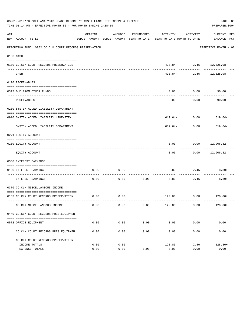|     | 03-01-2019**BUDGET ANALYSIS USAGE REPORT ** ASSET LIABILITY INCOME & EXPENSE<br>TIME: 01:14 PM - EFFECTIVE MONTH: 02 - FOR MONTH ENDING 2-28-19 |              |              |                       |                                                                                 |                           | PAGE 88<br>PREPARER: 0004   |
|-----|-------------------------------------------------------------------------------------------------------------------------------------------------|--------------|--------------|-----------------------|---------------------------------------------------------------------------------|---------------------------|-----------------------------|
| ACT | NUM ACCOUNT-TITLE                                                                                                                               | ORIGINAL     | AMENDED      | ENCUMBERED            | ACTIVITY<br>BUDGET-AMOUNT BUDGET-AMOUNT YEAR-TO-DATE YEAR-TO-DATE MONTH-TO-DATE | ACTIVITY                  | CURRENT USED<br>BALANCE PCT |
|     | REPORTING FUND: 0052 CO.CLK.COURT RECORDS PRESERVATION                                                                                          |              |              |                       |                                                                                 |                           | EFFECTIVE MONTH - 02        |
|     | 0103 CASH                                                                                                                                       |              |              |                       |                                                                                 |                           |                             |
|     | 0100 CO.CLK.COURT RECORDS PRESERVATION-                                                                                                         |              |              |                       |                                                                                 | $490.84 - 2.46$ 12,325.98 |                             |
|     | CASH                                                                                                                                            |              |              |                       |                                                                                 | 490.84- 2.46 12,325.98    | $- - - - - - -$             |
|     | 0120 RECEIVABLES                                                                                                                                |              |              |                       |                                                                                 |                           |                             |
|     | 0313 DUE FROM OTHER FUNDS                                                                                                                       |              |              |                       | 0.00                                                                            | 0.00                      | 90.00                       |
|     | <b>RECEIVABLES</b>                                                                                                                              |              |              |                       | 0.00                                                                            | ---------<br>0.00         | 90.00                       |
|     | 0200 SYSTEM ADDED LIABILITY DEPARTMENT                                                                                                          |              |              |                       |                                                                                 |                           |                             |
|     | 0910 SYSTEM ADDED LIABILITY LINE-ITEM                                                                                                           |              |              |                       |                                                                                 |                           | $619.64 - 0.00$ $619.64 -$  |
|     | SYSTEM ADDED LIABILITY DEPARTMENT                                                                                                               |              |              |                       | 619.64-                                                                         | 0.00                      | 619.64-                     |
|     | 0271 EQUITY ACCOUNT                                                                                                                             |              |              |                       |                                                                                 |                           |                             |
|     | 0200 EQUITY ACCOUNT                                                                                                                             |              |              |                       | 0.00                                                                            | $0.00$ 12,906.82          |                             |
|     | EQUITY ACCOUNT                                                                                                                                  |              |              |                       | 0.00                                                                            |                           | $0.00$ 12,906.82            |
|     | 0360 INTEREST EARNINGS                                                                                                                          |              |              |                       |                                                                                 |                           |                             |
|     | 0100 INTEREST EARNINGS                                                                                                                          | 0.00         | 0.00         |                       | 8.80                                                                            | 2.46                      | $8.80+$                     |
|     | ------------------ ---<br>INTEREST EARNINGS                                                                                                     | 0.00         | 0.00         | 0.00                  | 8.80                                                                            | 2.46                      | $8.80+$                     |
|     | 0370 CO.CLK.MISCELLANEOUS INCOME                                                                                                                |              |              |                       |                                                                                 |                           |                             |
|     | 0133 CO.CLK.COURT RECORDS PRESERVATION                                                                                                          | 0.00         | 0.00         |                       |                                                                                 |                           | $120.00$ 0.00 $120.00+$     |
|     | CO. CLK. MISCELLANEOUS INCOME                                                                                                                   | 0.00         | 0.00         | 0.00                  | 120.00                                                                          | 0.00                      | $120.00+$                   |
|     | 0449 CO.CLK.COURT RECORDS PRES.EQUIPMEN                                                                                                         |              |              |                       |                                                                                 |                           |                             |
|     | 0572 OFFICE EQUIPMENT                                                                                                                           | 0.00         | 0.00         | 0.00                  | 0.00                                                                            | 0.00                      | 0.00                        |
|     | CO. CLK. COURT RECORDS PRES. EQUIPMEN                                                                                                           | 0.00         | 0.00         | -------------<br>0.00 | 0.00                                                                            | 0.00                      | 0.00                        |
|     | CO. CLK. COURT RECORDS PRESERVATION                                                                                                             |              |              |                       |                                                                                 |                           |                             |
|     | INCOME TOTALS                                                                                                                                   | 0.00<br>0.00 | 0.00<br>0.00 | 0.00                  | 128.80<br>0.00                                                                  | 2.46<br>0.00              | $128.80+$<br>0.00           |
|     | EXPENSE TOTALS                                                                                                                                  |              |              |                       |                                                                                 |                           |                             |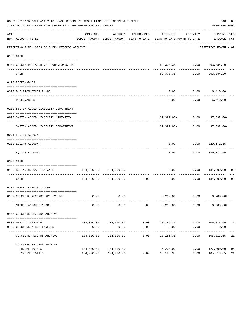|     | 03-01-2019**BUDGET ANALYSIS USAGE REPORT ** ASSET LIABILITY INCOME & EXPENSE<br>PAGE 89<br>TIME: 01:14 PM - EFFECTIVE MONTH: 02 - FOR MONTH ENDING 2-28-19<br>PREPARER: 0004 |            |                               |                      |                                                                                 |                      |                                                   |    |  |  |  |  |
|-----|------------------------------------------------------------------------------------------------------------------------------------------------------------------------------|------------|-------------------------------|----------------------|---------------------------------------------------------------------------------|----------------------|---------------------------------------------------|----|--|--|--|--|
| ACT | NUM ACCOUNT-TITLE                                                                                                                                                            | ORIGINAL   | AMENDED                       | ENCUMBERED           | ACTIVITY<br>BUDGET-AMOUNT BUDGET-AMOUNT YEAR-TO-DATE YEAR-TO-DATE MONTH-TO-DATE | ACTIVITY             | CURRENT USED<br>BALANCE PCT                       |    |  |  |  |  |
|     | REPORTING FUND: 0053 CO.CLERK RECORDS ARCHIVE                                                                                                                                |            |                               |                      |                                                                                 |                      | EFFECTIVE MONTH - 02                              |    |  |  |  |  |
|     | 0103 CASH                                                                                                                                                                    |            |                               |                      |                                                                                 |                      |                                                   |    |  |  |  |  |
|     | 0100 CO.CLK.REC.ARCHIVE -COMB.FUNDS CKI                                                                                                                                      |            |                               |                      |                                                                                 |                      | $59,378.35 - 0.00$ 263,384.20                     |    |  |  |  |  |
|     | CASH                                                                                                                                                                         |            |                               |                      |                                                                                 |                      | -----------<br>59,378.35- 0.00 263,384.20         |    |  |  |  |  |
|     | 0120 RECEIVABLES                                                                                                                                                             |            |                               |                      |                                                                                 |                      |                                                   |    |  |  |  |  |
|     | 0313 DUE FROM OTHER FUNDS                                                                                                                                                    |            |                               |                      | 0.00                                                                            |                      | $0.00$ 6,410.00                                   |    |  |  |  |  |
|     | RECEIVABLES                                                                                                                                                                  |            |                               |                      | 0.00                                                                            |                      | --------------<br>$0.00$ 6,410.00                 |    |  |  |  |  |
|     | 0200 SYSTEM ADDED LIABILITY DEPARTMENT                                                                                                                                       |            |                               |                      |                                                                                 |                      |                                                   |    |  |  |  |  |
|     | 0910 SYSTEM ADDED LIABILITY LINE-ITEM                                                                                                                                        |            |                               |                      |                                                                                 |                      | $37,392.00 - 0.00$ $37,392.00 -$                  |    |  |  |  |  |
|     | SYSTEM ADDED LIABILITY DEPARTMENT                                                                                                                                            |            |                               |                      |                                                                                 |                      | -------------<br>$37,392.00 - 0.00$ $37,392.00 -$ |    |  |  |  |  |
|     | 0271 EQUITY ACCOUNT                                                                                                                                                          |            |                               |                      |                                                                                 |                      |                                                   |    |  |  |  |  |
|     | 0200 EQUITY ACCOUNT                                                                                                                                                          |            |                               |                      |                                                                                 |                      | $0.00$ $0.00$ $329,172.55$                        |    |  |  |  |  |
|     | EQUITY ACCOUNT                                                                                                                                                               |            |                               |                      | ----------<br>0.00                                                              |                      | $0.00$ 329,172.55                                 |    |  |  |  |  |
|     | 0300 CASH                                                                                                                                                                    |            |                               |                      |                                                                                 |                      |                                                   |    |  |  |  |  |
|     | 0153 BEGINNING CASH BALANCE                                                                                                                                                  |            | 134,000.00 134,000.00         |                      |                                                                                 |                      | $0.00$ $0.00$ $134,000.00$ 00                     |    |  |  |  |  |
|     | CASH                                                                                                                                                                         |            | 134,000.00 134,000.00 0.00    |                      | 0.00                                                                            |                      | $0.00$ $134,000.00$ 00                            |    |  |  |  |  |
|     | 0370 MISCELLANEOUS INCOME                                                                                                                                                    |            |                               |                      |                                                                                 |                      |                                                   |    |  |  |  |  |
|     | 0133 CO. CLERK RECORDS ARCHIVE FEE                                                                                                                                           |            | $0.00$ 0.00                   |                      |                                                                                 |                      | $6,200.00$ $0.00$ $6,200.00+$                     |    |  |  |  |  |
|     | MISCELLANEOUS INCOME                                                                                                                                                         | 0.00       | 0.00                          | 0.00                 | 6, 200.00                                                                       | 0.00                 | $6, 200.00+$                                      |    |  |  |  |  |
|     | 0403 CO. CLERK RECORDS ARCHIVE                                                                                                                                               |            |                               |                      |                                                                                 |                      |                                                   |    |  |  |  |  |
|     |                                                                                                                                                                              |            |                               |                      |                                                                                 |                      |                                                   |    |  |  |  |  |
|     | 0437 DIGITAL IMAGING<br>0490 CO. CLERK MISCELLANEOUS                                                                                                                         | 0.00       | 134,000.00 134,000.00<br>0.00 | 0.00                 | $0.00$ 28,186.35<br>0.00                                                        | 0.00                 | $0.00$ $105,813.65$ 21<br>0.00                    |    |  |  |  |  |
|     | CO. CLERK RECORDS ARCHIVE                                                                                                                                                    | 134,000.00 | -------------<br>134,000.00   | ------------<br>0.00 | ------------<br>28,186.35                                                       | ------------<br>0.00 | ------------<br>105,813.65                        | 21 |  |  |  |  |
|     | CO. CLERK RECORDS ARCHIVE                                                                                                                                                    |            |                               |                      |                                                                                 |                      |                                                   |    |  |  |  |  |
|     | INCOME TOTALS                                                                                                                                                                | 134,000.00 | 134,000.00                    |                      | 6,200.00                                                                        | 0.00                 | 127,800.00                                        | 05 |  |  |  |  |
|     | EXPENSE TOTALS                                                                                                                                                               |            | 134,000.00 134,000.00         | 0.00                 | 28,186.35                                                                       | 0.00                 | 105,813.65                                        | 21 |  |  |  |  |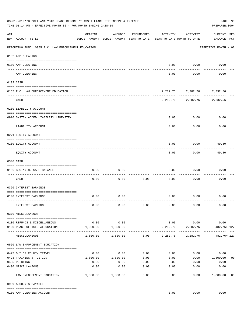|     | 03-01-2019**BUDGET ANALYSIS USAGE REPORT ** ASSET LIABILITY INCOME & EXPENSE<br>TIME:01:14 PM - EFFECTIVE MONTH:02 - FOR MONTH ENDING 2-28-19 |                    |                                                     |                       |                                        |                               | PAGE 90<br>PREPARER: 0004          |
|-----|-----------------------------------------------------------------------------------------------------------------------------------------------|--------------------|-----------------------------------------------------|-----------------------|----------------------------------------|-------------------------------|------------------------------------|
| ACT | NUM ACCOUNT-TITLE                                                                                                                             | ORIGINAL           | AMENDED<br>BUDGET-AMOUNT BUDGET-AMOUNT YEAR-TO-DATE | ENCUMBERED            | ACTIVITY<br>YEAR-TO-DATE MONTH-TO-DATE | ACTIVITY                      | <b>CURRENT USED</b><br>BALANCE PCT |
|     | REPORTING FUND: 0055 F.C. LAW ENFORCEMENT EDUCATION                                                                                           |                    |                                                     |                       |                                        |                               | EFFECTIVE MONTH - 02               |
|     | 0102 A/P CLEARING                                                                                                                             |                    |                                                     |                       |                                        |                               |                                    |
|     | 0100 A/P CLEARING<br>---- ---------                                                                                                           |                    |                                                     |                       | 0.00                                   | 0.00                          | 0.00                               |
|     | A/P CLEARING                                                                                                                                  |                    |                                                     |                       | 0.00                                   | 0.00                          | 0.00                               |
|     | 0103 CASH                                                                                                                                     |                    |                                                     |                       |                                        |                               |                                    |
|     | 0155 F.C. LAW ENFORCEMENT EDUCATION                                                                                                           |                    |                                                     |                       |                                        | 2, 282.76 2, 282.76 2, 332.56 |                                    |
|     | CASH                                                                                                                                          |                    |                                                     |                       | 2,282.76                               |                               | 2,282.76 2,332.56                  |
|     | 0200 LIABILITY ACCOUNT                                                                                                                        |                    |                                                     |                       |                                        |                               |                                    |
|     | 0910 SYSTEM ADDED LIABILITY LINE-ITEM                                                                                                         |                    |                                                     |                       | 0.00                                   | 0.00                          | 0.00                               |
|     |                                                                                                                                               |                    |                                                     |                       |                                        |                               |                                    |
|     | LIABILITY ACCOUNT                                                                                                                             |                    |                                                     |                       | 0.00                                   | 0.00                          | 0.00                               |
|     | 0271 EQUITY ACCOUNT                                                                                                                           |                    |                                                     |                       |                                        |                               |                                    |
|     | 0200 EQUITY ACCOUNT                                                                                                                           |                    |                                                     |                       | 0.00                                   | 0.00                          | 49.80                              |
|     | EQUITY ACCOUNT                                                                                                                                |                    |                                                     |                       | 0.00                                   | 0.00                          | 49.80                              |
|     | 0300 CASH                                                                                                                                     |                    |                                                     |                       |                                        |                               |                                    |
|     |                                                                                                                                               |                    |                                                     |                       |                                        |                               |                                    |
|     | 0156 BEGINNING CASH BALANCE                                                                                                                   | 0.00               | 0.00                                                |                       | 0.00                                   | 0.00                          | 0.00                               |
|     | -----------------------------<br>CASH                                                                                                         | 0.00               | 0.00                                                | 0.00                  | 0.00                                   | 0.00                          | 0.00                               |
|     | 0360 INTEREST EARNINGS                                                                                                                        |                    |                                                     |                       |                                        |                               |                                    |
|     | 0100 INTEREST EARNINGS                                                                                                                        | 0.00               | 0.00                                                |                       | 0.00                                   | 0.00                          | 0.00                               |
|     |                                                                                                                                               |                    |                                                     |                       |                                        |                               |                                    |
|     | INTEREST EARNINGS                                                                                                                             | 0.00               | 0.00                                                | 0.00                  | 0.00                                   | 0.00                          | 0.00                               |
|     | 0370 MISCELLANEOUS                                                                                                                            |                    |                                                     |                       |                                        |                               |                                    |
|     | 0130 REFUNDS & MISCELLANEOUS                                                                                                                  | 0.00               | 0.00                                                |                       |                                        | $0.00$ 0.00                   | 0.00                               |
|     | 0160 PEACE OFFICER ALLOCATION                                                                                                                 | 1,800.00           | 1,800.00                                            |                       |                                        | 2, 282.76 2, 282.76           | 482.76+ 127                        |
|     | MISCELLANEOUS                                                                                                                                 | 1,800.00           | 1,800.00                                            |                       | $0.00$ 2,282.76                        | 2,282.76                      | 482.76+ 127                        |
|     | 0560 LAW ENFORCEMENT EDUCATION                                                                                                                |                    |                                                     |                       |                                        |                               |                                    |
|     | 0427 OUT OF COUNTY TRAVEL                                                                                                                     | 0.00               | 0.00                                                | 0.00                  |                                        | $0.00$ 0.00                   | 0.00                               |
|     | 0428 TRAINING & TUITION                                                                                                                       |                    | 1,800.00    1,800.00                                | 0.00                  | 0.00                                   |                               | $0.00$ 1,800.00<br>0 <sub>0</sub>  |
|     | 0435 PRINTING                                                                                                                                 | 0.00               | 0.00                                                | 0.00                  | 0.00                                   | 0.00                          | 0.00                               |
|     | 0490 MISCELLANEOUS                                                                                                                            | 0.00<br>---------- | 0.00                                                | 0.00<br>$- - - - - -$ | 0.00<br>-------                        | 0.00<br>-------               | 0.00<br>---------                  |
|     | LAW ENFORCEMENT EDUCATION                                                                                                                     | 1,800.00           | 1,800.00                                            | 0.00                  | 0.00                                   | 0.00                          | 1,800.00<br>00                     |
|     | 0999 ACCOUNTS PAYABLE                                                                                                                         |                    |                                                     |                       |                                        |                               |                                    |
|     | 0100 A/P CLEARING ACCOUNT                                                                                                                     |                    |                                                     |                       | 0.00                                   | 0.00                          | 0.00                               |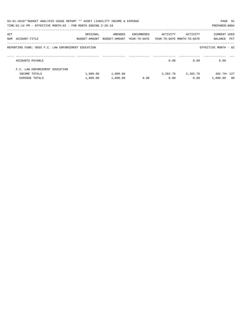|     | 03-01-2019**BUDGET ANALYSIS USAGE REPORT ** ASSET LIABILITY INCOME & EXPENSE<br>TIME: 01:14 PM - EFFECTIVE MONTH: 02 - FOR MONTH ENDING 2-28-19 |                                                                     |          |            |          |          | PAGE 91<br>PREPARER: 0004   |  |
|-----|-------------------------------------------------------------------------------------------------------------------------------------------------|---------------------------------------------------------------------|----------|------------|----------|----------|-----------------------------|--|
| ACT |                                                                                                                                                 | ORIGINAL                                                            | AMENDED  | ENCUMBERED | ACTIVITY | ACTIVITY | CURRENT USED                |  |
|     | NUM ACCOUNT-TITLE                                                                                                                               | BUDGET-AMOUNT BUDGET-AMOUNT YEAR-TO-DATE YEAR-TO-DATE_MONTH-TO-DATE |          |            |          |          | BALANCE PCT                 |  |
|     | REPORTING FUND: 0055 F.C. LAW ENFORCEMENT EDUCATION                                                                                             |                                                                     |          |            |          |          | EFFECTIVE MONTH - 02        |  |
|     | ACCOUNTS PAYABLE                                                                                                                                |                                                                     |          |            | 0.00     | 0.00     | 0.00                        |  |
|     | F.C. LAW ENFORCEMENT EDUCATION                                                                                                                  |                                                                     |          |            |          |          |                             |  |
|     | INCOME TOTALS                                                                                                                                   | 1,800.00                                                            | 1,800.00 |            | 2,282.76 | 2,282.76 | 482.76+ 127                 |  |
|     | EXPENSE TOTALS                                                                                                                                  | 1,800.00                                                            | 1,800.00 | 0.00       | 0.00     | 0.00     | 1,800.00<br>$\overline{00}$ |  |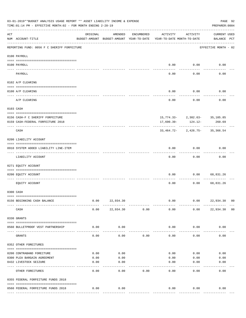|                    | 03-01-2019**BUDGET ANALYSIS USAGE REPORT ** ASSET LIABILITY INCOME & EXPENSE<br>PAGE 92<br>TIME: 01:14 PM - EFFECTIVE MONTH: 02 - FOR MONTH ENDING 2-28-19<br>PREPARER: 0004 |                                                      |               |            |                                        |                                                   |                                    |                |  |  |  |  |
|--------------------|------------------------------------------------------------------------------------------------------------------------------------------------------------------------------|------------------------------------------------------|---------------|------------|----------------------------------------|---------------------------------------------------|------------------------------------|----------------|--|--|--|--|
| $\mathop{\rm ACT}$ | NUM ACCOUNT-TITLE                                                                                                                                                            | ORIGINAL<br>BUDGET-AMOUNT BUDGET-AMOUNT YEAR-TO-DATE | AMENDED       | ENCUMBERED | ACTIVITY<br>YEAR-TO-DATE MONTH-TO-DATE | ACTIVITY                                          | <b>CURRENT USED</b><br>BALANCE PCT |                |  |  |  |  |
|                    | REPORTING FUND: 0056 F C SHERIFF FORFEITURE                                                                                                                                  |                                                      |               |            |                                        |                                                   | EFFECTIVE MONTH - 02               |                |  |  |  |  |
|                    | 0100 PAYROLL                                                                                                                                                                 |                                                      |               |            |                                        |                                                   |                                    |                |  |  |  |  |
| $- - - - - - - -$  | 0100 PAYROLL                                                                                                                                                                 |                                                      |               |            |                                        | $0.00$ 0.00                                       | 0.00                               |                |  |  |  |  |
|                    | PAYROLL                                                                                                                                                                      |                                                      |               |            | 0.00                                   | 0.00                                              | 0.00                               |                |  |  |  |  |
|                    | 0102 A/P CLEARING                                                                                                                                                            |                                                      |               |            |                                        |                                                   |                                    |                |  |  |  |  |
|                    | 0100 A/P CLEARING                                                                                                                                                            |                                                      |               |            | 0.00                                   | 0.00                                              | 0.00                               |                |  |  |  |  |
|                    | A/P CLEARING                                                                                                                                                                 |                                                      |               |            | 0.00                                   | 0.00                                              | 0.00                               |                |  |  |  |  |
|                    | 0103 CASH                                                                                                                                                                    |                                                      |               |            |                                        |                                                   |                                    |                |  |  |  |  |
|                    |                                                                                                                                                                              |                                                      |               |            |                                        |                                                   |                                    |                |  |  |  |  |
|                    | 0156 CASH-F C SHERIFF FORFEITURE<br>0159 CASH-FEDERAL FORFEITURE 2018                                                                                                        |                                                      |               |            | 17,690.39-                             | 15, 774. 33 - 2, 302. 63 - 35, 105. 85<br>124.12- | 260.69                             |                |  |  |  |  |
|                    |                                                                                                                                                                              |                                                      |               |            |                                        |                                                   |                                    |                |  |  |  |  |
|                    | CASH                                                                                                                                                                         |                                                      |               |            |                                        | $33,464.72 - 2,426.75 - 35,366.54$                |                                    |                |  |  |  |  |
|                    | 0200 LIABILITY ACCOUNT                                                                                                                                                       |                                                      |               |            |                                        |                                                   |                                    |                |  |  |  |  |
|                    | 0910 SYSTEM ADDED LIABILITY LINE-ITEM                                                                                                                                        |                                                      |               |            | 0.00                                   | 0.00                                              | 0.00                               |                |  |  |  |  |
|                    | LIABILITY ACCOUNT                                                                                                                                                            |                                                      |               |            | 0.00                                   | 0.00                                              | 0.00                               |                |  |  |  |  |
|                    | 0271 EQUITY ACCOUNT                                                                                                                                                          |                                                      |               |            |                                        |                                                   |                                    |                |  |  |  |  |
|                    | 0200 EQUITY ACCOUNT                                                                                                                                                          |                                                      |               |            | 0.00                                   | 0.00                                              | 68,831.26                          |                |  |  |  |  |
|                    | EQUITY ACCOUNT                                                                                                                                                               |                                                      |               |            | 0.00                                   | 0.00                                              | 68,831.26                          |                |  |  |  |  |
|                    | 0300 CASH                                                                                                                                                                    |                                                      |               |            |                                        |                                                   |                                    |                |  |  |  |  |
|                    | 0156 BEGINNING CASH BALANCE                                                                                                                                                  | 0.00                                                 | 22,934.30     |            | 0.00                                   | 0.00                                              | 22,934.30 00                       |                |  |  |  |  |
|                    | CASH                                                                                                                                                                         | 0.00                                                 | 22,934.30     | 0.00       | 0.00                                   | 0.00                                              | 22,934.30                          | 0 <sub>0</sub> |  |  |  |  |
|                    | 0330 GRANTS                                                                                                                                                                  |                                                      |               |            |                                        |                                                   |                                    |                |  |  |  |  |
|                    | 0560 BULLETPROOF VEST PARTNERSHIP                                                                                                                                            | 0.00                                                 | 0.00          |            | 0.00                                   | 0.00                                              | 0.00                               |                |  |  |  |  |
|                    | GRANTS                                                                                                                                                                       | 0.00                                                 | 0.00          | 0.00       | 0.00                                   | 0.00                                              | 0.00                               |                |  |  |  |  |
|                    | 0352 OTHER FOREITURES                                                                                                                                                        |                                                      |               |            |                                        |                                                   |                                    |                |  |  |  |  |
|                    |                                                                                                                                                                              |                                                      |               |            |                                        |                                                   |                                    |                |  |  |  |  |
|                    | 0200 CONTRABAND FOREITURE                                                                                                                                                    | 0.00                                                 | 0.00          |            | 0.00                                   | 0.00                                              | 0.00                               |                |  |  |  |  |
|                    | 0300 PLEA BARGAIN AGREEMENT                                                                                                                                                  | 0.00                                                 | 0.00          |            | 0.00                                   | 0.00                                              | 0.00                               |                |  |  |  |  |
|                    | 0432 LIVESTOCK SEIZURE                                                                                                                                                       | 0.00                                                 | 0.00<br>----- |            | 0.00                                   | 0.00                                              | 0.00                               |                |  |  |  |  |
|                    | OTHER FOREITURES                                                                                                                                                             | 0.00                                                 | 0.00          | 0.00       | 0.00                                   | 0.00                                              | 0.00                               |                |  |  |  |  |
|                    | 0355 FEDERAL FORFEITURE FUNDS 2018                                                                                                                                           |                                                      |               |            |                                        |                                                   |                                    |                |  |  |  |  |
|                    | 0560 FEDERAL FORFEITURE FUNDS 2018                                                                                                                                           | 0.00                                                 | 0.00          |            | 0.00                                   | 0.00                                              | 0.00                               |                |  |  |  |  |
|                    |                                                                                                                                                                              |                                                      |               |            |                                        | ------------                                      | -------------                      |                |  |  |  |  |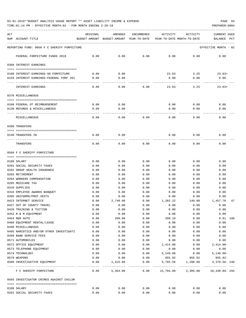TIME:01:14 PM - EFFECTIVE MONTH:02 - FOR MONTH ENDING 2-28-19 PREPARER:0004

| ACT<br>NUM ACCOUNT-TITLE                                                        | ORIGINAL     | AMENDED<br>BUDGET-AMOUNT BUDGET-AMOUNT YEAR-TO-DATE | ENCUMBERED           | ACTIVITY<br>YEAR-TO-DATE MONTH-TO-DATE | ACTIVITY     | <b>CURRENT USED</b><br>BALANCE<br>PCT |
|---------------------------------------------------------------------------------|--------------|-----------------------------------------------------|----------------------|----------------------------------------|--------------|---------------------------------------|
| REPORTING FUND: 0056 F C SHERIFF FORFEITURE                                     |              |                                                     |                      |                                        |              | EFFECTIVE MONTH - 02                  |
| FEDERAL FORFEITURE FUNDS 2018                                                   | 0.00         | 0.00                                                | 0.00                 | 0.00                                   | 0.00         | 0.00                                  |
| 0360 INTEREST EARNINGS                                                          |              |                                                     |                      |                                        |              |                                       |
|                                                                                 |              |                                                     |                      |                                        |              |                                       |
| 0100 INTEREST EARNINGS-SO FORFEITURE<br>0159 INTEREST EARNINGS-FEDERAL FORF 201 | 0.00<br>0.00 | 0.00<br>0.00                                        |                      | 23.63<br>0.00                          | 3.25<br>0.00 | $23.63+$<br>0.00                      |
|                                                                                 |              |                                                     |                      |                                        |              |                                       |
| INTEREST EARNINGS                                                               | 0.00         | 0.00                                                | 0.00                 | 23.63                                  | 3.25         | $23.63+$                              |
| 0370 MISCELLANEOUS                                                              |              |                                                     |                      |                                        |              |                                       |
| 0108 FEDERAL OT REIMBURSEMENT                                                   | 0.00         | 0.00                                                |                      | 0.00                                   | 0.00         | 0.00                                  |
| 0130 REFUNDS & MISCELLANEOUS                                                    | 0.00         | 0.00                                                |                      | 0.00                                   | 0.00         | 0.00                                  |
|                                                                                 |              | -----                                               |                      |                                        |              |                                       |
| MISCELLANEOUS                                                                   | 0.00         | 0.00                                                | 0.00                 | 0.00                                   | 0.00         | 0.00                                  |
| 0390 TRANSFERS                                                                  |              |                                                     |                      |                                        |              |                                       |
| 0140 TRANSFERS IN                                                               | 0.00         | 0.00                                                |                      | 0.00                                   | 0.00         | 0.00                                  |
|                                                                                 |              |                                                     |                      |                                        |              |                                       |
| TRANSFERS                                                                       | 0.00         | 0.00                                                | 0.00                 | 0.00                                   | 0.00         | 0.00                                  |
| 0560 F C SHERIFF FORFEITURE                                                     |              |                                                     |                      |                                        |              |                                       |
|                                                                                 |              |                                                     |                      |                                        |              |                                       |
| 0108 SALARY                                                                     | 0.00         | 0.00                                                | 0.00                 | 0.00                                   | 0.00         | 0.00                                  |
| 0201 SOCIAL SECURITY TAXES                                                      | 0.00         | 0.00                                                | 0.00                 | 0.00                                   | 0.00         | 0.00                                  |
| 0202 GROUP HEALTH INSURANCE<br>0203 RETIREMENT                                  | 0.00<br>0.00 | 0.00<br>0.00                                        | 0.00<br>0.00         | 0.00<br>0.00                           | 0.00<br>0.00 | 0.00<br>0.00                          |
| 0204 WORKERS COMPENSATION                                                       | 0.00         | 0.00                                                | 0.00                 | 0.00                                   | 0.00         | 0.00                                  |
| 0205 MEDICARE TAX                                                               | 0.00         | 0.00                                                | 0.00                 | 0.00                                   | 0.00         | 0.00                                  |
| 0310 SUPPLIES                                                                   | 0.00         | 0.00                                                | 0.00                 | 0.00                                   | 0.00         | 0.00                                  |
| 0316 EMPLOYEE AWARDS BANQUET                                                    | 0.00         | 0.00                                                | 0.00                 | 0.00                                   | 0.00         | 0.00                                  |
| 0395 UNIFORMS/PROT.VESTS                                                        | 0.00         | 0.00                                                | 0.00                 | 0.00                                   | 0.00         | 0.00                                  |
| 0423 INTERNET SERVICE                                                           | 0.00         | 2,740.00                                            | 0.00                 | 1,282.22                               | 149.08       | 1,457.78<br>47                        |
| 0427 OUT OF COUNTY TRAVEL                                                       | 0.00         | 0.00                                                | 0.00                 | 0.00                                   | 0.00         | 0.00                                  |
| 0428 TRAINING & TUITION                                                         | 0.00         | 0.00                                                | 0.00                 | 0.00                                   | 0.00         | 0.00                                  |
| 0452 R & M EQUIPMENT                                                            | 0.00         | 0.00                                                | 0.00                 | 0.00                                   | 0.00         | 0.00                                  |
| 0454 R&M AUTO                                                                   | 0.00         | 209.00                                              | 0.00                 | 208.19                                 | 0.00         | $0.81$ 100                            |
| 0460 EQUIPMENT RENTAL/LEASE                                                     | 0.00         | 0.00                                                | 0.00                 | 0.00                                   | 0.00         | 0.00                                  |
| 0490 MISCELLANEOUS                                                              | 0.00         | 0.00                                                | 0.00                 | 0.00                                   | 0.00         | 0.00                                  |
| 0495 NARCOTICS AND/OR OTHER INVESTIGATI                                         | 0.00         | 0.00                                                | 0.00                 | 0.00                                   | 0.00         | 0.00                                  |
| 0499 BANK SERVICE FEES                                                          | 0.00         | 0.00                                                | 0.00                 | 0.00                                   | 0.00         | 0.00                                  |
| 0571 AUTOMOBILES<br>0572 OFFICE EQUIPMENT                                       | 0.00<br>0.00 | 0.00<br>0.00                                        | 0.00<br>0.00         | 0.00<br>2,414.00                       | 0.00<br>0.00 | 0.00<br>$2,414.00-$                   |
| 0573 TELEPHONE EQUIPMENT                                                        | 0.00         | 0.00                                                | 0.00                 | 0.00                                   | 0.00         | 0.00                                  |
| 0574 TECHNOLOGY                                                                 | 0.00         | 0.00                                                | 0.00                 | 5,149.00                               | 0.00         | $5,149.00 -$                          |
| 0579 WEAPONS                                                                    | 0.00         | 0.00                                                | 0.00                 | 955.92                                 | 955.92       | 955.92-                               |
| 0580 INVESTIGATIVE EQUIPMENT                                                    | 0.00         | 2,415.00                                            | 0.00                 | 5,785.56                               | 1,200.00     | 3,370.56-240                          |
| F C SHERIFF FORFEITURE                                                          | 0.00         | -----------<br>5,364.00                             | ------------<br>0.00 |                                        |              | 15,794.89 2,305.00 10,430.89-294      |
| 0565 INVESTIGATOR CRIMES AGAINST CHILDR                                         |              |                                                     |                      |                                        |              |                                       |
| 0108 SALARY                                                                     | 0.00         | 0.00                                                | 0.00                 | 0.00                                   | 0.00         | 0.00                                  |
| 0201 SOCIAL SECURITY TAXES                                                      | 0.00         | 0.00                                                | 0.00                 | 0.00                                   | 0.00         | 0.00                                  |
|                                                                                 |              |                                                     |                      |                                        |              |                                       |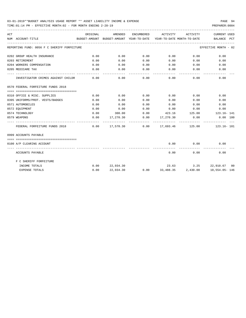TIME:01:14 PM - EFFECTIVE MONTH:02 - FOR MONTH ENDING 2-28-19 PREPARER:0004

| ACT |                                             | ORIGINAL | AMENDED          |              | ENCUMBERED ACTIVITY         |                           | ACTIVITY CURRENT USED                                                           |
|-----|---------------------------------------------|----------|------------------|--------------|-----------------------------|---------------------------|---------------------------------------------------------------------------------|
|     | NUM ACCOUNT-TITLE                           |          |                  |              |                             |                           | BUDGET-AMOUNT BUDGET-AMOUNT YEAR-TO-DATE YEAR-TO-DATE MONTH-TO-DATE BALANCE PCT |
|     | REPORTING FUND: 0056 F C SHERIFF FORFEITURE |          |                  |              |                             |                           | EFFECTIVE MONTH - 02                                                            |
|     | 0202 GROUP HEALTH INSURANCE                 | 0.00     | 0.00             | 0.00         | $0.00$ 0.00                 |                           | 0.00                                                                            |
|     | 0203 RETIREMENT                             | 0.00     | 0.00             | 0.00         | $0.00$ 0.00                 |                           | 0.00                                                                            |
|     | 0204 WORKERS COMPENSATION                   | 0.00     | 0.00             | 0.00         | 0.00                        | 0.00                      | 0.00                                                                            |
|     | 0205 MEDICARE TAX                           | 0.00     | 0.00             | 0.00         | $0.00$ 0.00                 |                           | 0.00                                                                            |
|     | INVESTIGATOR CRIMES AGAINST CHILDR          | 0.00     | 0.00             | 0.00         | -----------                 | ----------<br>$0.00$ 0.00 | 0.00                                                                            |
|     | 0570 FEDERAL FORFEITURE FUNDS 2018          |          |                  |              |                             |                           |                                                                                 |
|     |                                             |          |                  |              |                             |                           |                                                                                 |
|     | 0310 OFFICE & MISC. SUPPLIES                | 0.00     | 0.00             | 0.00         | 0.00                        | 0.00                      | 0.00                                                                            |
|     | 0395 UNIFORMS/PROT. VESTS/BADGES            | 0.00     | 0.00             | 0.00         | 0.00                        | 0.00                      | 0.00                                                                            |
|     | 0571 AUTOMOBILES                            | 0.00     | 0.00             | 0.00         | $0.00$ $0.00$ $0.00$ $0.00$ |                           |                                                                                 |
|     | 0572 EOUIPMENT                              | 0.00     | 0.00             | 0.00         | $0.00$ 0.00                 |                           | 0.00                                                                            |
|     | 0574 TECHNOLOGY                             | 0.00     | 300.00           | 0.00         |                             |                           | 423.16 125.00 123.16-141                                                        |
|     | 0579 WEAPONS                                | 0.00     | 17,270.30        |              | $0.00$ 17,270.30 0.00       |                           | $0.00$ 100                                                                      |
|     | FEDERAL FORFEITURE FUNDS 2018               |          |                  | ------------ | -------------               | -------------             | $0.00$ 17,570.30 0.00 17,693.46 125.00 123.16-101                               |
|     | 0999 ACCOUNTS PAYABLE                       |          |                  |              |                             |                           |                                                                                 |
|     |                                             |          |                  |              |                             |                           |                                                                                 |
|     | 0100 A/P CLEARING ACCOUNT                   |          |                  |              | 0.00                        | 0.00<br>------------      | 0.00                                                                            |
|     | ACCOUNTS PAYABLE                            |          |                  |              | 0.00                        | 0.00                      | 0.00                                                                            |
|     | F C SHERIFF FORFEITURE                      |          |                  |              |                             |                           |                                                                                 |
|     | INCOME TOTALS                               |          | $0.00$ 22,934.30 |              |                             |                           | $23.63$ $3.25$ $22,910.67$ 00                                                   |
|     | <b>EXPENSE TOTALS</b>                       | 0.00     | 22,934.30        |              |                             |                           | $0.00$ 33,488.35 2,430.00 10,554.05-146                                         |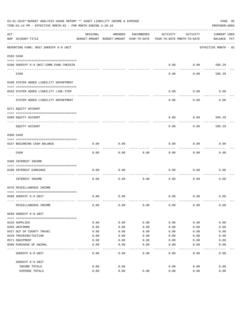|     | 03-01-2019**BUDGET ANALYSIS USAGE REPORT ** ASSET LIABILITY INCOME & EXPENSE<br>TIME: 01:14 PM - EFFECTIVE MONTH: 02 - FOR MONTH ENDING 2-28-19 |          |                                                     |            |                                        |          | PAGE 95<br>PREPARER: 0004   |
|-----|-------------------------------------------------------------------------------------------------------------------------------------------------|----------|-----------------------------------------------------|------------|----------------------------------------|----------|-----------------------------|
| ACT | NUM ACCOUNT-TITLE                                                                                                                               | ORIGINAL | AMENDED<br>BUDGET-AMOUNT BUDGET-AMOUNT YEAR-TO-DATE | ENCUMBERED | ACTIVITY<br>YEAR-TO-DATE MONTH-TO-DATE | ACTIVITY | CURRENT USED<br>BALANCE PCT |
|     | REPORTING FUND: 0057 SHERIFF K-9 UNIT                                                                                                           |          |                                                     |            |                                        |          | EFFECTIVE MONTH - 02        |
|     | 0103 CASH                                                                                                                                       |          |                                                     |            |                                        |          |                             |
|     | 0100 SHERIFF K-9 UNIT-COMB. FUND CHECKIN                                                                                                        |          |                                                     |            | 0.00                                   | 0.00     | 595.29                      |
|     | CASH                                                                                                                                            |          |                                                     |            | 0.00                                   | 0.00     | 595.29                      |
|     | 0200 SYSTEM ADDED LIABILITY DEPARTMENT                                                                                                          |          |                                                     |            |                                        |          |                             |
|     | 0910 SYSTEM ADDED LIABILITY LINE-ITEM                                                                                                           |          |                                                     |            | 0.00                                   | 0.00     | 0.00                        |
|     | SYSTEM ADDED LIABILITY DEPARTMENT                                                                                                               |          |                                                     |            | 0.00                                   | 0.00     | 0.00                        |
|     | 0271 EQUITY ACCOUNT                                                                                                                             |          |                                                     |            |                                        |          |                             |
|     | 0200 EQUITY ACCOUNT                                                                                                                             |          |                                                     |            | 0.00                                   | 0.00     | 595.29                      |
|     | EQUITY ACCOUNT                                                                                                                                  |          |                                                     |            | 0.00                                   | 0.00     | 595.29                      |
|     | 0300 CASH                                                                                                                                       |          |                                                     |            |                                        |          |                             |
|     | 0157 BEGINNING CASH BALANCE                                                                                                                     | 0.00     | 0.00                                                |            | 0.00                                   | 0.00     | 0.00                        |
|     | CASH                                                                                                                                            | 0.00     | 0.00                                                | 0.00       | 0.00                                   | 0.00     | 0.00                        |
|     | 0360 INTEREST INCOME                                                                                                                            |          |                                                     |            |                                        |          |                             |
|     | 0100 INTEREST EARNINGS                                                                                                                          | 0.00     | 0.00                                                |            | 0.00                                   | 0.00     | 0.00                        |
|     | INTEREST INCOME                                                                                                                                 | 0.00     | 0.00                                                | 0.00       | 0.00                                   | 0.00     | 0.00                        |
|     | 0370 MISCELLANEOUS INCOME                                                                                                                       |          |                                                     |            |                                        |          |                             |
|     | 0560 SHERIFF K-9 UNIT                                                                                                                           | 0.00     | 0.00                                                |            | 0.00                                   | 0.00     | 0.00                        |
|     | MISCELLANEOUS INCOME                                                                                                                            | 0.00     | 0.00                                                | 0.00       | 0.00                                   | 0.00     | 0.00                        |
|     | 0560 SHERIFF K-9 UNIT                                                                                                                           |          |                                                     |            |                                        |          |                             |
|     | 0310 SUPPLIES                                                                                                                                   | 0.00     | 0.00                                                | 0.00       | 0.00                                   | 0.00     | 0.00                        |
|     | 0395 UNIFORMS                                                                                                                                   | 0.00     | 0.00                                                | 0.00       | 0.00                                   | 0.00     | 0.00                        |
|     | 0427 OUT OF COUNTY TRAVEL                                                                                                                       | 0.00     | 0.00                                                | 0.00       | 0.00                                   | 0.00     | 0.00                        |
|     | 0428 TRAINING/TUITION                                                                                                                           | 0.00     | 0.00                                                | 0.00       | 0.00                                   | 0.00     | 0.00                        |
|     | 0571 EQUIPMENT                                                                                                                                  | 0.00     | 0.00                                                | 0.00       | 0.00                                   | 0.00     | 0.00                        |
|     | 0580 PURCHASE OF ANIMAL                                                                                                                         | 0.00     | 0.00                                                | 0.00       | 0.00                                   | 0.00     | 0.00                        |
|     | SHERIFF K-9 UNIT                                                                                                                                | 0.00     | 0.00                                                | 0.00       | 0.00                                   | 0.00     | 0.00                        |
|     | SHERIFF K-9 UNIT                                                                                                                                |          |                                                     |            |                                        |          |                             |
|     | INCOME TOTALS                                                                                                                                   | 0.00     | 0.00                                                |            | 0.00                                   | 0.00     | 0.00                        |
|     | EXPENSE TOTALS                                                                                                                                  | 0.00     | 0.00                                                | 0.00       | 0.00                                   | 0.00     | 0.00                        |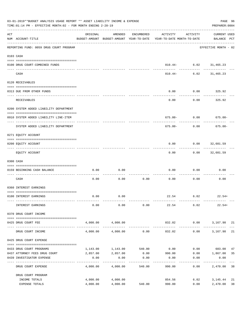|     | 03-01-2019**BUDGET ANALYSIS USAGE REPORT ** ASSET LIABILITY INCOME & EXPENSE<br>TIME: 01:14 PM - EFFECTIVE MONTH: 02 - FOR MONTH ENDING 2-28-19 |                      |                      |            |                                                                                 |                   |                                    |          |  |  |
|-----|-------------------------------------------------------------------------------------------------------------------------------------------------|----------------------|----------------------|------------|---------------------------------------------------------------------------------|-------------------|------------------------------------|----------|--|--|
| ACT | NUM ACCOUNT-TITLE                                                                                                                               | ORIGINAL             | AMENDED              | ENCUMBERED | ACTIVITY<br>BUDGET-AMOUNT BUDGET-AMOUNT YEAR-TO-DATE YEAR-TO-DATE MONTH-TO-DATE | ACTIVITY          | <b>CURRENT USED</b><br>BALANCE PCT |          |  |  |
|     | -----------------------------------<br>REPORTING FUND: 0059 DRUG COURT PROGRAM                                                                  |                      |                      |            |                                                                                 |                   | EFFECTIVE MONTH - 02               |          |  |  |
|     | 0103 CASH                                                                                                                                       |                      |                      |            |                                                                                 |                   |                                    |          |  |  |
|     | 0100 DRUG COURT-COMBINED FUNDS                                                                                                                  |                      |                      |            |                                                                                 | . <u>.</u> .      | 810.44- 6.02 31,465.23             |          |  |  |
|     | CASH                                                                                                                                            |                      |                      |            | 810.44-                                                                         | 6.02              | 31,465.23                          |          |  |  |
|     | 0120 RECEIVABLES                                                                                                                                |                      |                      |            |                                                                                 |                   |                                    |          |  |  |
|     | 0313 DUE FROM OTHER FUNDS                                                                                                                       |                      |                      |            | 0.00                                                                            | 0.00              | 325.92                             |          |  |  |
|     | RECEIVABLES                                                                                                                                     |                      |                      |            | 0.00                                                                            | 0.00              | 325.92                             |          |  |  |
|     | 0200 SYSTEM ADDED LIABILITY DEPARTMENT                                                                                                          |                      |                      |            |                                                                                 |                   |                                    |          |  |  |
|     | 0910 SYSTEM ADDED LIABILITY LINE-ITEM                                                                                                           |                      |                      |            | $675.00 - 0.00$                                                                 |                   | $675.00 -$                         |          |  |  |
|     | SYSTEM ADDED LIABILITY DEPARTMENT                                                                                                               |                      |                      |            | 675.00-                                                                         | 0.00              | $675.00 -$                         |          |  |  |
|     | 0271 EQUITY ACCOUNT                                                                                                                             |                      |                      |            |                                                                                 |                   |                                    |          |  |  |
|     | 0200 EQUITY ACCOUNT                                                                                                                             |                      |                      |            | 0.00                                                                            |                   | $0.00$ 32,601.59                   |          |  |  |
|     | EQUITY ACCOUNT                                                                                                                                  |                      |                      |            | 0.00                                                                            |                   | $0.00$ 32,601.59                   |          |  |  |
|     | 0300 CASH                                                                                                                                       |                      |                      |            |                                                                                 |                   |                                    |          |  |  |
|     | 0159 BEGINNING CASH BALANCE                                                                                                                     | 0.00                 | 0.00                 |            | 0.00                                                                            | 0.00              | 0.00                               |          |  |  |
|     | CASH                                                                                                                                            | 0.00                 | 0.00                 | 0.00       | 0.00                                                                            | 0.00              | 0.00                               |          |  |  |
|     | 0360 INTEREST EARNINGS                                                                                                                          |                      |                      |            |                                                                                 |                   |                                    |          |  |  |
|     | 0100 INTEREST EARNINGS                                                                                                                          | 0.00                 | 0.00                 |            |                                                                                 | 22.54 6.02        | $22.54+$                           |          |  |  |
|     | INTEREST EARNINGS                                                                                                                               | 0.00                 | 0.00                 | 0.00       | 22.54 6.02                                                                      |                   | $22.54+$                           |          |  |  |
|     | 0370 DRUG COURT INCOME                                                                                                                          |                      |                      |            |                                                                                 |                   |                                    |          |  |  |
|     | 0425 DRUG COURT FEE                                                                                                                             |                      | 4,000.00 4,000.00    |            |                                                                                 |                   | 832.02 0.00 3,167.98 21            |          |  |  |
|     | DRUG COURT INCOME                                                                                                                               | 4,000.00             | 4,000.00             | 0.00       | 832.02                                                                          |                   | --------------<br>$0.00$ 3,167.98  | 21       |  |  |
|     | 0425 DRUG COURT EXPENSE                                                                                                                         |                      |                      |            |                                                                                 |                   |                                    |          |  |  |
|     | 0433 DRUG COURT PROGRAMS                                                                                                                        |                      | 1,143.00 1,143.00    | 540.00     | 0.00                                                                            |                   | $0.00$ 603.00                      | 47       |  |  |
|     | 0437 ATTORNEY FEES DRUG COURT                                                                                                                   | 2,857.00             | 2,857.00             | 0.00       | 990.00                                                                          |                   | $0.00$ 1,867.00                    | 35       |  |  |
|     | 0439 INVESTIGATOR EXPENSE                                                                                                                       | 0.00<br>----------   | 0.00<br>. <u>.</u> . | 0.00       | 0.00<br>-------                                                                 | 0.00<br>--------- | 0.00                               |          |  |  |
|     | DRUG COURT EXPENSE                                                                                                                              | 4,000.00             | 4,000.00             | 540.00     | 990.00                                                                          | 0.00              | 2,470.00 38                        |          |  |  |
|     | DRUG COURT PROGRAM                                                                                                                              |                      |                      |            |                                                                                 |                   |                                    |          |  |  |
|     | INCOME TOTALS<br>EXPENSE TOTALS                                                                                                                 | 4,000.00<br>4,000.00 | 4,000.00<br>4,000.00 | 540.00     | 854.56<br>990.00                                                                | 6.02<br>0.00      | 3,145.44<br>2,470.00               | 21<br>38 |  |  |
|     |                                                                                                                                                 |                      |                      |            |                                                                                 |                   |                                    |          |  |  |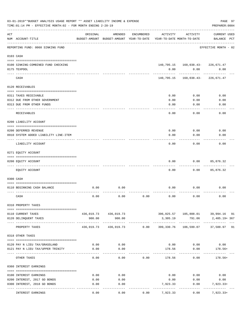|                    | 03-01-2019**BUDGET ANALYSIS USAGE REPORT ** ASSET LIABILITY INCOME & EXPENSE<br>TIME: 01:14 PM - EFFECTIVE MONTH: 02 - FOR MONTH ENDING 2-28-19 |                                                      |                                          |            |                                        |                                          | PAGE 97<br>PREPARER: 0004          |
|--------------------|-------------------------------------------------------------------------------------------------------------------------------------------------|------------------------------------------------------|------------------------------------------|------------|----------------------------------------|------------------------------------------|------------------------------------|
| $\mathop{\rm ACT}$ | NUM ACCOUNT-TITLE                                                                                                                               | ORIGINAL<br>BUDGET-AMOUNT BUDGET-AMOUNT YEAR-TO-DATE | AMENDED                                  | ENCUMBERED | ACTIVITY<br>YEAR-TO-DATE MONTH-TO-DATE | ACTIVITY                                 | <b>CURRENT USED</b><br>BALANCE PCT |
|                    | -----------------------<br>REPORTING FUND: 0060 SINKING FUND                                                                                    |                                                      |                                          |            |                                        |                                          | EFFECTIVE MONTH - 02               |
|                    | 0103 CASH                                                                                                                                       |                                                      |                                          |            |                                        |                                          |                                    |
|                    | 0100 SINKING-COMBINED FUND CHECKING                                                                                                             |                                                      |                                          |            |                                        | 140, 795.15   160, 038.43-   226, 671.47 |                                    |
|                    | 0175 TEXPOOL<br>---- ----                                                                                                                       |                                                      |                                          |            | 0.00<br>----------                     | 0.00<br>-----------                      | 0.00<br>------------               |
|                    | CASH                                                                                                                                            |                                                      |                                          |            |                                        | 140, 795.15   160, 038.43-   226, 671.47 |                                    |
|                    | 0120 RECEIVABLES                                                                                                                                |                                                      |                                          |            |                                        |                                          |                                    |
|                    | 0311 TAXES RECEIVABLE                                                                                                                           |                                                      |                                          |            | 0.00                                   | 0.00                                     | 0.00                               |
|                    | 0312 DUE FROM OTHER GOVERNMENT                                                                                                                  |                                                      |                                          |            | 0.00                                   | 0.00                                     | 0.00                               |
|                    | 0313 DUE FROM OTHER FUNDS                                                                                                                       |                                                      |                                          |            | 0.00                                   | 0.00                                     | 0.00                               |
|                    | RECEIVABLES                                                                                                                                     |                                                      |                                          |            | 0.00                                   | 0.00                                     | 0.00                               |
|                    | 0200 LIABILITY ACCOUNT                                                                                                                          |                                                      |                                          |            |                                        |                                          |                                    |
|                    | 0200 DEFERRED REVENUE                                                                                                                           |                                                      |                                          |            | 0.00                                   | 0.00                                     | 0.00                               |
|                    | 0910 SYSTEM ADDED LIABILITY LINE-ITEM                                                                                                           |                                                      |                                          |            | 0.00                                   | 0.00                                     | 0.00                               |
|                    | LIABILITY ACCOUNT                                                                                                                               |                                                      |                                          |            | 0.00                                   | 0.00                                     | 0.00                               |
|                    | 0271 EQUITY ACCOUNT                                                                                                                             |                                                      |                                          |            |                                        |                                          |                                    |
|                    | 0200 EQUITY ACCOUNT                                                                                                                             |                                                      |                                          |            | 0.00                                   | 0.00                                     | 85,876.32                          |
|                    | ---- --------------<br>EQUITY ACCOUNT                                                                                                           |                                                      |                                          |            | 0.00                                   | 0.00                                     | 85,876.32                          |
|                    | 0300 CASH                                                                                                                                       |                                                      |                                          |            |                                        |                                          |                                    |
|                    | 0110 BEGINNING CASH BALANCE                                                                                                                     | 0.00                                                 | 0.00                                     |            | 0.00                                   | 0.00                                     | 0.00                               |
|                    | CASH                                                                                                                                            | 0.00                                                 | 0.00                                     | 0.00       | 0.00                                   | 0.00                                     | 0.00                               |
|                    | 0310 PROPERTY TAXES                                                                                                                             |                                                      |                                          |            |                                        |                                          |                                    |
|                    | 0110 CURRENT TAXES                                                                                                                              |                                                      | 436,019.73 436,019.73                    |            |                                        |                                          |                                    |
|                    | 0120 DELINQUENT TAXES                                                                                                                           | 900.00                                               | 900.00                                   |            | 3,305.19                               | 791.06                                   | 2,405.19+ 367                      |
|                    | PROPERTY TAXES                                                                                                                                  | 436,919.73                                           | ----------- --------------<br>436,919.73 | 0.00       | -----------<br>399,330.76              | -----------                              | 106,599.07 37,588.97 91            |
|                    | 0318 OTHER TAXES                                                                                                                                |                                                      |                                          |            |                                        |                                          |                                    |
|                    |                                                                                                                                                 |                                                      |                                          |            |                                        |                                          |                                    |
|                    | 0120 PAY N LIEU TAX/GRASSLAND<br>0121 PAY N LIEU TAX/UPPER TRINITY                                                                              | 0.00                                                 | 0.00                                     |            |                                        | $0.00$ 0.00<br>0.00                      | 0.00                               |
|                    |                                                                                                                                                 | 0.00                                                 | 0.00                                     |            | 178.56                                 |                                          | 178.56+                            |
|                    | OTHER TAXES                                                                                                                                     | 0.00                                                 | 0.00                                     | 0.00       | 178.56                                 | 0.00                                     | $178.56+$                          |
|                    | 0360 INTEREST EARNINGS                                                                                                                          |                                                      |                                          |            |                                        |                                          |                                    |
|                    | 0100 INTEREST EARNINGS                                                                                                                          | 0.00                                                 | 0.00                                     |            | 0.00                                   | 0.00                                     | 0.00                               |
|                    | 0200 INTEREST, 2017 GO BONDS                                                                                                                    | 0.00                                                 | 0.00                                     |            | 0.00                                   | 0.00                                     | 0.00                               |
|                    | 0300 INTEREST, 2018 GO BONDS                                                                                                                    | 0.00                                                 | 0.00                                     |            | 7,923.33                               | 0.00                                     | 7,923.33+                          |
|                    | INTEREST EARNINGS                                                                                                                               | 0.00                                                 | 0.00                                     | 0.00       | 7,923.33                               | 0.00                                     | $7,923.33+$                        |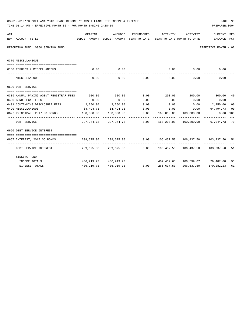|     | 03-01-2019**BUDGET ANALYSIS USAGE REPORT ** ASSET LIABILITY INCOME & EXPENSE<br>TIME: 01:14 PM - EFFECTIVE MONTH: 02 - FOR MONTH ENDING 2-28-19<br>PREPARER: 0004 |            |                       |             |                              |                                        |                                                                                                        |                |  |  |  |
|-----|-------------------------------------------------------------------------------------------------------------------------------------------------------------------|------------|-----------------------|-------------|------------------------------|----------------------------------------|--------------------------------------------------------------------------------------------------------|----------------|--|--|--|
| ACT | NUM ACCOUNT-TITLE                                                                                                                                                 | ORIGINAL   | AMENDED               |             | ENCUMBERED ACTIVITY ACTIVITY |                                        | <b>CURRENT USED</b><br>BUDGET-AMOUNT BUDGET-AMOUNT YEAR-TO-DATE YEAR-TO-DATE MONTH-TO-DATE BALANCE PCT |                |  |  |  |
|     | REPORTING FUND: 0060 SINKING FUND                                                                                                                                 |            |                       |             |                              |                                        | EFFECTIVE MONTH - 02                                                                                   |                |  |  |  |
|     | 0370 MISCELLANEOUS                                                                                                                                                |            |                       |             |                              |                                        |                                                                                                        |                |  |  |  |
|     | 0130 REFUNDS & MISCELLANEOUS                                                                                                                                      | 0.00       | 0.00                  |             |                              |                                        | $0.00$ $0.00$ $0.00$                                                                                   |                |  |  |  |
|     | MISCELLANEOUS                                                                                                                                                     | 0.00       |                       | $0.00$ 0.00 |                              | ____________<br>0.00<br>0.00           | 0.00                                                                                                   |                |  |  |  |
|     | 0620 DEBT SERVICE                                                                                                                                                 |            |                       |             |                              |                                        |                                                                                                        |                |  |  |  |
|     |                                                                                                                                                                   |            |                       |             |                              |                                        |                                                                                                        |                |  |  |  |
|     | 0309 ANNUAL PAYING AGENT REGISTRAR FEES                                                                                                                           |            |                       |             |                              |                                        | $500.00$ $500.00$ $0.00$ $200.00$ $200.00$ $300.00$                                                    | 40             |  |  |  |
|     | 0400 BOND LEGAL FEES                                                                                                                                              | 0.00       | 0.00                  | 0.00        | 0.00                         |                                        | $0.00$ 0.00                                                                                            |                |  |  |  |
|     | 0401 CONTINUING DISCLOSURE FEES 2,250.00 2,250.00 0.00                                                                                                            |            |                       |             | 0.00                         |                                        | $0.00$ 2,250.00                                                                                        | 0 <sup>0</sup> |  |  |  |
|     | 0490 MISCELLANEOUS                                                                                                                                                | 64,494.73  |                       |             |                              |                                        | 64,494.73   0.00   0.00   0.00   64,494.73   00                                                        |                |  |  |  |
|     | 0627 PRINCIPAL, 2017 GO BONDS 160,000.00                                                                                                                          |            | 160,000.00            | 0.00        | . _ _ _ _ _ _ _ _ _ _ _      | 160,000.00 160,000.00<br>------------- |                                                                                                        | 0.00 100       |  |  |  |
|     | DEBT SERVICE                                                                                                                                                      |            |                       |             |                              |                                        | 227, 244.73 227, 244.73 0.00 160, 200.00 160, 200.00 67, 044.73 70                                     |                |  |  |  |
|     | 0660 DEBT SERVICE INTEREST                                                                                                                                        |            |                       |             |                              |                                        |                                                                                                        |                |  |  |  |
|     | 0667 INTEREST, 2017 GO BONDS                                                                                                                                      |            |                       |             |                              |                                        | 209,675.00   209,675.00      0.00   106,437.50  106,437.50  103,237.50  51                             |                |  |  |  |
|     | DEBT SERVICE INTEREST                                                                                                                                             |            |                       |             |                              |                                        | 209,675.00 209,675.00         0.00         106,437.50         106,437.50         103,237.50         51 |                |  |  |  |
|     | SINKING FUND                                                                                                                                                      |            |                       |             |                              |                                        |                                                                                                        |                |  |  |  |
|     | INCOME TOTALS                                                                                                                                                     |            | 436,919.73 436,919.73 |             |                              |                                        | 407,432.65 106,599.07 29,487.08                                                                        | 93             |  |  |  |
|     | <b>EXPENSE TOTALS</b>                                                                                                                                             | 436,919.73 | 436,919.73            | 0.00        | 266,637.50                   | 266,637.50                             | 170,282.23                                                                                             | 61             |  |  |  |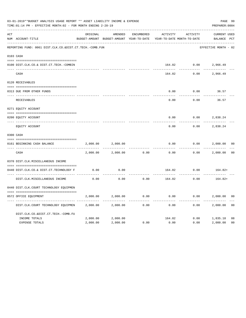|     | 03-01-2019**BUDGET ANALYSIS USAGE REPORT ** ASSET LIABILITY INCOME & EXPENSE<br>TIME: 01:14 PM - EFFECTIVE MONTH: 02 - FOR MONTH ENDING 2-28-19 |          |                                                     |                   |                                        |          | PAGE 99<br>PREPARER: 0004          |                |
|-----|-------------------------------------------------------------------------------------------------------------------------------------------------|----------|-----------------------------------------------------|-------------------|----------------------------------------|----------|------------------------------------|----------------|
| ACT | NUM ACCOUNT-TITLE                                                                                                                               | ORIGINAL | AMENDED<br>BUDGET-AMOUNT BUDGET-AMOUNT YEAR-TO-DATE | <b>ENCUMBERED</b> | ACTIVITY<br>YEAR-TO-DATE MONTH-TO-DATE | ACTIVITY | <b>CURRENT USED</b><br>BALANCE PCT |                |
|     | REPORTING FUND: 0061 DIST.CLK.CO.&DIST.CT.TECH.-COMB.FUN                                                                                        |          |                                                     |                   |                                        |          | EFFECTIVE MONTH - 02               |                |
|     | 0103 CASH                                                                                                                                       |          |                                                     |                   |                                        |          |                                    |                |
|     | 0100 DIST.CLK.CO.& DIST.CT.TECH.-COMBIN                                                                                                         |          |                                                     |                   | 164.82                                 | 0.00     | 2,966.49                           |                |
|     | CASH                                                                                                                                            |          |                                                     |                   | 164.82                                 | 0.00     | 2,966.49                           |                |
|     | 0120 RECEIVABLES                                                                                                                                |          |                                                     |                   |                                        |          |                                    |                |
|     | 0313 DUE FROM OTHER FUNDS                                                                                                                       |          |                                                     |                   | 0.00                                   | 0.00     | 36.57                              |                |
|     | RECEIVABLES                                                                                                                                     |          |                                                     |                   | 0.00                                   | 0.00     | 36.57                              |                |
|     | 0271 EQUITY ACCOUNT                                                                                                                             |          |                                                     |                   |                                        |          |                                    |                |
|     | 0200 EQUITY ACCOUNT                                                                                                                             |          |                                                     |                   | 0.00                                   | 0.00     | 2,838.24                           |                |
|     | ---- -----------<br>EQUITY ACCOUNT                                                                                                              |          |                                                     |                   | 0.00                                   | 0.00     | 2,838.24                           |                |
|     | 0300 CASH                                                                                                                                       |          |                                                     |                   |                                        |          |                                    |                |
|     | 0161 BEGINNING CASH BALANCE                                                                                                                     | 2,000.00 | 2,000.00                                            |                   | 0.00                                   | 0.00     | 2,000.00                           | 0 <sup>0</sup> |
|     | CASH                                                                                                                                            | 2,000.00 | 2,000.00                                            | 0.00              | 0.00                                   | 0.00     | 2,000.00                           | 0 <sup>0</sup> |
|     | 0370 DIST.CLK.MISCELLANEOUS INCOME                                                                                                              |          |                                                     |                   |                                        |          |                                    |                |
|     | 0440 DIST.CLK.CO.& DIST.CT.TECHNOLOGY F                                                                                                         | 0.00     | 0.00                                                |                   | 164.82                                 | 0.00     | $164.82+$                          |                |
|     | DIST.CLK.MISCELLANEOUS INCOME                                                                                                                   | 0.00     | 0.00                                                | 0.00              | 164.82                                 | 0.00     | $164.82+$                          |                |
|     | 0440 DIST.CLK.COURT TECHNOLOGY EQUIPMEN                                                                                                         |          |                                                     |                   |                                        |          |                                    |                |
|     | 0572 OFFICE EOUIPMENT                                                                                                                           | 2,000.00 | 2,000.00                                            | 0.00              | 0.00                                   | 0.00     | 2,000.00                           | 0 <sub>0</sub> |
|     | DIST.CLK.COURT TECHNOLOGY EQUIPMEN                                                                                                              | 2,000.00 | 2,000.00                                            | 0.00              | 0.00                                   | 0.00     | 2,000.00                           | 0 <sub>0</sub> |
|     | DIST.CLK.CO.&DIST.CT.TECH.-COMB.FU                                                                                                              |          |                                                     |                   |                                        |          |                                    |                |
|     | INCOME TOTALS                                                                                                                                   | 2,000.00 | 2,000.00                                            |                   | 164.82                                 | 0.00     | 1,835.18                           | 08             |
|     | <b>EXPENSE TOTALS</b>                                                                                                                           | 2,000.00 | 2,000.00                                            | 0.00              | 0.00                                   | 0.00     | 2,000.00                           | 0 <sub>0</sub> |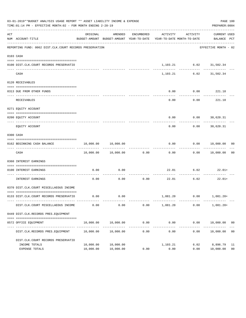|     | 03-01-2019**BUDGET ANALYSIS USAGE REPORT ** ASSET LIABILITY INCOME & EXPENSE<br>TIME: 01:14 PM - EFFECTIVE MONTH: 02 - FOR MONTH ENDING 2-28-19 |                        |                                |             |                      |                                     | PAGE 100<br>PREPARER: 0004                                                                      |                      |
|-----|-------------------------------------------------------------------------------------------------------------------------------------------------|------------------------|--------------------------------|-------------|----------------------|-------------------------------------|-------------------------------------------------------------------------------------------------|----------------------|
| ACT | NUM ACCOUNT-TITLE                                                                                                                               | ORIGINAL               | AMENDED                        | ENCUMBERED  |                      | ACTIVITY ACTIVITY                   | CURRENT USED<br>BUDGET-AMOUNT BUDGET-AMOUNT YEAR-TO-DATE YEAR-TO-DATE MONTH-TO-DATE BALANCE PCT |                      |
|     | REPORTING FUND: 0062 DIST.CLK.COURT RECORDS PRESERVATION                                                                                        |                        |                                |             |                      |                                     | EFFECTIVE MONTH - 02                                                                            |                      |
|     | 0103 CASH                                                                                                                                       |                        |                                |             |                      |                                     |                                                                                                 |                      |
|     | 0100 DIST.CLK.COURT RECORDS PRESERVATIO                                                                                                         |                        |                                |             |                      | 1,103.21 6.02 31,502.34             |                                                                                                 |                      |
|     | CASH                                                                                                                                            |                        |                                |             |                      | 1, 103. 21 6. 02 31, 502. 34        |                                                                                                 |                      |
|     | 0120 RECEIVABLES                                                                                                                                |                        |                                |             |                      |                                     |                                                                                                 |                      |
|     | 0313 DUE FROM OTHER FUNDS                                                                                                                       |                        |                                |             | 0.00                 | $0.00$ 221.18                       |                                                                                                 |                      |
|     | RECEIVABLES                                                                                                                                     |                        |                                |             | ---------<br>0.00    | ----------<br>$0.00$ 221.18         | -----------                                                                                     |                      |
|     | 0271 EQUITY ACCOUNT                                                                                                                             |                        |                                |             |                      |                                     |                                                                                                 |                      |
|     | 0200 EQUITY ACCOUNT                                                                                                                             |                        |                                |             |                      | $0.00$ $0.00$ $30,620.31$           |                                                                                                 |                      |
|     | EQUITY ACCOUNT                                                                                                                                  |                        |                                |             | 0.00                 |                                     | -----------<br>$0.00$ 30,620.31                                                                 |                      |
|     | 0300 CASH                                                                                                                                       |                        |                                |             |                      |                                     |                                                                                                 |                      |
|     | 0162 BEGINNING CASH BALANCE                                                                                                                     |                        | 10,000.00    10,000.00         |             |                      | -----------                         | $0.00$ $0.00$ $10,000.00$ 00                                                                    |                      |
|     | CASH                                                                                                                                            |                        | 10,000.00    10,000.00    0.00 |             |                      |                                     | . <u>.</u><br>$0.00$ $0.00$ $10,000.00$                                                         | 0 <sub>0</sub>       |
|     | 0360 INTEREST EARNINGS                                                                                                                          |                        |                                |             |                      |                                     |                                                                                                 |                      |
|     | 0100 INTEREST EARNINGS                                                                                                                          | 0.00                   | 0.00                           |             |                      | $22.01$ 6.02 22.01+                 |                                                                                                 |                      |
|     | ---- --------------<br>INTEREST EARNINGS                                                                                                        | 0.00                   |                                | $0.00$ 0.00 |                      | ------------<br>$22.01$ 6.02 22.01+ |                                                                                                 |                      |
|     | 0370 DIST.CLK.COURT MISCELLAEOUS INCOME                                                                                                         |                        |                                |             |                      |                                     |                                                                                                 |                      |
|     | 0133 DIST.CLK.COURT RECORDS PRESERVATIO                                                                                                         |                        | $0.00$ 0.00                    |             |                      | 1,081.20   0.00   1,081.20+         |                                                                                                 |                      |
|     | DIST.CLK.COURT MISCELLAEOUS INCOME                                                                                                              | 0.00                   | 0.00                           | 0.00        | 1,081.20             | 0.00                                | $1,081.20+$                                                                                     |                      |
|     | 0449 DIST.CLK.RECORDS PRES.EQUIPMENT                                                                                                            |                        |                                |             |                      |                                     |                                                                                                 |                      |
|     | 0572 OFFICE EQUIPMENT                                                                                                                           | 10,000.00              | 10,000.00                      | 0.00        | 0.00                 | 0.00                                | 10,000.00                                                                                       | 0 <sub>0</sub>       |
|     | DIST.CLK.RECORDS PRES.EQUIPMENT                                                                                                                 | 10,000.00              | 10,000.00                      | 0.00        | ------------<br>0.00 | ____________<br>0.00                | _____________<br>10,000.00                                                                      | 0 <sub>0</sub>       |
|     | DIST.CLK.COURT RECORDS PRESERVATIO                                                                                                              |                        |                                |             |                      |                                     |                                                                                                 |                      |
|     | INCOME TOTALS<br>EXPENSE TOTALS                                                                                                                 | 10,000.00<br>10,000.00 | 10,000.00<br>10,000.00         | 0.00        | 1,103.21<br>0.00     | 6.02<br>0.00                        | 8,896.79<br>10,000.00                                                                           | 11<br>0 <sub>0</sub> |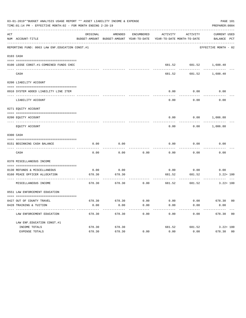|     | 03-01-2019**BUDGET ANALYSIS USAGE REPORT ** ASSET LIABILITY INCOME & EXPENSE<br>TIME:01:14 PM - EFFECTIVE MONTH:02 - FOR MONTH ENDING 2-28-19 |          |                                                                                            |            |                                        |                                                      | PREPARER: 0004             | PAGE 101 |
|-----|-----------------------------------------------------------------------------------------------------------------------------------------------|----------|--------------------------------------------------------------------------------------------|------------|----------------------------------------|------------------------------------------------------|----------------------------|----------|
| ACT | NUM ACCOUNT-TITLE                                                                                                                             | ORIGINAL | AMENDED<br>BUDGET-AMOUNT BUDGET-AMOUNT YEAR-TO-DATE YEAR-TO-DATE MONTH-TO-DATE BALANCE PCT | ENCUMBERED | ACTIVITY                               | ACTIVITY                                             | CURRENT USED               |          |
|     | REPORTING FUND: 0063 LAW ENF. EDUCATION CONST.#1                                                                                              |          |                                                                                            |            |                                        |                                                      | EFFECTIVE MONTH - 02       |          |
|     | 0103 CASH                                                                                                                                     |          |                                                                                            |            |                                        |                                                      |                            |          |
|     | 0100 LEOSE CONST.#1-COMBINED FUNDS CHEC                                                                                                       |          |                                                                                            |            |                                        | $681.52 \qquad \qquad 681.52 \qquad \qquad 1,688.40$ |                            |          |
|     | CASH                                                                                                                                          |          |                                                                                            |            | 681.52                                 |                                                      | 681.52 1,688.40            |          |
|     | 0200 LIABILITY ACCOUNT                                                                                                                        |          |                                                                                            |            |                                        |                                                      |                            |          |
|     | 0910 SYSTEM ADDED LIABILITY LINE ITEM                                                                                                         |          |                                                                                            |            | 0.00                                   | 0.00                                                 | 0.00                       |          |
|     | LIABILITY ACCOUNT                                                                                                                             |          |                                                                                            |            | 0.00                                   | 0.00                                                 | 0.00                       |          |
|     | 0271 EQUITY ACCOUNT                                                                                                                           |          |                                                                                            |            |                                        |                                                      |                            |          |
|     | 0200 EQUITY ACCOUNT                                                                                                                           |          |                                                                                            |            |                                        | $0.00$ $0.00$ $1,006.88$                             |                            |          |
|     | EQUITY ACCOUNT                                                                                                                                |          |                                                                                            |            | 0.00                                   |                                                      | $0.00$ 1,006.88            |          |
|     | 0300 CASH                                                                                                                                     |          |                                                                                            |            |                                        |                                                      |                            |          |
|     |                                                                                                                                               |          |                                                                                            |            |                                        |                                                      |                            |          |
|     | 0151 BEGINNING CASH BALANCE                                                                                                                   | 0.00     | 0.00                                                                                       |            | 0.00                                   | 0.00<br>.                                            | 0.00                       |          |
|     | CASH                                                                                                                                          | 0.00     | 0.00                                                                                       | 0.00       | 0.00                                   | 0.00                                                 | 0.00                       |          |
|     | 0370 MISCELLANEOUS INCOME                                                                                                                     |          |                                                                                            |            |                                        |                                                      |                            |          |
|     | 0130 REFUNDS & MISCELLANEOUS                                                                                                                  | 0.00     | 0.00                                                                                       |            |                                        | $0.00$ 0.00                                          | 0.00                       |          |
|     | 0160 PEACE OFFICER ALLOCATION                                                                                                                 | 678.30   | 678.30                                                                                     |            | 681.52<br>------------- -------------- | 681.52<br>------------                               | $3.22 + 100$<br>__________ |          |
|     | MISCELLANEOUS INCOME                                                                                                                          | 678.30   | 678.30                                                                                     |            |                                        | $0.00$ 681.52 681.52                                 | $3.22 + 100$               |          |
|     | 0551 LAW ENFORCEMENT EDUCATION                                                                                                                |          |                                                                                            |            |                                        |                                                      |                            |          |
|     | 0427 OUT OF COUNTY TRAVEL                                                                                                                     | 678.30   | 678.30                                                                                     | 0.00       | 0.00                                   | 0.00                                                 | 678.30 00                  |          |
|     | 0428 TRAINING & TUITION                                                                                                                       | 0.00     | 0.00                                                                                       | 0.00       | 0.00                                   | 0.00                                                 | 0.00                       |          |
|     | ---------------------------<br>LAW ENFORCEMENT EDUCATION                                                                                      | 678.30   | 678.30                                                                                     | 0.00       | 0.00                                   | 0.00                                                 | 678.30 00                  |          |
|     | LAW ENF. EDUCATION CONST. #1                                                                                                                  |          |                                                                                            |            |                                        |                                                      |                            |          |
|     | INCOME TOTALS                                                                                                                                 | 678.30   | 678.30                                                                                     |            | 681.52                                 | 681.52                                               | $3.22 + 100$               |          |
|     | EXPENSE TOTALS                                                                                                                                | 678.30   | 678.30                                                                                     | 0.00       | 0.00                                   | 0.00                                                 | 678.30 00                  |          |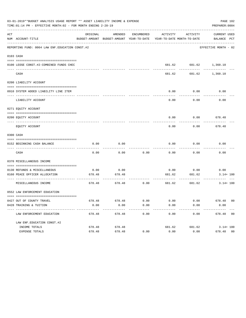|     | 03-01-2019**BUDGET ANALYSIS USAGE REPORT ** ASSET LIABILITY INCOME & EXPENSE<br>TIME: 01:14 PM - EFFECTIVE MONTH: 02 - FOR MONTH ENDING 2-28-19 |          |                           |      |        |                                      | PAGE 102<br>PREPARER: 0004                                                                      |
|-----|-------------------------------------------------------------------------------------------------------------------------------------------------|----------|---------------------------|------|--------|--------------------------------------|-------------------------------------------------------------------------------------------------|
| ACT | NUM ACCOUNT-TITLE                                                                                                                               | ORIGINAL |                           |      |        | AMENDED ENCUMBERED ACTIVITY ACTIVITY | CURRENT USED<br>BUDGET-AMOUNT BUDGET-AMOUNT YEAR-TO-DATE YEAR-TO-DATE MONTH-TO-DATE BALANCE PCT |
|     | REPORTING FUND: 0064 LAW ENF. EDUCATION CONST.#2                                                                                                |          |                           |      |        |                                      | EFFECTIVE MONTH - 02                                                                            |
|     | 0103 CASH                                                                                                                                       |          |                           |      |        |                                      |                                                                                                 |
|     | 0100 LEOSE CONST.#2-COMBINED FUNDS CHEC                                                                                                         |          |                           |      |        | 681.62 681.62 1,360.10<br>---------- |                                                                                                 |
|     | CASH                                                                                                                                            |          |                           |      |        | 681.62 681.62 1.360.10               |                                                                                                 |
|     | 0200 LIABILITY ACCOUNT                                                                                                                          |          |                           |      |        |                                      |                                                                                                 |
|     | 0910 SYSTEM ADDED LIABILITY LINE ITEM                                                                                                           |          |                           |      | 0.00   | 0.00<br>.                            | 0.00                                                                                            |
|     | LIABILITY ACCOUNT                                                                                                                               |          |                           |      | 0.00   | 0.00                                 | 0.00                                                                                            |
|     | 0271 EQUITY ACCOUNT                                                                                                                             |          |                           |      |        |                                      |                                                                                                 |
|     | 0200 EQUITY ACCOUNT                                                                                                                             |          |                           |      |        | $0.00$ $0.00$ $678.48$               |                                                                                                 |
|     | EQUITY ACCOUNT                                                                                                                                  |          |                           |      | 0.00   | 0.00                                 | 678.48                                                                                          |
|     | 0300 CASH                                                                                                                                       |          |                           |      |        |                                      |                                                                                                 |
|     | 0152 BEGINNING CASH BALANCE                                                                                                                     | 0.00     | 0.00                      |      | 0.00   | 0.00                                 | 0.00                                                                                            |
|     | CASH                                                                                                                                            | 0.00     | 0.00                      | 0.00 | 0.00   | 0.00                                 | 0.00                                                                                            |
|     | 0370 MISCELLANEOUS INCOME                                                                                                                       |          |                           |      |        |                                      |                                                                                                 |
|     | 0130 REFUNDS & MISCELLANEOUS                                                                                                                    | 0.00     | 0.00                      |      | 0.00   | 0.00                                 | 0.00                                                                                            |
|     | 0160 PEACE OFFICER ALLOCATION                                                                                                                   | 678.48   | 678.48<br>-----------     |      | 681.62 | 681.62<br>-------------              | $3.14 + 100$                                                                                    |
|     | MISCELLANEOUS INCOME                                                                                                                            |          | 678.48 678.48 0.00 681.62 |      |        |                                      | 681.62<br>$3.14 + 100$                                                                          |
|     | 0552 LAW ENFORCEMENT EDUCATION                                                                                                                  |          |                           |      |        |                                      |                                                                                                 |
|     | 0427 OUT OF COUNTY TRAVEL                                                                                                                       | 678.48   | 678.48                    | 0.00 | 0.00   | 0.00                                 | 678.48 00                                                                                       |
|     | 0428 TRAINING & TUITION                                                                                                                         | 0.00     | 0.00                      | 0.00 | 0.00   | 0.00                                 | 0.00                                                                                            |
|     | LAW ENFORCEMENT EDUCATION                                                                                                                       | 678.48   | 678.48                    | 0.00 | 0.00   | 0.00                                 | 678.48 00                                                                                       |
|     | LAW ENF. EDUCATION CONST. #2                                                                                                                    |          |                           |      |        |                                      |                                                                                                 |
|     | INCOME TOTALS                                                                                                                                   | 678.48   | 678.48                    |      | 681.62 | 681.62                               | $3.14 + 100$                                                                                    |
|     | EXPENSE TOTALS                                                                                                                                  | 678.48   | 678.48                    | 0.00 | 0.00   | 0.00                                 | 678.48 00                                                                                       |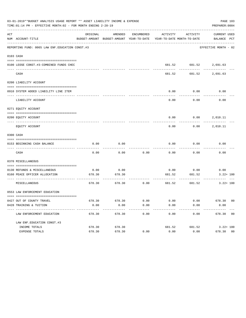|     | 03-01-2019**BUDGET ANALYSIS USAGE REPORT ** ASSET LIABILITY INCOME & EXPENSE<br>TIME: 01:14 PM - EFFECTIVE MONTH: 02 - FOR MONTH ENDING 2-28-19 |          |         |      |               |                                        | PAGE 103<br>PREPARER: 0004                                                                      |
|-----|-------------------------------------------------------------------------------------------------------------------------------------------------|----------|---------|------|---------------|----------------------------------------|-------------------------------------------------------------------------------------------------|
| ACT | NUM ACCOUNT-TITLE                                                                                                                               | ORIGINAL | AMENDED |      |               | ENCUMBERED ACTIVITY ACTIVITY           | CURRENT USED<br>BUDGET-AMOUNT BUDGET-AMOUNT YEAR-TO-DATE YEAR-TO-DATE MONTH-TO-DATE BALANCE PCT |
|     | REPORTING FUND: 0065 LAW ENF. EDUCATION CONST.#3                                                                                                |          |         |      |               |                                        | EFFECTIVE MONTH - 02                                                                            |
|     | 0103 CASH                                                                                                                                       |          |         |      |               |                                        |                                                                                                 |
|     |                                                                                                                                                 |          |         |      |               |                                        |                                                                                                 |
|     | 0100 LEOSE CONST.#3-COMBINED FUNDS CHEC                                                                                                         |          |         |      |               | 681.52 681.52 2,691.63<br>. <u>.</u> . | -----------                                                                                     |
|     | CASH                                                                                                                                            |          |         |      |               | 681.52 681.52 2,691.63                 |                                                                                                 |
|     | 0200 LIABILITY ACCOUNT                                                                                                                          |          |         |      |               |                                        |                                                                                                 |
|     |                                                                                                                                                 |          |         |      |               |                                        |                                                                                                 |
|     | 0910 SYSTEM ADDED LIABILITY LINE ITEM                                                                                                           |          |         |      | 0.00          | 0.00<br>.                              | 0.00                                                                                            |
|     | LIABILITY ACCOUNT                                                                                                                               |          |         |      | 0.00          | 0.00                                   | 0.00                                                                                            |
|     | 0271 EOUITY ACCOUNT                                                                                                                             |          |         |      |               |                                        |                                                                                                 |
|     | 0200 EQUITY ACCOUNT                                                                                                                             |          |         |      |               | $0.00$ $0.00$ $2,010.11$               |                                                                                                 |
|     | EQUITY ACCOUNT                                                                                                                                  |          |         |      | 0.00          |                                        | $0.00$ 2,010.11                                                                                 |
|     | 0300 CASH                                                                                                                                       |          |         |      |               |                                        |                                                                                                 |
|     |                                                                                                                                                 |          |         |      |               |                                        |                                                                                                 |
|     | 0153 BEGINNING CASH BALANCE                                                                                                                     | 0.00     | 0.00    |      | 0.00          | 0.00                                   | 0.00                                                                                            |
|     | CASH                                                                                                                                            | 0.00     | 0.00    | 0.00 | 0.00          | 0.00                                   | 0.00                                                                                            |
|     | 0370 MISCELLANEOUS                                                                                                                              |          |         |      |               |                                        |                                                                                                 |
|     | 0130 REFUNDS & MISCELLANEOUS                                                                                                                    | 0.00     | 0.00    |      | 0.00          | 0.00                                   | 0.00                                                                                            |
|     | 0160 PEACE OFFICER ALLOCATION                                                                                                                   | 678.30   | 678.30  |      | 681.52        | 681.52                                 | $3.22 + 100$                                                                                    |
|     | MISCELLANEOUS                                                                                                                                   | 678.30   | 678.30  |      | $0.00$ 681.52 | 681.52                                 | $3.22 + 100$                                                                                    |
|     | 0553 LAW ENFORCEMENT EDUCATION                                                                                                                  |          |         |      |               |                                        |                                                                                                 |
|     | 0427 OUT OF COUNTY TRAVEL                                                                                                                       | 678.30   | 678.30  | 0.00 | 0.00          | 0.00                                   | 678.30 00                                                                                       |
|     | 0428 TRAINING & TUITION                                                                                                                         | 0.00     | 0.00    | 0.00 | 0.00          | 0.00                                   | 0.00                                                                                            |
|     | LAW ENFORCEMENT EDUCATION                                                                                                                       | 678.30   | 678.30  | 0.00 | 0.00          | 0.00                                   | 678.30 00                                                                                       |
|     | LAW ENF. EDUCATION CONST. #3                                                                                                                    |          |         |      |               |                                        |                                                                                                 |
|     | INCOME TOTALS                                                                                                                                   | 678.30   | 678.30  |      | 681.52        | 681.52                                 | $3.22 + 100$                                                                                    |
|     | EXPENSE TOTALS                                                                                                                                  | 678.30   | 678.30  | 0.00 | 0.00          | 0.00                                   | 678.30 00                                                                                       |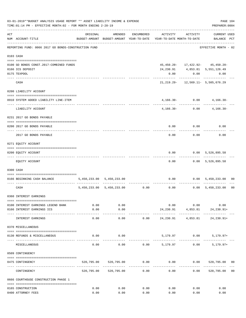|     | 03-01-2019**BUDGET ANALYSIS USAGE REPORT ** ASSET LIABILITY INCOME & EXPENSE<br>TIME: 01:14 PM - EFFECTIVE MONTH: 02 - FOR MONTH ENDING 2-28-19 |            |                           |                      |                                                                     |                   | PREPARER: 0004                                            | PAGE 104       |
|-----|-------------------------------------------------------------------------------------------------------------------------------------------------|------------|---------------------------|----------------------|---------------------------------------------------------------------|-------------------|-----------------------------------------------------------|----------------|
| ACT | NUM ACCOUNT-TITLE                                                                                                                               | ORIGINAL   | AMENDED                   | ENCUMBERED           | BUDGET-AMOUNT BUDGET-AMOUNT YEAR-TO-DATE YEAR-TO-DATE MONTH-TO-DATE | ACTIVITY ACTIVITY | <b>CURRENT USED</b><br>BALANCE PCT                        |                |
|     | REPORTING FUND: 0066 2017 GO BONDS-CONSTRUCTION FUND                                                                                            |            |                           |                      | ----------------------------                                        |                   | -------------------<br>EFFECTIVE MONTH - 02               |                |
|     | 0103 CASH                                                                                                                                       |            |                           |                      |                                                                     |                   |                                                           |                |
|     | 0100 GO BONDS CONST. 2017-COMBINED FUNDS                                                                                                        |            |                           |                      |                                                                     |                   | 45, 450.20 - 17, 422.92 - 45, 450.20 -                    |                |
|     | 0166 ICS DEPOSIT                                                                                                                                |            |                           |                      |                                                                     |                   | 24, 230.91 4, 853.81 5, 551, 126.49                       |                |
|     | 0175 TEXPOOL                                                                                                                                    |            |                           |                      | 0.00                                                                |                   | $0.00$ 0.00                                               |                |
|     | -------------------- ---------<br>CASH                                                                                                          |            |                           |                      |                                                                     | ----------        | -----------<br>$21, 219.29 - 12, 569.11 - 5, 505, 676.29$ |                |
|     | 0200 LIABILITY ACCOUNT                                                                                                                          |            |                           |                      |                                                                     |                   |                                                           |                |
|     |                                                                                                                                                 |            |                           |                      |                                                                     |                   |                                                           |                |
|     | 0910 SYSTEM ADDED LIABILITY LINE-ITEM<br>---- -----------------------------                                                                     |            |                           |                      |                                                                     | $4,166.30 - 0.00$ | $4,166.30-$<br>-------------                              |                |
|     | LIABILITY ACCOUNT                                                                                                                               |            |                           |                      |                                                                     | $4,166.30 - 0.00$ | $4,166.30-$                                               |                |
|     | 0231 2017 GO BONDS PAYABLE                                                                                                                      |            |                           |                      |                                                                     |                   |                                                           |                |
|     | 0200 2017 GO BONDS PAYABLE                                                                                                                      |            |                           |                      |                                                                     |                   | $0.00$ $0.00$ $0.00$                                      |                |
|     | 2017 GO BONDS PAYABLE                                                                                                                           |            |                           |                      |                                                                     | $0.00$ 0.00       | 0.00                                                      |                |
|     | 0271 EQUITY ACCOUNT                                                                                                                             |            |                           |                      |                                                                     |                   |                                                           |                |
|     | 0200 EQUITY ACCOUNT                                                                                                                             |            |                           |                      |                                                                     |                   | $0.00$ $0.00$ $5,526,895.58$                              |                |
|     | EQUITY ACCOUNT                                                                                                                                  |            |                           |                      | 0.00                                                                | . <u>.</u>        | -------------<br>$0.00$ 5,526,895.58                      |                |
|     | 0300 CASH                                                                                                                                       |            |                           |                      |                                                                     |                   |                                                           |                |
|     |                                                                                                                                                 |            |                           |                      |                                                                     |                   |                                                           |                |
|     | 0166 BEGINNING CASH BALANCE                                                                                                                     |            | 5,450,233.00 5,450,233.00 |                      |                                                                     | ----------        | $0.00$ $0.00$ $5,450,233.00$                              | 00             |
|     | CASH                                                                                                                                            |            |                           |                      | 5,450,233.00 5,450,233.00 0.00 0.00 0.00 5,450,233.00               |                   |                                                           | 0 <sub>0</sub> |
|     | 0360 INTEREST EARNINGS                                                                                                                          |            |                           |                      |                                                                     |                   |                                                           |                |
|     | 0100 INTEREST EARNINGS LEGEND BANK                                                                                                              | 0.00       | 0.00                      |                      | 0.00                                                                | 0.00              | 0.00                                                      |                |
|     | 0166 INTEREST EARNINGS ICS                                                                                                                      | 0.00       | 0.00                      |                      |                                                                     |                   | 24, 230.91 4, 853.81 24, 230.91+                          |                |
|     | INTEREST EARNINGS                                                                                                                               | 0.00       | ----------<br>0.00        | 0.00                 | 24,230.91                                                           | 4,853.81          | 24,230.91+                                                |                |
|     | 0370 MISCELLANEOUS                                                                                                                              |            |                           |                      |                                                                     |                   |                                                           |                |
|     | 0130 REFUNDS & MISCELLANEOUS                                                                                                                    | 0.00       | 0.00                      |                      |                                                                     | 5,179.97 0.00     | $5,179.97+$                                               |                |
|     | MISCELLANEOUS                                                                                                                                   | 0.00       | 0.00                      | 0.00                 | 5,179.97                                                            | 0.00              | $5,179.97+$                                               |                |
|     | 0509 CONTINGENCY                                                                                                                                |            |                           |                      |                                                                     |                   |                                                           |                |
|     |                                                                                                                                                 |            |                           |                      |                                                                     |                   |                                                           |                |
|     | 0475 CONTINGENCY                                                                                                                                |            | 520,795.00 520,795.00     | 0.00<br>------------ | 0.00                                                                | 0.00              | 520,795.00 00                                             |                |
|     | CONTINGENCY                                                                                                                                     | 520,795.00 | 520,795.00                | 0.00                 | 0.00                                                                | 0.00              | 520,795.00                                                | 0 <sub>0</sub> |
|     | 0666 COURTHOUSE CONSTRUCTION PHASE 1                                                                                                            |            |                           |                      |                                                                     |                   |                                                           |                |
|     | 0165 CONSTRUCTION                                                                                                                               | 0.00       | 0.00                      | 0.00                 | 0.00                                                                | 0.00              | 0.00                                                      |                |
|     | 0400 ATTORNEY FEES                                                                                                                              | 0.00       | 0.00                      | 0.00                 | 0.00                                                                | 0.00              | 0.00                                                      |                |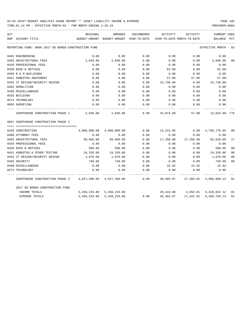TIME:01:14 PM - EFFECTIVE MONTH:02 - FOR MONTH ENDING 2-28-19 PREPARER:0004

| ACT |                                                           | ORIGINAL                                                            | AMENDED                   |      | ENCUMBERED ACTIVITY                           | ACTIVITY  | <b>CURRENT USED</b>             |                |
|-----|-----------------------------------------------------------|---------------------------------------------------------------------|---------------------------|------|-----------------------------------------------|-----------|---------------------------------|----------------|
|     | NUM ACCOUNT-TITLE                                         | BUDGET-AMOUNT BUDGET-AMOUNT YEAR-TO-DATE YEAR-TO-DATE MONTH-TO-DATE |                           |      |                                               |           | BALANCE PCT                     |                |
|     | REPORTING FUND: 0066 2017 GO BONDS-CONSTRUCTION FUND      |                                                                     |                           |      |                                               |           | EFFECTIVE MONTH - 02            |                |
|     | 0402 ENGINEERING                                          | 0.00                                                                | 0.00                      | 0.00 | 0.00                                          | 0.00      | 0.00                            |                |
|     | 0403 ARCHITECTURAL FEES                                   | 2,040.00                                                            | 2,040.00                  | 0.00 | 0.00                                          | 0.00      | 2,040.00                        | 0 <sub>0</sub> |
|     | 0426 PROFESSIONAL FEES                                    | 0.00                                                                | 0.00                      | 0.00 | 0.00                                          | 0.00      | 0.00                            |                |
|     | 0430 BIDS & NOTICES                                       | 0.00                                                                | 0.00                      | 0.00 | 81.00                                         | 0.00      | $81.00 -$                       |                |
|     | 0450 R & M BUILDINGS                                      | 0.00                                                                | 0.00                      | 0.00 | 0.00                                          | 0.00      | 0.00                            |                |
|     | 0451 ASBESTOS ABATEMENT                                   | 0.00                                                                | 0.00                      | 0.00 | 57.00                                         | 57.00     | $57.00 -$                       |                |
|     | 0453 IT DESIGN/SECURITY DESIGN                            | 0.00                                                                | 0.00                      | 0.00 | 15,736.00                                     | 0.00      | 15,736.00-                      |                |
|     | 0482 DEMOLITION                                           | 0.00                                                                | 0.00                      | 0.00 | 0.00                                          | 0.00      | 0.00                            |                |
|     | 0490 MISCELLANEOUS                                        | 0.00                                                                | 0.00                      | 0.00 | 0.00                                          | 0.00      | 0.00                            |                |
|     | 0535 BUILDING                                             | 0.00                                                                | 0.00                      | 0.00 | 0.00                                          | 0.00      | 0.00                            |                |
|     | 0574 TECHNOLOGY                                           | 0.00                                                                | 0.00                      | 0.00 | 0.00                                          | 0.00      | 0.00                            |                |
|     | 0695 SURVEYING                                            | 0.00                                                                | 0.00                      | 0.00 | 0.00                                          | 0.00      | 0.00                            |                |
|     | COURTHOUSE CONSTRUCTION PHASE 1                           |                                                                     | 2,040.00 2,040.00         |      | $0.00$ 15,874.00                              |           | 57.00   13,834.00   778         |                |
|     | 0667 COURTHOUSE CONSTRUCTION PHASE 2                      |                                                                     |                           |      |                                               |           |                                 |                |
|     | 0165 CONSTRUCTION                                         | 4,800,000.00                                                        | 4,800,000.00              | 0.00 | 13,223.95                                     |           | $0.00 \quad 4,786,776.05$       | 00             |
|     | 0400 ATTORNEY FEES                                        | 0.00                                                                | 0.00                      | 0.00 | 0.00                                          | 0.00      | 0.00                            |                |
|     | 0403 ARCHITECTURAL FEES                                   | 99,960.00                                                           | 99,960.00                 | 0.00 | 17,350.00                                     | 17,350.00 | 82,610.00                       | 17             |
|     | 0426 PROFESSIONAL FEES                                    | 0.00                                                                | 0.00                      | 0.00 | 0.00                                          | 0.00      | 0.00                            |                |
|     | 0430 BIDS & NOTICES                                       | 500.00                                                              | 500.00                    | 0.00 | 0.00                                          | 0.00      | 500.00                          | 0 <sub>0</sub> |
|     | 0451 ASBESTOS & OTHER TESTING                             | 24,320.00                                                           | 24,320.00                 | 0.00 | 0.00                                          | 0.00      | 24,320.00                       | 0 <sub>0</sub> |
|     | 0453 IT DESIGN/SECURITY DESIGN                            | 1,870.00                                                            | 1,870.00                  | 0.00 | 0.00                                          | 0.00      | 1,870.00                        | 0 <sub>0</sub> |
|     | 0455 SECURITY                                             | 748.00                                                              | 748.00                    | 0.00 | 0.00                                          | 0.00      | 748.00                          | 0 <sub>0</sub> |
|     | 0490 MISCELLANEOUS                                        | 0.00                                                                | 0.00                      | 0.00 | 15.92                                         | 15.92     | 15.92-                          |                |
|     | 0574 TECHNOLOGY                                           | 0.00                                                                | 0.00                      | 0.00 | 0.00                                          | 0.00      | 0.00                            |                |
|     | COURTHOUSE CONSTRUCTION PHASE 2 4,927,398.00 4,927,398.00 |                                                                     |                           |      | $0.00$ $30,589.87$ $17,365.92$ $4,896,808.13$ |           |                                 | 01             |
|     | 2017 GO BONDS-CONSTRUCTION FUND                           |                                                                     |                           |      |                                               |           |                                 |                |
|     | INCOME TOTALS                                             |                                                                     | 5,450,233.00 5,450,233.00 |      |                                               |           | 29,410.88 4,853.81 5,420,822.12 | 01             |
|     | <b>EXPENSE TOTALS</b>                                     |                                                                     | 5,450,233.00 5,450,233.00 | 0.00 | 46,463.87                                     |           | 17,422.92 5,403,769.13          | 01             |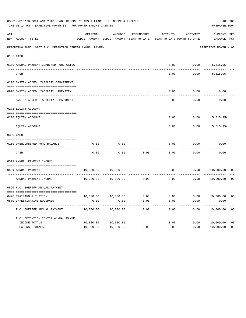| 03-01-2019**BUDGET ANALYSIS USAGE REPORT ** ASSET LIABILITY INCOME & EXPENSE<br>PAGE 106<br>TIME: 01:14 PM - EFFECTIVE MONTH: 02 - FOR MONTH ENDING 2-28-19<br>PREPARER: 0004 |                                                          |           |                                                     |                      |                                        |                                |                                    |                |  |  |  |
|-------------------------------------------------------------------------------------------------------------------------------------------------------------------------------|----------------------------------------------------------|-----------|-----------------------------------------------------|----------------------|----------------------------------------|--------------------------------|------------------------------------|----------------|--|--|--|
| ACT                                                                                                                                                                           | NUM ACCOUNT-TITLE                                        | ORIGINAL  | AMENDED<br>BUDGET-AMOUNT BUDGET-AMOUNT YEAR-TO-DATE | ENCUMBERED           | ACTIVITY<br>YEAR-TO-DATE MONTH-TO-DATE | ACTIVITY                       | <b>CURRENT USED</b><br>BALANCE PCT |                |  |  |  |
|                                                                                                                                                                               | REPORTING FUND: 0067 F.C. DETENTION CENTER ANNUAL PAYMEN |           |                                                     |                      |                                        |                                | EFFECTIVE MONTH - 02               |                |  |  |  |
| 0103 CASH                                                                                                                                                                     |                                                          |           |                                                     |                      |                                        |                                |                                    |                |  |  |  |
|                                                                                                                                                                               | 0100 ANNUAL PAYMENT-COMBINED FUND CKING                  |           |                                                     |                      | 0.00                                   | 0.00                           | $5,815.95-$                        |                |  |  |  |
|                                                                                                                                                                               | CASH                                                     |           |                                                     |                      | 0.00                                   | 0.00                           | $5,815.95-$                        |                |  |  |  |
|                                                                                                                                                                               | 0200 SYSTEM ADDED LIABILITY DEPARTMENT                   |           |                                                     |                      |                                        |                                |                                    |                |  |  |  |
|                                                                                                                                                                               | 0910 SYSTEM ADDED LIABILITY LINE-ITEM                    |           |                                                     |                      | 0.00                                   | 0.00                           | 0.00                               |                |  |  |  |
|                                                                                                                                                                               | SYSTEM ADDED LIABILITY DEPARTMENT                        |           |                                                     |                      | 0.00                                   | 0.00                           | 0.00                               |                |  |  |  |
|                                                                                                                                                                               | 0271 EQUITY ACCOUNT                                      |           |                                                     |                      |                                        |                                |                                    |                |  |  |  |
|                                                                                                                                                                               | 0200 EQUITY ACCOUNT                                      |           |                                                     |                      | 0.00                                   |                                | $0.00$ 5,815.95-                   |                |  |  |  |
|                                                                                                                                                                               | EQUITY ACCOUNT                                           |           |                                                     |                      | 0.00                                   | 0.00                           | $5,815.95-$                        |                |  |  |  |
| 0300 CASH                                                                                                                                                                     |                                                          |           |                                                     |                      |                                        |                                |                                    |                |  |  |  |
|                                                                                                                                                                               | 0110 UNENCUMBERED FUND BALANCE                           | 0.00      | 0.00                                                |                      | 0.00                                   | 0.00                           | 0.00                               |                |  |  |  |
|                                                                                                                                                                               | CASH                                                     | 0.00      | 0.00                                                | 0.00                 | 0.00                                   | 0.00                           | 0.00                               |                |  |  |  |
|                                                                                                                                                                               | 0319 ANNUAL PAYMENT INCOME                               |           |                                                     |                      |                                        |                                |                                    |                |  |  |  |
|                                                                                                                                                                               | 0551 ANNUAL PAYMENT<br>-------------------- ------       | 10,000.00 | 10,000.00                                           | -------------------- | 0.00                                   | 0.00                           | 10,000.00                          | 00             |  |  |  |
|                                                                                                                                                                               | ANNUAL PAYMENT INCOME                                    | 10,000.00 | 10,000.00                                           | 0.00                 | 0.00                                   | 0.00                           | 10,000.00                          | 0 <sub>0</sub> |  |  |  |
|                                                                                                                                                                               | 0560 F.C. SHERIFF ANNUAL PAYMENT                         |           |                                                     |                      |                                        |                                |                                    |                |  |  |  |
|                                                                                                                                                                               | 0428 TRAINING & TUITION                                  |           | 10,000.00    10,000.00    0.00                      |                      |                                        | $0.00$ $0.00$ $10,000.00$ $00$ |                                    |                |  |  |  |
|                                                                                                                                                                               | 0580 INVESTIGATIVE EQUIPMENT                             | 0.00      | 0.00                                                | 0.00                 | 0.00                                   | 0.00                           | 0.00                               |                |  |  |  |
|                                                                                                                                                                               | F.C. SHERIFF ANNUAL PAYMENT                              | 10,000.00 | 10,000.00                                           | 0.00                 | 0.00                                   | 0.00                           | 10,000.00                          | 0 <sub>0</sub> |  |  |  |
|                                                                                                                                                                               | F.C. DETENTION CENTER ANNUAL PAYME                       |           |                                                     |                      |                                        |                                |                                    |                |  |  |  |
|                                                                                                                                                                               | INCOME TOTALS                                            | 10,000.00 | 10,000.00                                           |                      | 0.00                                   | 0.00                           | 10,000.00                          | 0 <sub>0</sub> |  |  |  |
|                                                                                                                                                                               | EXPENSE TOTALS                                           | 10,000.00 | 10,000.00                                           | 0.00                 | 0.00                                   | 0.00                           | 10,000.00                          | 0 <sub>0</sub> |  |  |  |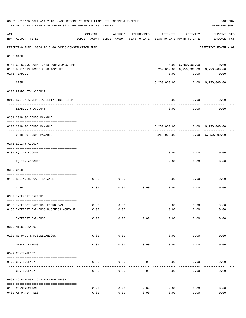| 03-01-2019**BUDGET ANALYSIS USAGE REPORT ** ASSET LIABILITY INCOME & EXPENSE<br>PAGE 107<br>TIME: 01:14 PM - EFFECTIVE MONTH: 02 - FOR MONTH ENDING 2-28-19<br>PREPARER: 0004 |                                                      |          |                                                     |            |                                        |              |                                        |  |  |  |
|-------------------------------------------------------------------------------------------------------------------------------------------------------------------------------|------------------------------------------------------|----------|-----------------------------------------------------|------------|----------------------------------------|--------------|----------------------------------------|--|--|--|
| ACT                                                                                                                                                                           | NUM ACCOUNT-TITLE                                    | ORIGINAL | AMENDED<br>BUDGET-AMOUNT BUDGET-AMOUNT YEAR-TO-DATE | ENCUMBERED | ACTIVITY<br>YEAR-TO-DATE MONTH-TO-DATE | ACTIVITY     | <b>CURRENT USED</b><br>BALANCE PCT     |  |  |  |
|                                                                                                                                                                               | REPORTING FUND: 0068 2018 GO BONDS-CONSTRUCTION FUND |          |                                                     |            |                                        |              | EFFECTIVE MONTH - 02                   |  |  |  |
|                                                                                                                                                                               | 0103 CASH                                            |          |                                                     |            |                                        |              |                                        |  |  |  |
|                                                                                                                                                                               |                                                      |          |                                                     |            |                                        |              |                                        |  |  |  |
|                                                                                                                                                                               | 0100 GO BONDS CONST.2018-COMB.FUNDS CHE              |          |                                                     |            |                                        |              | $0.00 \quad 6,250,000.00 - 0.00$       |  |  |  |
|                                                                                                                                                                               | 0168 BUSINESS MONEY FUND ACCOUNT                     |          |                                                     |            |                                        |              | 6,250,000.00 6,250,000.00 6,250,000.00 |  |  |  |
|                                                                                                                                                                               | 0175 TEXPOOL                                         |          |                                                     |            | ---------                              | $0.00$ 0.00  | 0.00                                   |  |  |  |
|                                                                                                                                                                               | CASH                                                 |          |                                                     |            |                                        | -----------  | 6,250,000.00   0.00   6,250,000.00     |  |  |  |
|                                                                                                                                                                               | 0200 LIABILITY ACCOUNT                               |          |                                                     |            |                                        |              |                                        |  |  |  |
|                                                                                                                                                                               | 0910 SYSTEM ADDED LIABILITY LINE -ITEM               |          |                                                     |            | 0.00                                   | 0.00         | 0.00                                   |  |  |  |
|                                                                                                                                                                               | LIABILITY ACCOUNT                                    |          |                                                     |            | 0.00                                   | 0.00         | 0.00                                   |  |  |  |
|                                                                                                                                                                               | 0231 2018 GO BONDS PAYABLE                           |          |                                                     |            |                                        |              |                                        |  |  |  |
|                                                                                                                                                                               | 0200 2018 GO BONDS PAYABLE                           |          |                                                     |            |                                        | ------------ | 6,250,000.00   0.00   6,250,000.00     |  |  |  |
|                                                                                                                                                                               | 2018 GO BONDS PAYABLE                                |          |                                                     |            |                                        |              | 6,250,000.00   0.00   6,250,000.00     |  |  |  |
|                                                                                                                                                                               | 0271 EQUITY ACCOUNT                                  |          |                                                     |            |                                        |              |                                        |  |  |  |
|                                                                                                                                                                               | 0200 EQUITY ACCOUNT                                  |          |                                                     |            | 0.00                                   | 0.00         | 0.00                                   |  |  |  |
|                                                                                                                                                                               | EQUITY ACCOUNT                                       |          |                                                     |            | 0.00                                   | 0.00         | 0.00                                   |  |  |  |
|                                                                                                                                                                               | 0300 CASH                                            |          |                                                     |            |                                        |              |                                        |  |  |  |
|                                                                                                                                                                               | 0168 BEGINNING CASH BALANCE                          | 0.00     | 0.00                                                |            | 0.00                                   | 0.00         | 0.00                                   |  |  |  |
|                                                                                                                                                                               | CASH                                                 | 0.00     | 0.00                                                | 0.00       | 0.00                                   | 0.00         | 0.00                                   |  |  |  |
|                                                                                                                                                                               | 0360 INTEREST EARNINGS                               |          |                                                     |            |                                        |              |                                        |  |  |  |
|                                                                                                                                                                               | 0100 INTEREST EARNING LEGEND BANK                    | 0.00     | 0.00                                                |            | 0.00                                   | 0.00         | 0.00                                   |  |  |  |
|                                                                                                                                                                               | 0168 INTEREST EARNINGS BUSINESS MONEY F              | 0.00     | 0.00                                                |            | 0.00                                   | 0.00         | 0.00                                   |  |  |  |
|                                                                                                                                                                               | INTEREST EARNINGS                                    | 0.00     | 0.00                                                | 0.00       | 0.00                                   | 0.00         | 0.00                                   |  |  |  |
|                                                                                                                                                                               | 0370 MISCELLANEOUS                                   |          |                                                     |            |                                        |              |                                        |  |  |  |
|                                                                                                                                                                               | 0130 REFUNDS & MISCELLANEOUS                         | 0.00     | 0.00                                                |            | 0.00                                   | 0.00         | 0.00                                   |  |  |  |
|                                                                                                                                                                               | MISCELLANEOUS                                        | 0.00     | 0.00                                                | 0.00       | 0.00                                   | 0.00         | 0.00                                   |  |  |  |
|                                                                                                                                                                               | 0509 CONTINGENCY                                     |          |                                                     |            |                                        |              |                                        |  |  |  |
|                                                                                                                                                                               |                                                      |          |                                                     |            |                                        |              |                                        |  |  |  |
|                                                                                                                                                                               | 0475 CONTINGENCY                                     | 0.00     | 0.00                                                | 0.00       | 0.00                                   | 0.00         | 0.00                                   |  |  |  |
|                                                                                                                                                                               | CONTINGENCY                                          | 0.00     | 0.00                                                | 0.00       | 0.00                                   | 0.00         | 0.00                                   |  |  |  |
|                                                                                                                                                                               | 0668 COURTHOUSE CONSTRUCTION PHASE 2                 |          |                                                     |            |                                        |              |                                        |  |  |  |
|                                                                                                                                                                               | 0165 CONSTRUCTION                                    | 0.00     | 0.00                                                | 0.00       | 0.00                                   | 0.00         | 0.00                                   |  |  |  |
|                                                                                                                                                                               | 0400 ATTORNEY FEES                                   | 0.00     | 0.00                                                | 0.00       | 0.00                                   | 0.00         | 0.00                                   |  |  |  |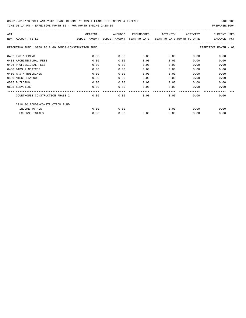TIME:01:14 PM - EFFECTIVE MONTH:02 - FOR MONTH ENDING 2-28-19 PREPARER:0004

| ACT                                                  | ORIGINAL                    | AMENDED | <b>ENCUMBERED</b> | ACTIVITY                   | ACTIVITY | <b>CURRENT USED</b>          |
|------------------------------------------------------|-----------------------------|---------|-------------------|----------------------------|----------|------------------------------|
| ACCOUNT-TITLE<br>NUM                                 | BUDGET-AMOUNT BUDGET-AMOUNT |         | YEAR-TO-DATE      | YEAR-TO-DATE MONTH-TO-DATE |          | <b>PCT</b><br><b>BALANCE</b> |
|                                                      |                             |         |                   |                            |          |                              |
| REPORTING FUND: 0068 2018 GO BONDS-CONSTRUCTION FUND |                             |         |                   |                            |          | EFFECTIVE MONTH - 02         |
|                                                      |                             |         |                   |                            |          |                              |
| 0402 ENGINEERING                                     | 0.00                        | 0.00    | 0.00              | 0.00                       | 0.00     | 0.00                         |
| 0403 ARCHITECTURAL FEES                              | 0.00                        | 0.00    | 0.00              | 0.00                       | 0.00     | 0.00                         |
| 0426 PROFESSIONAL FEES                               | 0.00                        | 0.00    | 0.00              | 0.00                       | 0.00     | 0.00                         |
| 0430 BIDS & NOTICES                                  | 0.00                        | 0.00    | 0.00              | 0.00                       | 0.00     | 0.00                         |
| 0450 R & M BUILDINGS                                 | 0.00                        | 0.00    | 0.00              | 0.00                       | 0.00     | 0.00                         |
| 0490 MISCELLANEOUS                                   | 0.00                        | 0.00    | 0.00              | 0.00                       | 0.00     | 0.00                         |
| 0535 BUILDING                                        | 0.00                        | 0.00    | 0.00              | 0.00                       | 0.00     | 0.00                         |
| 0695 SURVEYING                                       | 0.00                        | 0.00    | 0.00              | 0.00                       | 0.00     | 0.00                         |
|                                                      |                             |         |                   |                            |          |                              |
| COURTHOUSE CONSTRUCTION PHASE 2                      | 0.00                        | 0.00    | 0.00              | 0.00                       | 0.00     | 0.00                         |
| 2018 GO BONDS-CONSTRUCTION FUND                      |                             |         |                   |                            |          |                              |
| INCOME TOTALS                                        | 0.00                        | 0.00    |                   | 0.00                       | 0.00     | 0.00                         |
| <b>EXPENSE TOTALS</b>                                | 0.00                        | 0.00    | 0.00              | 0.00                       | 0.00     | 0.00                         |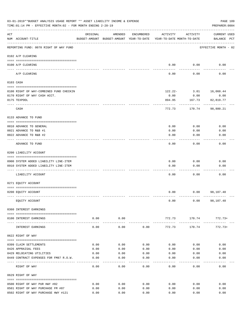|     | 03-01-2019**BUDGET ANALYSIS USAGE REPORT ** ASSET LIABILITY INCOME & EXPENSE<br>TIME: 01:14 PM - EFFECTIVE MONTH: 02 - FOR MONTH ENDING 2-28-19 |          |                      |            |                                                                                 |                 | PAGE 109<br>PREPARER: 0004         |
|-----|-------------------------------------------------------------------------------------------------------------------------------------------------|----------|----------------------|------------|---------------------------------------------------------------------------------|-----------------|------------------------------------|
| ACT | NUM ACCOUNT-TITLE                                                                                                                               | ORIGINAL | AMENDED              | ENCUMBERED | ACTIVITY<br>BUDGET-AMOUNT BUDGET-AMOUNT YEAR-TO-DATE YEAR-TO-DATE MONTH-TO-DATE | ACTIVITY        | <b>CURRENT USED</b><br>BALANCE PCT |
|     | REPORTING FUND: 0070 RIGHT OF WAY FUND                                                                                                          |          |                      |            |                                                                                 |                 | EFFECTIVE MONTH - 02               |
|     | 0102 A/P CLEARING                                                                                                                               |          |                      |            |                                                                                 |                 |                                    |
|     | 0100 A/P CLEARING                                                                                                                               |          |                      |            | 0.00                                                                            | 0.00            | 0.00                               |
|     | ---- --------<br>A/P CLEARING                                                                                                                   |          |                      |            | 0.00                                                                            | 0.00            | 0.00                               |
|     | 0103 CASH                                                                                                                                       |          |                      |            |                                                                                 |                 |                                    |
|     | 0100 RIGHT OF WAY-COMBINED FUND CHECKIN                                                                                                         |          |                      |            |                                                                                 | $122.22 - 3.01$ | 16,060.44                          |
|     | 0170 RIGHT OF WAY CASH ACCT.                                                                                                                    |          |                      |            | 0.00                                                                            | 0.00            | 0.00                               |
|     | 0175 TEXPOOL                                                                                                                                    |          |                      |            | 894.95                                                                          | 167.73          | 82,819.77                          |
|     | CASH                                                                                                                                            |          |                      |            | 772.73                                                                          | 170.74          | 98,880.21                          |
|     | 0133 ADVANCE TO FUND                                                                                                                            |          |                      |            |                                                                                 |                 |                                    |
|     | 0010 ADVANCE TO GENERAL                                                                                                                         |          |                      |            | 0.00                                                                            | 0.00            | 0.00                               |
|     | 0021 ADVANCE TO R&B #1                                                                                                                          |          |                      |            | 0.00                                                                            | 0.00            | 0.00                               |
|     | 0022 ADVANCE TO R&B #2                                                                                                                          |          |                      |            | 0.00                                                                            | 0.00            | 0.00                               |
|     | ADVANCE TO FUND                                                                                                                                 |          |                      |            | 0.00                                                                            | 0.00            | 0.00                               |
|     | 0200 LIABILITY ACCOUNT                                                                                                                          |          |                      |            |                                                                                 |                 |                                    |
|     |                                                                                                                                                 |          |                      |            |                                                                                 |                 |                                    |
|     | 0900 SYSTEM ADDED LIABILITY LINE-ITEM<br>0910 SYSTEM ADDED LIABILITY LINE-ITEM                                                                  |          |                      |            | 0.00<br>0.00                                                                    | 0.00<br>0.00    | 0.00<br>0.00                       |
|     |                                                                                                                                                 |          |                      |            |                                                                                 |                 |                                    |
|     | LIABILITY ACCOUNT                                                                                                                               |          |                      |            | 0.00                                                                            | 0.00            | 0.00                               |
|     | 0271 EQUITY ACCOUNT                                                                                                                             |          |                      |            |                                                                                 |                 |                                    |
|     |                                                                                                                                                 |          |                      |            |                                                                                 |                 |                                    |
|     | 0200 EQUITY ACCOUNT                                                                                                                             |          |                      |            | 0.00                                                                            |                 | $0.00$ 98,107.48                   |
|     | EQUITY ACCOUNT                                                                                                                                  |          |                      |            | 0.00                                                                            |                 | $0.00$ 98,107.48                   |
|     | 0360 INTEREST EARNINGS                                                                                                                          |          |                      |            |                                                                                 |                 |                                    |
|     | 0100 INTEREST EARNINGS                                                                                                                          | 0.00     | 0.00<br>------------ |            | .                                                                               | ------------    | $772.73$ 170.74 772.73+            |
|     | INTEREST EARNINGS                                                                                                                               | 0.00     | 0.00                 | 0.00       | 772.73                                                                          | 170.74          | $772.73+$                          |
|     | 0622 RIGHT OF WAY                                                                                                                               |          |                      |            |                                                                                 |                 |                                    |
|     | 0399 CLAIM SETTLEMENTS                                                                                                                          | 0.00     | 0.00                 | 0.00       | 0.00                                                                            | 0.00            | 0.00                               |
|     | 0426 APPRAISAL FEES                                                                                                                             | 0.00     | 0.00                 | 0.00       | 0.00                                                                            | 0.00            | 0.00                               |
|     | 0429 RELOCATING UTILITIES                                                                                                                       | 0.00     | 0.00                 | 0.00       | 0.00                                                                            | 0.00            | 0.00                               |
|     | 0449 CONTRACT EXPENSES FOR FM87 R.O.W.                                                                                                          | 0.00     | 0.00                 | 0.00       | 0.00                                                                            | 0.00            | 0.00                               |
|     | RIGHT OF WAY                                                                                                                                    | 0.00     | 0.00                 | 0.00       | 0.00                                                                            | 0.00            | 0.00                               |
|     | 0629 RIGHT OF WAY                                                                                                                               |          |                      |            |                                                                                 |                 |                                    |
|     | 0500 RIGHT OF WAY PUR HWY #82                                                                                                                   | 0.00     | 0.00                 | 0.00       | 0.00                                                                            | 0.00            | 0.00                               |
|     | 0501 RIGHT OF WAY PURCHASE FM #87                                                                                                               | 0.00     | 0.00                 | 0.00       | 0.00                                                                            | 0.00            | 0.00                               |
|     | 0502 RIGHT OF WAY PURCHASE HWY #121                                                                                                             | 0.00     | 0.00                 | 0.00       | 0.00                                                                            | 0.00            | 0.00                               |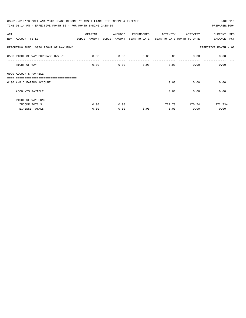| 03-01-2019**BUDGET ANALYSIS USAGE REPORT ** ASSET LIABILITY INCOME & EXPENSE             |          |         |            |                                    |               | PAGE 110             |
|------------------------------------------------------------------------------------------|----------|---------|------------|------------------------------------|---------------|----------------------|
| TIME: 01:14 PM - EFFECTIVE MONTH: 02 - FOR MONTH ENDING 2-28-19                          |          |         |            |                                    |               | PREPARER: 0004       |
| ACT                                                                                      | ORIGINAL | AMENDED | ENCUMBERED | ACTIVITY                           | ACTIVITY      | <b>CURRENT USED</b>  |
| NUM ACCOUNT-TITLE<br>BUDGET-AMOUNT BUDGET-AMOUNT YEAR-TO-DATE YEAR-TO-DATE MONTH-TO-DATE |          |         |            |                                    |               | BALANCE PCT          |
| REPORTING FUND: 0070 RIGHT OF WAY FUND                                                   |          |         |            |                                    |               | EFFECTIVE MONTH - 02 |
| 0503 RIGHT OF WAY PURCHASE HWY. 78                                                       | 0.00     | 0.00    |            | $0.00$ $0.00$ $0.00$ $0.00$ $0.00$ |               |                      |
| RIGHT OF WAY                                                                             | 0.00     | 0.00    | 0.00       |                                    | 0.00          | 0.00<br>0.00         |
| 0999 ACCOUNTS PAYABLE                                                                    |          |         |            |                                    |               |                      |
| =================================<br>0100 A/P CLEARING ACCOUNT                           |          |         |            |                                    | $0.00$ 0.00   | 0.00                 |
| ACCOUNTS PAYABLE                                                                         |          |         |            | 0.00                               |               | 0.00<br>0.00         |
| RIGHT OF WAY FUND                                                                        |          |         |            |                                    |               |                      |
| INCOME TOTALS                                                                            | 0.00     | 0.00    |            |                                    | 772.73 170.74 | $772.73+$            |
| <b>EXPENSE TOTALS</b>                                                                    | 0.00     | 0.00    | 0.00       | 0.00                               | 0.00          | 0.00                 |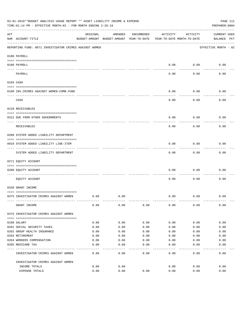|           | 03-01-2019**BUDGET ANALYSIS USAGE REPORT ** ASSET LIABILITY INCOME & EXPENSE<br>TIME:01:14 PM - EFFECTIVE MONTH:02 - FOR MONTH ENDING 2-28-19 |          |                                                     |            |          |                                        | PAGE 111<br>PREPARER: 0004         |
|-----------|-----------------------------------------------------------------------------------------------------------------------------------------------|----------|-----------------------------------------------------|------------|----------|----------------------------------------|------------------------------------|
| ACT       | NUM ACCOUNT-TITLE                                                                                                                             | ORIGINAL | AMENDED<br>BUDGET-AMOUNT BUDGET-AMOUNT YEAR-TO-DATE | ENCUMBERED | ACTIVITY | ACTIVITY<br>YEAR-TO-DATE MONTH-TO-DATE | <b>CURRENT USED</b><br>BALANCE PCT |
|           | REPORTING FUND: 0071 INVESTIGATOR CRIMES AGAINST WOMEN                                                                                        |          |                                                     |            |          |                                        | EFFECTIVE MONTH - 02               |
|           | 0100 PAYROLL                                                                                                                                  |          |                                                     |            |          |                                        |                                    |
|           | 0100 PAYROLL                                                                                                                                  |          |                                                     |            | 0.00     | 0.00                                   | 0.00                               |
| ---- ---- | PAYROLL                                                                                                                                       |          |                                                     |            | 0.00     | 0.00                                   | 0.00                               |
|           | 0103 CASH                                                                                                                                     |          |                                                     |            |          |                                        |                                    |
|           | 0100 INV. CRIMES AGAINST WOMEN-COMB. FUND                                                                                                     |          |                                                     |            | 0.00     | 0.00                                   | 0.00                               |
|           | CASH                                                                                                                                          |          |                                                     |            | 0.00     | 0.00                                   | 0.00                               |
|           | 0120 RECEIVABLES                                                                                                                              |          |                                                     |            |          |                                        |                                    |
|           | 0312 DUE FROM OTHER GOVERNMENTS                                                                                                               |          |                                                     |            | 0.00     | 0.00                                   | 0.00                               |
|           | RECEIVABLES                                                                                                                                   |          |                                                     |            | 0.00     | 0.00                                   | 0.00                               |
|           | 0200 SYSTEM ADDED LIABILITY DEPARTMENT                                                                                                        |          |                                                     |            |          |                                        |                                    |
|           | 0910 SYSTEM ADDED LIABILITY LINE-ITEM                                                                                                         |          |                                                     |            | 0.00     | 0.00                                   | 0.00                               |
|           | SYSTEM ADDED LIABILITY DEPARTMENT                                                                                                             |          |                                                     |            | 0.00     | 0.00                                   | 0.00                               |
|           | 0271 EQUITY ACCOUNT                                                                                                                           |          |                                                     |            |          |                                        |                                    |
|           | 0200 EQUITY ACCOUNT                                                                                                                           |          |                                                     |            | 0.00     | 0.00                                   | 0.00                               |
|           | EQUITY ACCOUNT                                                                                                                                |          |                                                     |            | 0.00     | 0.00                                   | 0.00                               |
|           | 0330 GRANT INCOME                                                                                                                             |          |                                                     |            |          |                                        |                                    |
|           | 0475 INVESTIGATOR CRIMES AGAINST WOMEN                                                                                                        | 0.00     | 0.00                                                |            | 0.00     | 0.00                                   | 0.00                               |
|           | GRANT INCOME                                                                                                                                  | 0.00     | 0.00                                                | 0.00       | 0.00     | 0.00                                   | 0.00                               |
|           | 0475 INVESTIGATOR CRIMES AGAINST WOMEN                                                                                                        |          |                                                     |            |          |                                        |                                    |
|           | 0108 SALARY                                                                                                                                   | 0.00     | 0.00                                                | 0.00       | 0.00     | 0.00                                   | 0.00                               |
|           | 0201 SOCIAL SECURITY TAXES                                                                                                                    | 0.00     | 0.00                                                | 0.00       | 0.00     | 0.00                                   | 0.00                               |
|           | 0202 GROUP HEALTH INSURANCE                                                                                                                   | 0.00     | 0.00                                                | 0.00       | 0.00     | 0.00                                   | 0.00                               |
|           | 0203 RETIREMENT                                                                                                                               | 0.00     | 0.00                                                | 0.00       | 0.00     | 0.00                                   | 0.00                               |
|           | 0204 WORKERS COMPENSATION                                                                                                                     | 0.00     | 0.00                                                | 0.00       | 0.00     | 0.00                                   | 0.00                               |
|           | 0205 MEDICARE TAX                                                                                                                             | 0.00     | 0.00                                                | 0.00       | 0.00     | 0.00                                   | 0.00                               |
|           | INVESTIGATOR CRIMES AGAINST WOMEN                                                                                                             | 0.00     | 0.00                                                | 0.00       | 0.00     | 0.00                                   | 0.00                               |
|           | INVESTIGATOR CRIMES AGAINST WOMEN                                                                                                             |          |                                                     |            |          |                                        |                                    |
|           | INCOME TOTALS                                                                                                                                 | 0.00     | 0.00                                                |            | 0.00     | 0.00                                   | 0.00                               |
|           | EXPENSE TOTALS                                                                                                                                | 0.00     | 0.00                                                | 0.00       | 0.00     | 0.00                                   | 0.00                               |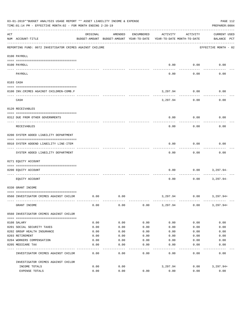|           | 03-01-2019**BUDGET ANALYSIS USAGE REPORT ** ASSET LIABILITY INCOME & EXPENSE<br>TIME: 01:14 PM - EFFECTIVE MONTH: 02 - FOR MONTH ENDING 2-28-19 |          |                                                     |            |          |                                        | PAGE 112<br>PREPARER: 0004         |
|-----------|-------------------------------------------------------------------------------------------------------------------------------------------------|----------|-----------------------------------------------------|------------|----------|----------------------------------------|------------------------------------|
| ACT       | NUM ACCOUNT-TITLE                                                                                                                               | ORIGINAL | AMENDED<br>BUDGET-AMOUNT BUDGET-AMOUNT YEAR-TO-DATE | ENCUMBERED | ACTIVITY | ACTIVITY<br>YEAR-TO-DATE MONTH-TO-DATE | <b>CURRENT USED</b><br>BALANCE PCT |
|           | REPORTING FUND: 0072 INVESTIGATOR CRIMES AGAINST CHILDRE                                                                                        |          |                                                     |            |          |                                        | EFFECTIVE MONTH - 02               |
|           | 0100 PAYROLL                                                                                                                                    |          |                                                     |            |          |                                        |                                    |
|           | 0100 PAYROLL                                                                                                                                    |          |                                                     |            | 0.00     | 0.00                                   | 0.00                               |
| ---- ---- | PAYROLL                                                                                                                                         |          |                                                     |            | 0.00     | 0.00                                   | 0.00                               |
|           | 0103 CASH                                                                                                                                       |          |                                                     |            |          |                                        |                                    |
|           | 0100 INV. CRIMES AGAINST CHILDREN-COMB.F                                                                                                        |          |                                                     |            | 3,297.94 | 0.00                                   | 0.00                               |
|           | CASH                                                                                                                                            |          |                                                     |            | 3,297.94 | 0.00                                   | 0.00                               |
|           | 0120 RECEIVABLES                                                                                                                                |          |                                                     |            |          |                                        |                                    |
|           | 0312 DUE FROM OTHER GOVERNMENTS                                                                                                                 |          |                                                     |            | 0.00     | 0.00                                   | 0.00                               |
|           | RECEIVABLES                                                                                                                                     |          |                                                     |            | 0.00     | 0.00                                   | 0.00                               |
|           | 0200 SYSTEM ADDED LIABILITY DEPARTMENT                                                                                                          |          |                                                     |            |          |                                        |                                    |
|           | 0910 SYSTEM ADDEND LIABILITY LINE-ITEM                                                                                                          |          |                                                     |            | 0.00     | 0.00                                   | 0.00                               |
|           | SYSTEM ADDED LIABILITY DEPARTMENT                                                                                                               |          |                                                     |            | 0.00     | 0.00                                   | 0.00                               |
|           | 0271 EQUITY ACCOUNT                                                                                                                             |          |                                                     |            |          |                                        |                                    |
|           | 0200 EQUITY ACCOUNT                                                                                                                             |          |                                                     |            | 0.00     | 0.00                                   | 3,297.94-                          |
|           | EOUITY ACCOUNT                                                                                                                                  |          |                                                     |            | 0.00     | 0.00                                   | $3,297.94-$                        |
|           | 0330 GRANT INCOME                                                                                                                               |          |                                                     |            |          |                                        |                                    |
|           | 0560 INVESTIGATOR CRIMES AGAINST CHILDR                                                                                                         | 0.00     | 0.00                                                |            | 3,297.94 | 0.00                                   | 3,297.94+                          |
|           | GRANT INCOME                                                                                                                                    | 0.00     | 0.00                                                | 0.00       | 3,297.94 | 0.00                                   | $3,297.94+$                        |
|           | 0560 INVESTIGATOR CRIMES AGAINST CHILDR                                                                                                         |          |                                                     |            |          |                                        |                                    |
|           | 0108 SALARY                                                                                                                                     | 0.00     | 0.00                                                | 0.00       | 0.00     | 0.00                                   | 0.00                               |
|           | 0201 SOCIAL SECURITY TAXES                                                                                                                      | 0.00     | 0.00                                                | 0.00       | 0.00     | 0.00                                   | 0.00                               |
|           | 0202 GROUP HEALTH INSURANCE                                                                                                                     | 0.00     | 0.00                                                | 0.00       | 0.00     | 0.00                                   | 0.00                               |
|           | 0203 RETIREMENT                                                                                                                                 | 0.00     | 0.00                                                | 0.00       | 0.00     | 0.00                                   | 0.00                               |
|           | 0204 WORKERS COMPENSATION                                                                                                                       | 0.00     | 0.00                                                | 0.00       | 0.00     | 0.00                                   | 0.00                               |
|           | 0205 MEDICARE TAX                                                                                                                               | 0.00     | 0.00                                                | 0.00       | 0.00     | 0.00                                   | 0.00                               |
|           | INVESTIGATOR CRIMES AGAINST CHILDR                                                                                                              | 0.00     | 0.00                                                | 0.00       | 0.00     | 0.00                                   | 0.00                               |
|           | INVESTIGATOR CRIMES AGAINST CHILDR                                                                                                              |          |                                                     |            |          |                                        |                                    |
|           | INCOME TOTALS                                                                                                                                   | 0.00     | 0.00                                                |            | 3,297.94 | 0.00                                   | $3,297.94+$                        |
|           | EXPENSE TOTALS                                                                                                                                  | 0.00     | 0.00                                                | 0.00       | 0.00     | 0.00                                   | 0.00                               |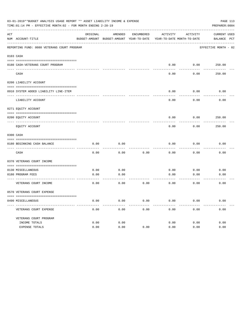|             | 03-01-2019**BUDGET ANALYSIS USAGE REPORT ** ASSET LIABILITY INCOME & EXPENSE<br>TIME:01:14 PM - EFFECTIVE MONTH:02 - FOR MONTH ENDING 2-28-19 |          |                                          |            |                            |                        | PAGE 113<br>PREPARER: 0004 |
|-------------|-----------------------------------------------------------------------------------------------------------------------------------------------|----------|------------------------------------------|------------|----------------------------|------------------------|----------------------------|
| ACT         |                                                                                                                                               | ORIGINAL | AMENDED                                  | ENCUMBERED | ACTIVITY                   | ACTIVITY               | CURRENT USED               |
| $- - - - -$ | NUM ACCOUNT-TITLE                                                                                                                             |          | BUDGET-AMOUNT BUDGET-AMOUNT YEAR-TO-DATE |            | YEAR-TO-DATE MONTH-TO-DATE |                        | BALANCE PCT                |
|             | REPORTING FUND: 0080 VETERANS COURT PROGRAM                                                                                                   |          |                                          |            |                            |                        | EFFECTIVE MONTH - 02       |
|             | 0103 CASH                                                                                                                                     |          |                                          |            |                            |                        |                            |
|             | 0180 CASH-VETERANS COURT PROGRAM                                                                                                              |          |                                          |            |                            | $0.00$ $0.00$ $250.00$ |                            |
|             | CASH                                                                                                                                          |          |                                          |            | 0.00                       | 0.00                   | 250.00                     |
|             | 0200 LIABILITY ACCOUNT                                                                                                                        |          |                                          |            |                            |                        |                            |
|             | 0910 SYSTEM ADDED LIABILITY LINE-ITEM                                                                                                         |          |                                          |            | 0.00                       | 0.00                   | 0.00                       |
|             | LIABILITY ACCOUNT                                                                                                                             |          |                                          |            | 0.00                       | 0.00                   | 0.00                       |
|             | 0271 EQUITY ACCOUNT                                                                                                                           |          |                                          |            |                            |                        |                            |
|             | 0200 EQUITY ACCOUNT                                                                                                                           |          |                                          |            | 0.00                       |                        | $0.00$ 250.00              |
|             | EQUITY ACCOUNT                                                                                                                                |          |                                          |            | 0.00                       | 0.00                   | 250.00                     |
|             | 0300 CASH                                                                                                                                     |          |                                          |            |                            |                        |                            |
|             | 0180 BEGINNING CASH BALANCE                                                                                                                   | 0.00     | 0.00                                     |            | 0.00                       | 0.00                   | 0.00                       |
|             | CASH                                                                                                                                          | 0.00     | 0.00                                     | 0.00       | 0.00                       | 0.00                   | 0.00                       |
|             | 0370 VETERANS COURT INCOME                                                                                                                    |          |                                          |            |                            |                        |                            |
|             | 0130 MISCELLANEOUS                                                                                                                            | 0.00     | 0.00                                     |            | 0.00                       | 0.00                   | 0.00                       |
|             | 0180 PROGRAM FEES                                                                                                                             | 0.00     | 0.00                                     |            | 0.00                       | 0.00                   | 0.00                       |
|             | VETERANS COURT INCOME                                                                                                                         | 0.00     | 0.00                                     | 0.00       | ---------<br>0.00          | -------<br>0.00        | 0.00                       |
|             | 0570 VETERANS COURT EXPENSE                                                                                                                   |          |                                          |            |                            |                        |                            |
|             | 0490 MISCELLANEOUS                                                                                                                            | 0.00     | 0.00                                     | 0.00       | 0.00                       | 0.00                   | 0.00                       |
|             | VETERANS COURT EXPENSE                                                                                                                        | 0.00     | 0.00                                     | 0.00       | 0.00                       | 0.00                   | 0.00                       |
|             | VETERANS COURT PROGRAM                                                                                                                        |          |                                          |            |                            |                        |                            |
|             | INCOME TOTALS                                                                                                                                 | 0.00     | 0.00                                     |            | 0.00                       | 0.00                   | 0.00                       |
|             | EXPENSE TOTALS                                                                                                                                | 0.00     | 0.00                                     | 0.00       | 0.00                       | 0.00                   | 0.00                       |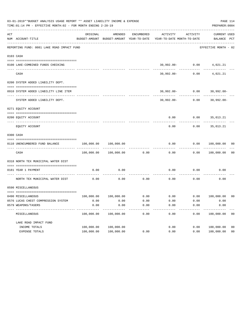|     | 03-01-2019**BUDGET ANALYSIS USAGE REPORT ** ASSET LIABILITY INCOME & EXPENSE<br>TIME: 01:14 PM - EFFECTIVE MONTH: 02 - FOR MONTH ENDING 2-28-19 |                                                      |                       |            |                                                                           |                    | PREPARER: 0004                   | PAGE 114       |
|-----|-------------------------------------------------------------------------------------------------------------------------------------------------|------------------------------------------------------|-----------------------|------------|---------------------------------------------------------------------------|--------------------|----------------------------------|----------------|
| ACT | NUM ACCOUNT-TITLE                                                                                                                               | ORIGINAL<br>BUDGET-AMOUNT BUDGET-AMOUNT YEAR-TO-DATE | AMENDED               | ENCUMBERED | ACTIVITY<br>YEAR-TO-DATE MONTH-TO-DATE                                    | ACTIVITY           | CURRENT USED<br>BALANCE PCT      |                |
|     | REPORTING FUND: 0081 LAKE ROAD IMPACT FUND                                                                                                      |                                                      |                       |            |                                                                           |                    | EFFECTIVE MONTH - 02             |                |
|     | 0103 CASH                                                                                                                                       |                                                      |                       |            |                                                                           |                    |                                  |                |
|     | 0100 LAKE-COMBINED FUNDS CHECKING                                                                                                               |                                                      |                       |            |                                                                           |                    | $30,992.00 - 0.00$ 4,021.21      |                |
|     | CASH                                                                                                                                            |                                                      |                       |            |                                                                           | $30,992.00 - 0.00$ | 4,021.21                         |                |
|     | 0200 SYSTEM ADDED LIABILITY DEPT.                                                                                                               |                                                      |                       |            |                                                                           |                    |                                  |                |
|     | 0910 SYSTEM ADDED LIABILITY LINE ITEM                                                                                                           |                                                      |                       |            |                                                                           |                    | $30,992.00 - 0.00$ 30,992.00-    |                |
|     | SYSTEM ADDED LIABILITY DEPT.                                                                                                                    |                                                      |                       |            |                                                                           |                    | $30,992.00 - 0.00$ $30,992.00 -$ |                |
|     | 0271 EQUITY ACCOUNT                                                                                                                             |                                                      |                       |            |                                                                           |                    |                                  |                |
|     | 0200 EQUITY ACCOUNT                                                                                                                             |                                                      |                       |            |                                                                           |                    | $0.00$ $0.00$ $35,013.21$        |                |
|     | EQUITY ACCOUNT                                                                                                                                  |                                                      |                       |            | 0.00                                                                      | 0.00               | 35,013.21                        |                |
|     | 0300 CASH                                                                                                                                       |                                                      |                       |            |                                                                           |                    |                                  |                |
|     | 0110 UNENCUMBERED FUND BALANCE                                                                                                                  | $100,000.00$ $100,000.00$                            |                       |            | 0.00                                                                      |                    | $0.00$ $100,000.00$ 00           |                |
|     | CASH                                                                                                                                            |                                                      | 100,000.00 100,000.00 | 0.00       | 0.00                                                                      |                    | 0.00 100,000.00                  | 0 <sub>0</sub> |
|     | 0318 NORTH TEX MUNICIPAL WATER DIST                                                                                                             |                                                      |                       |            |                                                                           |                    |                                  |                |
|     | 0181 YEAR 1 PAYMENT<br>--------------------------- ----------                                                                                   | 0.00                                                 | 0.00                  |            | 0.00                                                                      |                    | $0.00$ 0.00                      |                |
|     | NORTH TEX MUNICIPAL WATER DIST                                                                                                                  | 0.00                                                 | 0.00                  | 0.00       | 0.00                                                                      | 0.00               | 0.00                             |                |
|     | 0590 MISCELLANEOUS                                                                                                                              |                                                      |                       |            |                                                                           |                    |                                  |                |
|     | 0490 MISCELLANEOUS                                                                                                                              |                                                      |                       |            | $100,000.00$ $100,000.00$ $0.00$ $0.00$ $0.00$ $0.00$ $0.00$ $100,000.00$ |                    |                                  | 00             |
|     | 0576 LUCAS CHEST COMPRESSION SYSTEM                                                                                                             | 0.00                                                 | 0.00                  | 0.00       | 0.00                                                                      | 0.00               | 0.00                             |                |
|     | 0579 WEAPONS/TASERS                                                                                                                             | 0.00                                                 | 0.00                  | 0.00       | 0.00                                                                      | 0.00               | 0.00                             |                |
|     | MISCELLANEOUS                                                                                                                                   | 100,000.00                                           | 100,000.00            | 0.00       | 0.00                                                                      | 0.00               | 100,000.00                       | 0 <sub>0</sub> |
|     | LAKE ROAD IMPACT FUND                                                                                                                           |                                                      |                       |            |                                                                           |                    |                                  |                |
|     | INCOME TOTALS                                                                                                                                   | 100,000.00                                           | 100,000.00            |            | 0.00                                                                      | 0.00               | 100,000.00                       | 0 <sub>0</sub> |
|     | EXPENSE TOTALS                                                                                                                                  | 100,000.00                                           | 100,000.00            | 0.00       | 0.00                                                                      | 0.00               | 100,000.00                       | 0 <sub>0</sub> |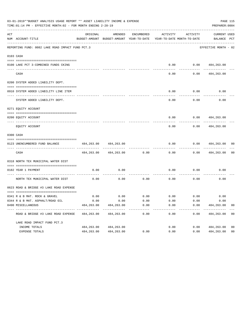|     | 03-01-2019**BUDGET ANALYSIS USAGE REPORT ** ASSET LIABILITY INCOME & EXPENSE<br>PAGE 115<br>TIME: 01:14 PM - EFFECTIVE MONTH: 02 - FOR MONTH ENDING 2-28-19<br>PREPARER: 0004 |            |                                                     |                      |                      |                                           |                                    |                |  |  |  |
|-----|-------------------------------------------------------------------------------------------------------------------------------------------------------------------------------|------------|-----------------------------------------------------|----------------------|----------------------|-------------------------------------------|------------------------------------|----------------|--|--|--|
| ACT | NUM ACCOUNT-TITLE                                                                                                                                                             | ORIGINAL   | AMENDED<br>BUDGET-AMOUNT BUDGET-AMOUNT YEAR-TO-DATE | ENCUMBERED           | ACTIVITY             | ACTIVITY<br>YEAR-TO-DATE MONTH-TO-DATE    | <b>CURRENT USED</b><br>BALANCE PCT |                |  |  |  |
|     | REPORTING FUND: 0082 LAKE ROAD IMPACT FUND PCT.3                                                                                                                              |            |                                                     |                      |                      |                                           | EFFECTIVE MONTH - 02               |                |  |  |  |
|     | 0103 CASH                                                                                                                                                                     |            |                                                     |                      |                      |                                           |                                    |                |  |  |  |
|     | 0100 LAKE PCT 3-COMBINED FUNDS CKING                                                                                                                                          |            |                                                     |                      |                      | $0.00$ $0.00$ $484,263.00$                |                                    |                |  |  |  |
|     | CASH                                                                                                                                                                          |            |                                                     |                      | 0.00                 | 0.00                                      | 484,263.00                         |                |  |  |  |
|     | 0200 SYSTEM ADDED LIABILITY DEPT.                                                                                                                                             |            |                                                     |                      |                      |                                           |                                    |                |  |  |  |
|     | 0910 SYSTEM ADDED LIABILITY LINE ITEM                                                                                                                                         |            |                                                     |                      | 0.00                 | 0.00                                      | 0.00                               |                |  |  |  |
|     | SYSTEM ADDED LIABILITY DEPT.                                                                                                                                                  |            |                                                     |                      | 0.00                 | . <u>.</u><br>0.00                        | 0.00                               |                |  |  |  |
|     | 0271 EQUITY ACCOUNT                                                                                                                                                           |            |                                                     |                      |                      |                                           |                                    |                |  |  |  |
|     | 0200 EQUITY ACCOUNT                                                                                                                                                           |            |                                                     |                      | 0.00                 |                                           | $0.00$ $484,263.00$                |                |  |  |  |
|     | EQUITY ACCOUNT                                                                                                                                                                |            |                                                     |                      | 0.00                 | 0.00                                      | 484,263.00                         |                |  |  |  |
|     | 0300 CASH                                                                                                                                                                     |            |                                                     |                      |                      |                                           |                                    |                |  |  |  |
|     | 0123 UNENCUMBERED FUND BALANCE                                                                                                                                                | 484,263.00 | 484,263.00                                          |                      | 0.00                 | 0.00                                      | 484,263.00                         | 00             |  |  |  |
|     | CASH                                                                                                                                                                          | 484,263.00 | 484,263.00                                          | 0.00                 | 0.00                 | 0.00                                      | 484,263.00                         | 0 <sub>0</sub> |  |  |  |
|     | 0318 NORTH TEX MUNICIPAL WATER DIST                                                                                                                                           |            |                                                     |                      |                      |                                           |                                    |                |  |  |  |
|     | 0182 YEAR 1 PAYMENT                                                                                                                                                           | 0.00       | 0.00                                                |                      | 0.00                 | 0.00                                      | 0.00                               |                |  |  |  |
|     | NORTH TEX MUNICIPAL WATER DIST                                                                                                                                                | 0.00       | 0.00                                                | 0.00                 | 0.00                 | 0.00                                      | 0.00                               |                |  |  |  |
|     | 0623 ROAD & BRIDGE #3 LAKE ROAD EXPENSE                                                                                                                                       |            |                                                     |                      |                      |                                           |                                    |                |  |  |  |
|     | 0341 R & B MAT. ROCK & GRAVEL                                                                                                                                                 | 0.00       |                                                     |                      |                      | $0.00$ $0.00$ $0.00$ $0.00$ $0.00$ $0.00$ | 0.00                               |                |  |  |  |
|     | 0344 R & B MAT. ASPHALT/ROAD OIL                                                                                                                                              | 0.00       | 0.00                                                | 0.00                 | 0.00                 | 0.00                                      | 0.00                               |                |  |  |  |
|     | 0490 MISCELLANEOUS                                                                                                                                                            | 484,263.00 | 484,263.00<br>--------------                        | 0.00<br>------------ | 0.00<br>------------ | 0.00<br>------------                      | 484,263.00<br>--------------       | 0 <sub>0</sub> |  |  |  |
|     | ROAD & BRIDGE #3 LAKE ROAD EXPENSE                                                                                                                                            | 484,263.00 | 484,263.00                                          | 0.00                 | 0.00                 | 0.00                                      | 484,263.00                         | 0 <sub>0</sub> |  |  |  |
|     | LAKE ROAD IMPACT FUND PCT.3                                                                                                                                                   |            |                                                     |                      |                      |                                           |                                    |                |  |  |  |
|     | INCOME TOTALS                                                                                                                                                                 | 484,263.00 | 484,263.00                                          |                      | 0.00                 | 0.00                                      | 484,263.00                         | 0 <sub>0</sub> |  |  |  |
|     | EXPENSE TOTALS                                                                                                                                                                | 484,263.00 | 484,263.00                                          | 0.00                 | 0.00                 | 0.00                                      | 484,263.00                         | 0 <sub>0</sub> |  |  |  |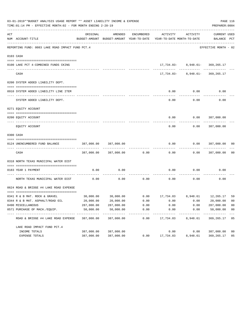|     | 03-01-2019**BUDGET ANALYSIS USAGE REPORT ** ASSET LIABILITY INCOME & EXPENSE<br>TIME: 01:14 PM - EFFECTIVE MONTH: 02 - FOR MONTH ENDING 2-28-19 |            |                          |                     |                                                                                 |                                    | PREPARER: 0004              | PAGE 116                |
|-----|-------------------------------------------------------------------------------------------------------------------------------------------------|------------|--------------------------|---------------------|---------------------------------------------------------------------------------|------------------------------------|-----------------------------|-------------------------|
| ACT | NUM ACCOUNT-TITLE                                                                                                                               | ORIGINAL   | AMENDED                  | ENCUMBERED          | ACTIVITY<br>BUDGET-AMOUNT BUDGET-AMOUNT YEAR-TO-DATE YEAR-TO-DATE MONTH-TO-DATE | ACTIVITY                           | CURRENT USED<br>BALANCE PCT |                         |
|     | REPORTING FUND: 0083 LAKE ROAD IMPACT FUND PCT.4                                                                                                |            |                          |                     |                                                                                 |                                    | EFFECTIVE MONTH - 02        |                         |
|     | 0103 CASH                                                                                                                                       |            |                          |                     |                                                                                 |                                    |                             |                         |
|     |                                                                                                                                                 |            |                          |                     |                                                                                 |                                    |                             |                         |
|     | 0100 LAKE PCT 4-COMBINED FUNDS CKING                                                                                                            |            |                          |                     |                                                                                 | 17,734.83- 8,948.61- 369,265.17    |                             |                         |
|     | CASH                                                                                                                                            |            |                          |                     |                                                                                 | 17, 734.83- 8, 948.61- 369, 265.17 |                             |                         |
|     | 0200 SYSTEM ADDED LIABILITY DEPT.                                                                                                               |            |                          |                     |                                                                                 |                                    |                             |                         |
|     | 0910 SYSTEM ADDED LIABILITY LINE ITEM                                                                                                           |            |                          |                     | 0.00                                                                            | 0.00                               | 0.00                        |                         |
|     | SYSTEM ADDED LIABILITY DEPT.                                                                                                                    |            |                          |                     | 0.00                                                                            | 0.00                               | 0.00                        |                         |
|     | 0271 EQUITY ACCOUNT                                                                                                                             |            |                          |                     |                                                                                 |                                    |                             |                         |
|     | 0200 EQUITY ACCOUNT                                                                                                                             |            |                          |                     |                                                                                 | $0.00$ $0.00$ $387,000.00$         |                             |                         |
|     | EQUITY ACCOUNT                                                                                                                                  |            |                          |                     | 0.00                                                                            | 0.00                               | 387,000.00                  |                         |
|     | 0300 CASH                                                                                                                                       |            |                          |                     |                                                                                 |                                    |                             |                         |
|     |                                                                                                                                                 |            |                          |                     |                                                                                 |                                    |                             |                         |
|     | 0124 UNENCUMBERED FUND BALANCE                                                                                                                  | 387,000.00 | 387,000.00               |                     | 0.00                                                                            | 0.00                               | 387,000.00                  | 00                      |
|     | CASH                                                                                                                                            |            | 387,000.00 387,000.00    | 0.00                | 0.00                                                                            |                                    | $0.00$ 387,000.00           | 0 <sub>0</sub>          |
|     | 0318 NORTH TEXAS MUNICIPAL WATER DIST                                                                                                           |            |                          |                     |                                                                                 |                                    |                             |                         |
|     |                                                                                                                                                 |            |                          |                     |                                                                                 |                                    |                             |                         |
|     | 0183 YEAR 1 PAYMENT                                                                                                                             | 0.00       | 0.00                     |                     | 0.00                                                                            | 0.00                               | 0.00                        |                         |
|     | NORTH TEXAS MUNICIPAL WATER DIST                                                                                                                | 0.00       | 0.00                     |                     | $0.00$ 0.00                                                                     | 0.00                               | 0.00                        |                         |
|     | 0624 ROAD & BRIDGE #4 LAKE ROAD EXPENSE                                                                                                         |            |                          |                     |                                                                                 |                                    |                             |                         |
|     |                                                                                                                                                 |            |                          |                     |                                                                                 |                                    |                             |                         |
|     | 0341 R & B MAT. ROCK & GRAVEL                                                                                                                   |            |                          |                     | $30,000.00$ $30,000.00$ $0.00$ $17,734.83$ $8,948.61$ $12,265.17$               |                                    |                             | 59                      |
|     | 0344 R & B MAT. ASPHALT/ROAD OIL                                                                                                                | 20,000.00  | 20,000.00                | 0.00                | 0.00                                                                            | 0.00                               | 20,000.00                   | 00                      |
|     | 0490 MISCELLANEOUS                                                                                                                              | 287,000.00 | 287,000.00               | 0.00                | 0.00                                                                            | 0.00                               | 287,000.00                  | 0 <sub>0</sub>          |
|     | 0571 PURCHASE OF MACH./EQUIP.                                                                                                                   | 50,000.00  | 50,000.00<br>----------- | 0.00<br>----------- | 0.00<br>----------                                                              | 0.00                               | 50,000.00<br>-----------    | 0 <sub>0</sub><br>$---$ |
|     | ROAD & BRIDGE #4 LAKE ROAD EXPENSE                                                                                                              | 387,000.00 | 387,000.00               | 0.00                | 17,734.83                                                                       | 8,948.61                           | 369,265.17                  | 05                      |
|     | LAKE ROAD IMPACT FUND PCT. 4                                                                                                                    |            |                          |                     |                                                                                 |                                    |                             |                         |
|     | INCOME TOTALS                                                                                                                                   | 387,000.00 | 387,000.00               |                     | 0.00                                                                            | 0.00                               | 387,000.00                  | 0 <sub>0</sub>          |
|     | EXPENSE TOTALS                                                                                                                                  | 387,000.00 | 387,000.00               | 0.00                | 17,734.83                                                                       | 8,948.61                           | 369,265.17                  | 05                      |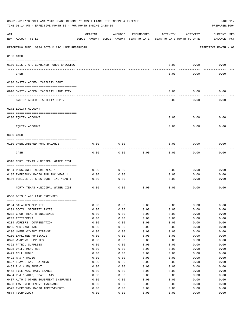|     | 03-01-2019**BUDGET ANALYSIS USAGE REPORT ** ASSET LIABILITY INCOME & EXPENSE<br>TIME:01:14 PM - EFFECTIVE MONTH:02 - FOR MONTH ENDING 2-28-19 |              |                                                     |              |                                        |              | PAGE 117<br>PREPARER: 0004         |
|-----|-----------------------------------------------------------------------------------------------------------------------------------------------|--------------|-----------------------------------------------------|--------------|----------------------------------------|--------------|------------------------------------|
| ACT | NUM ACCOUNT-TITLE                                                                                                                             | ORIGINAL     | AMENDED<br>BUDGET-AMOUNT BUDGET-AMOUNT YEAR-TO-DATE | ENCUMBERED   | ACTIVITY<br>YEAR-TO-DATE MONTH-TO-DATE | ACTIVITY     | <b>CURRENT USED</b><br>BALANCE PCT |
|     | REPORTING FUND: 0084 BOIS D'ARC LAKE RESERVOIR                                                                                                |              |                                                     |              |                                        |              | EFFECTIVE MONTH - 02               |
|     | 0103 CASH                                                                                                                                     |              |                                                     |              |                                        |              |                                    |
|     | 0100 BOIS D'ARC-COMBINED FUNDS CHECKING                                                                                                       |              |                                                     |              | 0.00                                   | 0.00         | 0.00                               |
|     | CASH                                                                                                                                          |              |                                                     |              | 0.00                                   | 0.00         | 0.00                               |
|     | 0200 SYSTEM ADDED LIABILITY DEPT.                                                                                                             |              |                                                     |              |                                        |              |                                    |
|     | 0910 SYSTEM ADDED LIABILITY LINE ITEM                                                                                                         |              |                                                     |              | 0.00                                   | 0.00         | 0.00                               |
|     | SYSTEM ADDED LIABILITY DEPT.                                                                                                                  |              |                                                     |              | 0.00                                   | 0.00         | 0.00                               |
|     | 0271 EQUITY ACCOUNT                                                                                                                           |              |                                                     |              |                                        |              |                                    |
|     | 0200 EQUITY ACCOUNT                                                                                                                           |              |                                                     |              | 0.00                                   | 0.00         | 0.00                               |
|     | EQUITY ACCOUNT                                                                                                                                |              |                                                     |              | 0.00                                   | 0.00         | 0.00                               |
|     | 0300 CASH                                                                                                                                     |              |                                                     |              |                                        |              |                                    |
|     | 0110 UNENCUMBERED FUND BALANCE                                                                                                                | 0.00         | 0.00                                                |              | 0.00                                   | 0.00         | 0.00                               |
|     | CASH                                                                                                                                          | 0.00         | 0.00                                                | 0.00         | 0.00                                   | 0.00         | 0.00                               |
|     | 0318 NORTH TEXAS MUNICIPAL WATER DIST                                                                                                         |              |                                                     |              |                                        |              |                                    |
|     | 0184 PERSONNEL INCOME YEAR 1                                                                                                                  | 0.00         | 0.00                                                |              | 0.00                                   | 0.00         | 0.00                               |
|     | 0185 EMERGENCY RADIO IMP.INC.YEAR 1                                                                                                           | 0.00         | 0.00                                                |              | 0.00                                   | 0.00         | 0.00                               |
|     | 0186 VEHICLE OR SPEC EQUIP INC YEAR 1                                                                                                         | 0.00         | 0.00                                                |              | 0.00                                   | 0.00         | 0.00                               |
|     | NORTH TEXAS MUNICIPAL WATER DIST                                                                                                              | 0.00         | 0.00                                                | 0.00         | 0.00                                   | 0.00         | 0.00                               |
|     | 0560 BOIS D'ARC LAKE EXPENSES                                                                                                                 |              |                                                     |              |                                        |              |                                    |
|     |                                                                                                                                               |              |                                                     |              |                                        |              |                                    |
|     | 0104 SALARIES DEPUTIES                                                                                                                        | 0.00         | 0.00                                                | 0.00         | 0.00                                   | 0.00         | 0.00                               |
|     | 0201 SOCIAL SECURITY TAXES                                                                                                                    | 0.00         | 0.00                                                | 0.00         | 0.00                                   | 0.00         | 0.00                               |
|     | 0202 GROUP HEALTH INSURANCE                                                                                                                   | 0.00         | 0.00                                                | 0.00         | 0.00                                   | 0.00         | 0.00                               |
|     | 0203 RETIREMENT<br>0204 WORKERS' COMPENSATION                                                                                                 | 0.00<br>0.00 | 0.00<br>0.00                                        | 0.00         | 0.00                                   | 0.00<br>0.00 | 0.00<br>0.00                       |
|     | 0205 MEDICARE TAX                                                                                                                             | 0.00         | 0.00                                                | 0.00<br>0.00 | 0.00<br>0.00                           | 0.00         | 0.00                               |
|     | 0206 UNEMPLOYMENT EXPENSE                                                                                                                     | 0.00         | 0.00                                                | 0.00         | 0.00                                   | 0.00         | 0.00                               |
|     | 0250 EMPLOYEE PHYSICALS                                                                                                                       | 0.00         | 0.00                                                | 0.00         | 0.00                                   | 0.00         | 0.00                               |
|     | 0320 WEAPONS SUPPLIES                                                                                                                         | 0.00         | 0.00                                                | 0.00         | 0.00                                   | 0.00         | 0.00                               |
|     | 0321 PATROL SUPPLIES                                                                                                                          | 0.00         | 0.00                                                | 0.00         | 0.00                                   | 0.00         | 0.00                               |
|     | 0395 UNIFORMS/OTHER                                                                                                                           | 0.00         | 0.00                                                | 0.00         | 0.00                                   | 0.00         | 0.00                               |
|     | 0421 CELL PHONE                                                                                                                               | 0.00         | 0.00                                                | 0.00         | 0.00                                   | 0.00         | 0.00                               |
|     | 0422 R & M RADIO                                                                                                                              | 0.00         | 0.00                                                | 0.00         | 0.00                                   | 0.00         | 0.00                               |
|     | 0427 TRAVEL AND TRAINING                                                                                                                      | 0.00         | 0.00                                                | 0.00         | 0.00                                   | 0.00         | 0.00                               |
|     | 0452 R & M EQUIPMENT                                                                                                                          | 0.00         | 0.00                                                | 0.00         | 0.00                                   | 0.00         | 0.00                               |
|     | 0453 TYLER/CAD MAINTENANCE                                                                                                                    | 0.00         | 0.00                                                | 0.00         | 0.00                                   | 0.00         | 0.00                               |
|     | 0454 R & M AUTO, BOATS, ATV                                                                                                                   | 0.00         | 0.00                                                | 0.00         | 0.00                                   | 0.00         | 0.00                               |
|     | 0487 AUTO & OTHER EQUIPMENT INSURANCE                                                                                                         | 0.00         | 0.00                                                | 0.00         | 0.00                                   | 0.00         | 0.00                               |
|     | 0488 LAW ENFORCEMENT INSURANCE                                                                                                                | 0.00         | 0.00                                                | 0.00         | 0.00                                   | 0.00         | 0.00                               |
|     | 0573 EMERGENCY RADIO IMPROVEMENTS                                                                                                             | 0.00         | 0.00                                                | 0.00         | 0.00                                   | 0.00         | 0.00                               |
|     | 0574 TECHNOLOGY                                                                                                                               | 0.00         | 0.00                                                | 0.00         | 0.00                                   | 0.00         | 0.00                               |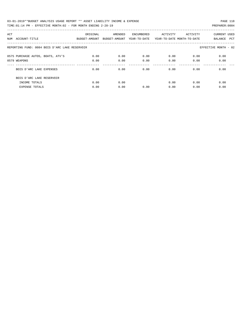03-01-2019\*\*BUDGET ANALYSIS USAGE REPORT \*\* ASSET LIABILITY INCOME & EXPENSE PAGE 118 TIME:01:14 PM - EFFECTIVE MONTH:02 - FOR MONTH ENDING 2-28-19 PREPARER:0004

| ACT |                                                | ORIGINAL      | AMENDED       | ENCUMBERED   | ACTIVITY | ACTIVITY                   | CURRENT USED          |  |
|-----|------------------------------------------------|---------------|---------------|--------------|----------|----------------------------|-----------------------|--|
| NUM | ACCOUNT-TITLE                                  | BUDGET-AMOUNT | BUDGET-AMOUNT | YEAR-TO-DATE |          | YEAR-TO-DATE MONTH-TO-DATE | BALANCE<br><b>PCT</b> |  |
|     |                                                |               |               |              |          |                            |                       |  |
|     | REPORTING FUND: 0084 BOIS D'ARC LAKE RESERVOIR |               |               |              |          |                            | EFFECTIVE MONTH - 02  |  |
|     |                                                |               |               |              |          |                            |                       |  |
|     | 0575 PURCHASE AUTOS, BOATS, ATV'S              | 0.00          | 0.00          | 0.00         | 0.00     | 0.00                       | 0.00                  |  |
|     | 0579 WEAPONS                                   | 0.00          | 0.00          | 0.00         | 0.00     | 0.00                       | 0.00                  |  |
|     |                                                |               |               |              |          |                            |                       |  |
|     | BOIS D'ARC LAKE EXPENSES                       | 0.00          | 0.00          | 0.00         | 0.00     | 0.00                       | 0.00                  |  |
|     | BOIS D'ARC LAKE RESERVOIR                      |               |               |              |          |                            |                       |  |
|     | INCOME TOTALS                                  | 0.00          | 0.00          |              | 0.00     | 0.00                       | 0.00                  |  |
|     | <b>EXPENSE TOTALS</b>                          | 0.00          | 0.00          | 0.00         | 0.00     | 0.00                       | 0.00                  |  |
|     |                                                |               |               |              |          |                            |                       |  |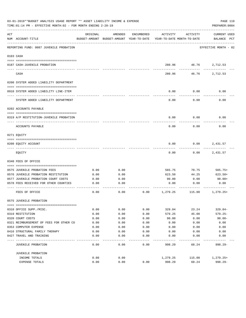|     | 03-01-2019**BUDGET ANALYSIS USAGE REPORT ** ASSET LIABILITY INCOME & EXPENSE<br>PAGE 119<br>TIME: 01:14 PM - EFFECTIVE MONTH: 02 - FOR MONTH ENDING 2-28-19<br>PREPARER: 0004 |          |                                                     |            |                                        |                       |                                    |  |  |  |  |
|-----|-------------------------------------------------------------------------------------------------------------------------------------------------------------------------------|----------|-----------------------------------------------------|------------|----------------------------------------|-----------------------|------------------------------------|--|--|--|--|
| ACT | NUM ACCOUNT-TITLE                                                                                                                                                             | ORIGINAL | AMENDED<br>BUDGET-AMOUNT BUDGET-AMOUNT YEAR-TO-DATE | ENCUMBERED | ACTIVITY<br>YEAR-TO-DATE MONTH-TO-DATE | ACTIVITY              | <b>CURRENT USED</b><br>BALANCE PCT |  |  |  |  |
|     | REPORTING FUND: 0087 JUVENILE PROBATION                                                                                                                                       |          |                                                     |            |                                        |                       | EFFECTIVE MONTH - 02               |  |  |  |  |
|     | 0103 CASH                                                                                                                                                                     |          |                                                     |            |                                        |                       |                                    |  |  |  |  |
|     | 0187 CASH-JUVENILE PROBATION                                                                                                                                                  |          |                                                     |            | 280.96                                 |                       | 46.76 2,712.53<br>---------        |  |  |  |  |
|     | CASH                                                                                                                                                                          |          |                                                     |            | 280.96                                 | ------------<br>46.76 | 2,712.53                           |  |  |  |  |
|     | 0200 SYSTEM ADDED LIABILITY DEPARTMENT                                                                                                                                        |          |                                                     |            |                                        |                       |                                    |  |  |  |  |
|     | 0910 SYSTEM ADDED LIABILITY LINE-ITEM                                                                                                                                         |          |                                                     |            | 0.00                                   | 0.00                  | 0.00                               |  |  |  |  |
|     | SYSTEM ADDED LIABILITY DEPARTMENT                                                                                                                                             |          |                                                     |            | 0.00                                   | 0.00                  | 0.00                               |  |  |  |  |
|     | 0202 ACCOUNTS PAYABLE                                                                                                                                                         |          |                                                     |            |                                        |                       |                                    |  |  |  |  |
|     | 0319 A/P RESTITUTION-JUVENILE PROBATION                                                                                                                                       |          |                                                     |            | 0.00                                   | 0.00                  | 0.00                               |  |  |  |  |
|     | ACCOUNTS PAYABLE                                                                                                                                                              |          |                                                     |            | 0.00                                   | 0.00                  | 0.00                               |  |  |  |  |
|     | 0271 EQUITY                                                                                                                                                                   |          |                                                     |            |                                        |                       |                                    |  |  |  |  |
|     | 0200 EQUITY ACCOUNT                                                                                                                                                           |          |                                                     |            | 0.00                                   | 0.00                  | 2,431.57                           |  |  |  |  |
|     | EQUITY                                                                                                                                                                        |          |                                                     |            | 0.00                                   | 0.00                  | 2,431.57                           |  |  |  |  |
|     | 0340 FEES OF OFFICE                                                                                                                                                           |          |                                                     |            |                                        |                       |                                    |  |  |  |  |
|     | 0575 JUVENILE PROBATION FEES                                                                                                                                                  | 0.00     | 0.00                                                |            | 565.75                                 | 70.75                 | $565.75+$                          |  |  |  |  |
|     | 0576 JUVENILE PROBATION RESTITUTION                                                                                                                                           | 0.00     | 0.00                                                |            | 623.50                                 | 44.25                 | $623.50+$                          |  |  |  |  |
|     | 0577 JUVENILE PROBATION COURT COSTS                                                                                                                                           | 0.00     | 0.00                                                |            | 90.00                                  | 0.00                  | $90.00+$                           |  |  |  |  |
|     | 0578 FEES RECEIVED FOR OTHER COUNTIES                                                                                                                                         | 0.00     | 0.00                                                |            | 0.00                                   | 0.00                  | 0.00                               |  |  |  |  |
|     | FEES OF OFFICE                                                                                                                                                                | 0.00     | 0.00                                                | 0.00       | 1,279.25                               | 115.00                | $1,279.25+$                        |  |  |  |  |
|     | 0575 JUVENILE PROBATION                                                                                                                                                       |          |                                                     |            |                                        |                       |                                    |  |  |  |  |
|     | 0310 OFFICE SUPP./MISC.                                                                                                                                                       | 0.00     | 0.00                                                | 0.00       | 329.04                                 | 23.24                 | $329.04-$                          |  |  |  |  |
|     | 0319 RESTITUTION                                                                                                                                                              | 0.00     | 0.00                                                | 0.00       | 579.25                                 | 45.00                 | $579.25 -$                         |  |  |  |  |
|     | 0320 COURT COSTS                                                                                                                                                              | 0.00     | 0.00                                                | 0.00       | 90.00                                  | 0.00                  | $90.00 -$                          |  |  |  |  |
|     | 0321 REIMBURSEMENT OF FEES FOR OTHER CO                                                                                                                                       | 0.00     | 0.00                                                | 0.00       | 0.00                                   | 0.00                  | 0.00                               |  |  |  |  |
|     | 0353 COMPUTER EXPENSE                                                                                                                                                         | 0.00     | 0.00                                                | 0.00       | 0.00                                   | 0.00                  | 0.00                               |  |  |  |  |
|     | 0416 STRUCTURAL FAMILY THERAPY                                                                                                                                                | 0.00     | 0.00                                                | 0.00       | 0.00                                   | 0.00                  | 0.00                               |  |  |  |  |
|     | 0427 TRAVEL AND TRAINING                                                                                                                                                      | 0.00     | 0.00                                                | 0.00       | 0.00                                   | 0.00                  | 0.00                               |  |  |  |  |
|     | JUVENILE PROBATION                                                                                                                                                            | 0.00     | 0.00                                                | 0.00       | 998.29                                 | 68.24                 | $998.29 -$                         |  |  |  |  |
|     | JUVENILE PROBATION                                                                                                                                                            |          |                                                     |            |                                        |                       |                                    |  |  |  |  |
|     | INCOME TOTALS                                                                                                                                                                 | 0.00     | 0.00                                                |            | 1,279.25                               | 115.00                | $1,279.25+$                        |  |  |  |  |
|     | EXPENSE TOTALS                                                                                                                                                                | 0.00     | 0.00                                                | 0.00       | 998.29                                 | 68.24                 | $998.29 -$                         |  |  |  |  |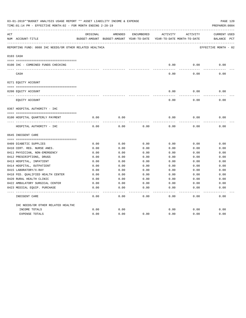| 03-01-2019**BUDGET ANALYSIS USAGE REPORT ** ASSET LIABILITY INCOME & EXPENSE<br>TIME:01:14 PM - EFFECTIVE MONTH:02 - FOR MONTH ENDING 2-28-19 |                                                          |          |                                          |            |              |                            | PAGE 120<br>PREPARER: 0004 |
|-----------------------------------------------------------------------------------------------------------------------------------------------|----------------------------------------------------------|----------|------------------------------------------|------------|--------------|----------------------------|----------------------------|
| ACT                                                                                                                                           |                                                          | ORIGINAL | AMENDED                                  | ENCUMBERED | ACTIVITY     | ACTIVITY                   | CURRENT USED               |
|                                                                                                                                               | NUM ACCOUNT-TITLE                                        |          | BUDGET-AMOUNT BUDGET-AMOUNT YEAR-TO-DATE |            |              | YEAR-TO-DATE MONTH-TO-DATE | BALANCE PCT                |
|                                                                                                                                               | REPORTING FUND: 0088 IHC NEEDS/OR OTHER RELATED HEALTHCA |          |                                          |            |              |                            | EFFECTIVE MONTH - 02       |
|                                                                                                                                               | 0103 CASH                                                |          |                                          |            |              |                            |                            |
|                                                                                                                                               |                                                          |          |                                          |            |              |                            |                            |
|                                                                                                                                               | 0100 IHC - COMBINED FUNDS CHECKING                       |          |                                          |            | 0.00         | 0.00                       | 0.00                       |
|                                                                                                                                               | CASH                                                     |          |                                          |            | 0.00         | 0.00                       | 0.00                       |
|                                                                                                                                               | 0271 EQUITY ACCOUNT                                      |          |                                          |            |              |                            |                            |
|                                                                                                                                               | 0200 EQUITY ACCOUNT                                      |          |                                          |            | 0.00         | 0.00                       | 0.00                       |
|                                                                                                                                               | ______________________________<br>EQUITY ACCOUNT         |          |                                          |            | 0.00         | 0.00                       | 0.00                       |
|                                                                                                                                               | 0367 HOSPITAL AUTHORITY - IHC                            |          |                                          |            |              |                            |                            |
|                                                                                                                                               |                                                          |          |                                          |            |              |                            |                            |
|                                                                                                                                               | 0100 HOSPITAL QUARTERLY PAYMENT                          | 0.00     | 0.00                                     |            | 0.00         | 0.00                       | 0.00                       |
|                                                                                                                                               | HOSPITAL AUTHORITY - IHC                                 | 0.00     | 0.00                                     | 0.00       | 0.00         | 0.00                       | 0.00                       |
|                                                                                                                                               | 0645 INDIGENT CARE                                       |          |                                          |            |              |                            |                            |
|                                                                                                                                               |                                                          |          |                                          |            |              |                            |                            |
|                                                                                                                                               | 0409 DIABETIC SUPPLIES                                   | 0.00     | 0.00                                     | 0.00       | 0.00         | 0.00                       | 0.00                       |
|                                                                                                                                               | 0410 CERT. REG. NURSE ANES.                              | 0.00     | 0.00                                     | 0.00       | 0.00         | 0.00                       | 0.00                       |
|                                                                                                                                               | 0411 PHYSICIAN, NON-EMERGENCY                            | 0.00     | 0.00                                     | 0.00       | 0.00         | 0.00                       | 0.00                       |
|                                                                                                                                               | 0412 PRESCRIPTIONS, DRUGS                                | 0.00     | 0.00                                     | 0.00       | 0.00         | 0.00                       | 0.00                       |
|                                                                                                                                               | 0413 HOSPITAL, INPATIENT                                 | 0.00     | 0.00                                     | 0.00       | 0.00         | 0.00                       | 0.00                       |
|                                                                                                                                               | 0414 HOSPITAL, OUTPATIENT                                | 0.00     | 0.00                                     | 0.00       | 0.00         | 0.00                       | 0.00                       |
|                                                                                                                                               | 0415 LABORATORY/X-RAY                                    | 0.00     | 0.00                                     | 0.00       | 0.00         | 0.00                       | 0.00                       |
|                                                                                                                                               | 0418 FED. OUALIFIED HEALTH CENTER                        | 0.00     | 0.00                                     | 0.00       | 0.00         | 0.00                       | 0.00                       |
|                                                                                                                                               | 0420 RURAL HEALTH CLINIC                                 | 0.00     | 0.00                                     | 0.00       | 0.00         | 0.00                       | 0.00                       |
|                                                                                                                                               | 0422 AMBULATORY SURGICAL CENTER                          | 0.00     | 0.00                                     | 0.00       | 0.00         | 0.00                       | 0.00                       |
|                                                                                                                                               | 0423 MEDICAL EQUIP. PURCHASE                             | 0.00     | 0.00                                     | 0.00       | 0.00         | 0.00                       | 0.00                       |
|                                                                                                                                               | INDIGENT CARE                                            | 0.00     | 0.00                                     | 0.00       | ----<br>0.00 | ----<br>0.00               | -----<br>0.00              |
|                                                                                                                                               | IHC NEEDS/OR OTHER RELATED HEALTHC                       |          |                                          |            |              |                            |                            |
|                                                                                                                                               | INCOME TOTALS                                            | 0.00     | 0.00                                     |            | 0.00         | 0.00                       | 0.00                       |
|                                                                                                                                               | <b>EXPENSE TOTALS</b>                                    | 0.00     | 0.00                                     | 0.00       | 0.00         | 0.00                       | 0.00                       |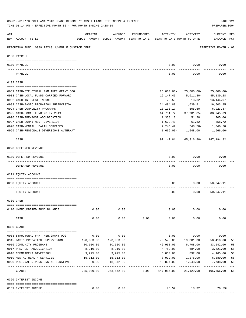|     | 03-01-2019**BUDGET ANALYSIS USAGE REPORT ** ASSET LIABILITY INCOME & EXPENSE<br>TIME: 01:14 PM - EFFECTIVE MONTH: 02 - FOR MONTH ENDING 2-28-19 |                           |                                                     |            |                                        |                                     | PAGE 121<br>PREPARER: 0004         |    |
|-----|-------------------------------------------------------------------------------------------------------------------------------------------------|---------------------------|-----------------------------------------------------|------------|----------------------------------------|-------------------------------------|------------------------------------|----|
| ACT | NUM ACCOUNT-TITLE                                                                                                                               | ORIGINAL                  | AMENDED<br>BUDGET-AMOUNT BUDGET-AMOUNT YEAR-TO-DATE | ENCUMBERED | ACTIVITY<br>YEAR-TO-DATE MONTH-TO-DATE | ACTIVITY                            | <b>CURRENT USED</b><br>BALANCE PCT |    |
|     | REPORTING FUND: 0089 TEXAS JUVENILE JUSTICE DEPT.                                                                                               |                           |                                                     |            |                                        |                                     | EFFECTIVE MONTH - 02               |    |
|     | 0100 PAYROLL                                                                                                                                    |                           |                                                     |            |                                        |                                     |                                    |    |
|     | 0100 PAYROLL                                                                                                                                    |                           |                                                     |            | 0.00                                   | 0.00                                | 0.00                               |    |
|     | PAYROLL                                                                                                                                         |                           |                                                     |            | 0.00                                   | 0.00                                | 0.00                               |    |
|     | 0103 CASH                                                                                                                                       |                           |                                                     |            |                                        |                                     |                                    |    |
|     | 0689 CASH-STRUCTURAL FAM.THER.GRANT OOG                                                                                                         |                           |                                                     |            | $25,000.00-$                           | 25,000.00-                          | $25,000.00-$                       |    |
|     | 0988 CASH-LOCAL FUNDS CARRIED FORWARD                                                                                                           |                           |                                                     |            | 16,147.45                              | 5,011.30-                           | 45,139.28                          |    |
|     | 0992 CASH-INTEREST INCOME                                                                                                                       |                           |                                                     |            | 76.59                                  | 18.32                               | 13,144.07                          |    |
|     | 0993 CASH-BASIC PROBATION SUPERVISION                                                                                                           |                           |                                                     |            | 24,494.88                              | 1,039.91                            | 16,503.95                          |    |
|     | 0994 CASH-COMMUNITY PROGRAMS                                                                                                                    |                           |                                                     |            | 13,130.17                              | 505.60                              | 6,923.87                           |    |
|     | 0995 CASH-LOCAL FUNDING FY 2019                                                                                                                 |                           |                                                     |            | 64,751.72                              | 37,981.85-                          | 88,745.39                          |    |
|     | 0996 CASH-PRE/POST ADJUDICATION                                                                                                                 |                           |                                                     |            | 1,338.18                               | 51.28                               | 705.06                             |    |
|     | 0997 CASH-COMMITMENT DIVERSION                                                                                                                  |                           |                                                     |            | 1,629.40                               | 61.82                               | 858.72                             |    |
|     | 0998 CASH-MENTAL HEALTH SERVICES                                                                                                                |                           |                                                     |            | 2,245.42                               | 548.58-                             | 1,840.58                           |    |
|     | 0999 CASH-REGIONALS DIVERSIONS ALTERNAT                                                                                                         |                           |                                                     |            |                                        | $1,666.00 - 1,548.00$               | 1,666.00-                          |    |
|     | CASH                                                                                                                                            |                           |                                                     |            |                                        | 97, 147.81 65, 316.80 - 147, 194.92 |                                    |    |
|     | 0220 DEFERRED REVENUE                                                                                                                           |                           |                                                     |            |                                        |                                     |                                    |    |
|     |                                                                                                                                                 |                           |                                                     |            |                                        |                                     |                                    |    |
|     | 0189 DEFERRED REVENUE                                                                                                                           |                           |                                                     |            | 0.00                                   | 0.00                                | 0.00                               |    |
|     | DEFERRED REVENUE                                                                                                                                |                           |                                                     |            | 0.00                                   | 0.00                                | 0.00                               |    |
|     | 0271 EQUITY ACCOUNT                                                                                                                             |                           |                                                     |            |                                        |                                     |                                    |    |
|     | 0200 EQUITY ACCOUNT                                                                                                                             |                           |                                                     |            | 0.00                                   | 0.00                                | 50,047.11                          |    |
|     |                                                                                                                                                 |                           |                                                     |            |                                        |                                     |                                    |    |
|     | EQUITY ACCOUNT                                                                                                                                  |                           |                                                     |            | 0.00                                   | 0.00                                | 50,047.11                          |    |
|     | 0300 CASH                                                                                                                                       |                           |                                                     |            |                                        |                                     |                                    |    |
|     |                                                                                                                                                 |                           |                                                     |            |                                        |                                     |                                    |    |
|     | 0110 UNENCUMBERED FUND BALANCE                                                                                                                  | 0.00                      | 0.00                                                |            | 0.00                                   | 0.00                                | 0.00                               |    |
|     | CASH                                                                                                                                            | 0.00                      | 0.00                                                | 0.00       | 0.00                                   | 0.00                                | 0.00                               |    |
|     | 0330 GRANTS                                                                                                                                     |                           |                                                     |            |                                        |                                     |                                    |    |
|     | 0908 STRUCTURAL FAM. THER. GRANT OOG                                                                                                            | 0.00                      | 0.00                                                |            | 0.00                                   | 0.00                                | 0.00                               |    |
|     | 0915 BASIC PROBATION SUPERVISION                                                                                                                | 120,983.00                | 120,983.00                                          |            | 70,573.00                              | 10,081.00                           | 50,410.00                          | 58 |
|     | 0916 COMMUNITY PROGRAMS                                                                                                                         | 80,500.00                 | 80,500.00                                           |            | 46,958.00                              | 6,708.00                            | 33,542.00                          | 58 |
|     | 0917 PRE/POST ADJUDICATION                                                                                                                      | 8,210.00                  | 8,210.00                                            |            | 4,789.00                               | 684.00                              | 3,421.00                           | 58 |
|     | 0918 COMMITMENT DIVERSION                                                                                                                       | 9,995.00                  | 9,995.00                                            |            | 5,830.00                               | 832.00                              | 4,165.00                           | 58 |
|     | 0919 MENTAL HEALTH SERVICES                                                                                                                     | 15,312.00                 | 15,312.00                                           |            | 8,932.00                               | 1,276.00                            | 6,380.00                           | 58 |
|     | 0920 REGIONAL DIVERSIONS ALTERNATIVES                                                                                                           | 0.00                      | 18,572.00                                           |            | 10,834.00                              | 1,548.00                            | 7,738.00                           | 58 |
|     | GRANTS                                                                                                                                          | ___________<br>235,000.00 | -----------<br>253,572.00                           | 0.00       | 147,916.00                             | .<br>21,129.00                      | -----------<br>105,656.00          | 58 |
|     | 0360 INTEREST INCOME                                                                                                                            |                           |                                                     |            |                                        |                                     |                                    |    |
|     |                                                                                                                                                 |                           |                                                     |            |                                        |                                     |                                    |    |
|     | 0189 INTEREST INCOME                                                                                                                            | 0.00                      | 0.00                                                |            |                                        | 76.59 18.32                         | $76.59+$                           |    |
|     |                                                                                                                                                 |                           |                                                     |            |                                        |                                     |                                    |    |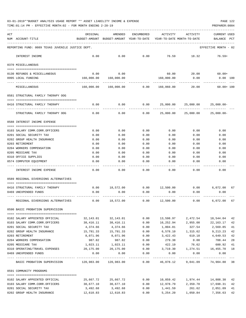| 03-01-2019**BUDGET ANALYSIS USAGE REPORT ** ASSET LIABILITY INCOME & EXPENSE |  |  |  | PAGE 122 |  |
|------------------------------------------------------------------------------|--|--|--|----------|--|
|                                                                              |  |  |  |          |  |

TIME:01:14 PM - EFFECTIVE MONTH:02 - FOR MONTH ENDING 2-28-19 PREPARER:0004

| ACT |                                                                  | ORIGINAL                                 | AMENDED               | ENCUMBERED    | ACTIVITY                   | ACTIVITY                                        | <b>CURRENT USED</b>   |          |
|-----|------------------------------------------------------------------|------------------------------------------|-----------------------|---------------|----------------------------|-------------------------------------------------|-----------------------|----------|
|     | NUM ACCOUNT-TITLE                                                | BUDGET-AMOUNT BUDGET-AMOUNT YEAR-TO-DATE |                       |               | YEAR-TO-DATE MONTH-TO-DATE |                                                 | BALANCE               | PCT      |
|     | REPORTING FUND: 0089 TEXAS JUVENILE JUSTICE DEPT.                |                                          |                       |               |                            |                                                 | EFFECTIVE MONTH - 02  |          |
|     | INTEREST INCOME                                                  | 0.00                                     | 0.00                  | 0.00          | 76.59                      | 18.32                                           | $76.59+$              |          |
|     | 0370 MISCELLANEOUS                                               |                                          |                       |               |                            |                                                 |                       |          |
|     |                                                                  |                                          |                       |               |                            |                                                 |                       |          |
|     | 0130 REFUNDS & MISCELLANEOUS                                     | 0.00                                     | 0.00                  |               | 60.00                      | 20.00                                           | $60.00+$              |          |
|     | 0995 LOCAL FUNDING                                               | 160,000.00                               | 160,000.00            |               | 160,000.00                 | 0.00                                            | 0.00 100              |          |
|     | MISCELLANEOUS                                                    | 160,000.00                               | 160,000.00            | 0.00          | 160,060.00                 | 20.00                                           | $60.00 + 100$         |          |
|     | 0581 STRUCTURAL FAMILY THERAPY OOG                               |                                          |                       |               |                            |                                                 |                       |          |
|     | 0416 STRUCTURAL FAMILY THERAPY                                   | 0.00                                     | 0.00                  | 0.00          | 25,000.00                  | 25,000.00                                       | $25,000.00-$          |          |
|     | STRUCTURAL FAMILY THERAPY OOG                                    | 0.00                                     | 0.00                  | 0.00          | 25,000.00                  | 25,000.00                                       | $25,000.00 -$         |          |
|     | 0588 INTEREST INCOME EXPENSE                                     |                                          |                       |               |                            |                                                 |                       |          |
|     |                                                                  |                                          |                       |               |                            |                                                 |                       |          |
|     | 0103 SALARY COMM.CORR.OFFICERS                                   | 0.00                                     | 0.00                  | 0.00          | 0.00                       | 0.00                                            | 0.00<br>0.00          |          |
|     | 0201 SOCIAL SECURITY TAX<br>0202 GROUP HEALTH INSURANCE          | 0.00<br>0.00                             | 0.00<br>0.00          | 0.00<br>0.00  | 0.00<br>0.00               | 0.00<br>0.00                                    | 0.00                  |          |
|     | 0203 RETIREMENT                                                  | 0.00                                     | 0.00                  | 0.00          | 0.00                       | 0.00                                            | 0.00                  |          |
|     | 0204 WORKERS COMPENSATION                                        | 0.00                                     | 0.00                  | 0.00          | 0.00                       | 0.00                                            | 0.00                  |          |
|     | 0205 MEDICARE TAX                                                | 0.00                                     | 0.00                  | 0.00          | 0.00                       | 0.00                                            | 0.00                  |          |
|     | 0310 OFFICE SUPPLIES                                             | 0.00                                     | 0.00                  | 0.00          | 0.00                       | 0.00                                            | 0.00                  |          |
|     | 0574 COMPUTER EQUIPMENT                                          | 0.00                                     | 0.00                  | 0.00          | 0.00                       | 0.00                                            | 0.00                  |          |
|     | INTEREST INCOME EXPENSE                                          | 0.00                                     | 0.00                  | 0.00          | 0.00                       | 0.00                                            | 0.00                  |          |
|     |                                                                  |                                          |                       |               |                            |                                                 |                       |          |
|     | 0589 REGIONAL DIVERSIONS ALTERNATIVES                            |                                          |                       |               |                            |                                                 |                       |          |
|     | 0416 STRUCTURAL FAMILY THERAPY                                   | 0.00                                     |                       |               |                            | $18,572.00$ $0.00$ $12,500.00$ $0.00$           | 6,072.00              | 67       |
|     | 0469 UNEXPENDED FUNDS                                            | 0.00                                     | 0.00                  | 0.00          | 0.00                       | 0.00                                            | 0.00                  |          |
|     | REGIONAL DIVERSIONS ALTERNATIVES                                 | 0.00                                     | 18,572.00             | 0.00          | 12,500.00                  | 0.00                                            | 6.072.00              | 67       |
|     | 0590 BASIC PROBATION SUPERVISION                                 |                                          |                       |               |                            |                                                 |                       |          |
|     |                                                                  |                                          |                       |               |                            |                                                 |                       |          |
|     | 0102 SALARY APPOINTED OFFICIAL<br>0103 SALARY COMM.CORR.OFFICERS |                                          | 32, 143.01 32, 143.01 | 0.00          | 13,598.97<br>16,252.94     | 2,472.54<br>2,955.08                            | 18,544.04             | 42<br>42 |
|     | 0201 SOCIAL SECURITY TAX                                         | 38,416.11<br>4,374.66                    | 38,416.11<br>4,374.66 | 0.00<br>0.00  | 1,804.81                   | 327.54                                          | 22,163.17<br>2,569.85 | 41       |
|     | 0202 GROUP HEALTH INSURANCE                                      | 15,791.33                                | 15,791.33             | 0.00          | 6,578.10                   | 1,315.62                                        | 9,213.23              | 42       |
|     | 0203 RETIREMENT                                                  | 8,071.96                                 | 8,071.96              | 0.00          | 3,422.43                   |                                                 | 619.18 4,649.53       | 42       |
|     | 0204 WORKERS COMPENSATION                                        | 987.82                                   | 987.82                | 0.00          | 279.38                     | 0.00                                            | 708.44                | 28       |
|     | 0205 MEDICARE TAX                                                | 1,023.11                                 | 1,023.11              | 0.00          | 422.19                     | 76.62                                           | 600.92                | 41       |
|     | 0310 OPERATING/TRAVEL EXPENSES                                   | 20,175.00                                | 20,175.00             | 0.00          | 3,719.30                   | 1,274.51                                        | 16,455.70             | 18       |
|     | 0469 UNEXPENDED FUNDS                                            | 0.00                                     | 0.00                  | 0.00          | 0.00                       | 0.00                                            | 0.00                  |          |
|     | BASIC PROBATION SUPERVISION 120,983.00 120,983.00 0.00           |                                          | --------------        | ------------- | -------------              | ------------<br>46,078.12 9,041.09 74,904.88 38 | --------------        | $- - -$  |
|     | 0591 COMMUNITY PROGRAMS                                          |                                          |                       |               |                            |                                                 |                       |          |
|     |                                                                  |                                          |                       |               |                            |                                                 |                       |          |
|     | 0102 SALARY APPOINTED OFFICIAL                                   | 25,667.72                                | 25,667.72             | 0.00          | 10,859.42                  | 1,974.44                                        | 14,808.30             | 42       |
|     | 0103 SALARY COMM.CORR.OFFICERS                                   | 30,677.10                                | 30,677.10             | 0.00          |                            | 12,978.79 2,359.78                              | 17,698.31             | 42       |
|     | 0201 SOCIAL SECURITY TAX                                         | 3,492.68                                 | 3,492.68              | 0.00          | 1,441.59                   | 261.62                                          | 2,051.09              | 41       |
|     | 0202 GROUP HEALTH INSURANCE                                      | 12,610.83                                | 12,610.83             | 0.00          | 5,254.20                   | 1,050.84                                        | 7,356.63              | 42       |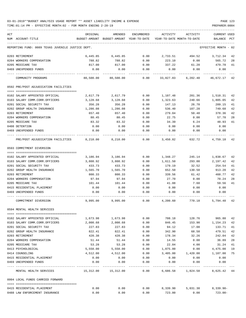TIME:01:14 PM - EFFECTIVE MONTH:02 - FOR MONTH ENDING 2-28-19 PREPARER:0004

| ACT<br>NUM ACCOUNT-TITLE                          | ORIGINAL<br>BUDGET-AMOUNT | AMENDED<br>BUDGET-AMOUNT YEAR-TO-DATE | ENCUMBERED   | ACTIVITY     | ACTIVITY<br>YEAR-TO-DATE MONTH-TO-DATE | CURRENT USED<br>BALANCE | PCT |
|---------------------------------------------------|---------------------------|---------------------------------------|--------------|--------------|----------------------------------------|-------------------------|-----|
| REPORTING FUND: 0089 TEXAS JUVENILE JUSTICE DEPT. |                           |                                       |              |              |                                        | EFFECTIVE MONTH - 02    |     |
| 0203 RETIREMENT                                   | 6,445.85                  | 6,445.85                              | 0.00         | 2,733.51     | 494.52 3,712.34                        |                         | 42  |
| 0204 WORKERS COMPENSATION                         | 788.82                    | 788.82                                | 0.00         | 223.10       | 0.00                                   | 565.72                  | 28  |
| 0205 MEDICARE TAX                                 | 817.00                    | 817.00                                | 0.00         | 337.22       | 61.20                                  | 479.78                  | 41  |
| 0469 UNEXPENDED FUNDS                             | 0.00                      | 0.00                                  | 0.00         | 0.00         | 0.00                                   | 0.00                    |     |
| COMMUNITY PROGRAMS                                |                           | 80,500.00 80,500.00                   | 0.00         |              | 33,827.83 6,202.40                     | 46,672.17               | 42  |
| 0592 PRE/POST ADJUDICATION FACILITIES             |                           |                                       |              |              |                                        |                         |     |
|                                                   |                           |                                       |              |              |                                        |                         |     |
| 0102 SALARY APPOINTED OFFICIAL                    | 2,617.79                  | 2,617.79                              | 0.00         | 1,107.48     | 201.36                                 | 1,510.31                | 42  |
| 0103 SALARY COMM.CORR.OFFICERS                    | 3,128.68                  | 3,128.68                              | 0.00         | 1,323.63     | 240.66                                 | 1,805.05                | 42  |
| 0201 SOCIAL SECURITY TAX                          | 356.28                    | 356.28                                | 0.00         | 147.13       | 26.70                                  | 209.15                  | 41  |
| 0202 GROUP HEALTH INSURANCE                       | 1,286.08                  | 1,286.08                              | 0.00         | 536.40       | 107.28                                 | 749.68                  | 42  |
| 0203 RETIREMENT                                   | 657.40                    | 657.40                                | 0.00         | 279.04       | 50.48                                  | 378.36                  | 42  |
| 0204 WORKERS COMPENSATION                         | 80.45                     | 80.45                                 | 0.00         | 22.75        | 0.00                                   | 57.70                   | 28  |
| 0205 MEDICARE TAX                                 | 83.32                     | 83.32                                 | 0.00         | 34.39        | 6.24                                   | 48.93                   | 41  |
| 0408 DETENTION<br>0469 UNEXPENDED FUNDS           | 0.00<br>0.00              | 0.00<br>0.00                          | 0.00<br>0.00 | 0.00<br>0.00 | 0.00<br>0.00                           | 0.00<br>0.00            |     |
|                                                   |                           |                                       |              |              |                                        |                         |     |
| PRE/POST ADJUDICATION FACILITIES                  | 8,210.00                  | 8,210.00                              | 0.00         |              | 3,450.82 632.72                        | 4,759.18                | 42  |
| 0593 COMMITMENT DIVERSION                         |                           |                                       |              |              |                                        |                         |     |
|                                                   |                           |                                       |              |              |                                        |                         |     |
| 0102 SALARY APPOINTED OFFICIAL                    | 3,186.94                  | 3,186.94                              | 0.00         | 1,348.27     | 245.14                                 | 1,838.67                | 42  |
| 0103 SALARY COMM.CORR.OFFICERS                    | 3,808.92                  | 3,808.92                              | 0.00         | 1,611.50     | 293.00                                 | 2,197.42                | 42  |
| 0201 SOCIAL SECURITY TAX                          | 433.73                    | 433.73                                | 0.00         | 179.19       | 32.52                                  | 254.54                  | 41  |
| 0202 GROUP HEALTH INSURANCE                       | 1,565.70                  | 1,565.70                              | 0.00         | 652.50       | 130.50                                 | 913.20                  | 42  |
| 0203 RETIREMENT                                   | 800.33                    | 800.33                                | 0.00         | 339.56       | 61.42                                  | 460.77                  | 42  |
| 0204 WORKERS COMPENSATION                         | 97.94                     | 97.94                                 | 0.00         | 27.70        | 0.00                                   | 70.24                   | 28  |
| 0205 MEDICARE TAX                                 | 101.44                    | 101.44                                | 0.00         | 41.88        | 7.60                                   | 59.56                   | 41  |
| 0415 RESIDENTIAL PLACEMENT                        | 0.00                      | 0.00                                  | 0.00         | 0.00         | 0.00                                   | 0.00                    |     |
| 0469 UNEXPENDED FUNDS                             | 0.00                      | 0.00                                  | 0.00         | 0.00         | 0.00                                   | 0.00                    |     |
| COMMITMENT DIVERSION                              | 9,995.00                  | 9,995.00                              | 0.00         | 4,200.60     | 770.18                                 | 5,794.40                | 42  |
| 0594 MENTAL HEALTH SERVICES                       |                           |                                       |              |              |                                        |                         |     |
| 0102 SALARY APPOINTED OFFICIAL                    | 1,673.98                  | 1,673.98                              | 0.00         | 708.18       | 128.76                                 | 965.80                  | 42  |
| 0103 SALARY COMM.CORR.OFFICERS                    | 2,000.68                  | 2,000.68                              | 0.00         | 846.45       | 153.90                                 | 1,154.23                | 42  |
| 0201 SOCIAL SECURITY TAX                          | 227.83                    | 227.83                                | 0.00         | 94.12        | 17.08                                  | 133.71                  | 41  |
| 0202 GROUP HEALTH INSURANCE                       | 822.41                    | 822.41                                | 0.00         | 342.90       | 68.58                                  | 479.51                  | 42  |
| 0203 RETIREMENT                                   | 420.38                    | 420.38                                | 0.00         | 178.34       | 32.26                                  | 242.04                  | 42  |
| 0204 WORKERS COMPENSATION                         | 51.44                     | 51.44                                 | 0.00         | 14.55        | 0.00                                   | 36.89                   | 28  |
| 0205 MEDICARE TAX                                 | 53.28                     | 53.28                                 | 0.00         | 22.04        | 4.00                                   | 31.24                   | 41  |
| 0413 PSYCHOLOGICAL                                | 5,550.00                  | 5,550.00                              | 0.00         | 1,075.00     | 0.00                                   | 4,475.00                | 19  |
| 0414 COUNSELING                                   | 4,512.00                  | 4,512.00                              | 0.00         | 3,405.00     | 1,420.00                               | 1,107.00                | 75  |
| 0415 RESIDENTIAL PLACEMENT                        | 0.00                      | 0.00                                  | 0.00         | 0.00         | 0.00                                   | 0.00                    |     |
| 0469 UNEXPENDED FUNDS                             | 0.00                      | 0.00                                  | 0.00         | 0.00         | 0.00                                   | 0.00                    |     |
| MENTAL HEALTH SERVICES                            | 15,312.00                 | 15,312.00                             | 0.00         | ----------   | ------------<br>6,686.58 1,824.58      | 8,625.42 44             |     |
| 0994 LOCAL FUNDS CARRIED FORWARD                  |                           |                                       |              |              |                                        |                         |     |
| 0415 RESIDENTIAL PLACEMENT                        | 0.00                      | 0.00                                  | 0.00         | 8,339.90     | 5,031.30 8,339.90-                     |                         |     |

0488 LAW ENFORCEMENT INSURANCE 0.00 0.00 0.00 723.00 0.00 723.00-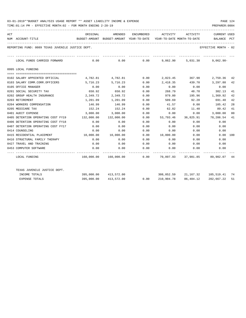TIME:01:14 PM - EFFECTIVE MONTH:02 - FOR MONTH ENDING 2-28-19 PREPARER:0004

| ACT |                                                   | ORIGINAL                                                              | AMENDED                                                                     |      |                  | ENCUMBERED ACTIVITY ACTIVITY       | CURRENT USED         |     |
|-----|---------------------------------------------------|-----------------------------------------------------------------------|-----------------------------------------------------------------------------|------|------------------|------------------------------------|----------------------|-----|
|     | NUM ACCOUNT-TITLE                                 |                                                                       | BUDGET-AMOUNT BUDGET-AMOUNT YEAR-TO-DATE YEAR-TO-DATE MONTH-TO-DATE BALANCE |      |                  |                                    |                      | PCT |
|     | REPORTING FUND: 0089 TEXAS JUVENILE JUSTICE DEPT. |                                                                       |                                                                             |      |                  |                                    | EFFECTIVE MONTH - 02 |     |
|     | LOCAL FUNDS CARRIED FORWARD                       | $0.00$ $0.00$ $0.00$ $0.00$ $0.00$ $0.00$ $0.00$ $0.01.30$ $0.062.90$ |                                                                             |      |                  |                                    |                      |     |
|     | 0995 LOCAL FUNDING                                |                                                                       |                                                                             |      |                  |                                    |                      |     |
|     |                                                   |                                                                       |                                                                             |      |                  |                                    |                      |     |
|     | 0102 SALARY APPOINTED OFFICIAL                    |                                                                       | 4,782.81 4,782.81                                                           |      |                  | $0.00$ 2,023.45 367.90             | 2,759.36             | 42  |
|     | 0103 SALARY COMM.CORR.OFFICERS                    | 5,716.23                                                              | 5,716.23                                                                    | 0.00 | 2,418.35         | 439.70                             | 3,297.88             | 42  |
|     | 0105 OFFICE MANAGER                               | 0.00                                                                  | 0.00                                                                        | 0.00 | 0.00             | 0.00                               | 0.00                 |     |
|     | 0201 SOCIAL SECURITY TAX                          | 650.92                                                                | 650.92                                                                      | 0.00 | 268.79           | 48.78                              | 382.13               | 41  |
|     | 0202 GROUP HEALTH INSURANCE                       | 2,349.72                                                              | 2,349.72                                                                    | 0.00 | 979.80           | 195.96                             | 1,369.92             | 42  |
|     | 0203 RETIREMENT                                   | 1,201.09                                                              | 1,201.09                                                                    | 0.00 | 509.69           | 92.20                              | 691.40               | 42  |
|     | 0204 WORKERS COMPENSATION                         | 146.99                                                                | 146.99                                                                      | 0.00 | 41.57            | 0.00                               | 105.42               | 28  |
|     | 0205 MEDICARE TAX                                 | 152.24                                                                | 152.24                                                                      | 0.00 | 62.82            | 11.40                              | 89.42                | 41  |
|     | 0401 AUDIT EXPENSE                                | 3,000.00                                                              | 3,000.00                                                                    | 0.00 | 0.00             |                                    | $0.00$ 3,000.00      | 00  |
|     | 0405 DETENTION OPERATING COST FY19                | 132,000.00                                                            | 132,000.00                                                                  | 0.00 | 53,793.46        |                                    | 36,825.91 78,206.54  | 41  |
|     | 0406 DETENTION OPERATING COST FY18                | 0.00                                                                  | 0.00                                                                        | 0.00 | 0.00             | 0.00                               | 0.00                 |     |
|     | 0407 DETENTION OPERATING COST FY17                | 0.00                                                                  | 0.00                                                                        | 0.00 | 0.00             | 0.00                               | 0.00                 |     |
|     | 0414 COUNSELING                                   | 0.00                                                                  | 0.00                                                                        | 0.00 | 0.00             | 0.00                               | 0.00                 |     |
|     | 0415 RESIDENTIAL PLACEMENT                        | 10,000.00    10,000.00                                                |                                                                             | 0.00 | $10,000.00$ 0.00 |                                    | 0.00 100             |     |
|     | 0416 STRUCTURAL FAMILY THERAPY                    | 0.00                                                                  | 0.00                                                                        | 0.00 |                  | $0.00$ 0.00                        | 0.00                 |     |
|     | 0427 TRAVEL AND TRAINING                          | 0.00                                                                  | 0.00                                                                        | 0.00 |                  | $0.00$ $0.00$ $0.00$ $0.00$        |                      |     |
|     | 0453 COMPUTER SOFTWARE                            | 0.00                                                                  | 0.00                                                                        | 0.00 |                  | $0.00$ 0.00                        | 0.00                 |     |
|     | LOCAL FUNDING                                     |                                                                       | $160,000.00$ $160,000.00$ 0.00 70,097.93 37,981.85 89,902.07 44             |      |                  |                                    |                      |     |
|     | TEXAS JUVENILE JUSTICE DEPT.                      |                                                                       |                                                                             |      |                  |                                    |                      |     |
|     | INCOME TOTALS                                     |                                                                       | 395,000.00 413,572.00                                                       |      |                  | 308,052.59 21,167.32 105,519.41 74 |                      |     |
|     | <b>EXPENSE TOTALS</b>                             |                                                                       | 395,000.00 413,572.00                                                       | 0.00 |                  | 210,904.78 86,484.12               | 202,667.22           | 51  |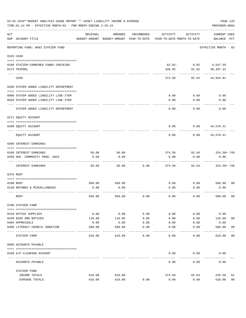|                | 03-01-2019**BUDGET ANALYSIS USAGE REPORT ** ASSET LIABILITY INCOME & EXPENSE<br>TIME: 01:14 PM - EFFECTIVE MONTH: 02 - FOR MONTH ENDING 2-28-19 |                |                                                     |              |                                        |                                  | PAGE 125<br>PREPARER: 0004         |                |
|----------------|-------------------------------------------------------------------------------------------------------------------------------------------------|----------------|-----------------------------------------------------|--------------|----------------------------------------|----------------------------------|------------------------------------|----------------|
| $\mathtt{ACT}$ | NUM ACCOUNT-TITLE                                                                                                                               | ORIGINAL       | AMENDED<br>BUDGET-AMOUNT BUDGET-AMOUNT YEAR-TO-DATE | ENCUMBERED   | ACTIVITY<br>YEAR-TO-DATE MONTH-TO-DATE | ACTIVITY                         | <b>CURRENT USED</b><br>BALANCE PCT |                |
|                | REPORTING FUND: 0092 STATZER FUND                                                                                                               |                |                                                     |              |                                        |                                  | EFFECTIVE MONTH - 02               |                |
|                | 0103 CASH                                                                                                                                       |                |                                                     |              |                                        |                                  |                                    |                |
|                | 0100 STATZER-COMBINED FUNDS CHECKING<br>0175 TEXPOOL                                                                                            |                |                                                     |              | 436.52                                 | $62.02 - 0.82$ 4,547.59<br>81.82 | 40,397.32                          |                |
|                | CASH                                                                                                                                            |                |                                                     |              | 374.50                                 | 82.64                            | 44,944.91                          |                |
|                | 0200 SYSTEM ADDED LIABILITY DEPARTMENT                                                                                                          |                |                                                     |              |                                        |                                  |                                    |                |
|                | 0900 SYSTEM ADDED LIABILITY LINE-ITEM                                                                                                           |                |                                                     |              | 0.00                                   | 0.00                             | 0.00                               |                |
|                | 0910 SYSTEM ADDED LIABILITY LINE-ITEM                                                                                                           |                |                                                     |              | 0.00                                   | 0.00                             | 0.00                               |                |
|                | SYSTEM ADDED LIABILITY DEPARTMENT                                                                                                               |                |                                                     |              | 0.00                                   | 0.00                             | 0.00                               |                |
|                | 0271 EQUITY ACCOUNT                                                                                                                             |                |                                                     |              |                                        |                                  |                                    |                |
|                | 0200 EQUITY ACCOUNT                                                                                                                             |                |                                                     |              | 0.00                                   | 0.00                             | 44,570.41                          |                |
|                | EQUITY ACCOUNT                                                                                                                                  |                |                                                     |              | 0.00                                   | 0.00                             | 44,570.41                          |                |
|                | 0360 INTEREST EARNINGS                                                                                                                          |                |                                                     |              |                                        |                                  |                                    |                |
|                | 0100 INTEREST EARNINGS                                                                                                                          | 50.00          | 50.00                                               |              | 374.50                                 | 82.64                            | 324.50+ 749                        |                |
|                | 0350 GOV. COMMODITY PROG. ASCS                                                                                                                  | 0.00           | 0.00                                                |              | 0.00                                   | 0.00                             | 0.00                               |                |
|                | INTEREST EARNINGS                                                                                                                               | 50.00          | 50.00                                               | 0.00         | 374.50                                 | 82.64                            | 324.50+ 749                        |                |
|                | 0370 RENT                                                                                                                                       |                |                                                     |              |                                        |                                  |                                    |                |
|                |                                                                                                                                                 |                |                                                     |              |                                        |                                  | 560.00 00                          |                |
|                | 0100 RENT<br>0130 REFUNDS & MISCELLANEOUS                                                                                                       | 560.00<br>0.00 | 560.00<br>0.00                                      |              | 0.00<br>0.00                           | 0.00<br>0.00                     | 0.00                               |                |
|                | RENT                                                                                                                                            | 560.00         | 560.00                                              | 0.00         | 0.00                                   | 0.00                             | 560.00                             | 0 <sub>0</sub> |
|                | 0700 STATZER FARM                                                                                                                               |                |                                                     |              |                                        |                                  |                                    |                |
|                | 0310 OFFICE SUPPLIES                                                                                                                            | 0.00           | 0.00                                                | 0.00         | 0.00                                   | 0.00                             | 0.00                               |                |
|                | 0430 BIDS AND NOTICES                                                                                                                           | 110.00         | 110.00                                              | 0.00         | 0.00                                   | 0.00                             | 110.00                             | 0 <sub>0</sub> |
|                | 0484 APPRAISALS                                                                                                                                 | 0.00           | 0.00                                                | 0.00         | 0.00                                   | 0.00                             | 0.00                               |                |
|                | 0490 LITERACY COUNCIL DONATION                                                                                                                  | 500.00         | 500.00                                              | 0.00<br>---- | 0.00                                   | 0.00                             | 500.00                             | 00             |
|                | STATZER FARM                                                                                                                                    | 610.00         | 610.00                                              | 0.00         | 0.00                                   | 0.00                             | 610.00                             | 0 <sub>0</sub> |
|                | 0999 ACCOUNTS PAYABLE                                                                                                                           |                |                                                     |              |                                        |                                  |                                    |                |
|                | 0100 A/P CLEARING ACCOUNT                                                                                                                       |                |                                                     |              | 0.00                                   | 0.00                             | 0.00                               |                |
|                | ACCOUNTS PAYABLE                                                                                                                                |                |                                                     |              | 0.00                                   | 0.00                             | 0.00                               |                |
|                | STATZER FUND                                                                                                                                    |                |                                                     |              |                                        |                                  |                                    |                |
|                | INCOME TOTALS                                                                                                                                   | 610.00         | 610.00                                              |              | 374.50                                 | 82.64                            | 235.50                             | 61             |
|                | EXPENSE TOTALS                                                                                                                                  | 610.00         | 610.00                                              | 0.00         | 0.00                                   | 0.00                             | 610.00                             | 0 <sub>0</sub> |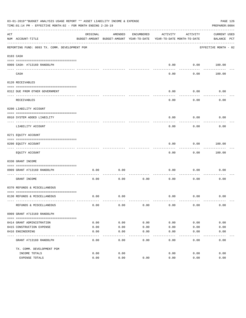|     | 03-01-2019**BUDGET ANALYSIS USAGE REPORT ** ASSET LIABILITY INCOME & EXPENSE<br>TIME: 01:14 PM - EFFECTIVE MONTH: 02 - FOR MONTH ENDING 2-28-19 |          |                                          |            |                            |                  | PAGE 126<br>PREPARER: 0004 |  |
|-----|-------------------------------------------------------------------------------------------------------------------------------------------------|----------|------------------------------------------|------------|----------------------------|------------------|----------------------------|--|
| ACT |                                                                                                                                                 | ORIGINAL | AMENDED                                  | ENCUMBERED | ACTIVITY                   | ACTIVITY         | <b>CURRENT USED</b>        |  |
|     | NUM ACCOUNT-TITLE                                                                                                                               |          | BUDGET-AMOUNT BUDGET-AMOUNT YEAR-TO-DATE |            | YEAR-TO-DATE MONTH-TO-DATE |                  | BALANCE PCT                |  |
|     | REPORTING FUND: 0093 TX. COMM. DEVELOPMENT PGM                                                                                                  |          |                                          |            |                            |                  | EFFECTIVE MONTH - 02       |  |
|     | 0103 CASH                                                                                                                                       |          |                                          |            |                            |                  |                            |  |
|     |                                                                                                                                                 |          |                                          |            |                            |                  |                            |  |
|     | 0909 CASH- #713169 RANDOLPH                                                                                                                     |          |                                          |            | 0.00                       | ---------        | $0.00$ 100.00              |  |
|     | CASH                                                                                                                                            |          |                                          |            | 0.00                       | 0.00             | 100.00                     |  |
|     | 0120 RECEIVABLES                                                                                                                                |          |                                          |            |                            |                  |                            |  |
|     |                                                                                                                                                 |          |                                          |            |                            |                  |                            |  |
|     | 0312 DUE FROM OTHER GOVERNMENT                                                                                                                  |          |                                          |            | 0.00                       | 0.00<br>-------- | 0.00                       |  |
|     | RECEIVABLES                                                                                                                                     |          |                                          |            | 0.00                       | 0.00             | 0.00                       |  |
|     | 0200 LIABILITY ACCOUNT                                                                                                                          |          |                                          |            |                            |                  |                            |  |
|     | 0910 SYSTEM ADDED LIABILITY                                                                                                                     |          |                                          |            | 0.00                       | 0.00             | 0.00                       |  |
|     | LIABILITY ACCOUNT                                                                                                                               |          |                                          |            | 0.00                       | 0.00             | 0.00                       |  |
|     | 0271 EQUITY ACCOUNT                                                                                                                             |          |                                          |            |                            |                  |                            |  |
|     | 0200 EQUITY ACCOUNT                                                                                                                             |          |                                          |            | 0.00                       | 0.00             | 100.00                     |  |
|     | EQUITY ACCOUNT                                                                                                                                  |          |                                          |            | 0.00                       | 0.00             | 100.00                     |  |
|     | 0330 GRANT INCOME                                                                                                                               |          |                                          |            |                            |                  |                            |  |
|     |                                                                                                                                                 |          |                                          |            |                            |                  |                            |  |
|     | 0909 GRANT #713169 RANDOLPH<br>---------------------- -----                                                                                     | 0.00     | 0.00                                     |            | 0.00                       | 0.00             | 0.00                       |  |
|     | GRANT INCOME                                                                                                                                    | 0.00     | 0.00                                     | 0.00       | 0.00                       | 0.00             | 0.00                       |  |
|     | 0370 REFUNDS & MISCELLANEOUS                                                                                                                    |          |                                          |            |                            |                  |                            |  |
|     |                                                                                                                                                 |          |                                          |            |                            |                  |                            |  |
|     | 0130 REFUNDS & MISCELLANEOUS                                                                                                                    | 0.00     | 0.00                                     |            | 0.00                       | 0.00             | 0.00                       |  |
|     | REFUNDS & MISCELLANEOUS                                                                                                                         | 0.00     | 0.00                                     | 0.00       | 0.00                       | 0.00             | 0.00                       |  |
|     | 0909 GRANT #713169 RANDOLPH                                                                                                                     |          |                                          |            |                            |                  |                            |  |
|     |                                                                                                                                                 |          |                                          |            |                            |                  |                            |  |
|     | 0414 GRANT ADMINISTRATION                                                                                                                       | 0.00     | 0.00                                     | 0.00       | 0.00                       | 0.00             | 0.00                       |  |
|     | 0415 CONSTRUCTION EXPENSE                                                                                                                       | 0.00     | 0.00                                     | 0.00       | 0.00                       | 0.00             | 0.00                       |  |
|     | 0416 ENGINEERING                                                                                                                                | 0.00     | 0.00                                     | 0.00       | 0.00                       | 0.00             | 0.00                       |  |
|     | GRANT #713169 RANDOLPH                                                                                                                          | 0.00     | 0.00                                     | 0.00       | 0.00                       | 0.00             | 0.00                       |  |
|     | TX. COMM. DEVELOPMENT PGM                                                                                                                       |          |                                          |            |                            |                  |                            |  |
|     | INCOME TOTALS                                                                                                                                   | 0.00     | 0.00                                     |            | 0.00                       | 0.00             | 0.00                       |  |
|     | EXPENSE TOTALS                                                                                                                                  | 0.00     | 0.00                                     | 0.00       | 0.00                       | 0.00             | 0.00                       |  |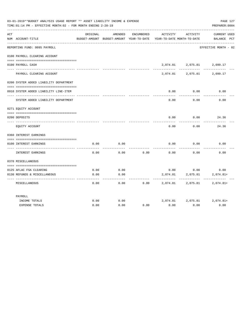| 03-01-2019**BUDGET ANALYSIS USAGE REPORT ** ASSET LIABILITY INCOME & EXPENSE<br>PAGE 127<br>PREPARER: 0004<br>TIME: 01:14 PM - EFFECTIVE MONTH: 02 - FOR MONTH ENDING 2-28-19 |                                        |          |         |            |                                                                                 |                             |                             |
|-------------------------------------------------------------------------------------------------------------------------------------------------------------------------------|----------------------------------------|----------|---------|------------|---------------------------------------------------------------------------------|-----------------------------|-----------------------------|
| ACT                                                                                                                                                                           | NUM ACCOUNT-TITLE                      | ORIGINAL | AMENDED | ENCUMBERED | ACTIVITY<br>BUDGET-AMOUNT BUDGET-AMOUNT YEAR-TO-DATE YEAR-TO-DATE MONTH-TO-DATE | ACTIVITY                    | CURRENT USED<br>BALANCE PCT |
|                                                                                                                                                                               | REPORTING FUND: 0095 PAYROLL           |          |         |            |                                                                                 |                             | EFFECTIVE MONTH - 02        |
|                                                                                                                                                                               | 0100 PAYROLL CLEARING ACCOUNT          |          |         |            |                                                                                 |                             |                             |
|                                                                                                                                                                               | 0100 PAYROLL CASH                      |          |         |            |                                                                                 | 2,074.81 2,075.81 2,099.17  |                             |
|                                                                                                                                                                               | PAYROLL CLEARING ACCOUNT               |          |         |            |                                                                                 | 2,074.81 2,075.81 2,099.17  |                             |
|                                                                                                                                                                               | 0200 SYSTEM ADDED LIABILITY DEPARTMENT |          |         |            |                                                                                 |                             |                             |
|                                                                                                                                                                               | 0910 SYSTEM ADDED LIABILITY LINE-ITEM  |          |         |            | 0.00                                                                            | 0.00<br>.                   | 0.00                        |
|                                                                                                                                                                               | SYSTEM ADDED LIABILITY DEPARTMENT      |          |         |            | 0.00                                                                            | 0.00                        | 0.00                        |
|                                                                                                                                                                               | 0271 EQUITY ACCOUNT                    |          |         |            |                                                                                 |                             |                             |
|                                                                                                                                                                               | 0200 DEPOSITS                          |          |         |            | 0.00                                                                            | 0.00                        | 24.36                       |
|                                                                                                                                                                               |                                        |          |         |            |                                                                                 |                             |                             |
|                                                                                                                                                                               | EQUITY ACCOUNT                         |          |         |            | 0.00                                                                            | 0.00                        | 24.36                       |
|                                                                                                                                                                               | 0360 INTEREST EARNINGS                 |          |         |            |                                                                                 |                             |                             |
|                                                                                                                                                                               |                                        |          |         |            |                                                                                 |                             |                             |
|                                                                                                                                                                               | 0100 INTEREST EARNINGS                 | 0.00     | 0.00    |            | 0.00                                                                            | 0.00                        | 0.00                        |
|                                                                                                                                                                               | INTEREST EARNINGS                      | 0.00     | 0.00    | 0.00       | 0.00                                                                            | 0.00                        | 0.00                        |
|                                                                                                                                                                               | 0370 MISCELLANEOUS                     |          |         |            |                                                                                 |                             |                             |
|                                                                                                                                                                               |                                        |          |         |            |                                                                                 |                             |                             |
|                                                                                                                                                                               | 0125 AFLAC FSA CLEARING                | 0.00     | 0.00    |            |                                                                                 | $0.00$ 0.00                 | 0.00                        |
|                                                                                                                                                                               | 0130 REFUNDS & MISCELLANEOUS           | 0.00     | 0.00    |            | 2,074.81                                                                        | 2,075.81                    | $2,074.81+$                 |
|                                                                                                                                                                               | MISCELLANEOUS                          | 0.00     | 0.00    | 0.00       | 2,074.81                                                                        | 2,075.81                    | 2,074.81+                   |
|                                                                                                                                                                               | PAYROLL                                |          |         |            |                                                                                 |                             |                             |
|                                                                                                                                                                               | INCOME TOTALS                          | 0.00     | 0.00    |            |                                                                                 | 2,074.81 2,075.81 2,074.81+ |                             |
|                                                                                                                                                                               | <b>EXPENSE TOTALS</b>                  | 0.00     | 0.00    | 0.00       | 0.00                                                                            | 0.00                        | 0.00                        |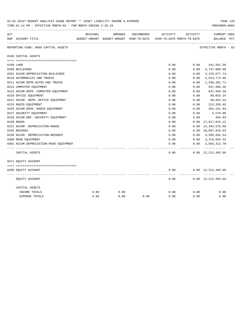|     | 03-01-2019**BUDGET ANALYSIS USAGE REPORT ** ASSET LIABILITY INCOME & EXPENSE<br>TIME: 01:14 PM - EFFECTIVE MONTH: 02 - FOR MONTH ENDING 2-28-19 |          |         |            |                                                                     |           | PAGE 128<br>PREPARER: 0004                  |
|-----|-------------------------------------------------------------------------------------------------------------------------------------------------|----------|---------|------------|---------------------------------------------------------------------|-----------|---------------------------------------------|
| ACT |                                                                                                                                                 | ORIGINAL | AMENDED | ENCUMBERED | ACTIVITY                                                            | ACTIVITY  | <b>CURRENT USED</b>                         |
|     | NUM ACCOUNT-TITLE                                                                                                                               |          |         |            | BUDGET-AMOUNT BUDGET-AMOUNT YEAR-TO-DATE YEAR-TO-DATE MONTH-TO-DATE |           | BALANCE PCT                                 |
|     | REPORTING FUND: 0098 CAPITAL ASSETS                                                                                                             |          |         |            |                                                                     |           | EFFECTIVE MONTH - 02                        |
|     | 0160 CAPITAL ASSETS                                                                                                                             |          |         |            |                                                                     |           |                                             |
|     |                                                                                                                                                 |          |         |            | 0.00                                                                |           | $0.00$ $341,561.30$                         |
|     | 0100 LAND<br>0200 BUILDINGS                                                                                                                     |          |         |            | 0.00                                                                | 0.00      | 4,737,000.00                                |
|     | 0201 ACCUM.DEPRECIATION-BUILDINGS                                                                                                               |          |         |            | 0.00                                                                | 0.00      | $3,376,677.74-$                             |
|     | 0210 AUTOMOBILES AND TRUCKS                                                                                                                     |          |         |            | 0.00                                                                | 0.00      | 2,013,774.80                                |
|     | 0211 ACCUM.DEPR.AUTOS AND TRUCKS                                                                                                                |          |         |            | 0.00                                                                | 0.00      | 1,436,261.71-                               |
|     | 0215 COMPUTER EQUIPMENT                                                                                                                         |          |         |            | 0.00                                                                | 0.00      | 647,940.20                                  |
|     | 0216 ACCUM.DEPR.-COMPUTER EQUIPMENT                                                                                                             |          |         |            | 0.00                                                                | 0.00      | 647,940.20-                                 |
|     | 0220 OFFICE EQUIPMENT                                                                                                                           |          |         |            | 0.00                                                                | 0.00      | 99,653.24                                   |
|     | 0221 ACCUM. DEPR. - OFFICE EQUIPMENT                                                                                                            |          |         |            | 0.00                                                                | 0.00      | 99,653.24-                                  |
|     | 0225 RADIO EQUIPMENT                                                                                                                            |          |         |            | 0.00                                                                | 0.00      | 213, 359.45                                 |
|     | 0226 ACCUM.DEPR.-RADIO EQUIPMENT                                                                                                                |          |         |            | 0.00                                                                | 0.00      | 201,161.84-                                 |
|     | 0227 SECURITY EQUIPMENT                                                                                                                         |          |         |            | 0.00                                                                | 0.00      | 5,578.00                                    |
|     | 0228 ACCUM.DEP. - SECURITY EQUIPMENT                                                                                                            |          |         |            | 0.00                                                                | 0.00      | 464.83-                                     |
|     | 0230 ROADS                                                                                                                                      |          |         |            | 0.00                                                                | 0.00      | 17,817,815.13                               |
|     | 0231 ACCUM. DEPRECIATION-ROADS                                                                                                                  |          |         |            | 0.00                                                                | 0.00      | 14,344,578.06-                              |
|     | 0235 BRIDGES                                                                                                                                    |          |         |            | 0.00                                                                |           | 0.00 10,687,643.03                          |
|     | 0236 ACCUM. DEPRECIATION-BRIDGES                                                                                                                |          |         |            | 0.00                                                                |           | $0.00 \quad 4,936,832.54$ -                 |
|     | 0300 ROAD EQUIPMENT                                                                                                                             |          |         |            | 0.00                                                                |           | $0.00 \quad 3,376,053.43$                   |
|     | 0301 ACCUM.DEPRECIATION-ROAD EQUIPMENT                                                                                                          |          |         |            | 0.00                                                                |           | $0.00 \quad 2.684.312.76 -$                 |
|     | CAPITAL ASSETS                                                                                                                                  |          |         |            | 0.00                                                                | --------- | -------------<br>$0.00 \quad 12,212,495.66$ |
|     | 0271 EQUITY ACCOUNT                                                                                                                             |          |         |            |                                                                     |           |                                             |
|     |                                                                                                                                                 |          |         |            |                                                                     |           |                                             |
|     | 0200 EQUITY ACCOUNT                                                                                                                             |          |         |            | 0.00                                                                |           | $0.00 \quad 12,212,495.66 -$                |
|     | EQUITY ACCOUNT                                                                                                                                  |          |         |            | 0.00                                                                |           | $0.00 \quad 12,212,495.66-$                 |
|     | CAPITAL ASSETS                                                                                                                                  |          |         |            |                                                                     |           |                                             |
|     | INCOME TOTALS                                                                                                                                   | 0.00     | 0.00    |            | 0.00                                                                | 0.00      | 0.00                                        |
|     | <b>EXPENSE TOTALS</b>                                                                                                                           | 0.00     | 0.00    | 0.00       | 0.00                                                                | 0.00      | 0.00                                        |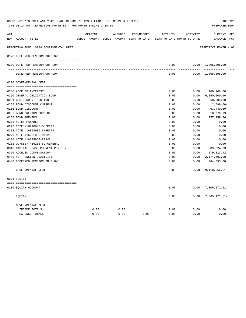| ACT |                                        | ORIGINAL | AMENDED                                  | ENCUMBERED | ACTIVITY                   | ACTIVITY | <b>CURRENT USED</b>       |  |
|-----|----------------------------------------|----------|------------------------------------------|------------|----------------------------|----------|---------------------------|--|
|     | NUM ACCOUNT-TITLE                      |          | BUDGET-AMOUNT BUDGET-AMOUNT YEAR-TO-DATE |            | YEAR-TO-DATE MONTH-TO-DATE |          | BALANCE PCT               |  |
|     | REPORTING FUND: 0099 GOVERNMENTAL DEBT |          |                                          |            |                            |          | EFFECTIVE MONTH - 02      |  |
|     | 0170 DEFERRED PENSION OUTFLOW          |          |                                          |            |                            |          |                           |  |
|     | 0200 DEFERRED PENSION OUTFLOW          |          |                                          |            | 0.00                       |          | $0.00 \quad 1,805,395.00$ |  |
|     |                                        |          |                                          |            |                            |          |                           |  |
|     | DEFERRED PENSION OUTFLOW               |          |                                          |            | 0.00                       |          | $0.00 \quad 1,805,395.00$ |  |
|     | 0200 GOVERNMENTAL DEBT                 |          |                                          |            |                            |          |                           |  |
|     |                                        |          |                                          |            |                            |          |                           |  |
|     | 0240 ACCRUED INTEREST                  |          |                                          |            | 0.00                       | 0.00     | 109,948.00                |  |
|     | 0250 GENERAL OBLIGATION BOND           |          |                                          |            | 0.00                       | 0.00     | 6,090,000.00              |  |
|     | 0251 GOB-CURRENT PORTION               |          |                                          |            | 0.00                       | 0.00     | 60,000.00                 |  |
|     | 0255 BOND DISCOUNT CURRENT             |          |                                          |            | 0.00                       | 0.00     | $2,699.60-$               |  |
|     | 0256 BOND DISCOUNT                     |          |                                          |            | 0.00                       | 0.00     | $63,440.69-$              |  |
|     | 0257 BOND PREMIUM CURRENT              |          |                                          |            | 0.00                       | 0.00     | 10,976.99                 |  |
|     | 0258 BOND PREMIUM                      |          |                                          |            | 0.00                       | 0.00     | 257,959.36                |  |
|     | 0275 NOTES PAYABLE                     |          |                                          |            | 0.00                       | 0.00     | 0.00                      |  |
|     | 0277 NOTE #16240648-SHERIFF            |          |                                          |            | 0.00                       | 0.00     | 0.00                      |  |
|     | 0278 NOTE #16308936-SHERIFF            |          |                                          |            | 0.00                       | 0.00     | 0.00                      |  |
|     | 0279 NOTE #16291000-R&B#3              |          |                                          |            | 0.00                       | 0.00     | 0.00                      |  |
|     | 0280 NOTE #16295968-R&B#3              |          |                                          |            | 0.00                       | 0.00     | 0.00                      |  |
|     | 0281 ODYSSEY #16235752-GENERAL         |          |                                          |            | 0.00                       | 0.00     | 0.00                      |  |
|     | 0310 CAPITAL LEASE-CURRENT PORTION     |          |                                          |            | 0.00                       | 0.00     | 89,024.03                 |  |
|     | 0350 ACCRUED COMPENSATION              |          |                                          |            | 0.00                       | 0.00     | 179,813.42                |  |
|     | 0400 NET PENSION LIABILITY             |          |                                          |            | 0.00                       | 0.00     | 2,174,592.00              |  |
|     | 0450 DEFERRED PENSION IN FLOW          |          |                                          |            | 0.00                       | 0.00     | 204,393.00<br>----------- |  |
|     | GOVERNMENTAL DEBT                      |          |                                          |            | 0.00                       | 0.00     | 9,110,566.51              |  |
|     | 0271 EOUITY                            |          |                                          |            |                            |          |                           |  |
|     | 0200 EQUITY ACCOUNT                    |          |                                          |            | 0.00                       |          | $0.00$ 7, 305, 171.51-    |  |
|     | EQUITY                                 |          |                                          |            | 0.00                       | 0.00     | 7,305,171.51-             |  |
|     | GOVERNMENTAL DEBT                      |          |                                          |            |                            |          |                           |  |
|     | INCOME TOTALS                          | 0.00     | 0.00                                     |            | 0.00                       | 0.00     | 0.00                      |  |
|     | <b>EXPENSE TOTALS</b>                  | 0.00     | 0.00                                     | 0.00       | 0.00                       | 0.00     | 0.00                      |  |